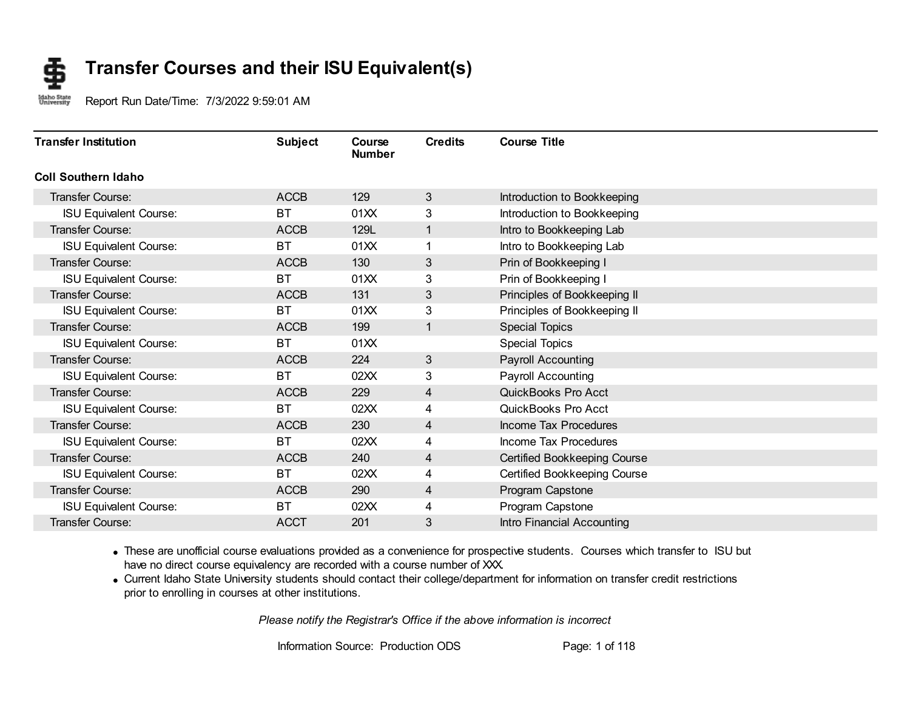#### **Transfer Courses and their ISU Equivalent(s)** \$

Idaho State<br>University Report Run Date/Time: 7/3/2022 9:59:01 AM

| <b>Transfer Institution</b>   | <b>Subject</b> | Course<br><b>Number</b> | <b>Credits</b> | <b>Course Title</b>          |
|-------------------------------|----------------|-------------------------|----------------|------------------------------|
| <b>Coll Southern Idaho</b>    |                |                         |                |                              |
| Transfer Course:              | <b>ACCB</b>    | 129                     | 3              | Introduction to Bookkeeping  |
| <b>ISU Equivalent Course:</b> | <b>BT</b>      | 01XX                    | 3              | Introduction to Bookkeeping  |
| <b>Transfer Course:</b>       | <b>ACCB</b>    | 129L                    | 1              | Intro to Bookkeeping Lab     |
| <b>ISU Equivalent Course:</b> | <b>BT</b>      | 01XX                    | 1              | Intro to Bookkeeping Lab     |
| <b>Transfer Course:</b>       | <b>ACCB</b>    | 130                     | 3              | Prin of Bookkeeping I        |
| <b>ISU Equivalent Course:</b> | <b>BT</b>      | 01XX                    | 3              | Prin of Bookkeeping I        |
| Transfer Course:              | <b>ACCB</b>    | 131                     | 3              | Principles of Bookkeeping II |
| <b>ISU Equivalent Course:</b> | <b>BT</b>      | 01XX                    | 3              | Principles of Bookkeeping II |
| Transfer Course:              | <b>ACCB</b>    | 199                     | 1              | <b>Special Topics</b>        |
| <b>ISU Equivalent Course:</b> | <b>BT</b>      | 01XX                    |                | <b>Special Topics</b>        |
| Transfer Course:              | <b>ACCB</b>    | 224                     | 3              | <b>Payroll Accounting</b>    |
| <b>ISU Equivalent Course:</b> | <b>BT</b>      | 02XX                    | 3              | Payroll Accounting           |
| Transfer Course:              | <b>ACCB</b>    | 229                     | 4              | QuickBooks Pro Acct          |
| <b>ISU Equivalent Course:</b> | <b>BT</b>      | 02XX                    | 4              | QuickBooks Pro Acct          |
| <b>Transfer Course:</b>       | <b>ACCB</b>    | 230                     | 4              | Income Tax Procedures        |
| <b>ISU Equivalent Course:</b> | <b>BT</b>      | 02XX                    | 4              | Income Tax Procedures        |
| <b>Transfer Course:</b>       | <b>ACCB</b>    | 240                     | 4              | Certified Bookkeeping Course |
| <b>ISU Equivalent Course:</b> | ВT             | 02XX                    | 4              | Certified Bookkeeping Course |
| <b>Transfer Course:</b>       | <b>ACCB</b>    | 290                     | 4              | Program Capstone             |
| <b>ISU Equivalent Course:</b> | ВT             | 02XX                    | 4              | Program Capstone             |
| Transfer Course:              | <b>ACCT</b>    | 201                     | 3              | Intro Financial Accounting   |

· These are unofficial course evaluations provided as a convenience for prospective students. Courses which transfer to ISU but have no direct course equivalency are recorded with a course number of XXX.

· Current Idaho State University students should contact their college/department for information on transfer credit restrictions prior to enrolling in courses at other institutions.

*Please notify the Registrar's Office if the above information is incorrect*

Information Source: Production ODS Page: 1 of 118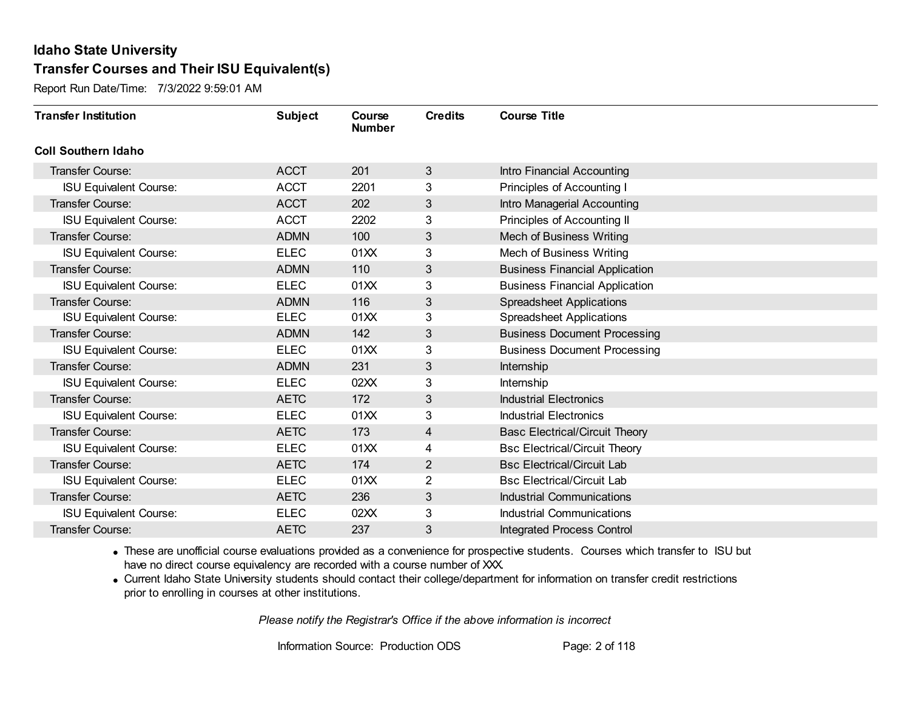Report Run Date/Time: 7/3/2022 9:59:01 AM

| <b>Transfer Institution</b>   | <b>Subject</b> | Course<br><b>Number</b> | <b>Credits</b> | <b>Course Title</b>                   |
|-------------------------------|----------------|-------------------------|----------------|---------------------------------------|
| <b>Coll Southern Idaho</b>    |                |                         |                |                                       |
| Transfer Course:              | <b>ACCT</b>    | 201                     | 3              | Intro Financial Accounting            |
| <b>ISU Equivalent Course:</b> | <b>ACCT</b>    | 2201                    | 3              | Principles of Accounting I            |
| Transfer Course:              | <b>ACCT</b>    | 202                     | 3              | Intro Managerial Accounting           |
| <b>ISU Equivalent Course:</b> | <b>ACCT</b>    | 2202                    | 3              | Principles of Accounting II           |
| <b>Transfer Course:</b>       | <b>ADMN</b>    | 100                     | 3              | <b>Mech of Business Writing</b>       |
| <b>ISU Equivalent Course:</b> | <b>ELEC</b>    | 01XX                    | 3              | Mech of Business Writing              |
| <b>Transfer Course:</b>       | <b>ADMN</b>    | 110                     | 3              | <b>Business Financial Application</b> |
| <b>ISU Equivalent Course:</b> | <b>ELEC</b>    | 01XX                    | 3              | <b>Business Financial Application</b> |
| Transfer Course:              | <b>ADMN</b>    | 116                     | 3              | <b>Spreadsheet Applications</b>       |
| <b>ISU Equivalent Course:</b> | <b>ELEC</b>    | 01XX                    | 3              | <b>Spreadsheet Applications</b>       |
| <b>Transfer Course:</b>       | <b>ADMN</b>    | 142                     | 3              | <b>Business Document Processing</b>   |
| <b>ISU Equivalent Course:</b> | <b>ELEC</b>    | 01XX                    | 3              | <b>Business Document Processing</b>   |
| Transfer Course:              | <b>ADMN</b>    | 231                     | 3              | Internship                            |
| <b>ISU Equivalent Course:</b> | <b>ELEC</b>    | 02XX                    | 3              | Internship                            |
| Transfer Course:              | <b>AETC</b>    | 172                     | 3              | <b>Industrial Electronics</b>         |
| <b>ISU Equivalent Course:</b> | <b>ELEC</b>    | 01XX                    | 3              | <b>Industrial Electronics</b>         |
| Transfer Course:              | <b>AETC</b>    | 173                     | 4              | <b>Basc Electrical/Circuit Theory</b> |
| <b>ISU Equivalent Course:</b> | <b>ELEC</b>    | 01XX                    | 4              | <b>Bsc Electrical/Circuit Theory</b>  |
| <b>Transfer Course:</b>       | <b>AETC</b>    | 174                     | $\overline{2}$ | <b>Bsc Electrical/Circuit Lab</b>     |
| <b>ISU Equivalent Course:</b> | <b>ELEC</b>    | 01XX                    | $\overline{2}$ | <b>Bsc Electrical/Circuit Lab</b>     |
| <b>Transfer Course:</b>       | <b>AETC</b>    | 236                     | 3              | <b>Industrial Communications</b>      |
| <b>ISU Equivalent Course:</b> | <b>ELEC</b>    | 02XX                    | 3              | <b>Industrial Communications</b>      |
| Transfer Course:              | <b>AETC</b>    | 237                     | 3              | <b>Integrated Process Control</b>     |

· These are unofficial course evaluations provided as a convenience for prospective students. Courses which transfer to ISU but have no direct course equivalency are recorded with a course number of XXX.

· Current Idaho State University students should contact their college/department for information on transfer credit restrictions prior to enrolling in courses at other institutions.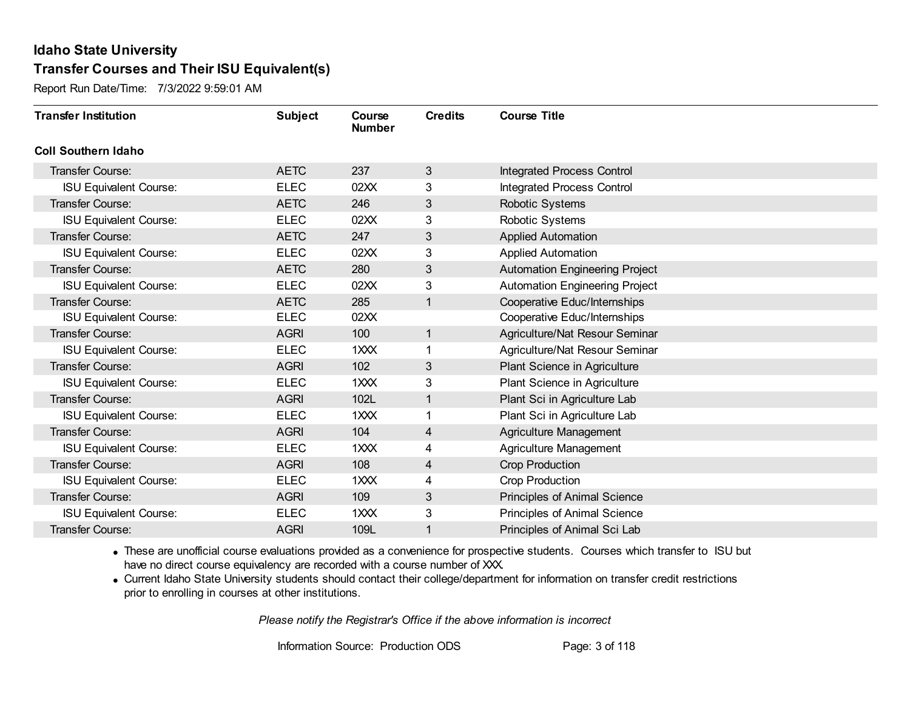Report Run Date/Time: 7/3/2022 9:59:01 AM

| <b>Transfer Institution</b>   | <b>Subject</b> | Course<br><b>Number</b> | <b>Credits</b> | <b>Course Title</b>                   |
|-------------------------------|----------------|-------------------------|----------------|---------------------------------------|
| <b>Coll Southern Idaho</b>    |                |                         |                |                                       |
| Transfer Course:              | <b>AETC</b>    | 237                     | 3              | <b>Integrated Process Control</b>     |
| <b>ISU Equivalent Course:</b> | <b>ELEC</b>    | 02XX                    | 3              | <b>Integrated Process Control</b>     |
| Transfer Course:              | <b>AETC</b>    | 246                     | 3              | Robotic Systems                       |
| <b>ISU Equivalent Course:</b> | <b>ELEC</b>    | 02XX                    | 3              | Robotic Systems                       |
| <b>Transfer Course:</b>       | <b>AETC</b>    | 247                     | 3              | <b>Applied Automation</b>             |
| <b>ISU Equivalent Course:</b> | <b>ELEC</b>    | 02XX                    | 3              | <b>Applied Automation</b>             |
| Transfer Course:              | <b>AETC</b>    | 280                     | 3              | <b>Automation Engineering Project</b> |
| <b>ISU Equivalent Course:</b> | <b>ELEC</b>    | 02XX                    | 3              | <b>Automation Engineering Project</b> |
| Transfer Course:              | <b>AETC</b>    | 285                     | 1              | Cooperative Educ/Internships          |
| <b>ISU Equivalent Course:</b> | <b>ELEC</b>    | 02XX                    |                | Cooperative Educ/Internships          |
| <b>Transfer Course:</b>       | <b>AGRI</b>    | 100                     | $\mathbf{1}$   | Agriculture/Nat Resour Seminar        |
| <b>ISU Equivalent Course:</b> | <b>ELEC</b>    | 1XXX                    |                | Agriculture/Nat Resour Seminar        |
| Transfer Course:              | <b>AGRI</b>    | 102                     | 3              | Plant Science in Agriculture          |
| <b>ISU Equivalent Course:</b> | <b>ELEC</b>    | 1XXX                    | 3              | Plant Science in Agriculture          |
| Transfer Course:              | <b>AGRI</b>    | 102L                    | 1              | Plant Sci in Agriculture Lab          |
| <b>ISU Equivalent Course:</b> | <b>ELEC</b>    | 1XXX                    | 1              | Plant Sci in Agriculture Lab          |
| Transfer Course:              | <b>AGRI</b>    | 104                     | 4              | Agriculture Management                |
| <b>ISU Equivalent Course:</b> | <b>ELEC</b>    | 1XXX                    | 4              | Agriculture Management                |
| Transfer Course:              | <b>AGRI</b>    | 108                     | 4              | <b>Crop Production</b>                |
| <b>ISU Equivalent Course:</b> | <b>ELEC</b>    | 1XXX                    | 4              | Crop Production                       |
| Transfer Course:              | <b>AGRI</b>    | 109                     | 3              | Principles of Animal Science          |
| <b>ISU Equivalent Course:</b> | <b>ELEC</b>    | 1XXX                    | 3              | Principles of Animal Science          |
| Transfer Course:              | <b>AGRI</b>    | 109L                    | 1              | Principles of Animal Sci Lab          |

· These are unofficial course evaluations provided as a convenience for prospective students. Courses which transfer to ISU but have no direct course equivalency are recorded with a course number of XXX.

· Current Idaho State University students should contact their college/department for information on transfer credit restrictions prior to enrolling in courses at other institutions.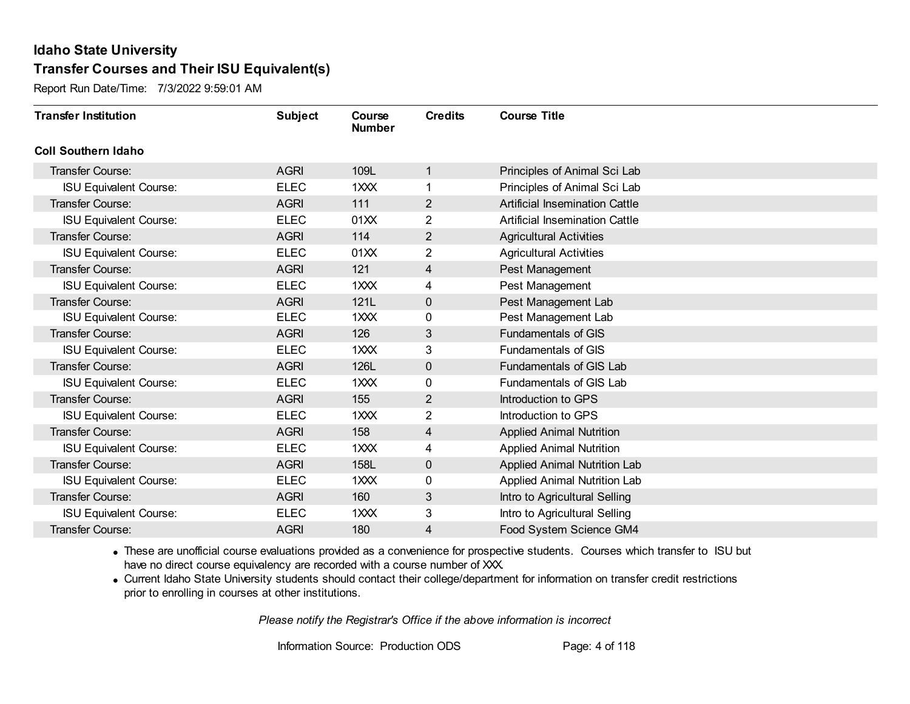Report Run Date/Time: 7/3/2022 9:59:01 AM

| <b>Transfer Institution</b>   | <b>Subject</b> | Course<br><b>Number</b> | <b>Credits</b> | <b>Course Title</b>                   |
|-------------------------------|----------------|-------------------------|----------------|---------------------------------------|
| <b>Coll Southern Idaho</b>    |                |                         |                |                                       |
| Transfer Course:              | <b>AGRI</b>    | 109L                    | 1              | Principles of Animal Sci Lab          |
| <b>ISU Equivalent Course:</b> | <b>ELEC</b>    | 1XXX                    | 1              | Principles of Animal Sci Lab          |
| Transfer Course:              | <b>AGRI</b>    | 111                     | $\overline{2}$ | <b>Artificial Insemination Cattle</b> |
| <b>ISU Equivalent Course:</b> | <b>ELEC</b>    | 01XX                    | $\overline{2}$ | <b>Artificial Insemination Cattle</b> |
| <b>Transfer Course:</b>       | <b>AGRI</b>    | 114                     | $\overline{2}$ | <b>Agricultural Activities</b>        |
| <b>ISU Equivalent Course:</b> | <b>ELEC</b>    | 01XX                    | 2              | <b>Agricultural Activities</b>        |
| <b>Transfer Course:</b>       | <b>AGRI</b>    | 121                     | 4              | Pest Management                       |
| <b>ISU Equivalent Course:</b> | <b>ELEC</b>    | 1XXX                    | 4              | Pest Management                       |
| <b>Transfer Course:</b>       | <b>AGRI</b>    | 121L                    | $\mathbf 0$    | Pest Management Lab                   |
| <b>ISU Equivalent Course:</b> | <b>ELEC</b>    | 1XXX                    | 0              | Pest Management Lab                   |
| <b>Transfer Course:</b>       | <b>AGRI</b>    | 126                     | 3              | <b>Fundamentals of GIS</b>            |
| <b>ISU Equivalent Course:</b> | <b>ELEC</b>    | 1XXX                    | 3              | <b>Fundamentals of GIS</b>            |
| Transfer Course:              | <b>AGRI</b>    | 126L                    | $\mathbf 0$    | <b>Fundamentals of GIS Lab</b>        |
| <b>ISU Equivalent Course:</b> | <b>ELEC</b>    | 1XXX                    | 0              | Fundamentals of GIS Lab               |
| Transfer Course:              | <b>AGRI</b>    | 155                     | $\overline{2}$ | Introduction to GPS                   |
| <b>ISU Equivalent Course:</b> | <b>ELEC</b>    | 1XXX                    | $\overline{2}$ | Introduction to GPS                   |
| <b>Transfer Course:</b>       | <b>AGRI</b>    | 158                     | 4              | <b>Applied Animal Nutrition</b>       |
| <b>ISU Equivalent Course:</b> | <b>ELEC</b>    | 1XXX                    | 4              | <b>Applied Animal Nutrition</b>       |
| <b>Transfer Course:</b>       | <b>AGRI</b>    | 158L                    | $\mathbf 0$    | <b>Applied Animal Nutrition Lab</b>   |
| <b>ISU Equivalent Course:</b> | <b>ELEC</b>    | 1XXX                    | 0              | <b>Applied Animal Nutrition Lab</b>   |
| <b>Transfer Course:</b>       | <b>AGRI</b>    | 160                     | 3              | Intro to Agricultural Selling         |
| <b>ISU Equivalent Course:</b> | <b>ELEC</b>    | 1XXX                    | 3              | Intro to Agricultural Selling         |
| Transfer Course:              | <b>AGRI</b>    | 180                     | 4              | Food System Science GM4               |

· These are unofficial course evaluations provided as a convenience for prospective students. Courses which transfer to ISU but have no direct course equivalency are recorded with a course number of XXX.

· Current Idaho State University students should contact their college/department for information on transfer credit restrictions prior to enrolling in courses at other institutions.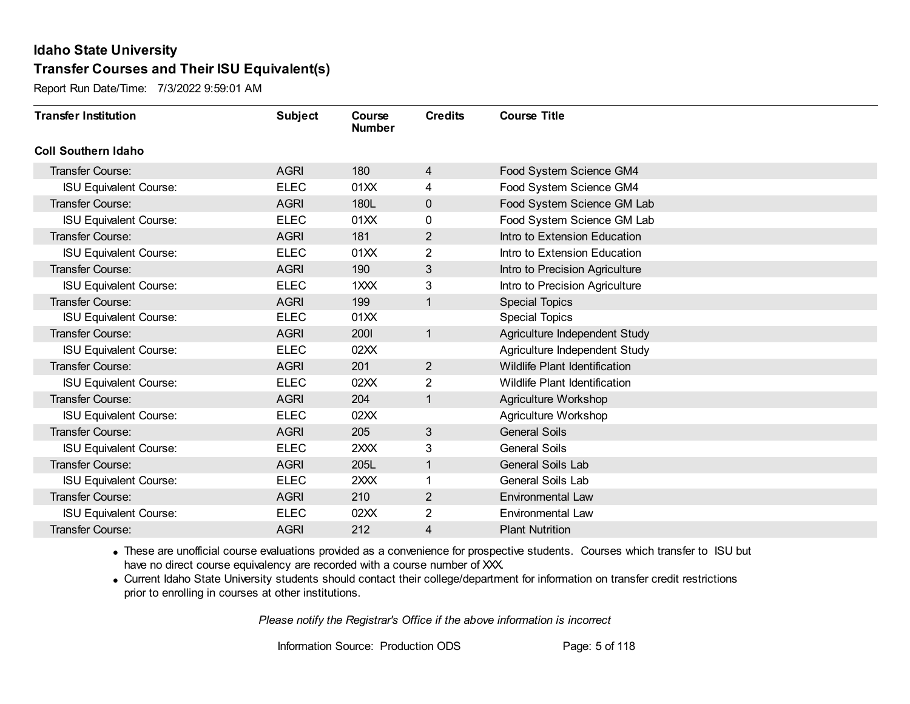Report Run Date/Time: 7/3/2022 9:59:01 AM

| <b>Transfer Institution</b>   | <b>Subject</b> | Course<br><b>Number</b> | <b>Credits</b> | <b>Course Title</b>                  |
|-------------------------------|----------------|-------------------------|----------------|--------------------------------------|
| <b>Coll Southern Idaho</b>    |                |                         |                |                                      |
| Transfer Course:              | <b>AGRI</b>    | 180                     | 4              | Food System Science GM4              |
| <b>ISU Equivalent Course:</b> | <b>ELEC</b>    | 01XX                    | 4              | Food System Science GM4              |
| Transfer Course:              | <b>AGRI</b>    | 180L                    | $\mathbf 0$    | Food System Science GM Lab           |
| <b>ISU Equivalent Course:</b> | <b>ELEC</b>    | 01XX                    | 0              | Food System Science GM Lab           |
| <b>Transfer Course:</b>       | <b>AGRI</b>    | 181                     | 2              | Intro to Extension Education         |
| <b>ISU Equivalent Course:</b> | <b>ELEC</b>    | 01XX                    | 2              | Intro to Extension Education         |
| <b>Transfer Course:</b>       | <b>AGRI</b>    | 190                     | 3              | Intro to Precision Agriculture       |
| <b>ISU Equivalent Course:</b> | <b>ELEC</b>    | 1XXX                    | 3              | Intro to Precision Agriculture       |
| <b>Transfer Course:</b>       | <b>AGRI</b>    | 199                     | 1              | <b>Special Topics</b>                |
| <b>ISU Equivalent Course:</b> | <b>ELEC</b>    | 01XX                    |                | <b>Special Topics</b>                |
| <b>Transfer Course:</b>       | <b>AGRI</b>    | 2001                    | 1              | Agriculture Independent Study        |
| <b>ISU Equivalent Course:</b> | <b>ELEC</b>    | 02XX                    |                | Agriculture Independent Study        |
| Transfer Course:              | <b>AGRI</b>    | 201                     | $\overline{2}$ | Wildlife Plant Identification        |
| <b>ISU Equivalent Course:</b> | <b>ELEC</b>    | 02XX                    | $\overline{2}$ | <b>Wildlife Plant Identification</b> |
| Transfer Course:              | <b>AGRI</b>    | 204                     | 1              | Agriculture Workshop                 |
| <b>ISU Equivalent Course:</b> | <b>ELEC</b>    | 02XX                    |                | <b>Agriculture Workshop</b>          |
| Transfer Course:              | <b>AGRI</b>    | 205                     | $\mathbf{3}$   | <b>General Soils</b>                 |
| <b>ISU Equivalent Course:</b> | <b>ELEC</b>    | 2XXX                    | 3              | <b>General Soils</b>                 |
| Transfer Course:              | <b>AGRI</b>    | 205L                    | 1              | General Soils Lab                    |
| <b>ISU Equivalent Course:</b> | <b>ELEC</b>    | 2XXX                    |                | General Soils Lab                    |
| Transfer Course:              | <b>AGRI</b>    | 210                     | $\overline{2}$ | <b>Environmental Law</b>             |
| <b>ISU Equivalent Course:</b> | <b>ELEC</b>    | 02XX                    | $\overline{2}$ | Environmental Law                    |
| Transfer Course:              | <b>AGRI</b>    | 212                     | 4              | <b>Plant Nutrition</b>               |

· These are unofficial course evaluations provided as a convenience for prospective students. Courses which transfer to ISU but have no direct course equivalency are recorded with a course number of XXX.

· Current Idaho State University students should contact their college/department for information on transfer credit restrictions prior to enrolling in courses at other institutions.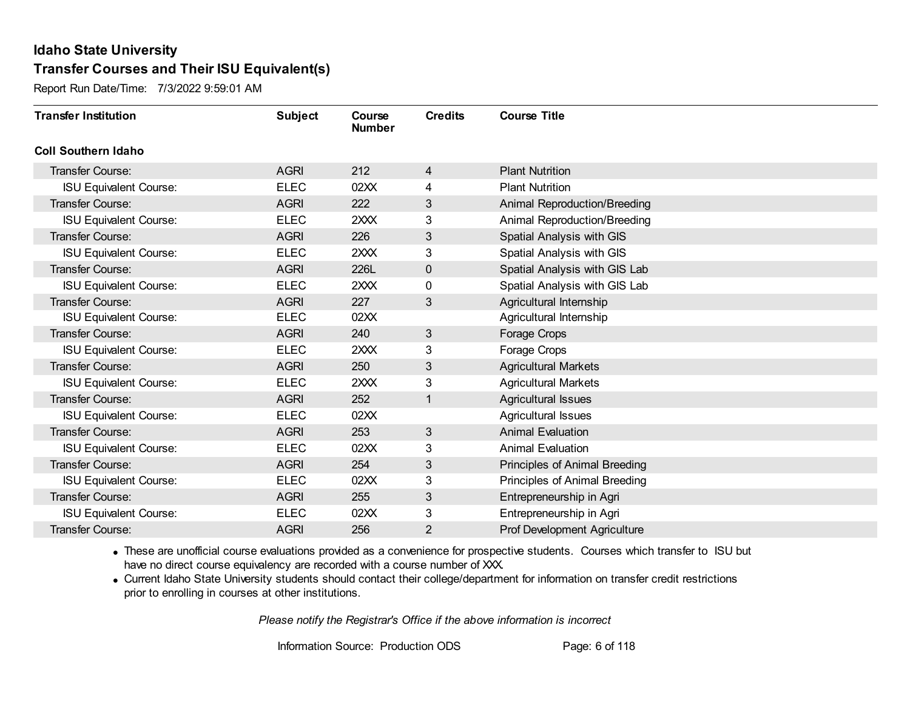Report Run Date/Time: 7/3/2022 9:59:01 AM

| <b>Transfer Institution</b>   | <b>Subject</b> | Course<br><b>Number</b> | <b>Credits</b> | <b>Course Title</b>                 |
|-------------------------------|----------------|-------------------------|----------------|-------------------------------------|
| <b>Coll Southern Idaho</b>    |                |                         |                |                                     |
| Transfer Course:              | <b>AGRI</b>    | 212                     | 4              | <b>Plant Nutrition</b>              |
| <b>ISU Equivalent Course:</b> | <b>ELEC</b>    | 02XX                    | 4              | <b>Plant Nutrition</b>              |
| <b>Transfer Course:</b>       | <b>AGRI</b>    | 222                     | 3              | <b>Animal Reproduction/Breeding</b> |
| <b>ISU Equivalent Course:</b> | <b>ELEC</b>    | 2XXX                    | 3              | Animal Reproduction/Breeding        |
| <b>Transfer Course:</b>       | <b>AGRI</b>    | 226                     | 3              | Spatial Analysis with GIS           |
| <b>ISU Equivalent Course:</b> | <b>ELEC</b>    | 2XXX                    | 3              | Spatial Analysis with GIS           |
| <b>Transfer Course:</b>       | <b>AGRI</b>    | 226L                    | $\mathbf 0$    | Spatial Analysis with GIS Lab       |
| <b>ISU Equivalent Course:</b> | <b>ELEC</b>    | 2XXX                    | 0              | Spatial Analysis with GIS Lab       |
| <b>Transfer Course:</b>       | <b>AGRI</b>    | 227                     | 3              | Agricultural Internship             |
| <b>ISU Equivalent Course:</b> | <b>ELEC</b>    | 02XX                    |                | Agricultural Internship             |
| <b>Transfer Course:</b>       | <b>AGRI</b>    | 240                     | 3              | Forage Crops                        |
| <b>ISU Equivalent Course:</b> | <b>ELEC</b>    | 2XXX                    | 3              | Forage Crops                        |
| <b>Transfer Course:</b>       | <b>AGRI</b>    | 250                     | 3              | <b>Agricultural Markets</b>         |
| <b>ISU Equivalent Course:</b> | <b>ELEC</b>    | 2XXX                    | 3              | <b>Agricultural Markets</b>         |
| Transfer Course:              | <b>AGRI</b>    | 252                     | 1              | <b>Agricultural Issues</b>          |
| <b>ISU Equivalent Course:</b> | <b>ELEC</b>    | 02XX                    |                | Agricultural Issues                 |
| <b>Transfer Course:</b>       | <b>AGRI</b>    | 253                     | 3              | <b>Animal Evaluation</b>            |
| <b>ISU Equivalent Course:</b> | <b>ELEC</b>    | 02XX                    | 3              | <b>Animal Evaluation</b>            |
| <b>Transfer Course:</b>       | <b>AGRI</b>    | 254                     | 3              | Principles of Animal Breeding       |
| <b>ISU Equivalent Course:</b> | <b>ELEC</b>    | 02XX                    | 3              | Principles of Animal Breeding       |
| <b>Transfer Course:</b>       | <b>AGRI</b>    | 255                     | 3              | Entrepreneurship in Agri            |
| <b>ISU Equivalent Course:</b> | <b>ELEC</b>    | 02XX                    | 3              | Entrepreneurship in Agri            |
| Transfer Course:              | <b>AGRI</b>    | 256                     | 2              | <b>Prof Development Agriculture</b> |

· These are unofficial course evaluations provided as a convenience for prospective students. Courses which transfer to ISU but have no direct course equivalency are recorded with a course number of XXX.

· Current Idaho State University students should contact their college/department for information on transfer credit restrictions prior to enrolling in courses at other institutions.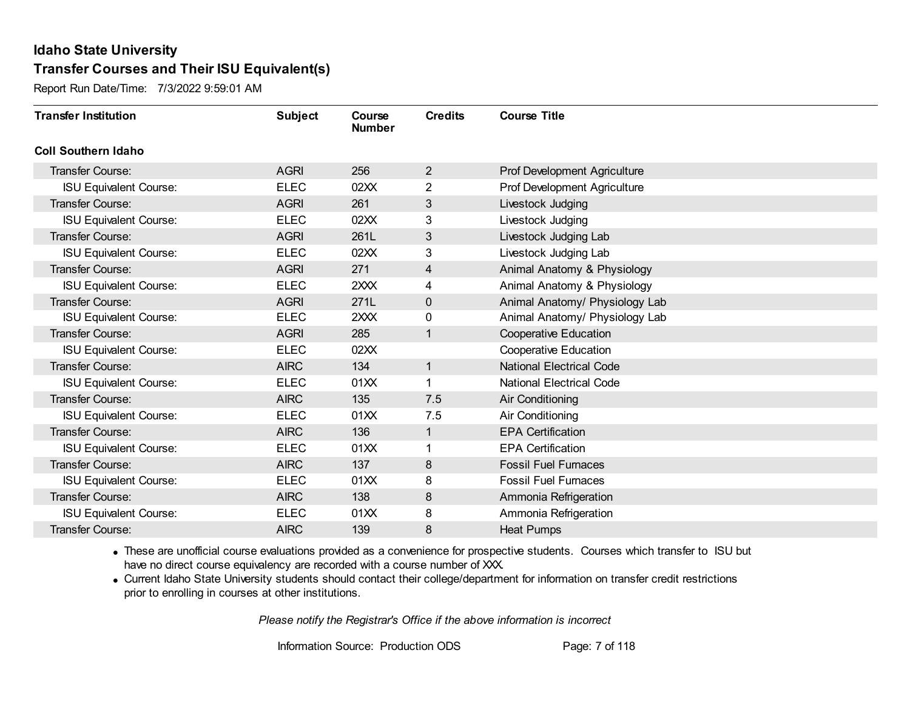Report Run Date/Time: 7/3/2022 9:59:01 AM

| <b>Transfer Institution</b>   | <b>Subject</b> | Course<br><b>Number</b> | <b>Credits</b> | <b>Course Title</b>                 |
|-------------------------------|----------------|-------------------------|----------------|-------------------------------------|
| <b>Coll Southern Idaho</b>    |                |                         |                |                                     |
| Transfer Course:              | <b>AGRI</b>    | 256                     | 2              | Prof Development Agriculture        |
| <b>ISU Equivalent Course:</b> | <b>ELEC</b>    | 02XX                    | $\overline{2}$ | <b>Prof Development Agriculture</b> |
| Transfer Course:              | <b>AGRI</b>    | 261                     | 3              | Livestock Judging                   |
| <b>ISU Equivalent Course:</b> | <b>ELEC</b>    | 02XX                    | 3              | Livestock Judging                   |
| <b>Transfer Course:</b>       | <b>AGRI</b>    | 261L                    | 3              | Livestock Judging Lab               |
| <b>ISU Equivalent Course:</b> | <b>ELEC</b>    | 02XX                    | 3              | Livestock Judging Lab               |
| Transfer Course:              | <b>AGRI</b>    | 271                     | 4              | Animal Anatomy & Physiology         |
| <b>ISU Equivalent Course:</b> | <b>ELEC</b>    | 2XXX                    | 4              | Animal Anatomy & Physiology         |
| <b>Transfer Course:</b>       | <b>AGRI</b>    | 271L                    | 0              | Animal Anatomy/ Physiology Lab      |
| <b>ISU Equivalent Course:</b> | <b>ELEC</b>    | 2XXX                    | 0              | Animal Anatomy/ Physiology Lab      |
| Transfer Course:              | <b>AGRI</b>    | 285                     | 1              | <b>Cooperative Education</b>        |
| <b>ISU Equivalent Course:</b> | <b>ELEC</b>    | 02XX                    |                | <b>Cooperative Education</b>        |
| Transfer Course:              | <b>AIRC</b>    | 134                     | 1              | <b>National Electrical Code</b>     |
| <b>ISU Equivalent Course:</b> | <b>ELEC</b>    | 01XX                    | 1              | <b>National Electrical Code</b>     |
| Transfer Course:              | <b>AIRC</b>    | 135                     | 7.5            | Air Conditioning                    |
| <b>ISU Equivalent Course:</b> | <b>ELEC</b>    | 01XX                    | 7.5            | Air Conditioning                    |
| Transfer Course:              | <b>AIRC</b>    | 136                     | $\mathbf{1}$   | <b>EPA Certification</b>            |
| <b>ISU Equivalent Course:</b> | <b>ELEC</b>    | 01XX                    | 1              | <b>EPA Certification</b>            |
| Transfer Course:              | <b>AIRC</b>    | 137                     | 8              | <b>Fossil Fuel Furnaces</b>         |
| <b>ISU Equivalent Course:</b> | <b>ELEC</b>    | 01XX                    | 8              | <b>Fossil Fuel Furnaces</b>         |
| <b>Transfer Course:</b>       | <b>AIRC</b>    | 138                     | 8              | Ammonia Refrigeration               |
| <b>ISU Equivalent Course:</b> | <b>ELEC</b>    | 01XX                    | 8              | Ammonia Refrigeration               |
| Transfer Course:              | <b>AIRC</b>    | 139                     | 8              | <b>Heat Pumps</b>                   |

· These are unofficial course evaluations provided as a convenience for prospective students. Courses which transfer to ISU but have no direct course equivalency are recorded with a course number of XXX.

· Current Idaho State University students should contact their college/department for information on transfer credit restrictions prior to enrolling in courses at other institutions.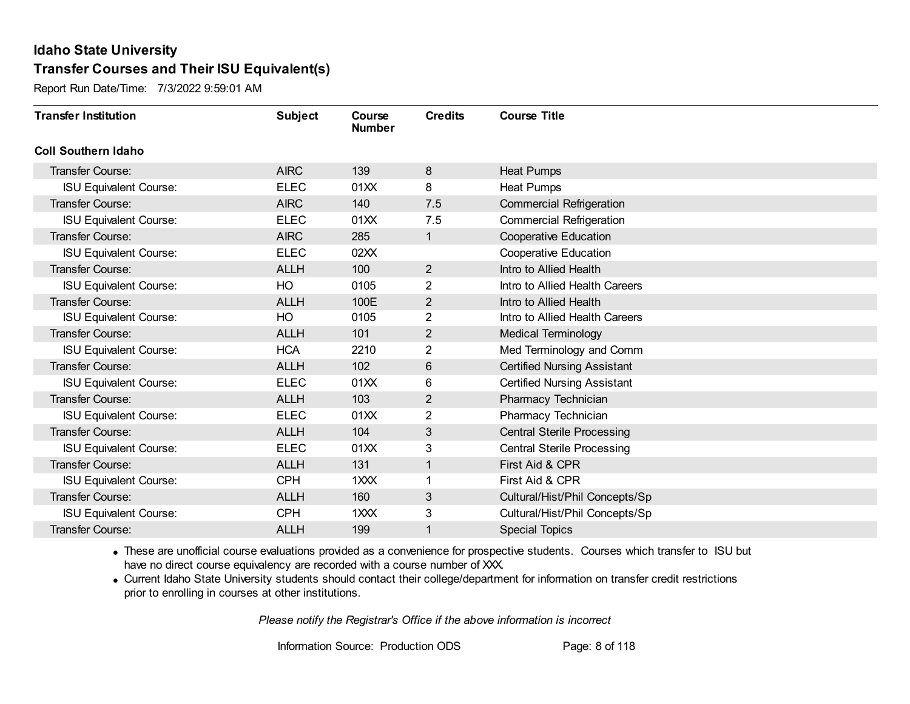Report Run Date/Time: 7/3/2022 9:59:01 AM

| <b>Transfer Institution</b>   | <b>Subject</b> | Course<br><b>Number</b> | <b>Credits</b> | <b>Course Title</b>                |
|-------------------------------|----------------|-------------------------|----------------|------------------------------------|
| <b>Coll Southern Idaho</b>    |                |                         |                |                                    |
| Transfer Course:              | <b>AIRC</b>    | 139                     | 8              | <b>Heat Pumps</b>                  |
| <b>ISU Equivalent Course:</b> | <b>ELEC</b>    | 01XX                    | 8              | <b>Heat Pumps</b>                  |
| <b>Transfer Course:</b>       | <b>AIRC</b>    | 140                     | 7.5            | <b>Commercial Refrigeration</b>    |
| <b>ISU Equivalent Course:</b> | <b>ELEC</b>    | 01XX                    | 7.5            | <b>Commercial Refrigeration</b>    |
| <b>Transfer Course:</b>       | <b>AIRC</b>    | 285                     | 1              | <b>Cooperative Education</b>       |
| <b>ISU Equivalent Course:</b> | <b>ELEC</b>    | 02XX                    |                | <b>Cooperative Education</b>       |
| <b>Transfer Course:</b>       | <b>ALLH</b>    | 100                     | $\overline{2}$ | Intro to Allied Health             |
| <b>ISU Equivalent Course:</b> | HO             | 0105                    | 2              | Intro to Allied Health Careers     |
| <b>Transfer Course:</b>       | <b>ALLH</b>    | 100E                    | $\overline{2}$ | Intro to Allied Health             |
| <b>ISU Equivalent Course:</b> | HO             | 0105                    | $\overline{2}$ | Intro to Allied Health Careers     |
| <b>Transfer Course:</b>       | <b>ALLH</b>    | 101                     | 2              | <b>Medical Terminology</b>         |
| <b>ISU Equivalent Course:</b> | <b>HCA</b>     | 2210                    | $\overline{2}$ | Med Terminology and Comm           |
| <b>Transfer Course:</b>       | <b>ALLH</b>    | 102                     | $6\,$          | <b>Certified Nursing Assistant</b> |
| <b>ISU Equivalent Course:</b> | <b>ELEC</b>    | 01XX                    | 6              | <b>Certified Nursing Assistant</b> |
| <b>Transfer Course:</b>       | <b>ALLH</b>    | 103                     | 2              | Pharmacy Technician                |
| <b>ISU Equivalent Course:</b> | <b>ELEC</b>    | 01XX                    | $\overline{2}$ | Pharmacy Technician                |
| Transfer Course:              | <b>ALLH</b>    | 104                     | 3              | <b>Central Sterile Processing</b>  |
| <b>ISU Equivalent Course:</b> | <b>ELEC</b>    | 01XX                    | 3              | <b>Central Sterile Processing</b>  |
| <b>Transfer Course:</b>       | <b>ALLH</b>    | 131                     | 1              | First Aid & CPR                    |
| <b>ISU Equivalent Course:</b> | <b>CPH</b>     | 1XXX                    |                | First Aid & CPR                    |
| <b>Transfer Course:</b>       | <b>ALLH</b>    | 160                     | 3              | Cultural/Hist/Phil Concepts/Sp     |
| <b>ISU Equivalent Course:</b> | <b>CPH</b>     | 1XXX                    | 3              | Cultural/Hist/Phil Concepts/Sp     |
| <b>Transfer Course:</b>       | <b>ALLH</b>    | 199                     | 1              | <b>Special Topics</b>              |

· These are unofficial course evaluations provided as a convenience for prospective students. Courses which transfer to ISU but have no direct course equivalency are recorded with a course number of XXX.

· Current Idaho State University students should contact their college/department for information on transfer credit restrictions prior to enrolling in courses at other institutions.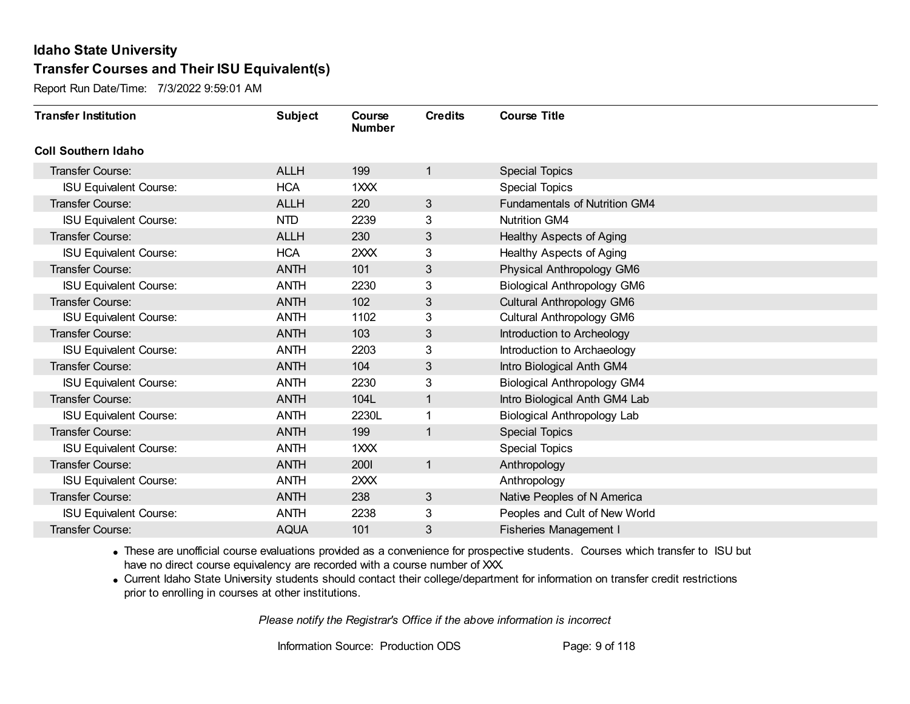Report Run Date/Time: 7/3/2022 9:59:01 AM

| <b>Transfer Institution</b>   | <b>Subject</b> | Course<br><b>Number</b> | <b>Credits</b> | <b>Course Title</b>                  |
|-------------------------------|----------------|-------------------------|----------------|--------------------------------------|
| <b>Coll Southern Idaho</b>    |                |                         |                |                                      |
| <b>Transfer Course:</b>       | <b>ALLH</b>    | 199                     | 1              | <b>Special Topics</b>                |
| <b>ISU Equivalent Course:</b> | <b>HCA</b>     | 1XXX                    |                | <b>Special Topics</b>                |
| <b>Transfer Course:</b>       | <b>ALLH</b>    | 220                     | 3              | <b>Fundamentals of Nutrition GM4</b> |
| <b>ISU Equivalent Course:</b> | <b>NTD</b>     | 2239                    | 3              | <b>Nutrition GM4</b>                 |
| <b>Transfer Course:</b>       | <b>ALLH</b>    | 230                     | 3              | Healthy Aspects of Aging             |
| <b>ISU Equivalent Course:</b> | <b>HCA</b>     | 2XXX                    | 3              | Healthy Aspects of Aging             |
| <b>Transfer Course:</b>       | <b>ANTH</b>    | 101                     | 3              | Physical Anthropology GM6            |
| <b>ISU Equivalent Course:</b> | <b>ANTH</b>    | 2230                    | 3              | <b>Biological Anthropology GM6</b>   |
| <b>Transfer Course:</b>       | <b>ANTH</b>    | 102                     | 3              | Cultural Anthropology GM6            |
| <b>ISU Equivalent Course:</b> | <b>ANTH</b>    | 1102                    | 3              | Cultural Anthropology GM6            |
| <b>Transfer Course:</b>       | <b>ANTH</b>    | 103                     | 3              | Introduction to Archeology           |
| <b>ISU Equivalent Course:</b> | <b>ANTH</b>    | 2203                    | 3              | Introduction to Archaeology          |
| <b>Transfer Course:</b>       | <b>ANTH</b>    | 104                     | 3              | Intro Biological Anth GM4            |
| <b>ISU Equivalent Course:</b> | <b>ANTH</b>    | 2230                    | 3              | <b>Biological Anthropology GM4</b>   |
| <b>Transfer Course:</b>       | <b>ANTH</b>    | 104L                    | 1              | Intro Biological Anth GM4 Lab        |
| <b>ISU Equivalent Course:</b> | <b>ANTH</b>    | 2230L                   |                | Biological Anthropology Lab          |
| <b>Transfer Course:</b>       | <b>ANTH</b>    | 199                     | 1              | <b>Special Topics</b>                |
| <b>ISU Equivalent Course:</b> | <b>ANTH</b>    | 1XXX                    |                | <b>Special Topics</b>                |
| <b>Transfer Course:</b>       | <b>ANTH</b>    | 2001                    | $\mathbf{1}$   | Anthropology                         |
| <b>ISU Equivalent Course:</b> | <b>ANTH</b>    | 2XXX                    |                | Anthropology                         |
| <b>Transfer Course:</b>       | <b>ANTH</b>    | 238                     | 3              | Native Peoples of N America          |
| <b>ISU Equivalent Course:</b> | <b>ANTH</b>    | 2238                    | 3              | Peoples and Cult of New World        |
| <b>Transfer Course:</b>       | <b>AQUA</b>    | 101                     | 3              | <b>Fisheries Management I</b>        |

· These are unofficial course evaluations provided as a convenience for prospective students. Courses which transfer to ISU but have no direct course equivalency are recorded with a course number of XXX.

· Current Idaho State University students should contact their college/department for information on transfer credit restrictions prior to enrolling in courses at other institutions.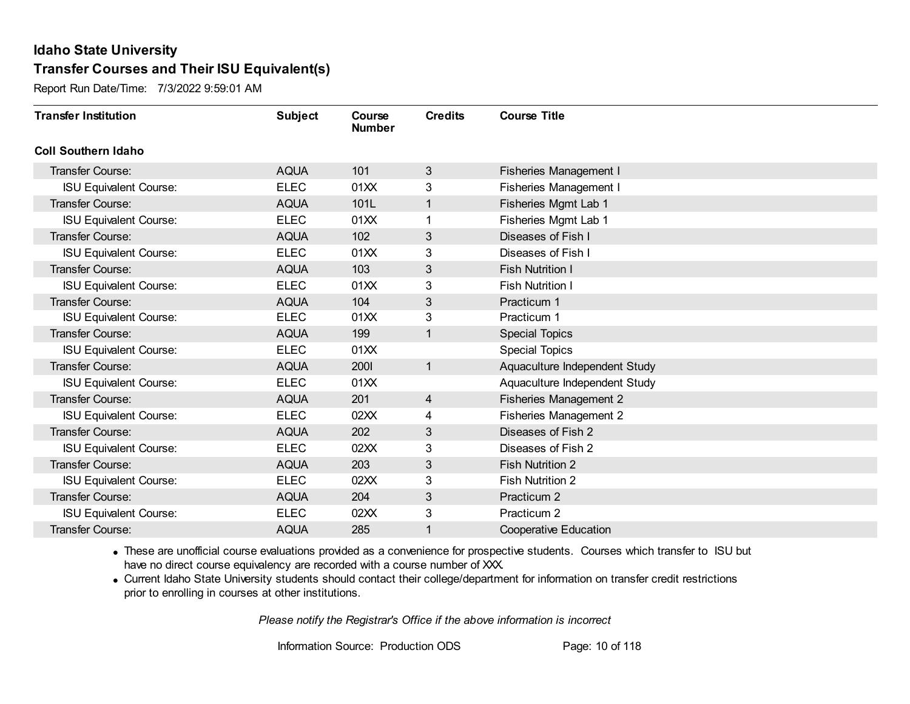Report Run Date/Time: 7/3/2022 9:59:01 AM

| <b>Transfer Institution</b>   | <b>Subject</b> | Course<br><b>Number</b> | <b>Credits</b> | <b>Course Title</b>           |
|-------------------------------|----------------|-------------------------|----------------|-------------------------------|
| <b>Coll Southern Idaho</b>    |                |                         |                |                               |
| <b>Transfer Course:</b>       | <b>AQUA</b>    | 101                     | 3              | Fisheries Management I        |
| <b>ISU Equivalent Course:</b> | <b>ELEC</b>    | 01XX                    | 3              | <b>Fisheries Management I</b> |
| <b>Transfer Course:</b>       | <b>AQUA</b>    | 101L                    | $\mathbf{1}$   | Fisheries Mgmt Lab 1          |
| <b>ISU Equivalent Course:</b> | <b>ELEC</b>    | 01XX                    | 1              | Fisheries Mgmt Lab 1          |
| <b>Transfer Course:</b>       | <b>AQUA</b>    | 102                     | 3              | Diseases of Fish I            |
| <b>ISU Equivalent Course:</b> | <b>ELEC</b>    | 01XX                    | 3              | Diseases of Fish I            |
| <b>Transfer Course:</b>       | <b>AQUA</b>    | 103                     | 3              | <b>Fish Nutrition I</b>       |
| <b>ISU Equivalent Course:</b> | <b>ELEC</b>    | 01XX                    | 3              | <b>Fish Nutrition I</b>       |
| <b>Transfer Course:</b>       | <b>AQUA</b>    | 104                     | 3              | Practicum 1                   |
| <b>ISU Equivalent Course:</b> | <b>ELEC</b>    | 01XX                    | 3              | Practicum 1                   |
| <b>Transfer Course:</b>       | <b>AQUA</b>    | 199                     | $\mathbf{1}$   | <b>Special Topics</b>         |
| <b>ISU Equivalent Course:</b> | <b>ELEC</b>    | 01XX                    |                | <b>Special Topics</b>         |
| <b>Transfer Course:</b>       | <b>AQUA</b>    | <b>2001</b>             | $\mathbf{1}$   | Aquaculture Independent Study |
| <b>ISU Equivalent Course:</b> | <b>ELEC</b>    | 01XX                    |                | Aquaculture Independent Study |
| Transfer Course:              | <b>AQUA</b>    | 201                     | 4              | <b>Fisheries Management 2</b> |
| <b>ISU Equivalent Course:</b> | <b>ELEC</b>    | 02XX                    | 4              | <b>Fisheries Management 2</b> |
| <b>Transfer Course:</b>       | <b>AQUA</b>    | 202                     | 3              | Diseases of Fish 2            |
| <b>ISU Equivalent Course:</b> | <b>ELEC</b>    | 02XX                    | 3              | Diseases of Fish 2            |
| <b>Transfer Course:</b>       | <b>AQUA</b>    | 203                     | 3              | <b>Fish Nutrition 2</b>       |
| <b>ISU Equivalent Course:</b> | <b>ELEC</b>    | 02XX                    | 3              | <b>Fish Nutrition 2</b>       |
| <b>Transfer Course:</b>       | <b>AQUA</b>    | 204                     | 3              | Practicum 2                   |
| <b>ISU Equivalent Course:</b> | <b>ELEC</b>    | 02XX                    | 3              | Practicum 2                   |
| <b>Transfer Course:</b>       | <b>AQUA</b>    | 285                     | 1              | <b>Cooperative Education</b>  |

· These are unofficial course evaluations provided as a convenience for prospective students. Courses which transfer to ISU but have no direct course equivalency are recorded with a course number of XXX.

· Current Idaho State University students should contact their college/department for information on transfer credit restrictions prior to enrolling in courses at other institutions.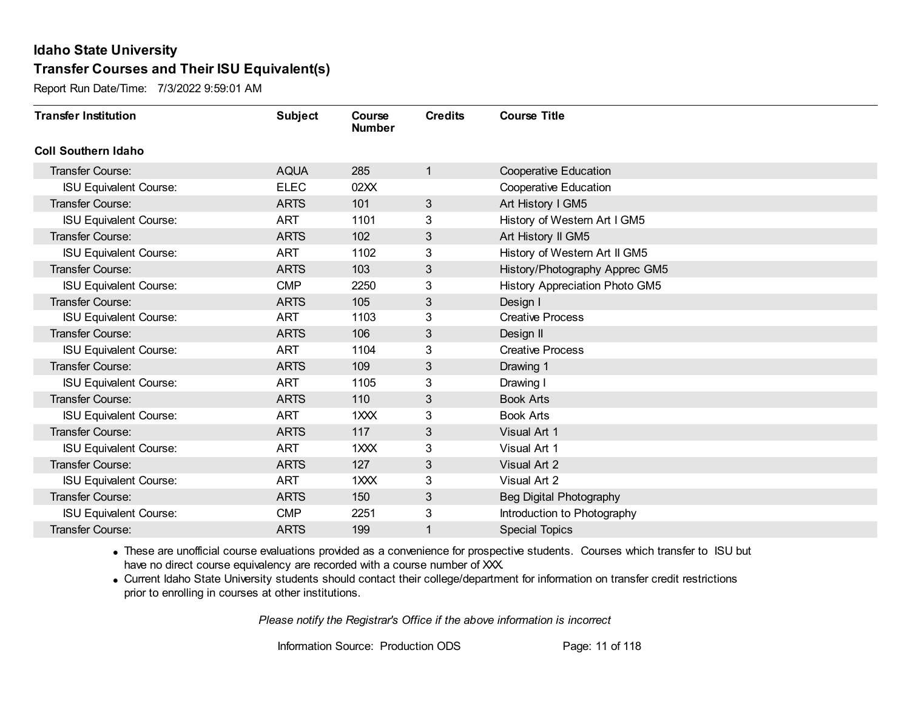Report Run Date/Time: 7/3/2022 9:59:01 AM

| <b>Transfer Institution</b>   | <b>Subject</b> | Course<br><b>Number</b> | <b>Credits</b> | <b>Course Title</b>            |
|-------------------------------|----------------|-------------------------|----------------|--------------------------------|
| <b>Coll Southern Idaho</b>    |                |                         |                |                                |
| <b>Transfer Course:</b>       | <b>AQUA</b>    | 285                     | 1              | <b>Cooperative Education</b>   |
| <b>ISU Equivalent Course:</b> | <b>ELEC</b>    | 02XX                    |                | <b>Cooperative Education</b>   |
| Transfer Course:              | <b>ARTS</b>    | 101                     | 3              | Art History I GM5              |
| <b>ISU Equivalent Course:</b> | <b>ART</b>     | 1101                    | 3              | History of Western Art I GM5   |
| <b>Transfer Course:</b>       | <b>ARTS</b>    | 102                     | 3              | Art History II GM5             |
| <b>ISU Equivalent Course:</b> | <b>ART</b>     | 1102                    | 3              | History of Western Art II GM5  |
| Transfer Course:              | <b>ARTS</b>    | 103                     | 3              | History/Photography Apprec GM5 |
| <b>ISU Equivalent Course:</b> | <b>CMP</b>     | 2250                    | 3              | History Appreciation Photo GM5 |
| <b>Transfer Course:</b>       | <b>ARTS</b>    | 105                     | 3              | Design I                       |
| <b>ISU Equivalent Course:</b> | <b>ART</b>     | 1103                    | 3              | <b>Creative Process</b>        |
| <b>Transfer Course:</b>       | <b>ARTS</b>    | 106                     | 3              | Design II                      |
| <b>ISU Equivalent Course:</b> | <b>ART</b>     | 1104                    | 3              | <b>Creative Process</b>        |
| Transfer Course:              | <b>ARTS</b>    | 109                     | 3              | Drawing 1                      |
| <b>ISU Equivalent Course:</b> | <b>ART</b>     | 1105                    | 3              | Drawing I                      |
| Transfer Course:              | <b>ARTS</b>    | 110                     | 3              | <b>Book Arts</b>               |
| <b>ISU Equivalent Course:</b> | <b>ART</b>     | 1XXX                    | 3              | <b>Book Arts</b>               |
| Transfer Course:              | <b>ARTS</b>    | 117                     | 3 <sup>2</sup> | Visual Art 1                   |
| <b>ISU Equivalent Course:</b> | <b>ART</b>     | 1XXX                    | 3              | Visual Art 1                   |
| Transfer Course:              | <b>ARTS</b>    | 127                     | 3              | Visual Art 2                   |
| <b>ISU Equivalent Course:</b> | <b>ART</b>     | $1 \times X$            | 3              | Visual Art 2                   |
| <b>Transfer Course:</b>       | <b>ARTS</b>    | 150                     | 3              | Beg Digital Photography        |
| <b>ISU Equivalent Course:</b> | <b>CMP</b>     | 2251                    | 3              | Introduction to Photography    |
| Transfer Course:              | <b>ARTS</b>    | 199                     | 1              | <b>Special Topics</b>          |

· These are unofficial course evaluations provided as a convenience for prospective students. Courses which transfer to ISU but have no direct course equivalency are recorded with a course number of XXX.

· Current Idaho State University students should contact their college/department for information on transfer credit restrictions prior to enrolling in courses at other institutions.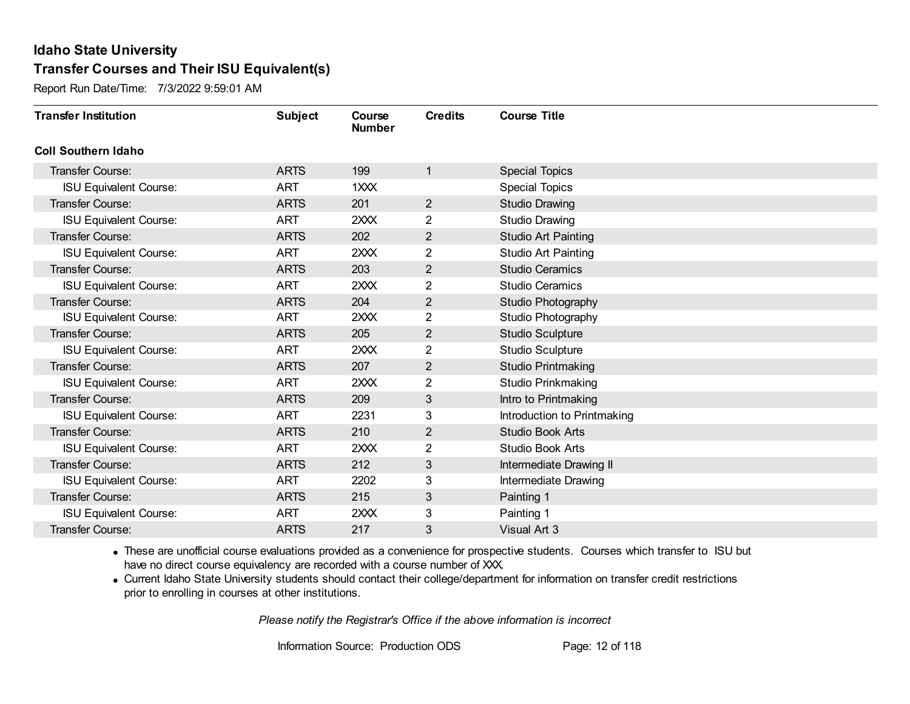Report Run Date/Time: 7/3/2022 9:59:01 AM

| <b>Transfer Institution</b>   | <b>Subject</b> | Course<br><b>Number</b> | <b>Credits</b> | <b>Course Title</b>         |
|-------------------------------|----------------|-------------------------|----------------|-----------------------------|
| <b>Coll Southern Idaho</b>    |                |                         |                |                             |
| Transfer Course:              | <b>ARTS</b>    | 199                     | 1              | <b>Special Topics</b>       |
| <b>ISU Equivalent Course:</b> | <b>ART</b>     | 1XXX                    |                | <b>Special Topics</b>       |
| <b>Transfer Course:</b>       | <b>ARTS</b>    | 201                     | $\overline{2}$ | <b>Studio Drawing</b>       |
| <b>ISU Equivalent Course:</b> | <b>ART</b>     | 2XXX                    | $\overline{2}$ | <b>Studio Drawing</b>       |
| <b>Transfer Course:</b>       | <b>ARTS</b>    | 202                     | 2              | <b>Studio Art Painting</b>  |
| <b>ISU Equivalent Course:</b> | <b>ART</b>     | 2XXX                    | 2              | Studio Art Painting         |
| <b>Transfer Course:</b>       | <b>ARTS</b>    | 203                     | 2              | <b>Studio Ceramics</b>      |
| <b>ISU Equivalent Course:</b> | <b>ART</b>     | 2XXX                    | 2              | <b>Studio Ceramics</b>      |
| <b>Transfer Course:</b>       | <b>ARTS</b>    | 204                     | $\overline{2}$ | Studio Photography          |
| <b>ISU Equivalent Course:</b> | <b>ART</b>     | 2XXX                    | $\overline{2}$ | Studio Photography          |
| <b>Transfer Course:</b>       | <b>ARTS</b>    | 205                     | 2              | <b>Studio Sculpture</b>     |
| <b>ISU Equivalent Course:</b> | <b>ART</b>     | 2XXX                    | $\overline{2}$ | <b>Studio Sculpture</b>     |
| <b>Transfer Course:</b>       | <b>ARTS</b>    | 207                     | $\overline{2}$ | <b>Studio Printmaking</b>   |
| <b>ISU Equivalent Course:</b> | <b>ART</b>     | 2XXX                    | $\overline{2}$ | Studio Prinkmaking          |
| <b>Transfer Course:</b>       | <b>ARTS</b>    | 209                     | 3              | Intro to Printmaking        |
| <b>ISU Equivalent Course:</b> | <b>ART</b>     | 2231                    | 3              | Introduction to Printmaking |
| Transfer Course:              | <b>ARTS</b>    | 210                     | 2              | <b>Studio Book Arts</b>     |
| <b>ISU Equivalent Course:</b> | <b>ART</b>     | 2XXX                    | 2              | <b>Studio Book Arts</b>     |
| <b>Transfer Course:</b>       | <b>ARTS</b>    | 212                     | 3              | Intermediate Drawing II     |
| <b>ISU Equivalent Course:</b> | <b>ART</b>     | 2202                    | 3              | Intermediate Drawing        |
| <b>Transfer Course:</b>       | <b>ARTS</b>    | 215                     | 3              | Painting 1                  |
| <b>ISU Equivalent Course:</b> | <b>ART</b>     | 2XXX                    | 3              | Painting 1                  |
| <b>Transfer Course:</b>       | <b>ARTS</b>    | 217                     | 3              | Visual Art 3                |

· These are unofficial course evaluations provided as a convenience for prospective students. Courses which transfer to ISU but have no direct course equivalency are recorded with a course number of XXX.

· Current Idaho State University students should contact their college/department for information on transfer credit restrictions prior to enrolling in courses at other institutions.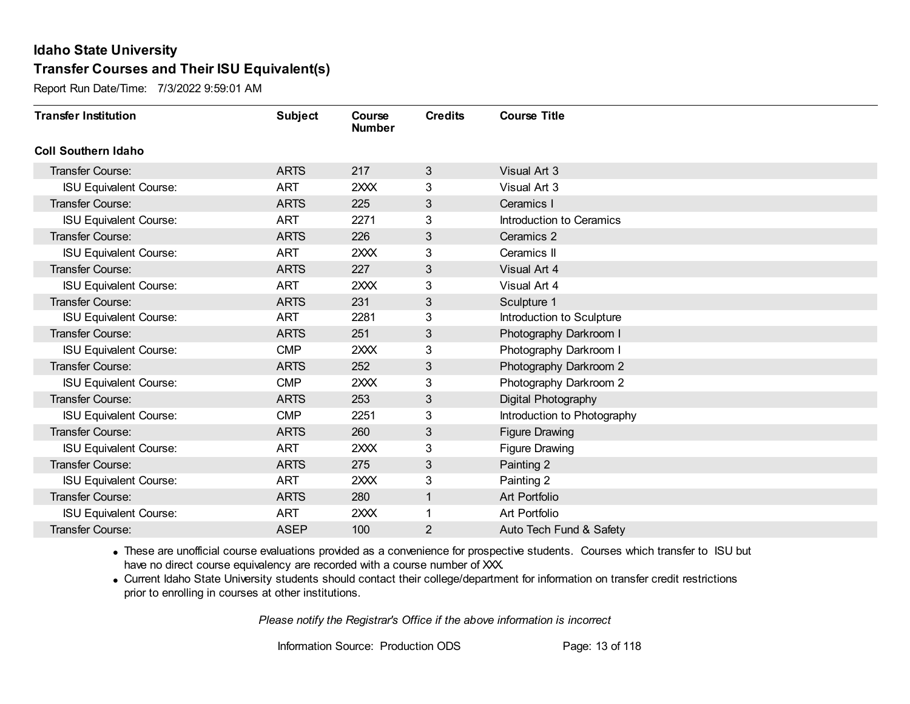Report Run Date/Time: 7/3/2022 9:59:01 AM

| <b>Transfer Institution</b>   | <b>Subject</b> | Course<br><b>Number</b> | <b>Credits</b> | <b>Course Title</b>         |
|-------------------------------|----------------|-------------------------|----------------|-----------------------------|
| <b>Coll Southern Idaho</b>    |                |                         |                |                             |
| Transfer Course:              | <b>ARTS</b>    | 217                     | 3              | Visual Art 3                |
| <b>ISU Equivalent Course:</b> | <b>ART</b>     | 2XXX                    | 3              | Visual Art 3                |
| <b>Transfer Course:</b>       | <b>ARTS</b>    | 225                     | 3              | Ceramics I                  |
| <b>ISU Equivalent Course:</b> | <b>ART</b>     | 2271                    | 3              | Introduction to Ceramics    |
| <b>Transfer Course:</b>       | <b>ARTS</b>    | 226                     | 3              | Ceramics 2                  |
| <b>ISU Equivalent Course:</b> | <b>ART</b>     | 2XXX                    | 3              | Ceramics II                 |
| <b>Transfer Course:</b>       | <b>ARTS</b>    | 227                     | 3              | Visual Art 4                |
| <b>ISU Equivalent Course:</b> | <b>ART</b>     | 2XXX                    | 3              | Visual Art 4                |
| <b>Transfer Course:</b>       | <b>ARTS</b>    | 231                     | 3              | Sculpture 1                 |
| <b>ISU Equivalent Course:</b> | <b>ART</b>     | 2281                    | 3              | Introduction to Sculpture   |
| <b>Transfer Course:</b>       | <b>ARTS</b>    | 251                     | 3              | Photography Darkroom I      |
| <b>ISU Equivalent Course:</b> | <b>CMP</b>     | 2XXX                    | 3              | Photography Darkroom I      |
| <b>Transfer Course:</b>       | <b>ARTS</b>    | 252                     | 3              | Photography Darkroom 2      |
| <b>ISU Equivalent Course:</b> | <b>CMP</b>     | 2XXX                    | 3              | Photography Darkroom 2      |
| <b>Transfer Course:</b>       | <b>ARTS</b>    | 253                     | 3              | Digital Photography         |
| <b>ISU Equivalent Course:</b> | <b>CMP</b>     | 2251                    | 3              | Introduction to Photography |
| Transfer Course:              | <b>ARTS</b>    | 260                     | 3              | <b>Figure Drawing</b>       |
| <b>ISU Equivalent Course:</b> | <b>ART</b>     | 2XXX                    | 3              | Figure Drawing              |
| <b>Transfer Course:</b>       | <b>ARTS</b>    | 275                     | 3              | Painting 2                  |
| <b>ISU Equivalent Course:</b> | <b>ART</b>     | 2XXX                    | 3              | Painting 2                  |
| <b>Transfer Course:</b>       | <b>ARTS</b>    | 280                     | 1              | Art Portfolio               |
| <b>ISU Equivalent Course:</b> | <b>ART</b>     | 2XXX                    |                | Art Portfolio               |
| <b>Transfer Course:</b>       | <b>ASEP</b>    | 100                     | $\overline{2}$ | Auto Tech Fund & Safety     |

· These are unofficial course evaluations provided as a convenience for prospective students. Courses which transfer to ISU but have no direct course equivalency are recorded with a course number of XXX.

· Current Idaho State University students should contact their college/department for information on transfer credit restrictions prior to enrolling in courses at other institutions.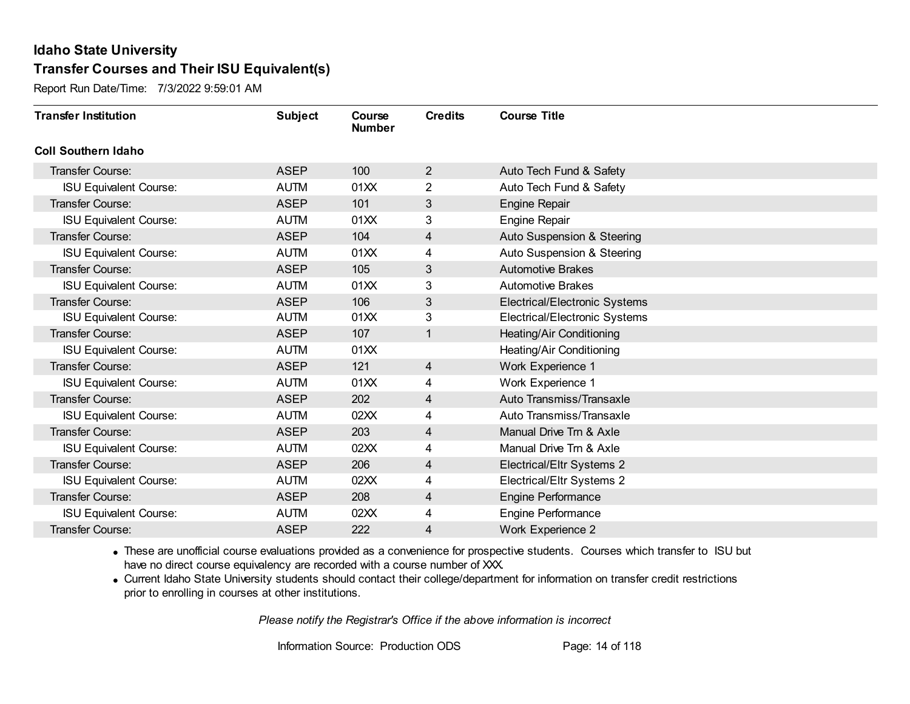Report Run Date/Time: 7/3/2022 9:59:01 AM

| <b>Transfer Institution</b>   | <b>Subject</b> | Course<br><b>Number</b> | <b>Credits</b> | <b>Course Title</b>                  |
|-------------------------------|----------------|-------------------------|----------------|--------------------------------------|
| <b>Coll Southern Idaho</b>    |                |                         |                |                                      |
| Transfer Course:              | <b>ASEP</b>    | 100                     | $\overline{2}$ | Auto Tech Fund & Safety              |
| <b>ISU Equivalent Course:</b> | <b>AUTM</b>    | 01XX                    | 2              | Auto Tech Fund & Safety              |
| Transfer Course:              | <b>ASEP</b>    | 101                     | 3              | <b>Engine Repair</b>                 |
| <b>ISU Equivalent Course:</b> | <b>AUTM</b>    | 01XX                    | 3              | <b>Engine Repair</b>                 |
| <b>Transfer Course:</b>       | <b>ASEP</b>    | 104                     | 4              | Auto Suspension & Steering           |
| <b>ISU Equivalent Course:</b> | <b>AUTM</b>    | 01XX                    | 4              | Auto Suspension & Steering           |
| Transfer Course:              | <b>ASEP</b>    | 105                     | 3              | <b>Automotive Brakes</b>             |
| <b>ISU Equivalent Course:</b> | <b>AUTM</b>    | 01XX                    | 3              | <b>Automotive Brakes</b>             |
| <b>Transfer Course:</b>       | <b>ASEP</b>    | 106                     | 3              | Electrical/Electronic Systems        |
| <b>ISU Equivalent Course:</b> | <b>AUTM</b>    | 01XX                    | 3              | <b>Electrical/Electronic Systems</b> |
| Transfer Course:              | <b>ASEP</b>    | 107                     | $\mathbf{1}$   | Heating/Air Conditioning             |
| <b>ISU Equivalent Course:</b> | <b>AUTM</b>    | 01XX                    |                | Heating/Air Conditioning             |
| Transfer Course:              | <b>ASEP</b>    | 121                     | $\overline{4}$ | Work Experience 1                    |
| <b>ISU Equivalent Course:</b> | <b>AUTM</b>    | 01XX                    | 4              | Work Experience 1                    |
| Transfer Course:              | <b>ASEP</b>    | 202                     | 4              | Auto Transmiss/Transaxle             |
| <b>ISU Equivalent Course:</b> | <b>AUTM</b>    | 02XX                    | 4              | Auto Transmiss/Transaxle             |
| Transfer Course:              | <b>ASEP</b>    | 203                     | 4              | Manual Drive Trn & Axle              |
| <b>ISU Equivalent Course:</b> | <b>AUTM</b>    | 02XX                    | 4              | Manual Drive Trn & Axle              |
| Transfer Course:              | <b>ASEP</b>    | 206                     | 4              | Electrical/Eltr Systems 2            |
| <b>ISU Equivalent Course:</b> | <b>AUTM</b>    | 02XX                    | 4              | Electrical/Eltr Systems 2            |
| Transfer Course:              | <b>ASEP</b>    | 208                     | 4              | Engine Performance                   |
| <b>ISU Equivalent Course:</b> | <b>AUTM</b>    | 02XX                    | 4              | <b>Engine Performance</b>            |
| Transfer Course:              | <b>ASEP</b>    | 222                     | 4              | <b>Work Experience 2</b>             |

· These are unofficial course evaluations provided as a convenience for prospective students. Courses which transfer to ISU but have no direct course equivalency are recorded with a course number of XXX.

· Current Idaho State University students should contact their college/department for information on transfer credit restrictions prior to enrolling in courses at other institutions.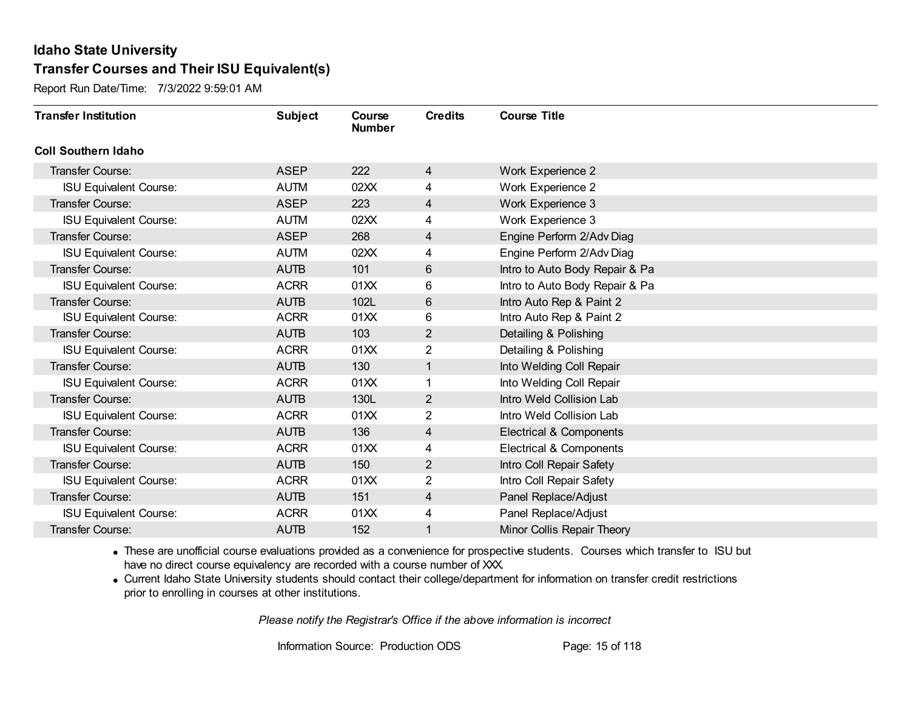Report Run Date/Time: 7/3/2022 9:59:01 AM

| <b>Transfer Institution</b>   | <b>Subject</b> | Course<br><b>Number</b> | <b>Credits</b> | <b>Course Title</b>            |
|-------------------------------|----------------|-------------------------|----------------|--------------------------------|
| <b>Coll Southern Idaho</b>    |                |                         |                |                                |
| Transfer Course:              | <b>ASEP</b>    | 222                     | 4              | Work Experience 2              |
| <b>ISU Equivalent Course:</b> | <b>AUTM</b>    | 02XX                    | 4              | Work Experience 2              |
| Transfer Course:              | <b>ASEP</b>    | 223                     | 4              | Work Experience 3              |
| <b>ISU Equivalent Course:</b> | <b>AUTM</b>    | 02XX                    | 4              | Work Experience 3              |
| <b>Transfer Course:</b>       | <b>ASEP</b>    | 268                     | 4              | Engine Perform 2/Adv Diag      |
| <b>ISU Equivalent Course:</b> | <b>AUTM</b>    | 02XX                    | 4              | Engine Perform 2/Adv Diag      |
| Transfer Course:              | <b>AUTB</b>    | 101                     | 6              | Intro to Auto Body Repair & Pa |
| <b>ISU Equivalent Course:</b> | <b>ACRR</b>    | 01 <sub>XX</sub>        | 6              | Intro to Auto Body Repair & Pa |
| <b>Transfer Course:</b>       | <b>AUTB</b>    | 102L                    | 6              | Intro Auto Rep & Paint 2       |
| <b>ISU Equivalent Course:</b> | <b>ACRR</b>    | 01XX                    | 6              | Intro Auto Rep & Paint 2       |
| <b>Transfer Course:</b>       | <b>AUTB</b>    | 103                     | $\overline{2}$ | Detailing & Polishing          |
| <b>ISU Equivalent Course:</b> | <b>ACRR</b>    | 01XX                    | 2              | Detailing & Polishing          |
| Transfer Course:              | <b>AUTB</b>    | 130                     | 1              | Into Welding Coll Repair       |
| <b>ISU Equivalent Course:</b> | <b>ACRR</b>    | 01XX                    |                | Into Welding Coll Repair       |
| Transfer Course:              | <b>AUTB</b>    | 130L                    | $\overline{2}$ | Intro Weld Collision Lab       |
| <b>ISU Equivalent Course:</b> | <b>ACRR</b>    | 01XX                    | $\overline{2}$ | Intro Weld Collision Lab       |
| Transfer Course:              | <b>AUTB</b>    | 136                     | 4              | Electrical & Components        |
| <b>ISU Equivalent Course:</b> | <b>ACRR</b>    | 01XX                    | 4              | Electrical & Components        |
| Transfer Course:              | <b>AUTB</b>    | 150                     | $\overline{2}$ | Intro Coll Repair Safety       |
| <b>ISU Equivalent Course:</b> | <b>ACRR</b>    | 01XX                    | 2              | Intro Coll Repair Safety       |
| Transfer Course:              | <b>AUTB</b>    | 151                     | 4              | Panel Replace/Adjust           |
| <b>ISU Equivalent Course:</b> | <b>ACRR</b>    | 01XX                    | 4              | Panel Replace/Adjust           |
| Transfer Course:              | <b>AUTB</b>    | 152                     | 1              | Minor Collis Repair Theory     |

· These are unofficial course evaluations provided as a convenience for prospective students. Courses which transfer to ISU but have no direct course equivalency are recorded with a course number of XXX.

· Current Idaho State University students should contact their college/department for information on transfer credit restrictions prior to enrolling in courses at other institutions.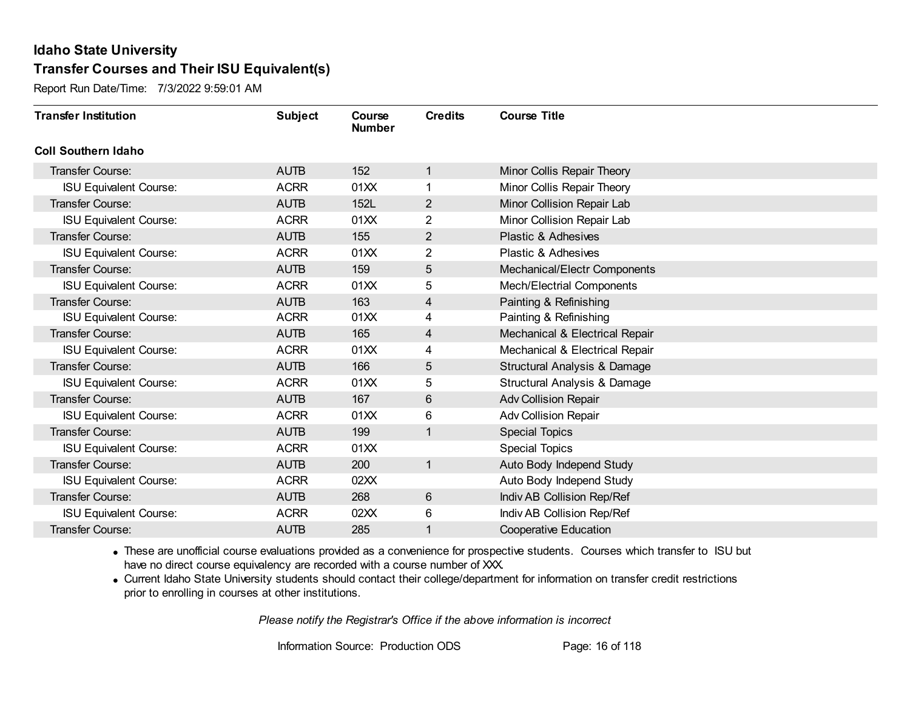Report Run Date/Time: 7/3/2022 9:59:01 AM

| <b>Transfer Institution</b>   | <b>Subject</b> | Course<br><b>Number</b> | <b>Credits</b> | <b>Course Title</b>              |
|-------------------------------|----------------|-------------------------|----------------|----------------------------------|
| <b>Coll Southern Idaho</b>    |                |                         |                |                                  |
| Transfer Course:              | <b>AUTB</b>    | 152                     | 1              | Minor Collis Repair Theory       |
| <b>ISU Equivalent Course:</b> | <b>ACRR</b>    | 01XX                    |                | Minor Collis Repair Theory       |
| Transfer Course:              | <b>AUTB</b>    | 152L                    | $\overline{2}$ | Minor Collision Repair Lab       |
| <b>ISU Equivalent Course:</b> | <b>ACRR</b>    | 01XX                    | $\overline{2}$ | Minor Collision Repair Lab       |
| <b>Transfer Course:</b>       | <b>AUTB</b>    | 155                     | $\overline{2}$ | Plastic & Adhesives              |
| <b>ISU Equivalent Course:</b> | <b>ACRR</b>    | 01XX                    | 2              | Plastic & Adhesives              |
| Transfer Course:              | <b>AUTB</b>    | 159                     | 5              | Mechanical/Electr Components     |
| <b>ISU Equivalent Course:</b> | <b>ACRR</b>    | 01XX                    | 5              | <b>Mech/Electrial Components</b> |
| Transfer Course:              | <b>AUTB</b>    | 163                     | 4              | Painting & Refinishing           |
| <b>ISU Equivalent Course:</b> | <b>ACRR</b>    | 01XX                    | 4              | Painting & Refinishing           |
| Transfer Course:              | <b>AUTB</b>    | 165                     | 4              | Mechanical & Electrical Repair   |
| <b>ISU Equivalent Course:</b> | <b>ACRR</b>    | 01XX                    | 4              | Mechanical & Electrical Repair   |
| Transfer Course:              | <b>AUTB</b>    | 166                     | 5              | Structural Analysis & Damage     |
| <b>ISU Equivalent Course:</b> | <b>ACRR</b>    | 01XX                    | 5              | Structural Analysis & Damage     |
| Transfer Course:              | <b>AUTB</b>    | 167                     | 6              | <b>Adv Collision Repair</b>      |
| <b>ISU Equivalent Course:</b> | <b>ACRR</b>    | 01XX                    | 6              | <b>Adv Collision Repair</b>      |
| Transfer Course:              | <b>AUTB</b>    | 199                     | 1              | <b>Special Topics</b>            |
| <b>ISU Equivalent Course:</b> | <b>ACRR</b>    | 01XX                    |                | <b>Special Topics</b>            |
| Transfer Course:              | <b>AUTB</b>    | 200                     | $\mathbf{1}$   | Auto Body Independ Study         |
| <b>ISU Equivalent Course:</b> | <b>ACRR</b>    | 02XX                    |                | Auto Body Independ Study         |
| Transfer Course:              | <b>AUTB</b>    | 268                     | 6              | Indiv AB Collision Rep/Ref       |
| <b>ISU Equivalent Course:</b> | <b>ACRR</b>    | 02XX                    | 6              | Indiv AB Collision Rep/Ref       |
| Transfer Course:              | <b>AUTB</b>    | 285                     | 1              | <b>Cooperative Education</b>     |

· These are unofficial course evaluations provided as a convenience for prospective students. Courses which transfer to ISU but have no direct course equivalency are recorded with a course number of XXX.

· Current Idaho State University students should contact their college/department for information on transfer credit restrictions prior to enrolling in courses at other institutions.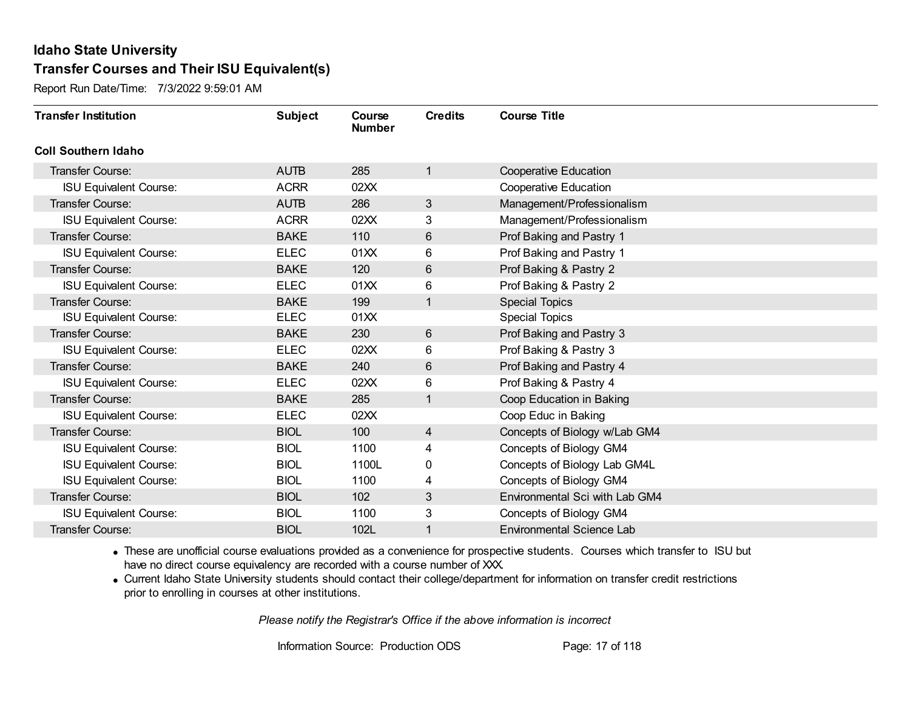Report Run Date/Time: 7/3/2022 9:59:01 AM

| <b>Transfer Institution</b>   | <b>Subject</b> | Course<br><b>Number</b> | <b>Credits</b> | <b>Course Title</b>              |
|-------------------------------|----------------|-------------------------|----------------|----------------------------------|
| <b>Coll Southern Idaho</b>    |                |                         |                |                                  |
| Transfer Course:              | <b>AUTB</b>    | 285                     | $\overline{1}$ | <b>Cooperative Education</b>     |
| <b>ISU Equivalent Course:</b> | <b>ACRR</b>    | 02XX                    |                | <b>Cooperative Education</b>     |
| Transfer Course:              | <b>AUTB</b>    | 286                     | $\mathfrak{S}$ | Management/Professionalism       |
| <b>ISU Equivalent Course:</b> | <b>ACRR</b>    | 02XX                    | 3              | Management/Professionalism       |
| <b>Transfer Course:</b>       | <b>BAKE</b>    | 110                     | $6\phantom{1}$ | Prof Baking and Pastry 1         |
| <b>ISU Equivalent Course:</b> | <b>ELEC</b>    | 01XX                    | 6              | Prof Baking and Pastry 1         |
| Transfer Course:              | <b>BAKE</b>    | 120                     | $6\phantom{1}$ | Prof Baking & Pastry 2           |
| <b>ISU Equivalent Course:</b> | <b>ELEC</b>    | 01XX                    | 6              | Prof Baking & Pastry 2           |
| Transfer Course:              | <b>BAKE</b>    | 199                     | $\mathbf{1}$   | <b>Special Topics</b>            |
| <b>ISU Equivalent Course:</b> | <b>ELEC</b>    | 01XX                    |                | <b>Special Topics</b>            |
| <b>Transfer Course:</b>       | <b>BAKE</b>    | 230                     | $6\phantom{1}$ | Prof Baking and Pastry 3         |
| <b>ISU Equivalent Course:</b> | <b>ELEC</b>    | 02XX                    | 6              | Prof Baking & Pastry 3           |
| Transfer Course:              | <b>BAKE</b>    | 240                     | 6              | Prof Baking and Pastry 4         |
| <b>ISU Equivalent Course:</b> | <b>ELEC</b>    | 02XX                    | 6              | Prof Baking & Pastry 4           |
| Transfer Course:              | <b>BAKE</b>    | 285                     | $\mathbf{1}$   | Coop Education in Baking         |
| <b>ISU Equivalent Course:</b> | <b>ELEC</b>    | 02XX                    |                | Coop Educ in Baking              |
| Transfer Course:              | <b>BIOL</b>    | 100                     | $\overline{4}$ | Concepts of Biology w/Lab GM4    |
| <b>ISU Equivalent Course:</b> | <b>BIOL</b>    | 1100                    | 4              | Concepts of Biology GM4          |
| <b>ISU Equivalent Course:</b> | <b>BIOL</b>    | 1100L                   | 0              | Concepts of Biology Lab GM4L     |
| <b>ISU Equivalent Course:</b> | <b>BIOL</b>    | 1100                    | 4              | Concepts of Biology GM4          |
| Transfer Course:              | <b>BIOL</b>    | 102                     | $\sqrt{3}$     | Environmental Sci with Lab GM4   |
| <b>ISU Equivalent Course:</b> | <b>BIOL</b>    | 1100                    | 3              | Concepts of Biology GM4          |
| Transfer Course:              | <b>BIOL</b>    | 102L                    | 1              | <b>Environmental Science Lab</b> |

· These are unofficial course evaluations provided as a convenience for prospective students. Courses which transfer to ISU but have no direct course equivalency are recorded with a course number of XXX.

· Current Idaho State University students should contact their college/department for information on transfer credit restrictions prior to enrolling in courses at other institutions.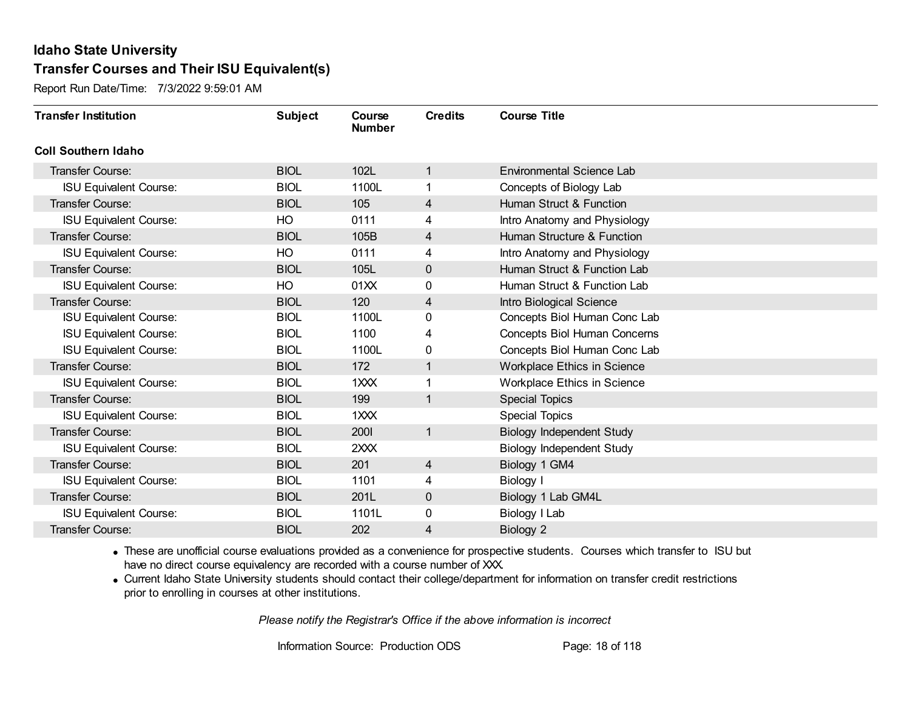Report Run Date/Time: 7/3/2022 9:59:01 AM

| <b>Transfer Institution</b>   | <b>Subject</b> | Course<br><b>Number</b> | <b>Credits</b> | <b>Course Title</b>              |
|-------------------------------|----------------|-------------------------|----------------|----------------------------------|
| <b>Coll Southern Idaho</b>    |                |                         |                |                                  |
| <b>Transfer Course:</b>       | <b>BIOL</b>    | 102L                    | 1              | <b>Environmental Science Lab</b> |
| <b>ISU Equivalent Course:</b> | <b>BIOL</b>    | 1100L                   | 1              | Concepts of Biology Lab          |
| Transfer Course:              | <b>BIOL</b>    | 105                     | 4              | Human Struct & Function          |
| <b>ISU Equivalent Course:</b> | HO             | 0111                    | 4              | Intro Anatomy and Physiology     |
| <b>Transfer Course:</b>       | <b>BIOL</b>    | 105B                    | 4              | Human Structure & Function       |
| <b>ISU Equivalent Course:</b> | HO             | 0111                    | 4              | Intro Anatomy and Physiology     |
| Transfer Course:              | <b>BIOL</b>    | 105L                    | $\mathbf 0$    | Human Struct & Function Lab      |
| <b>ISU Equivalent Course:</b> | HO             | 01XX                    | 0              | Human Struct & Function Lab      |
| <b>Transfer Course:</b>       | <b>BIOL</b>    | 120                     | 4              | Intro Biological Science         |
| <b>ISU Equivalent Course:</b> | <b>BIOL</b>    | 1100L                   | 0              | Concepts Biol Human Conc Lab     |
| <b>ISU Equivalent Course:</b> | <b>BIOL</b>    | 1100                    | 4              | Concepts Biol Human Concerns     |
| <b>ISU Equivalent Course:</b> | <b>BIOL</b>    | 1100L                   | 0              | Concepts Biol Human Conc Lab     |
| Transfer Course:              | <b>BIOL</b>    | 172                     | 1              | Workplace Ethics in Science      |
| <b>ISU Equivalent Course:</b> | <b>BIOL</b>    | 1XXX                    | 1              | Workplace Ethics in Science      |
| Transfer Course:              | <b>BIOL</b>    | 199                     | 1              | <b>Special Topics</b>            |
| <b>ISU Equivalent Course:</b> | <b>BIOL</b>    | 1XXX                    |                | Special Topics                   |
| Transfer Course:              | <b>BIOL</b>    | <b>2001</b>             | $\mathbf{1}$   | <b>Biology Independent Study</b> |
| <b>ISU Equivalent Course:</b> | <b>BIOL</b>    | 2XXX                    |                | <b>Biology Independent Study</b> |
| Transfer Course:              | <b>BIOL</b>    | 201                     | 4              | Biology 1 GM4                    |
| <b>ISU Equivalent Course:</b> | <b>BIOL</b>    | 1101                    | 4              | Biology I                        |
| <b>Transfer Course:</b>       | <b>BIOL</b>    | 201L                    | $\mathbf 0$    | Biology 1 Lab GM4L               |
| <b>ISU Equivalent Course:</b> | <b>BIOL</b>    | 1101L                   | 0              | Biology I Lab                    |
| Transfer Course:              | <b>BIOL</b>    | 202                     | 4              | Biology 2                        |

· These are unofficial course evaluations provided as a convenience for prospective students. Courses which transfer to ISU but have no direct course equivalency are recorded with a course number of XXX.

· Current Idaho State University students should contact their college/department for information on transfer credit restrictions prior to enrolling in courses at other institutions.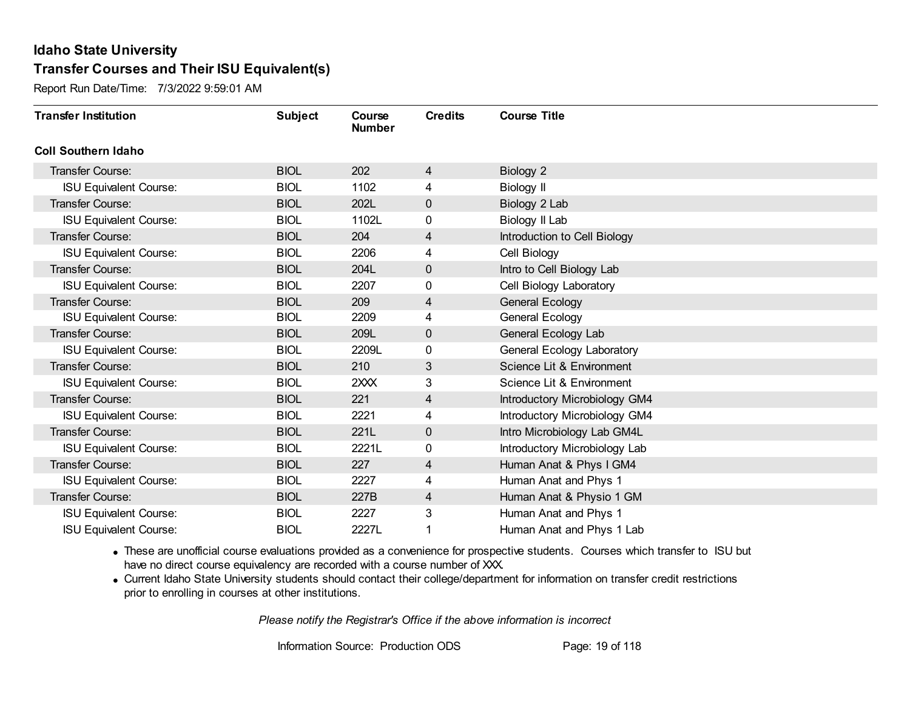Report Run Date/Time: 7/3/2022 9:59:01 AM

| <b>Transfer Institution</b>   | <b>Subject</b> | Course<br><b>Number</b> | <b>Credits</b> | <b>Course Title</b>           |
|-------------------------------|----------------|-------------------------|----------------|-------------------------------|
| <b>Coll Southern Idaho</b>    |                |                         |                |                               |
| <b>Transfer Course:</b>       | <b>BIOL</b>    | 202                     | 4              | Biology 2                     |
| <b>ISU Equivalent Course:</b> | <b>BIOL</b>    | 1102                    | 4              | <b>Biology II</b>             |
| <b>Transfer Course:</b>       | <b>BIOL</b>    | 202L                    | $\mathbf 0$    | Biology 2 Lab                 |
| <b>ISU Equivalent Course:</b> | <b>BIOL</b>    | 1102L                   | 0              | Biology II Lab                |
| <b>Transfer Course:</b>       | <b>BIOL</b>    | 204                     | $\overline{4}$ | Introduction to Cell Biology  |
| <b>ISU Equivalent Course:</b> | <b>BIOL</b>    | 2206                    | 4              | Cell Biology                  |
| <b>Transfer Course:</b>       | <b>BIOL</b>    | 204L                    | 0              | Intro to Cell Biology Lab     |
| <b>ISU Equivalent Course:</b> | <b>BIOL</b>    | 2207                    | 0              | Cell Biology Laboratory       |
| <b>Transfer Course:</b>       | <b>BIOL</b>    | 209                     | 4              | <b>General Ecology</b>        |
| <b>ISU Equivalent Course:</b> | <b>BIOL</b>    | 2209                    | 4              | General Ecology               |
| <b>Transfer Course:</b>       | <b>BIOL</b>    | 209L                    | $\mathbf 0$    | General Ecology Lab           |
| <b>ISU Equivalent Course:</b> | <b>BIOL</b>    | 2209L                   | 0              | General Ecology Laboratory    |
| Transfer Course:              | <b>BIOL</b>    | 210                     | 3              | Science Lit & Environment     |
| <b>ISU Equivalent Course:</b> | <b>BIOL</b>    | 2XXX                    | 3              | Science Lit & Environment     |
| <b>Transfer Course:</b>       | <b>BIOL</b>    | 221                     | 4              | Introductory Microbiology GM4 |
| <b>ISU Equivalent Course:</b> | <b>BIOL</b>    | 2221                    | 4              | Introductory Microbiology GM4 |
| <b>Transfer Course:</b>       | <b>BIOL</b>    | 221L                    | $\mathbf 0$    | Intro Microbiology Lab GM4L   |
| <b>ISU Equivalent Course:</b> | <b>BIOL</b>    | 2221L                   | 0              | Introductory Microbiology Lab |
| Transfer Course:              | <b>BIOL</b>    | 227                     | 4              | Human Anat & Phys I GM4       |
| <b>ISU Equivalent Course:</b> | <b>BIOL</b>    | 2227                    | 4              | Human Anat and Phys 1         |
| <b>Transfer Course:</b>       | <b>BIOL</b>    | 227B                    | 4              | Human Anat & Physio 1 GM      |
| <b>ISU Equivalent Course:</b> | <b>BIOL</b>    | 2227                    | 3              | Human Anat and Phys 1         |
| <b>ISU Equivalent Course:</b> | <b>BIOL</b>    | 2227L                   |                | Human Anat and Phys 1 Lab     |

· These are unofficial course evaluations provided as a convenience for prospective students. Courses which transfer to ISU but have no direct course equivalency are recorded with a course number of XXX.

· Current Idaho State University students should contact their college/department for information on transfer credit restrictions prior to enrolling in courses at other institutions.

*Please notify the Registrar's Office if the above information is incorrect*

Information Source: Production ODS Page: 19 of 118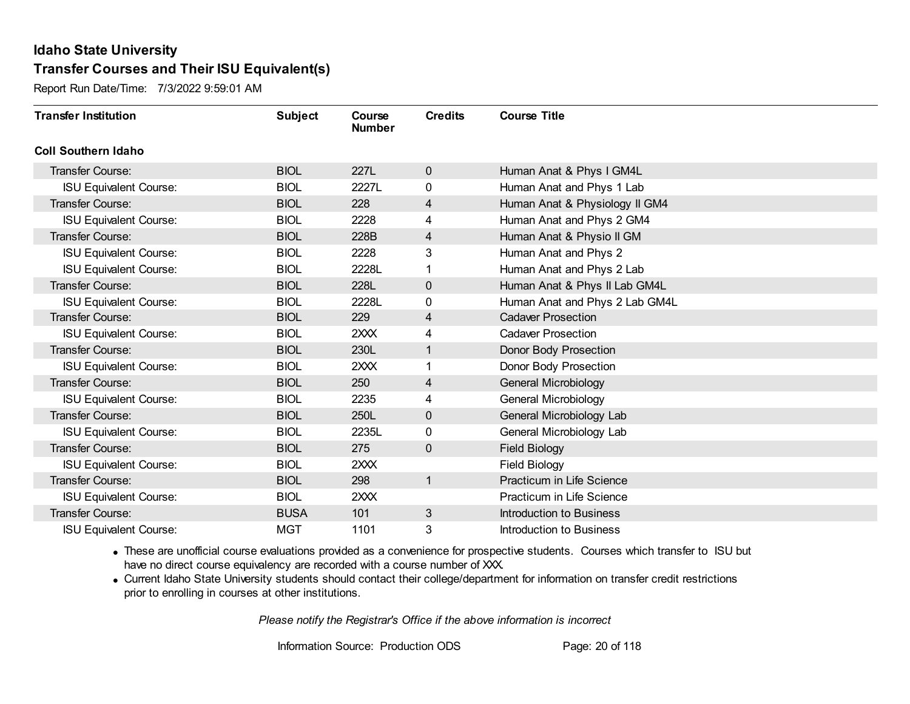Report Run Date/Time: 7/3/2022 9:59:01 AM

| <b>Transfer Institution</b>   | <b>Subject</b> | Course<br><b>Number</b> | <b>Credits</b> | <b>Course Title</b>            |
|-------------------------------|----------------|-------------------------|----------------|--------------------------------|
| <b>Coll Southern Idaho</b>    |                |                         |                |                                |
| Transfer Course:              | <b>BIOL</b>    | 227L                    | $\mathbf 0$    | Human Anat & Phys I GM4L       |
| <b>ISU Equivalent Course:</b> | <b>BIOL</b>    | 2227L                   | $\mathbf{0}$   | Human Anat and Phys 1 Lab      |
| Transfer Course:              | <b>BIOL</b>    | 228                     | 4              | Human Anat & Physiology II GM4 |
| <b>ISU Equivalent Course:</b> | <b>BIOL</b>    | 2228                    | 4              | Human Anat and Phys 2 GM4      |
| <b>Transfer Course:</b>       | <b>BIOL</b>    | 228B                    | 4              | Human Anat & Physio II GM      |
| <b>ISU Equivalent Course:</b> | <b>BIOL</b>    | 2228                    | 3              | Human Anat and Phys 2          |
| <b>ISU Equivalent Course:</b> | <b>BIOL</b>    | 2228L                   |                | Human Anat and Phys 2 Lab      |
| Transfer Course:              | <b>BIOL</b>    | 228L                    | $\mathbf 0$    | Human Anat & Phys II Lab GM4L  |
| <b>ISU Equivalent Course:</b> | <b>BIOL</b>    | 2228L                   | 0              | Human Anat and Phys 2 Lab GM4L |
| Transfer Course:              | <b>BIOL</b>    | 229                     | 4              | <b>Cadaver Prosection</b>      |
| <b>ISU Equivalent Course:</b> | <b>BIOL</b>    | 2XXX                    | 4              | <b>Cadaver Prosection</b>      |
| Transfer Course:              | <b>BIOL</b>    | 230L                    | 1              | Donor Body Prosection          |
| <b>ISU Equivalent Course:</b> | <b>BIOL</b>    | 2XXX                    |                | Donor Body Prosection          |
| <b>Transfer Course:</b>       | <b>BIOL</b>    | 250                     | 4              | General Microbiology           |
| <b>ISU Equivalent Course:</b> | <b>BIOL</b>    | 2235                    | 4              | General Microbiology           |
| Transfer Course:              | <b>BIOL</b>    | 250L                    | 0              | General Microbiology Lab       |
| <b>ISU Equivalent Course:</b> | <b>BIOL</b>    | 2235L                   | $\mathbf 0$    | General Microbiology Lab       |
| <b>Transfer Course:</b>       | <b>BIOL</b>    | 275                     | $\mathbf 0$    | <b>Field Biology</b>           |
| <b>ISU Equivalent Course:</b> | <b>BIOL</b>    | 2XXX                    |                | <b>Field Biology</b>           |
| Transfer Course:              | <b>BIOL</b>    | 298                     | 1              | Practicum in Life Science      |
| <b>ISU Equivalent Course:</b> | <b>BIOL</b>    | 2XXX                    |                | Practicum in Life Science      |
| Transfer Course:              | <b>BUSA</b>    | 101                     | 3              | Introduction to Business       |
| <b>ISU Equivalent Course:</b> | <b>MGT</b>     | 1101                    | 3              | Introduction to Business       |

· These are unofficial course evaluations provided as a convenience for prospective students. Courses which transfer to ISU but have no direct course equivalency are recorded with a course number of XXX.

· Current Idaho State University students should contact their college/department for information on transfer credit restrictions prior to enrolling in courses at other institutions.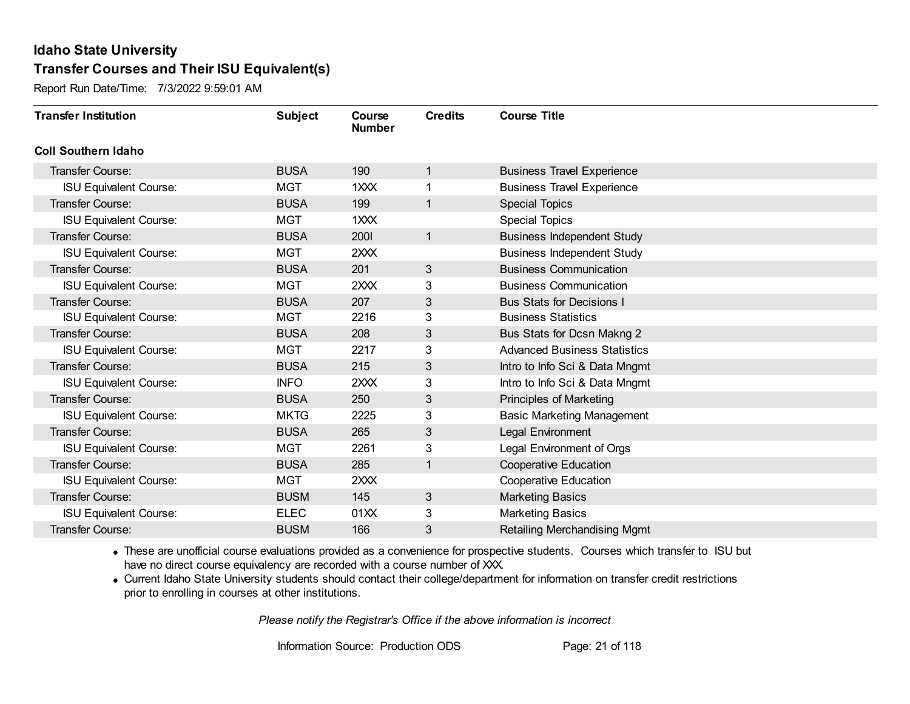Report Run Date/Time: 7/3/2022 9:59:01 AM

| <b>Transfer Institution</b>   | <b>Subject</b> | Course<br><b>Number</b> | <b>Credits</b> | <b>Course Title</b>                 |
|-------------------------------|----------------|-------------------------|----------------|-------------------------------------|
| <b>Coll Southern Idaho</b>    |                |                         |                |                                     |
| Transfer Course:              | <b>BUSA</b>    | 190                     | 1              | <b>Business Travel Experience</b>   |
| <b>ISU Equivalent Course:</b> | <b>MGT</b>     | 1XXX                    |                | <b>Business Travel Experience</b>   |
| <b>Transfer Course:</b>       | <b>BUSA</b>    | 199                     | 1              | <b>Special Topics</b>               |
| <b>ISU Equivalent Course:</b> | <b>MGT</b>     | 1XXX                    |                | <b>Special Topics</b>               |
| <b>Transfer Course:</b>       | <b>BUSA</b>    | 2001                    | 1              | <b>Business Independent Study</b>   |
| <b>ISU Equivalent Course:</b> | <b>MGT</b>     | 2XXX                    |                | <b>Business Independent Study</b>   |
| <b>Transfer Course:</b>       | <b>BUSA</b>    | 201                     | 3              | <b>Business Communication</b>       |
| <b>ISU Equivalent Course:</b> | <b>MGT</b>     | 2XXX                    | 3              | <b>Business Communication</b>       |
| <b>Transfer Course:</b>       | <b>BUSA</b>    | 207                     | 3              | <b>Bus Stats for Decisions I</b>    |
| <b>ISU Equivalent Course:</b> | <b>MGT</b>     | 2216                    | 3              | <b>Business Statistics</b>          |
| <b>Transfer Course:</b>       | <b>BUSA</b>    | 208                     | 3              | Bus Stats for Dcsn Makng 2          |
| <b>ISU Equivalent Course:</b> | <b>MGT</b>     | 2217                    | 3              | <b>Advanced Business Statistics</b> |
| <b>Transfer Course:</b>       | <b>BUSA</b>    | 215                     | 3              | Intro to Info Sci & Data Mngmt      |
| <b>ISU Equivalent Course:</b> | <b>INFO</b>    | 2XXX                    | 3              | Intro to Info Sci & Data Mngmt      |
| Transfer Course:              | <b>BUSA</b>    | 250                     | 3              | <b>Principles of Marketing</b>      |
| <b>ISU Equivalent Course:</b> | <b>MKTG</b>    | 2225                    | 3              | <b>Basic Marketing Management</b>   |
| <b>Transfer Course:</b>       | <b>BUSA</b>    | 265                     | 3              | Legal Environment                   |
| <b>ISU Equivalent Course:</b> | <b>MGT</b>     | 2261                    | 3              | Legal Environment of Orgs           |
| <b>Transfer Course:</b>       | <b>BUSA</b>    | 285                     | 1              | <b>Cooperative Education</b>        |
| <b>ISU Equivalent Course:</b> | <b>MGT</b>     | 2XXX                    |                | <b>Cooperative Education</b>        |
| <b>Transfer Course:</b>       | <b>BUSM</b>    | 145                     | 3              | <b>Marketing Basics</b>             |
| <b>ISU Equivalent Course:</b> | <b>ELEC</b>    | 01XX                    | 3              | <b>Marketing Basics</b>             |
| Transfer Course:              | <b>BUSM</b>    | 166                     | 3              | <b>Retailing Merchandising Mgmt</b> |

· These are unofficial course evaluations provided as a convenience for prospective students. Courses which transfer to ISU but have no direct course equivalency are recorded with a course number of XXX.

· Current Idaho State University students should contact their college/department for information on transfer credit restrictions prior to enrolling in courses at other institutions.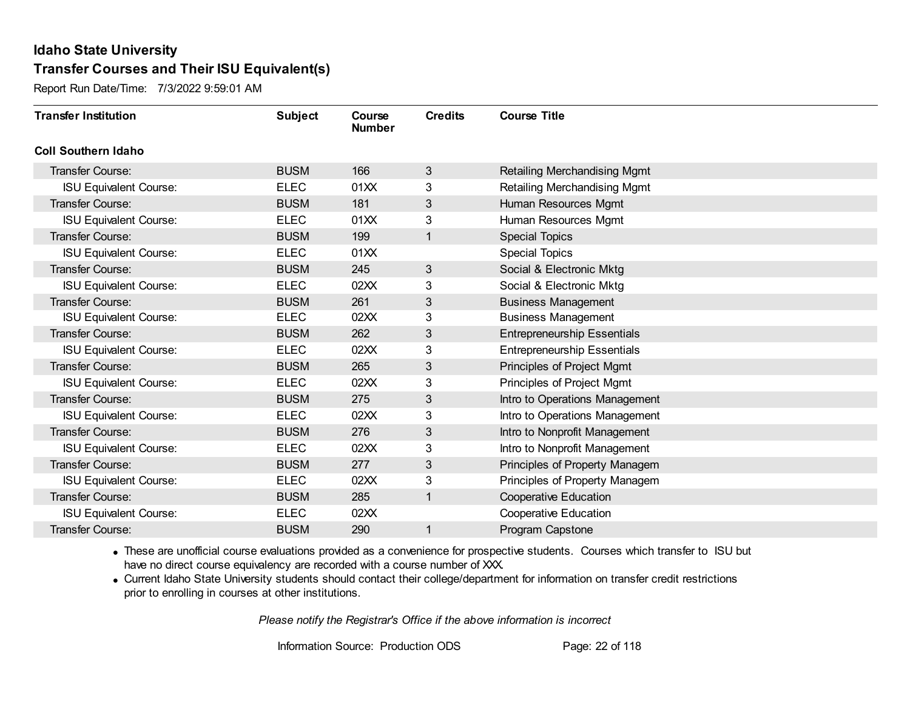Report Run Date/Time: 7/3/2022 9:59:01 AM

| <b>Transfer Institution</b>   | <b>Subject</b> | Course<br><b>Number</b> | <b>Credits</b> | <b>Course Title</b>                 |
|-------------------------------|----------------|-------------------------|----------------|-------------------------------------|
| <b>Coll Southern Idaho</b>    |                |                         |                |                                     |
| Transfer Course:              | <b>BUSM</b>    | 166                     | 3              | <b>Retailing Merchandising Mgmt</b> |
| <b>ISU Equivalent Course:</b> | <b>ELEC</b>    | 01XX                    | 3              | Retailing Merchandising Mgmt        |
| Transfer Course:              | <b>BUSM</b>    | 181                     | 3              | Human Resources Mgmt                |
| <b>ISU Equivalent Course:</b> | <b>ELEC</b>    | 01XX                    | 3              | Human Resources Mgmt                |
| <b>Transfer Course:</b>       | <b>BUSM</b>    | 199                     | 1              | <b>Special Topics</b>               |
| <b>ISU Equivalent Course:</b> | <b>ELEC</b>    | 01XX                    |                | <b>Special Topics</b>               |
| Transfer Course:              | <b>BUSM</b>    | 245                     | 3              | Social & Electronic Mktg            |
| <b>ISU Equivalent Course:</b> | <b>ELEC</b>    | 02XX                    | 3              | Social & Electronic Mktg            |
| Transfer Course:              | <b>BUSM</b>    | 261                     | 3              | <b>Business Management</b>          |
| <b>ISU Equivalent Course:</b> | <b>ELEC</b>    | 02XX                    | 3              | <b>Business Management</b>          |
| <b>Transfer Course:</b>       | <b>BUSM</b>    | 262                     | 3              | <b>Entrepreneurship Essentials</b>  |
| <b>ISU Equivalent Course:</b> | <b>ELEC</b>    | 02XX                    | 3              | <b>Entrepreneurship Essentials</b>  |
| Transfer Course:              | <b>BUSM</b>    | 265                     | 3              | Principles of Project Mgmt          |
| <b>ISU Equivalent Course:</b> | <b>ELEC</b>    | 02XX                    | 3              | Principles of Project Mgmt          |
| Transfer Course:              | <b>BUSM</b>    | 275                     | 3              | Intro to Operations Management      |
| <b>ISU Equivalent Course:</b> | <b>ELEC</b>    | 02XX                    | 3              | Intro to Operations Management      |
| Transfer Course:              | <b>BUSM</b>    | 276                     | 3              | Intro to Nonprofit Management       |
| <b>ISU Equivalent Course:</b> | <b>ELEC</b>    | 02XX                    | 3              | Intro to Nonprofit Management       |
| Transfer Course:              | <b>BUSM</b>    | 277                     | 3              | Principles of Property Managem      |
| <b>ISU Equivalent Course:</b> | <b>ELEC</b>    | 02XX                    | 3              | Principles of Property Managem      |
| Transfer Course:              | <b>BUSM</b>    | 285                     | 1              | <b>Cooperative Education</b>        |
| <b>ISU Equivalent Course:</b> | <b>ELEC</b>    | 02XX                    |                | <b>Cooperative Education</b>        |
| Transfer Course:              | <b>BUSM</b>    | 290                     | 1              | Program Capstone                    |

· These are unofficial course evaluations provided as a convenience for prospective students. Courses which transfer to ISU but have no direct course equivalency are recorded with a course number of XXX.

· Current Idaho State University students should contact their college/department for information on transfer credit restrictions prior to enrolling in courses at other institutions.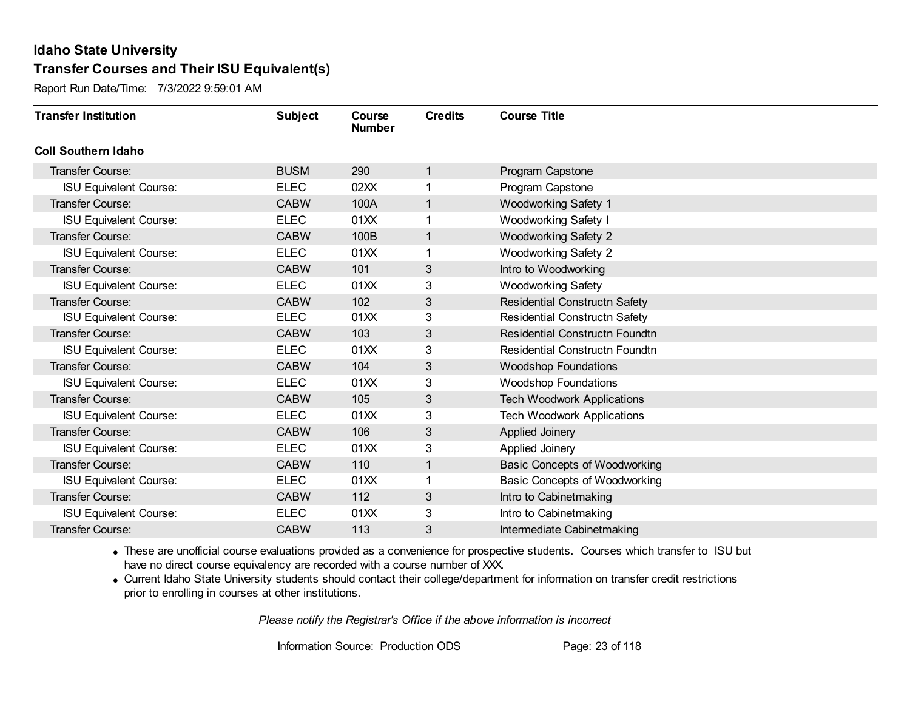Report Run Date/Time: 7/3/2022 9:59:01 AM

| <b>Transfer Institution</b>   | <b>Subject</b> | Course<br><b>Number</b> | <b>Credits</b> | <b>Course Title</b>                   |
|-------------------------------|----------------|-------------------------|----------------|---------------------------------------|
| <b>Coll Southern Idaho</b>    |                |                         |                |                                       |
| Transfer Course:              | <b>BUSM</b>    | 290                     | 1              | Program Capstone                      |
| <b>ISU Equivalent Course:</b> | <b>ELEC</b>    | 02XX                    |                | Program Capstone                      |
| Transfer Course:              | <b>CABW</b>    | 100A                    | 1              | <b>Woodworking Safety 1</b>           |
| <b>ISU Equivalent Course:</b> | <b>ELEC</b>    | 01XX                    | 1              | Woodworking Safety I                  |
| <b>Transfer Course:</b>       | <b>CABW</b>    | 100B                    | 1              | <b>Woodworking Safety 2</b>           |
| <b>ISU Equivalent Course:</b> | <b>ELEC</b>    | 01XX                    |                | <b>Woodworking Safety 2</b>           |
| Transfer Course:              | <b>CABW</b>    | 101                     | 3              | Intro to Woodworking                  |
| <b>ISU Equivalent Course:</b> | <b>ELEC</b>    | 01XX                    | 3              | <b>Woodworking Safety</b>             |
| <b>Transfer Course:</b>       | <b>CABW</b>    | 102                     | 3              | Residential Constructn Safety         |
| <b>ISU Equivalent Course:</b> | <b>ELEC</b>    | 01XX                    | 3              | <b>Residential Constructn Safety</b>  |
| Transfer Course:              | <b>CABW</b>    | 103                     | 3              | Residential Constructn Foundtn        |
| <b>ISU Equivalent Course:</b> | <b>ELEC</b>    | 01XX                    | 3              | <b>Residential Constructn Foundtn</b> |
| Transfer Course:              | <b>CABW</b>    | 104                     | 3              | <b>Woodshop Foundations</b>           |
| <b>ISU Equivalent Course:</b> | <b>ELEC</b>    | 01XX                    | 3              | <b>Woodshop Foundations</b>           |
| Transfer Course:              | <b>CABW</b>    | 105                     | 3              | <b>Tech Woodwork Applications</b>     |
| <b>ISU Equivalent Course:</b> | <b>ELEC</b>    | 01XX                    | 3              | <b>Tech Woodwork Applications</b>     |
| Transfer Course:              | <b>CABW</b>    | 106                     | 3              | Applied Joinery                       |
| <b>ISU Equivalent Course:</b> | <b>ELEC</b>    | 01XX                    | 3              | Applied Joinery                       |
| Transfer Course:              | <b>CABW</b>    | 110                     | 1              | <b>Basic Concepts of Woodworking</b>  |
| <b>ISU Equivalent Course:</b> | <b>ELEC</b>    | 01XX                    |                | Basic Concepts of Woodworking         |
| Transfer Course:              | <b>CABW</b>    | 112                     | 3              | Intro to Cabinetmaking                |
| <b>ISU Equivalent Course:</b> | <b>ELEC</b>    | 01XX                    | 3              | Intro to Cabinetmaking                |
| Transfer Course:              | <b>CABW</b>    | 113                     | 3              | Intermediate Cabinetmaking            |

· These are unofficial course evaluations provided as a convenience for prospective students. Courses which transfer to ISU but have no direct course equivalency are recorded with a course number of XXX.

· Current Idaho State University students should contact their college/department for information on transfer credit restrictions prior to enrolling in courses at other institutions.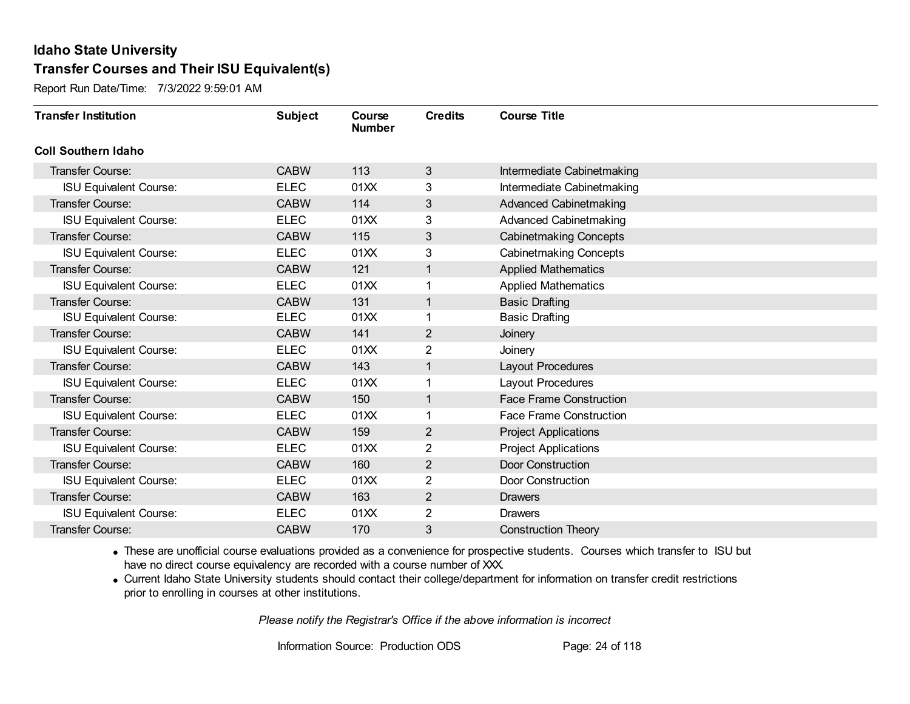Report Run Date/Time: 7/3/2022 9:59:01 AM

| <b>Transfer Institution</b>   | <b>Subject</b> | Course<br><b>Number</b> | <b>Credits</b> | <b>Course Title</b>            |
|-------------------------------|----------------|-------------------------|----------------|--------------------------------|
| <b>Coll Southern Idaho</b>    |                |                         |                |                                |
| Transfer Course:              | <b>CABW</b>    | 113                     | $\mathfrak{S}$ | Intermediate Cabinetmaking     |
| <b>ISU Equivalent Course:</b> | <b>ELEC</b>    | 01XX                    | 3              | Intermediate Cabinetmaking     |
| <b>Transfer Course:</b>       | <b>CABW</b>    | 114                     | 3              | <b>Advanced Cabinetmaking</b>  |
| <b>ISU Equivalent Course:</b> | <b>ELEC</b>    | 01XX                    | 3              | <b>Advanced Cabinetmaking</b>  |
| <b>Transfer Course:</b>       | <b>CABW</b>    | 115                     | 3              | <b>Cabinetmaking Concepts</b>  |
| <b>ISU Equivalent Course:</b> | <b>ELEC</b>    | 01XX                    | 3              | <b>Cabinetmaking Concepts</b>  |
| <b>Transfer Course:</b>       | <b>CABW</b>    | 121                     | 1              | <b>Applied Mathematics</b>     |
| <b>ISU Equivalent Course:</b> | <b>ELEC</b>    | 01XX                    |                | <b>Applied Mathematics</b>     |
| <b>Transfer Course:</b>       | <b>CABW</b>    | 131                     | 1              | <b>Basic Drafting</b>          |
| <b>ISU Equivalent Course:</b> | <b>ELEC</b>    | 01XX                    | 1              | <b>Basic Drafting</b>          |
| <b>Transfer Course:</b>       | <b>CABW</b>    | 141                     | 2              | Joinery                        |
| <b>ISU Equivalent Course:</b> | <b>ELEC</b>    | 01XX                    | 2              | Joinery                        |
| Transfer Course:              | <b>CABW</b>    | 143                     | 1              | Layout Procedures              |
| <b>ISU Equivalent Course:</b> | <b>ELEC</b>    | 01XX                    | 1              | Layout Procedures              |
| Transfer Course:              | <b>CABW</b>    | 150                     | 1              | <b>Face Frame Construction</b> |
| <b>ISU Equivalent Course:</b> | <b>ELEC</b>    | 01XX                    | 1              | <b>Face Frame Construction</b> |
| <b>Transfer Course:</b>       | <b>CABW</b>    | 159                     | $\overline{2}$ | <b>Project Applications</b>    |
| <b>ISU Equivalent Course:</b> | <b>ELEC</b>    | 01XX                    | 2              | <b>Project Applications</b>    |
| Transfer Course:              | <b>CABW</b>    | 160                     | $\overline{2}$ | Door Construction              |
| <b>ISU Equivalent Course:</b> | <b>ELEC</b>    | 01XX                    | $\overline{2}$ | Door Construction              |
| <b>Transfer Course:</b>       | <b>CABW</b>    | 163                     | $\overline{2}$ | <b>Drawers</b>                 |
| <b>ISU Equivalent Course:</b> | <b>ELEC</b>    | 01XX                    | 2              | <b>Drawers</b>                 |
| Transfer Course:              | <b>CABW</b>    | 170                     | 3              | <b>Construction Theory</b>     |

· These are unofficial course evaluations provided as a convenience for prospective students. Courses which transfer to ISU but have no direct course equivalency are recorded with a course number of XXX.

· Current Idaho State University students should contact their college/department for information on transfer credit restrictions prior to enrolling in courses at other institutions.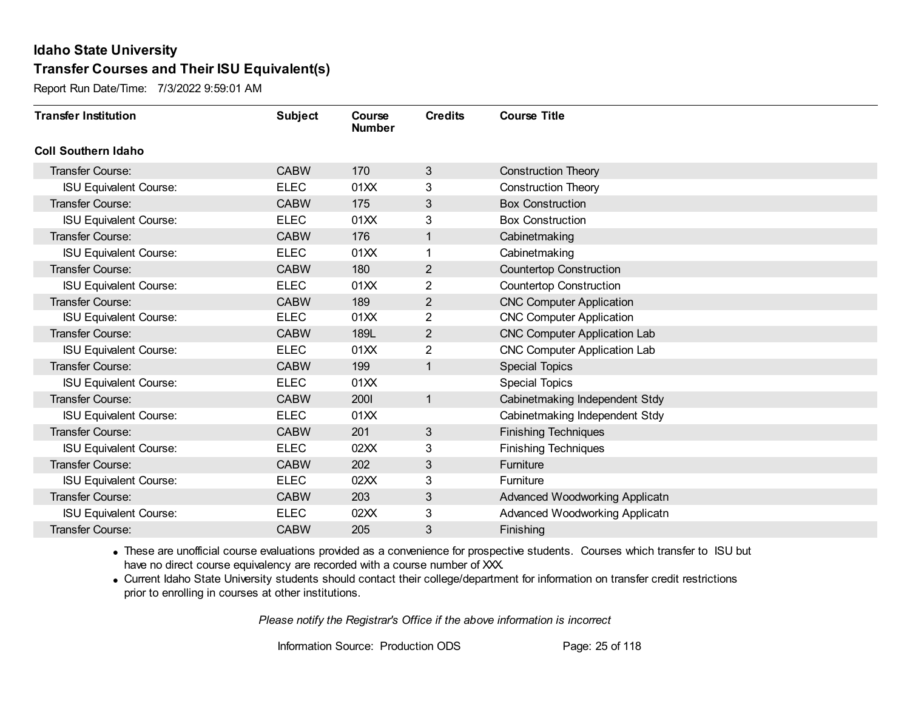Report Run Date/Time: 7/3/2022 9:59:01 AM

| <b>Transfer Institution</b>   | <b>Subject</b> | Course<br><b>Number</b> | <b>Credits</b> | <b>Course Title</b>                 |
|-------------------------------|----------------|-------------------------|----------------|-------------------------------------|
| <b>Coll Southern Idaho</b>    |                |                         |                |                                     |
| Transfer Course:              | <b>CABW</b>    | 170                     | 3              | <b>Construction Theory</b>          |
| <b>ISU Equivalent Course:</b> | <b>ELEC</b>    | 01XX                    | 3              | <b>Construction Theory</b>          |
| Transfer Course:              | <b>CABW</b>    | 175                     | 3              | <b>Box Construction</b>             |
| <b>ISU Equivalent Course:</b> | <b>ELEC</b>    | 01XX                    | 3              | <b>Box Construction</b>             |
| <b>Transfer Course:</b>       | <b>CABW</b>    | 176                     | 1              | Cabinetmaking                       |
| <b>ISU Equivalent Course:</b> | <b>ELEC</b>    | 01XX                    |                | Cabinetmaking                       |
| <b>Transfer Course:</b>       | <b>CABW</b>    | 180                     | 2              | <b>Countertop Construction</b>      |
| <b>ISU Equivalent Course:</b> | <b>ELEC</b>    | 01XX                    | 2              | <b>Countertop Construction</b>      |
| <b>Transfer Course:</b>       | <b>CABW</b>    | 189                     | 2              | <b>CNC Computer Application</b>     |
| <b>ISU Equivalent Course:</b> | <b>ELEC</b>    | 01XX                    | $\overline{2}$ | <b>CNC Computer Application</b>     |
| <b>Transfer Course:</b>       | <b>CABW</b>    | 189L                    | 2              | <b>CNC Computer Application Lab</b> |
| <b>ISU Equivalent Course:</b> | <b>ELEC</b>    | 01XX                    | $\overline{2}$ | <b>CNC Computer Application Lab</b> |
| <b>Transfer Course:</b>       | <b>CABW</b>    | 199                     | 1              | Special Topics                      |
| <b>ISU Equivalent Course:</b> | <b>ELEC</b>    | 01XX                    |                | <b>Special Topics</b>               |
| <b>Transfer Course:</b>       | <b>CABW</b>    | 2001                    | $\mathbf{1}$   | Cabinetmaking Independent Stdy      |
| <b>ISU Equivalent Course:</b> | <b>ELEC</b>    | 01XX                    |                | Cabinetmaking Independent Stdy      |
| <b>Transfer Course:</b>       | <b>CABW</b>    | 201                     | $\mathbf{3}$   | <b>Finishing Techniques</b>         |
| <b>ISU Equivalent Course:</b> | <b>ELEC</b>    | 02XX                    | 3              | <b>Finishing Techniques</b>         |
| <b>Transfer Course:</b>       | <b>CABW</b>    | 202                     | 3              | Furniture                           |
| <b>ISU Equivalent Course:</b> | <b>ELEC</b>    | 02XX                    | 3              | <b>Furniture</b>                    |
| <b>Transfer Course:</b>       | <b>CABW</b>    | 203                     | 3              | Advanced Woodworking Applicatn      |
| <b>ISU Equivalent Course:</b> | <b>ELEC</b>    | 02XX                    | 3              | Advanced Woodworking Applicatn      |
| Transfer Course:              | <b>CABW</b>    | 205                     | 3              | Finishing                           |

· These are unofficial course evaluations provided as a convenience for prospective students. Courses which transfer to ISU but have no direct course equivalency are recorded with a course number of XXX.

· Current Idaho State University students should contact their college/department for information on transfer credit restrictions prior to enrolling in courses at other institutions.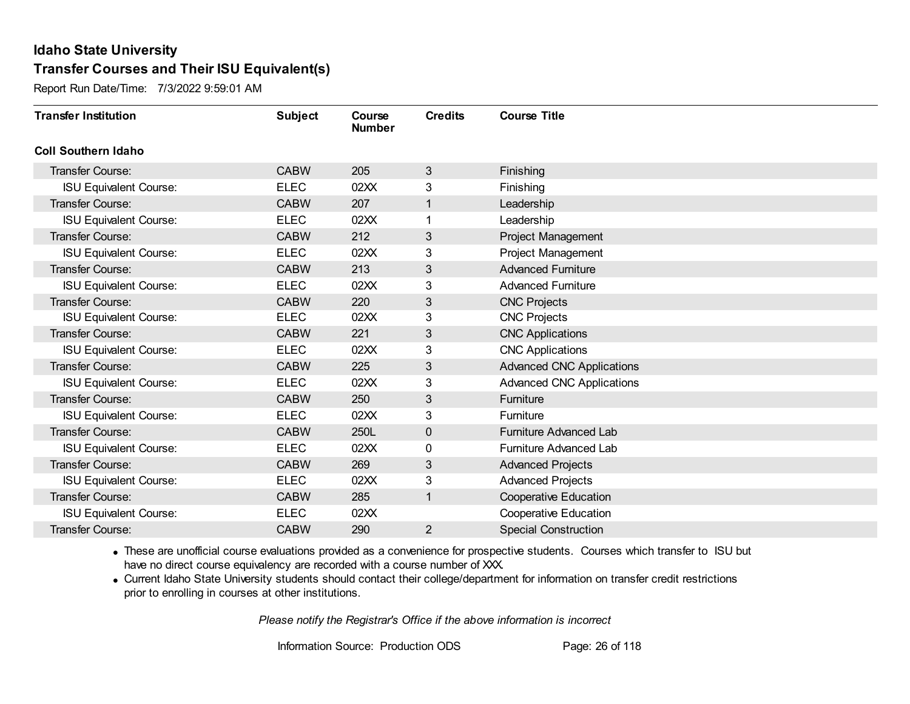Report Run Date/Time: 7/3/2022 9:59:01 AM

| <b>Transfer Institution</b>   | <b>Subject</b> | Course<br><b>Number</b> | <b>Credits</b> | <b>Course Title</b>              |
|-------------------------------|----------------|-------------------------|----------------|----------------------------------|
| <b>Coll Southern Idaho</b>    |                |                         |                |                                  |
| Transfer Course:              | <b>CABW</b>    | 205                     | 3              | Finishing                        |
| <b>ISU Equivalent Course:</b> | <b>ELEC</b>    | 02XX                    | 3              | Finishing                        |
| <b>Transfer Course:</b>       | <b>CABW</b>    | 207                     | 1              | Leadership                       |
| <b>ISU Equivalent Course:</b> | <b>ELEC</b>    | 02XX                    | 1              | Leadership                       |
| <b>Transfer Course:</b>       | <b>CABW</b>    | 212                     | 3              | Project Management               |
| <b>ISU Equivalent Course:</b> | <b>ELEC</b>    | 02XX                    | 3              | Project Management               |
| <b>Transfer Course:</b>       | <b>CABW</b>    | 213                     | 3              | <b>Advanced Furniture</b>        |
| <b>ISU Equivalent Course:</b> | <b>ELEC</b>    | 02XX                    | 3              | <b>Advanced Furniture</b>        |
| <b>Transfer Course:</b>       | <b>CABW</b>    | 220                     | 3              | <b>CNC Projects</b>              |
| <b>ISU Equivalent Course:</b> | <b>ELEC</b>    | 02XX                    | 3              | <b>CNC Projects</b>              |
| <b>Transfer Course:</b>       | <b>CABW</b>    | 221                     | 3              | <b>CNC Applications</b>          |
| <b>ISU Equivalent Course:</b> | <b>ELEC</b>    | 02XX                    | 3              | <b>CNC Applications</b>          |
| <b>Transfer Course:</b>       | <b>CABW</b>    | 225                     | 3              | <b>Advanced CNC Applications</b> |
| <b>ISU Equivalent Course:</b> | <b>ELEC</b>    | 02XX                    | 3              | <b>Advanced CNC Applications</b> |
| Transfer Course:              | <b>CABW</b>    | 250                     | 3              | Furniture                        |
| <b>ISU Equivalent Course:</b> | <b>ELEC</b>    | 02XX                    | 3              | Furniture                        |
| <b>Transfer Course:</b>       | <b>CABW</b>    | 250L                    | $\mathbf 0$    | Furniture Advanced Lab           |
| <b>ISU Equivalent Course:</b> | <b>ELEC</b>    | 02XX                    | 0              | Furniture Advanced Lab           |
| Transfer Course:              | <b>CABW</b>    | 269                     | 3              | <b>Advanced Projects</b>         |
| <b>ISU Equivalent Course:</b> | <b>ELEC</b>    | 02XX                    | 3              | <b>Advanced Projects</b>         |
| <b>Transfer Course:</b>       | <b>CABW</b>    | 285                     | $\mathbf{1}$   | <b>Cooperative Education</b>     |
| <b>ISU Equivalent Course:</b> | <b>ELEC</b>    | 02XX                    |                | <b>Cooperative Education</b>     |
| Transfer Course:              | <b>CABW</b>    | 290                     | $\overline{2}$ | <b>Special Construction</b>      |

· These are unofficial course evaluations provided as a convenience for prospective students. Courses which transfer to ISU but have no direct course equivalency are recorded with a course number of XXX.

· Current Idaho State University students should contact their college/department for information on transfer credit restrictions prior to enrolling in courses at other institutions.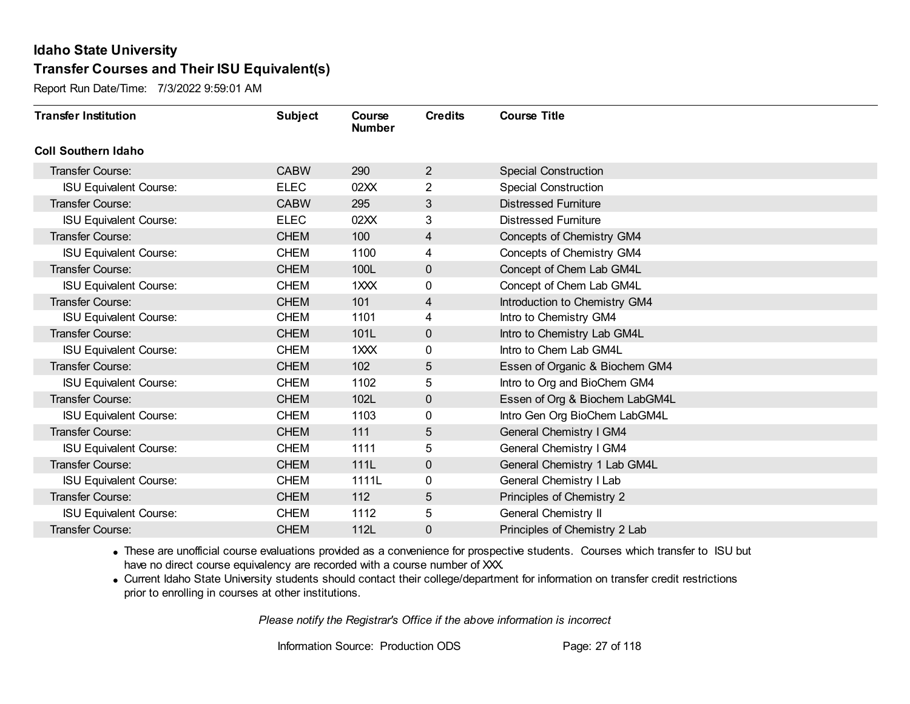Report Run Date/Time: 7/3/2022 9:59:01 AM

| <b>Transfer Institution</b>   | <b>Subject</b> | Course<br><b>Number</b> | <b>Credits</b> | <b>Course Title</b>            |
|-------------------------------|----------------|-------------------------|----------------|--------------------------------|
| <b>Coll Southern Idaho</b>    |                |                         |                |                                |
| Transfer Course:              | <b>CABW</b>    | 290                     | $\overline{2}$ | <b>Special Construction</b>    |
| <b>ISU Equivalent Course:</b> | <b>ELEC</b>    | 02XX                    | $\overline{2}$ | <b>Special Construction</b>    |
| Transfer Course:              | <b>CABW</b>    | 295                     | 3              | <b>Distressed Furniture</b>    |
| <b>ISU Equivalent Course:</b> | <b>ELEC</b>    | 02XX                    | 3              | <b>Distressed Furniture</b>    |
| <b>Transfer Course:</b>       | <b>CHEM</b>    | 100                     | 4              | Concepts of Chemistry GM4      |
| <b>ISU Equivalent Course:</b> | <b>CHEM</b>    | 1100                    | 4              | Concepts of Chemistry GM4      |
| Transfer Course:              | <b>CHEM</b>    | 100L                    | $\mathbf 0$    | Concept of Chem Lab GM4L       |
| <b>ISU Equivalent Course:</b> | <b>CHEM</b>    | 1XXX                    | 0              | Concept of Chem Lab GM4L       |
| Transfer Course:              | <b>CHEM</b>    | 101                     | $\overline{4}$ | Introduction to Chemistry GM4  |
| <b>ISU Equivalent Course:</b> | <b>CHEM</b>    | 1101                    | 4              | Intro to Chemistry GM4         |
| Transfer Course:              | <b>CHEM</b>    | 101L                    | $\mathbf 0$    | Intro to Chemistry Lab GM4L    |
| <b>ISU Equivalent Course:</b> | <b>CHEM</b>    | 1XXX                    | 0              | Intro to Chem Lab GM4L         |
| Transfer Course:              | <b>CHEM</b>    | 102                     | 5              | Essen of Organic & Biochem GM4 |
| <b>ISU Equivalent Course:</b> | <b>CHEM</b>    | 1102                    | 5              | Intro to Org and BioChem GM4   |
| Transfer Course:              | <b>CHEM</b>    | 102L                    | 0              | Essen of Org & Biochem LabGM4L |
| <b>ISU Equivalent Course:</b> | <b>CHEM</b>    | 1103                    | 0              | Intro Gen Org BioChem LabGM4L  |
| Transfer Course:              | <b>CHEM</b>    | 111                     | 5              | General Chemistry I GM4        |
| <b>ISU Equivalent Course:</b> | <b>CHEM</b>    | 1111                    | 5              | General Chemistry I GM4        |
| Transfer Course:              | <b>CHEM</b>    | 111L                    | $\mathbf 0$    | General Chemistry 1 Lab GM4L   |
| <b>ISU Equivalent Course:</b> | <b>CHEM</b>    | 1111L                   | 0              | General Chemistry I Lab        |
| Transfer Course:              | <b>CHEM</b>    | 112                     | 5              | Principles of Chemistry 2      |
| <b>ISU Equivalent Course:</b> | <b>CHEM</b>    | 1112                    | 5              | <b>General Chemistry II</b>    |
| Transfer Course:              | <b>CHEM</b>    | 112L                    | 0              | Principles of Chemistry 2 Lab  |

· These are unofficial course evaluations provided as a convenience for prospective students. Courses which transfer to ISU but have no direct course equivalency are recorded with a course number of XXX.

· Current Idaho State University students should contact their college/department for information on transfer credit restrictions prior to enrolling in courses at other institutions.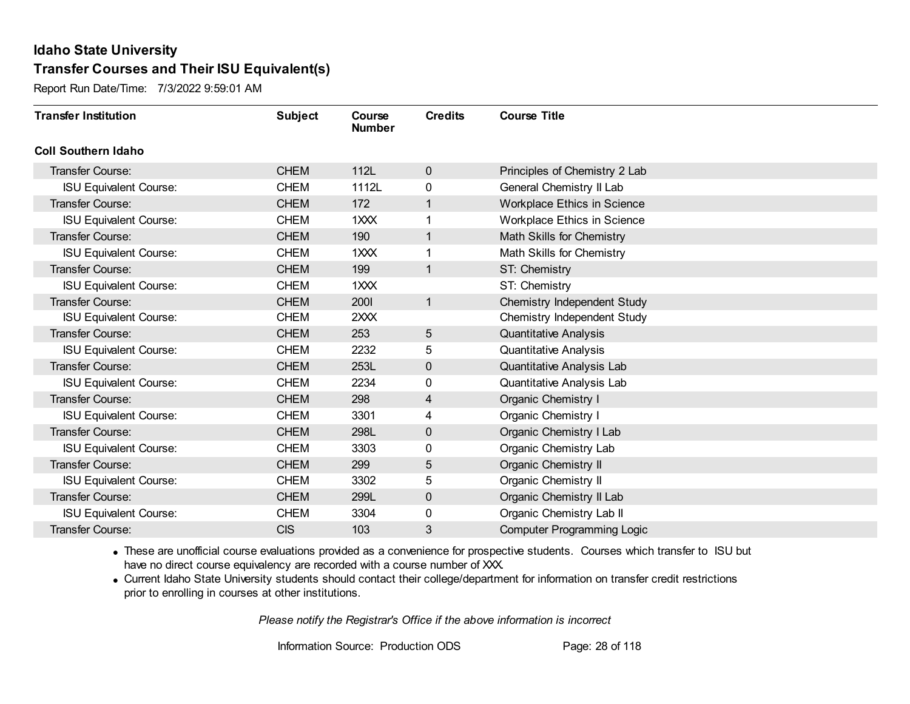Report Run Date/Time: 7/3/2022 9:59:01 AM

| <b>Transfer Institution</b>   | <b>Subject</b> | Course<br><b>Number</b> | <b>Credits</b> | <b>Course Title</b>                |
|-------------------------------|----------------|-------------------------|----------------|------------------------------------|
| <b>Coll Southern Idaho</b>    |                |                         |                |                                    |
| Transfer Course:              | <b>CHEM</b>    | 112L                    | $\mathbf 0$    | Principles of Chemistry 2 Lab      |
| <b>ISU Equivalent Course:</b> | <b>CHEM</b>    | 1112L                   | 0              | General Chemistry II Lab           |
| Transfer Course:              | <b>CHEM</b>    | 172                     | 1              | <b>Workplace Ethics in Science</b> |
| <b>ISU Equivalent Course:</b> | <b>CHEM</b>    | 1XXX                    | 1              | Workplace Ethics in Science        |
| <b>Transfer Course:</b>       | <b>CHEM</b>    | 190                     | 1              | Math Skills for Chemistry          |
| <b>ISU Equivalent Course:</b> | <b>CHEM</b>    | 1XXX                    |                | Math Skills for Chemistry          |
| Transfer Course:              | <b>CHEM</b>    | 199                     | 1              | ST: Chemistry                      |
| <b>ISU Equivalent Course:</b> | <b>CHEM</b>    | 1XXX                    |                | ST: Chemistry                      |
| Transfer Course:              | <b>CHEM</b>    | 2001                    | $\mathbf{1}$   | Chemistry Independent Study        |
| <b>ISU Equivalent Course:</b> | <b>CHEM</b>    | 2XXX                    |                | Chemistry Independent Study        |
| <b>Transfer Course:</b>       | <b>CHEM</b>    | 253                     | 5              | <b>Quantitative Analysis</b>       |
| <b>ISU Equivalent Course:</b> | <b>CHEM</b>    | 2232                    | 5              | <b>Quantitative Analysis</b>       |
| Transfer Course:              | <b>CHEM</b>    | 253L                    | 0              | Quantitative Analysis Lab          |
| <b>ISU Equivalent Course:</b> | <b>CHEM</b>    | 2234                    | 0              | Quantitative Analysis Lab          |
| Transfer Course:              | <b>CHEM</b>    | 298                     | 4              | Organic Chemistry I                |
| <b>ISU Equivalent Course:</b> | <b>CHEM</b>    | 3301                    | 4              | Organic Chemistry I                |
| Transfer Course:              | <b>CHEM</b>    | 298L                    | $\mathbf 0$    | Organic Chemistry I Lab            |
| <b>ISU Equivalent Course:</b> | <b>CHEM</b>    | 3303                    | 0              | Organic Chemistry Lab              |
| Transfer Course:              | <b>CHEM</b>    | 299                     | 5              | <b>Organic Chemistry II</b>        |
| <b>ISU Equivalent Course:</b> | <b>CHEM</b>    | 3302                    | 5              | Organic Chemistry II               |
| Transfer Course:              | <b>CHEM</b>    | 299L                    | 0              | Organic Chemistry II Lab           |
| <b>ISU Equivalent Course:</b> | <b>CHEM</b>    | 3304                    | 0              | Organic Chemistry Lab II           |
| Transfer Course:              | <b>CIS</b>     | 103                     | 3              | <b>Computer Programming Logic</b>  |

· These are unofficial course evaluations provided as a convenience for prospective students. Courses which transfer to ISU but have no direct course equivalency are recorded with a course number of XXX.

· Current Idaho State University students should contact their college/department for information on transfer credit restrictions prior to enrolling in courses at other institutions.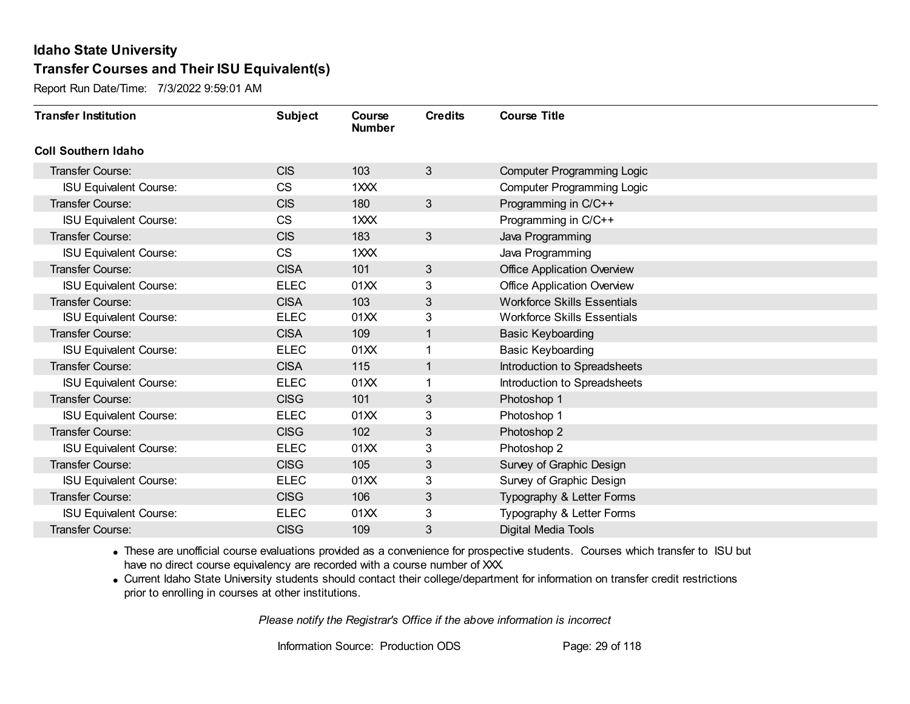Report Run Date/Time: 7/3/2022 9:59:01 AM

| <b>Transfer Institution</b>   | <b>Subject</b> | Course<br><b>Number</b> | <b>Credits</b> | <b>Course Title</b>                |
|-------------------------------|----------------|-------------------------|----------------|------------------------------------|
| <b>Coll Southern Idaho</b>    |                |                         |                |                                    |
| Transfer Course:              | <b>CIS</b>     | 103                     | $\mathbf{3}$   | <b>Computer Programming Logic</b>  |
| <b>ISU Equivalent Course:</b> | <b>CS</b>      | 1XXX                    |                | <b>Computer Programming Logic</b>  |
| <b>Transfer Course:</b>       | <b>CIS</b>     | 180                     | $\mathbf{3}$   | Programming in C/C++               |
| <b>ISU Equivalent Course:</b> | <b>CS</b>      | 1XXX                    |                | Programming in C/C++               |
| <b>Transfer Course:</b>       | <b>CIS</b>     | 183                     | $\mathbf{3}$   | Java Programming                   |
| <b>ISU Equivalent Course:</b> | <b>CS</b>      | 1XXX                    |                | Java Programming                   |
| <b>Transfer Course:</b>       | <b>CISA</b>    | 101                     | 3              | <b>Office Application Overview</b> |
| <b>ISU Equivalent Course:</b> | <b>ELEC</b>    | 01XX                    | 3              | <b>Office Application Overview</b> |
| <b>Transfer Course:</b>       | <b>CISA</b>    | 103                     | 3              | <b>Workforce Skills Essentials</b> |
| <b>ISU Equivalent Course:</b> | <b>ELEC</b>    | 01XX                    | 3              | <b>Workforce Skills Essentials</b> |
| <b>Transfer Course:</b>       | <b>CISA</b>    | 109                     | 1              | <b>Basic Keyboarding</b>           |
| <b>ISU Equivalent Course:</b> | <b>ELEC</b>    | 01XX                    | 1              | <b>Basic Keyboarding</b>           |
| <b>Transfer Course:</b>       | <b>CISA</b>    | 115                     | 1              | Introduction to Spreadsheets       |
| <b>ISU Equivalent Course:</b> | <b>ELEC</b>    | 01XX                    | 1              | Introduction to Spreadsheets       |
| <b>Transfer Course:</b>       | <b>CISG</b>    | 101                     | 3              | Photoshop 1                        |
| <b>ISU Equivalent Course:</b> | <b>ELEC</b>    | 01XX                    | 3              | Photoshop 1                        |
| Transfer Course:              | <b>CISG</b>    | 102                     | 3              | Photoshop 2                        |
| <b>ISU Equivalent Course:</b> | <b>ELEC</b>    | 01XX                    | 3              | Photoshop 2                        |
| <b>Transfer Course:</b>       | <b>CISG</b>    | 105                     | 3              | Survey of Graphic Design           |
| <b>ISU Equivalent Course:</b> | <b>ELEC</b>    | 01XX                    | 3              | Survey of Graphic Design           |
| <b>Transfer Course:</b>       | <b>CISG</b>    | 106                     | 3              | Typography & Letter Forms          |
| <b>ISU Equivalent Course:</b> | <b>ELEC</b>    | 01XX                    | 3              | Typography & Letter Forms          |
| <b>Transfer Course:</b>       | <b>CISG</b>    | 109                     | 3              | <b>Digital Media Tools</b>         |

· These are unofficial course evaluations provided as a convenience for prospective students. Courses which transfer to ISU but have no direct course equivalency are recorded with a course number of XXX.

· Current Idaho State University students should contact their college/department for information on transfer credit restrictions prior to enrolling in courses at other institutions.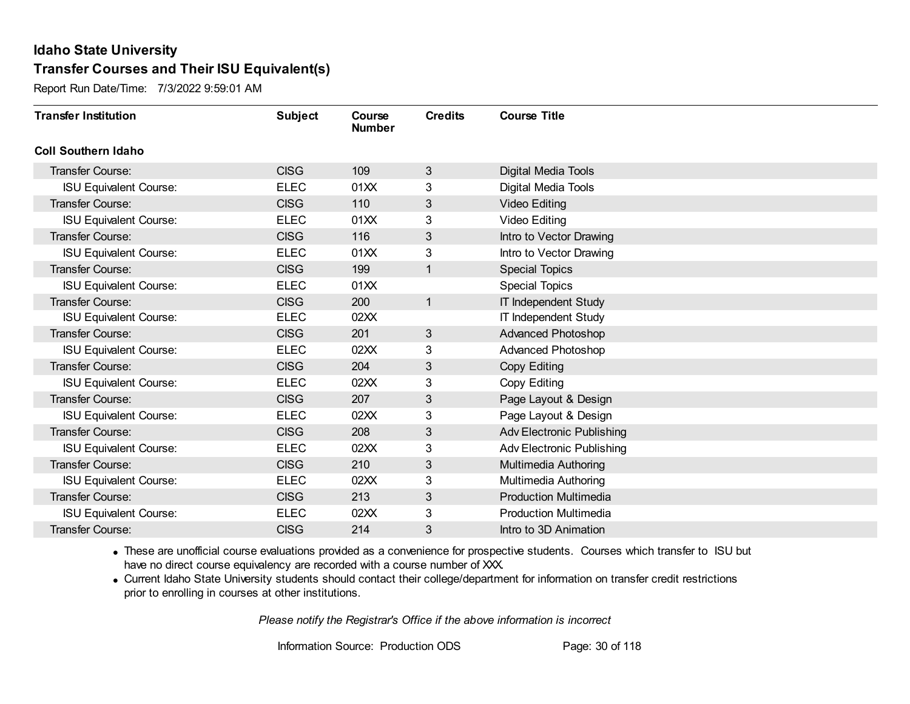Report Run Date/Time: 7/3/2022 9:59:01 AM

| <b>Transfer Institution</b>   | <b>Subject</b> | Course<br><b>Number</b> | <b>Credits</b> | <b>Course Title</b>              |
|-------------------------------|----------------|-------------------------|----------------|----------------------------------|
| <b>Coll Southern Idaho</b>    |                |                         |                |                                  |
| Transfer Course:              | <b>CISG</b>    | 109                     | 3              | Digital Media Tools              |
| <b>ISU Equivalent Course:</b> | <b>ELEC</b>    | 01XX                    | 3              | Digital Media Tools              |
| <b>Transfer Course:</b>       | <b>CISG</b>    | 110                     | 3              | <b>Video Editing</b>             |
| <b>ISU Equivalent Course:</b> | <b>ELEC</b>    | 01XX                    | 3              | Video Editing                    |
| <b>Transfer Course:</b>       | <b>CISG</b>    | 116                     | 3              | Intro to Vector Drawing          |
| <b>ISU Equivalent Course:</b> | <b>ELEC</b>    | 01XX                    | 3              | Intro to Vector Drawing          |
| <b>Transfer Course:</b>       | <b>CISG</b>    | 199                     | $\mathbf{1}$   | <b>Special Topics</b>            |
| <b>ISU Equivalent Course:</b> | <b>ELEC</b>    | 01XX                    |                | <b>Special Topics</b>            |
| <b>Transfer Course:</b>       | <b>CISG</b>    | 200                     | $\mathbf{1}$   | <b>IT Independent Study</b>      |
| <b>ISU Equivalent Course:</b> | <b>ELEC</b>    | 02XX                    |                | <b>IT Independent Study</b>      |
| <b>Transfer Course:</b>       | <b>CISG</b>    | 201                     | 3              | <b>Advanced Photoshop</b>        |
| <b>ISU Equivalent Course:</b> | <b>ELEC</b>    | 02XX                    | 3              | <b>Advanced Photoshop</b>        |
| <b>Transfer Course:</b>       | <b>CISG</b>    | 204                     | 3              | Copy Editing                     |
| <b>ISU Equivalent Course:</b> | <b>ELEC</b>    | 02XX                    | 3              | Copy Editing                     |
| Transfer Course:              | <b>CISG</b>    | 207                     | 3              | Page Layout & Design             |
| <b>ISU Equivalent Course:</b> | <b>ELEC</b>    | 02XX                    | 3              | Page Layout & Design             |
| <b>Transfer Course:</b>       | <b>CISG</b>    | 208                     | 3              | <b>Adv Electronic Publishing</b> |
| <b>ISU Equivalent Course:</b> | <b>ELEC</b>    | 02XX                    | 3              | <b>Adv Electronic Publishing</b> |
| <b>Transfer Course:</b>       | <b>CISG</b>    | 210                     | 3              | Multimedia Authoring             |
| <b>ISU Equivalent Course:</b> | <b>ELEC</b>    | 02XX                    | 3              | Multimedia Authoring             |
| <b>Transfer Course:</b>       | <b>CISG</b>    | 213                     | 3              | <b>Production Multimedia</b>     |
| <b>ISU Equivalent Course:</b> | <b>ELEC</b>    | 02XX                    | 3              | <b>Production Multimedia</b>     |
| Transfer Course:              | <b>CISG</b>    | 214                     | 3              | Intro to 3D Animation            |

· These are unofficial course evaluations provided as a convenience for prospective students. Courses which transfer to ISU but have no direct course equivalency are recorded with a course number of XXX.

· Current Idaho State University students should contact their college/department for information on transfer credit restrictions prior to enrolling in courses at other institutions.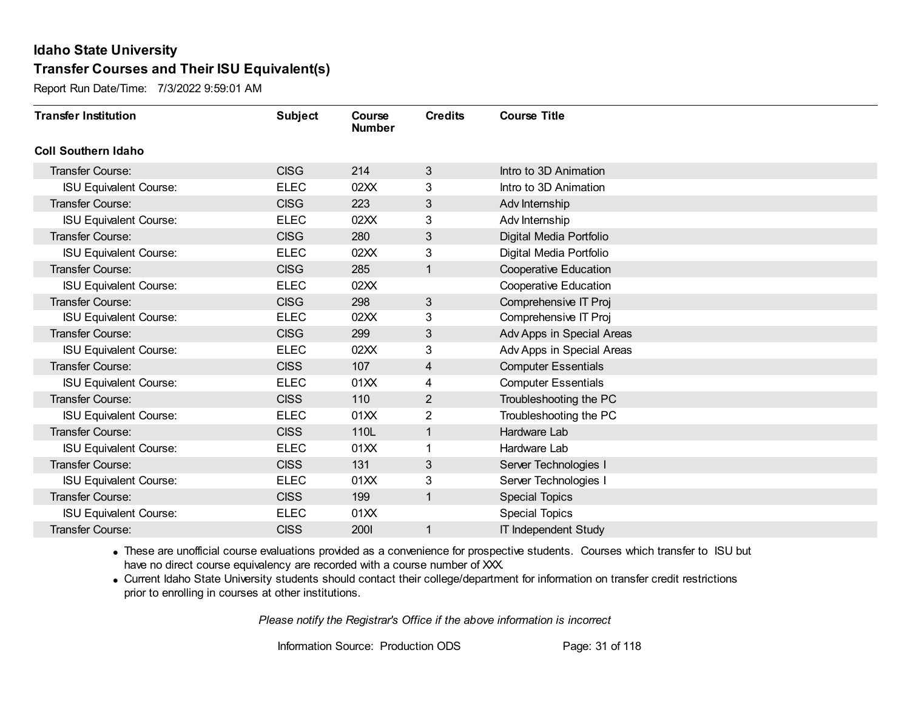Report Run Date/Time: 7/3/2022 9:59:01 AM

| <b>Transfer Institution</b>   | <b>Subject</b> | Course<br><b>Number</b> | <b>Credits</b> | <b>Course Title</b>          |
|-------------------------------|----------------|-------------------------|----------------|------------------------------|
| <b>Coll Southern Idaho</b>    |                |                         |                |                              |
| <b>Transfer Course:</b>       | <b>CISG</b>    | 214                     | 3              | Intro to 3D Animation        |
| <b>ISU Equivalent Course:</b> | <b>ELEC</b>    | 02XX                    | 3              | Intro to 3D Animation        |
| <b>Transfer Course:</b>       | <b>CISG</b>    | 223                     | 3              | Adv Internship               |
| <b>ISU Equivalent Course:</b> | <b>ELEC</b>    | 02XX                    | 3              | Adv Internship               |
| <b>Transfer Course:</b>       | <b>CISG</b>    | 280                     | 3              | Digital Media Portfolio      |
| <b>ISU Equivalent Course:</b> | <b>ELEC</b>    | 02XX                    | 3              | Digital Media Portfolio      |
| <b>Transfer Course:</b>       | <b>CISG</b>    | 285                     | 1              | <b>Cooperative Education</b> |
| <b>ISU Equivalent Course:</b> | <b>ELEC</b>    | 02XX                    |                | <b>Cooperative Education</b> |
| <b>Transfer Course:</b>       | <b>CISG</b>    | 298                     | 3              | Comprehensive IT Proj        |
| <b>ISU Equivalent Course:</b> | <b>ELEC</b>    | 02XX                    | 3              | Comprehensive IT Proj        |
| Transfer Course:              | <b>CISG</b>    | 299                     | 3              | Adv Apps in Special Areas    |
| <b>ISU Equivalent Course:</b> | <b>ELEC</b>    | 02XX                    | 3              | Adv Apps in Special Areas    |
| <b>Transfer Course:</b>       | <b>CISS</b>    | 107                     | 4              | <b>Computer Essentials</b>   |
| <b>ISU Equivalent Course:</b> | <b>ELEC</b>    | 01XX                    | 4              | <b>Computer Essentials</b>   |
| Transfer Course:              | <b>CISS</b>    | 110                     | $\overline{2}$ | Troubleshooting the PC       |
| <b>ISU Equivalent Course:</b> | <b>ELEC</b>    | 01XX                    | $\overline{2}$ | Troubleshooting the PC       |
| <b>Transfer Course:</b>       | <b>CISS</b>    | 110L                    | 1              | Hardware Lab                 |
| <b>ISU Equivalent Course:</b> | <b>ELEC</b>    | 01XX                    |                | Hardware Lab                 |
| <b>Transfer Course:</b>       | <b>CISS</b>    | 131                     | 3              | Server Technologies I        |
| <b>ISU Equivalent Course:</b> | <b>ELEC</b>    | 01XX                    | 3              | Server Technologies I        |
| <b>Transfer Course:</b>       | <b>CISS</b>    | 199                     | $\mathbf{1}$   | <b>Special Topics</b>        |
| <b>ISU Equivalent Course:</b> | <b>ELEC</b>    | 01XX                    |                | <b>Special Topics</b>        |
| Transfer Course:              | <b>CISS</b>    | <b>2001</b>             |                | <b>IT Independent Study</b>  |

· These are unofficial course evaluations provided as a convenience for prospective students. Courses which transfer to ISU but have no direct course equivalency are recorded with a course number of XXX.

· Current Idaho State University students should contact their college/department for information on transfer credit restrictions prior to enrolling in courses at other institutions.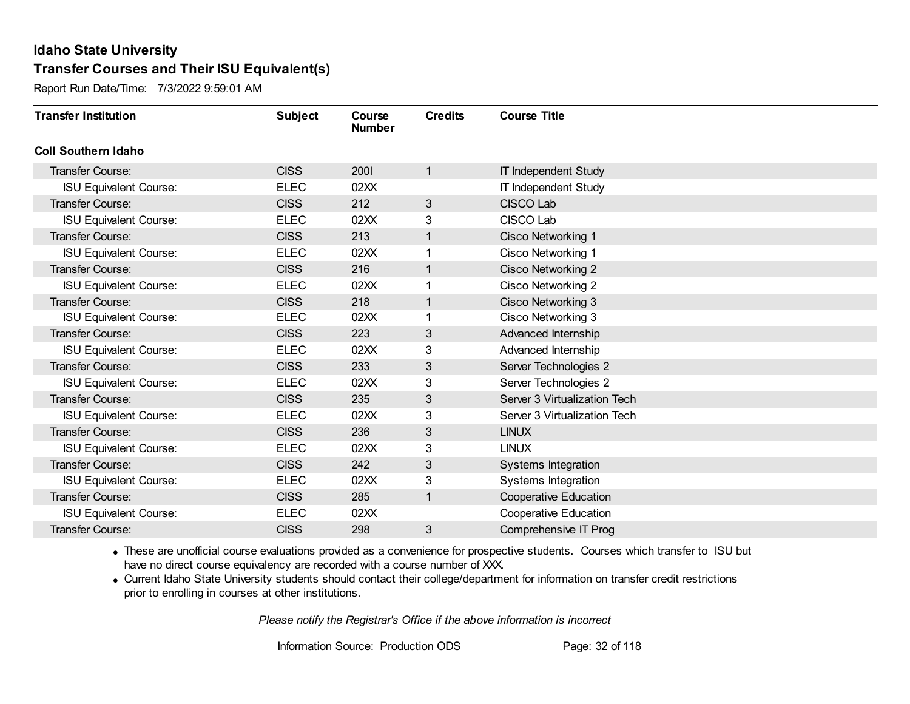Report Run Date/Time: 7/3/2022 9:59:01 AM

| <b>Transfer Institution</b>   | <b>Subject</b> | Course<br><b>Number</b> | <b>Credits</b> | <b>Course Title</b>          |
|-------------------------------|----------------|-------------------------|----------------|------------------------------|
| <b>Coll Southern Idaho</b>    |                |                         |                |                              |
| Transfer Course:              | <b>CISS</b>    | 2001                    | 1              | <b>IT Independent Study</b>  |
| <b>ISU Equivalent Course:</b> | <b>ELEC</b>    | 02XX                    |                | <b>IT Independent Study</b>  |
| Transfer Course:              | <b>CISS</b>    | 212                     | 3              | <b>CISCO Lab</b>             |
| <b>ISU Equivalent Course:</b> | <b>ELEC</b>    | 02XX                    | 3              | CISCO Lab                    |
| <b>Transfer Course:</b>       | <b>CISS</b>    | 213                     | $\mathbf{1}$   | Cisco Networking 1           |
| <b>ISU Equivalent Course:</b> | <b>ELEC</b>    | 02XX                    | 1              | Cisco Networking 1           |
| Transfer Course:              | <b>CISS</b>    | 216                     | $\mathbf{1}$   | <b>Cisco Networking 2</b>    |
| <b>ISU Equivalent Course:</b> | <b>ELEC</b>    | 02XX                    |                | Cisco Networking 2           |
| Transfer Course:              | <b>CISS</b>    | 218                     | $\mathbf{1}$   | Cisco Networking 3           |
| <b>ISU Equivalent Course:</b> | <b>ELEC</b>    | 02XX                    | 1              | Cisco Networking 3           |
| <b>Transfer Course:</b>       | <b>CISS</b>    | 223                     | 3              | Advanced Internship          |
| <b>ISU Equivalent Course:</b> | <b>ELEC</b>    | 02XX                    | 3              | Advanced Internship          |
| Transfer Course:              | <b>CISS</b>    | 233                     | 3              | Server Technologies 2        |
| <b>ISU Equivalent Course:</b> | <b>ELEC</b>    | 02XX                    | 3              | Server Technologies 2        |
| Transfer Course:              | <b>CISS</b>    | 235                     | 3              | Server 3 Virtualization Tech |
| <b>ISU Equivalent Course:</b> | <b>ELEC</b>    | 02XX                    | 3              | Server 3 Virtualization Tech |
| Transfer Course:              | <b>CISS</b>    | 236                     | 3              | <b>LINUX</b>                 |
| <b>ISU Equivalent Course:</b> | <b>ELEC</b>    | 02XX                    | 3              | <b>LINUX</b>                 |
| <b>Transfer Course:</b>       | <b>CISS</b>    | 242                     | 3              | Systems Integration          |
| <b>ISU Equivalent Course:</b> | <b>ELEC</b>    | 02XX                    | 3              | Systems Integration          |
| Transfer Course:              | <b>CISS</b>    | 285                     | $\mathbf{1}$   | <b>Cooperative Education</b> |
| <b>ISU Equivalent Course:</b> | <b>ELEC</b>    | 02XX                    |                | <b>Cooperative Education</b> |
| Transfer Course:              | <b>CISS</b>    | 298                     | 3              | Comprehensive IT Prog        |

· These are unofficial course evaluations provided as a convenience for prospective students. Courses which transfer to ISU but have no direct course equivalency are recorded with a course number of XXX.

· Current Idaho State University students should contact their college/department for information on transfer credit restrictions prior to enrolling in courses at other institutions.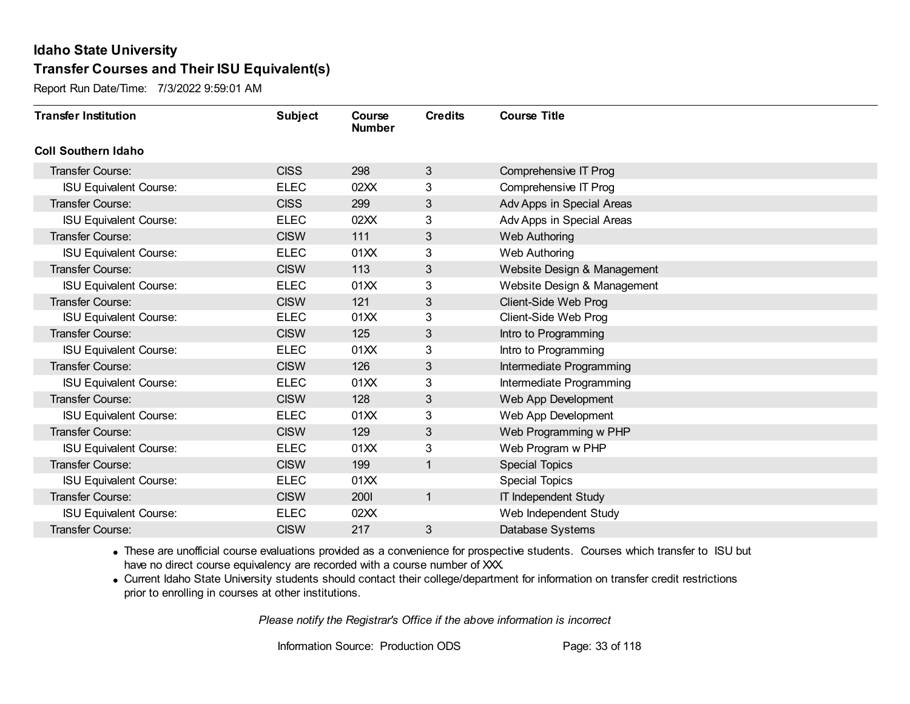Report Run Date/Time: 7/3/2022 9:59:01 AM

| <b>Transfer Institution</b>   | <b>Subject</b> | Course<br><b>Number</b> | <b>Credits</b> | <b>Course Title</b>         |
|-------------------------------|----------------|-------------------------|----------------|-----------------------------|
| <b>Coll Southern Idaho</b>    |                |                         |                |                             |
| Transfer Course:              | <b>CISS</b>    | 298                     | $\mathfrak{S}$ | Comprehensive IT Prog       |
| <b>ISU Equivalent Course:</b> | <b>ELEC</b>    | 02XX                    | 3              | Comprehensive IT Prog       |
| <b>Transfer Course:</b>       | <b>CISS</b>    | 299                     | 3              | Adv Apps in Special Areas   |
| <b>ISU Equivalent Course:</b> | <b>ELEC</b>    | 02XX                    | 3              | Adv Apps in Special Areas   |
| <b>Transfer Course:</b>       | <b>CISW</b>    | 111                     | 3              | <b>Web Authoring</b>        |
| <b>ISU Equivalent Course:</b> | <b>ELEC</b>    | 01XX                    | 3              | Web Authoring               |
| <b>Transfer Course:</b>       | <b>CISW</b>    | 113                     | 3              | Website Design & Management |
| <b>ISU Equivalent Course:</b> | <b>ELEC</b>    | 01XX                    | 3              | Website Design & Management |
| <b>Transfer Course:</b>       | <b>CISW</b>    | 121                     | 3              | Client-Side Web Prog        |
| <b>ISU Equivalent Course:</b> | <b>ELEC</b>    | 01XX                    | 3              | Client-Side Web Prog        |
| Transfer Course:              | <b>CISW</b>    | 125                     | 3              | Intro to Programming        |
| <b>ISU Equivalent Course:</b> | <b>ELEC</b>    | 01XX                    | 3              | Intro to Programming        |
| <b>Transfer Course:</b>       | <b>CISW</b>    | 126                     | 3              | Intermediate Programming    |
| <b>ISU Equivalent Course:</b> | <b>ELEC</b>    | 01XX                    | 3              | Intermediate Programming    |
| Transfer Course:              | <b>CISW</b>    | 128                     | 3              | Web App Development         |
| <b>ISU Equivalent Course:</b> | <b>ELEC</b>    | 01XX                    | 3              | Web App Development         |
| <b>Transfer Course:</b>       | <b>CISW</b>    | 129                     | 3              | Web Programming w PHP       |
| <b>ISU Equivalent Course:</b> | <b>ELEC</b>    | 01XX                    | 3              | Web Program w PHP           |
| Transfer Course:              | <b>CISW</b>    | 199                     | 1              | <b>Special Topics</b>       |
| <b>ISU Equivalent Course:</b> | <b>ELEC</b>    | 01XX                    |                | <b>Special Topics</b>       |
| <b>Transfer Course:</b>       | <b>CISW</b>    | 2001                    | $\mathbf{1}$   | <b>IT Independent Study</b> |
| <b>ISU Equivalent Course:</b> | <b>ELEC</b>    | 02XX                    |                | Web Independent Study       |
| Transfer Course:              | <b>CISW</b>    | 217                     | 3              | Database Systems            |

· These are unofficial course evaluations provided as a convenience for prospective students. Courses which transfer to ISU but have no direct course equivalency are recorded with a course number of XXX.

· Current Idaho State University students should contact their college/department for information on transfer credit restrictions prior to enrolling in courses at other institutions.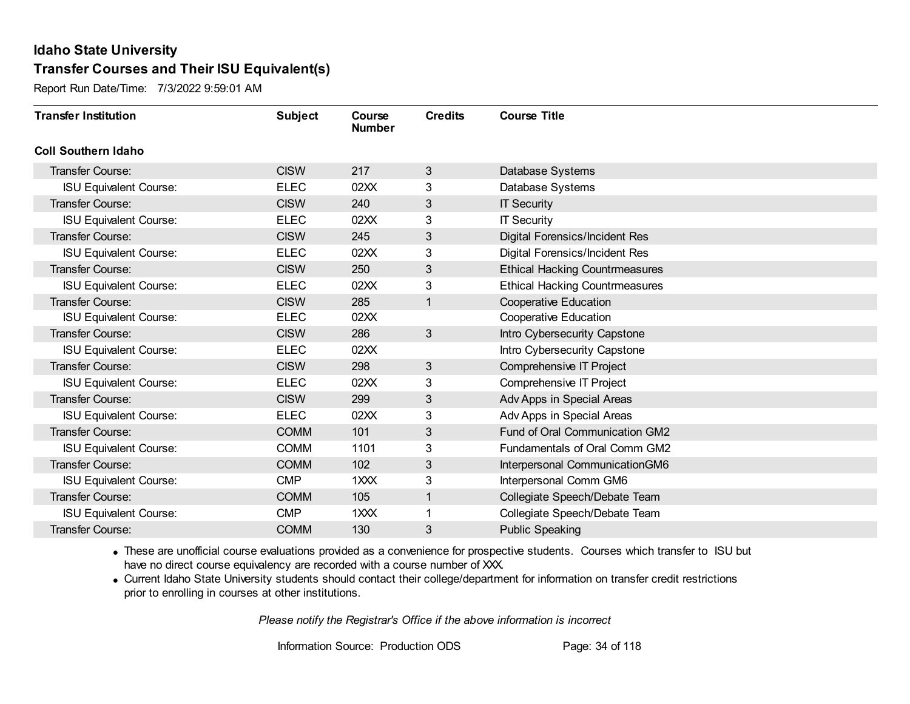Report Run Date/Time: 7/3/2022 9:59:01 AM

| <b>Transfer Institution</b>   | <b>Subject</b> | Course<br><b>Number</b> | <b>Credits</b> | <b>Course Title</b>                   |
|-------------------------------|----------------|-------------------------|----------------|---------------------------------------|
| <b>Coll Southern Idaho</b>    |                |                         |                |                                       |
| Transfer Course:              | <b>CISW</b>    | 217                     | 3              | Database Systems                      |
| <b>ISU Equivalent Course:</b> | <b>ELEC</b>    | 02XX                    | 3              | Database Systems                      |
| Transfer Course:              | <b>CISW</b>    | 240                     | $\mathfrak{B}$ | <b>IT Security</b>                    |
| <b>ISU Equivalent Course:</b> | <b>ELEC</b>    | 02XX                    | 3              | <b>IT Security</b>                    |
| <b>Transfer Course:</b>       | <b>CISW</b>    | 245                     | $\mathfrak{B}$ | <b>Digital Forensics/Incident Res</b> |
| <b>ISU Equivalent Course:</b> | <b>ELEC</b>    | 02XX                    | 3              | Digital Forensics/Incident Res        |
| Transfer Course:              | <b>CISW</b>    | 250                     | 3              | <b>Ethical Hacking Countrmeasures</b> |
| <b>ISU Equivalent Course:</b> | <b>ELEC</b>    | 02XX                    | 3              | <b>Ethical Hacking Countrmeasures</b> |
| Transfer Course:              | <b>CISW</b>    | 285                     | $\overline{1}$ | <b>Cooperative Education</b>          |
| <b>ISU Equivalent Course:</b> | <b>ELEC</b>    | 02XX                    |                | <b>Cooperative Education</b>          |
| <b>Transfer Course:</b>       | <b>CISW</b>    | 286                     | 3              | Intro Cybersecurity Capstone          |
| <b>ISU Equivalent Course:</b> | <b>ELEC</b>    | 02XX                    |                | Intro Cybersecurity Capstone          |
| Transfer Course:              | <b>CISW</b>    | 298                     | 3              | Comprehensive IT Project              |
| <b>ISU Equivalent Course:</b> | <b>ELEC</b>    | 02XX                    | 3              | Comprehensive IT Project              |
| Transfer Course:              | <b>CISW</b>    | 299                     | $\mathfrak{B}$ | Adv Apps in Special Areas             |
| <b>ISU Equivalent Course:</b> | <b>ELEC</b>    | 02XX                    | 3              | Adv Apps in Special Areas             |
| Transfer Course:              | <b>COMM</b>    | 101                     | $\mathfrak{B}$ | Fund of Oral Communication GM2        |
| <b>ISU Equivalent Course:</b> | <b>COMM</b>    | 1101                    | 3              | Fundamentals of Oral Comm GM2         |
| <b>Transfer Course:</b>       | <b>COMM</b>    | 102                     | 3              | Interpersonal CommunicationGM6        |
| <b>ISU Equivalent Course:</b> | <b>CMP</b>     | 1XXX                    | 3              | Interpersonal Comm GM6                |
| Transfer Course:              | <b>COMM</b>    | 105                     | $\mathbf{1}$   | Collegiate Speech/Debate Team         |
| <b>ISU Equivalent Course:</b> | <b>CMP</b>     | $1$ $XX$                |                | Collegiate Speech/Debate Team         |
| Transfer Course:              | <b>COMM</b>    | 130                     | 3              | <b>Public Speaking</b>                |

· These are unofficial course evaluations provided as a convenience for prospective students. Courses which transfer to ISU but have no direct course equivalency are recorded with a course number of XXX.

· Current Idaho State University students should contact their college/department for information on transfer credit restrictions prior to enrolling in courses at other institutions.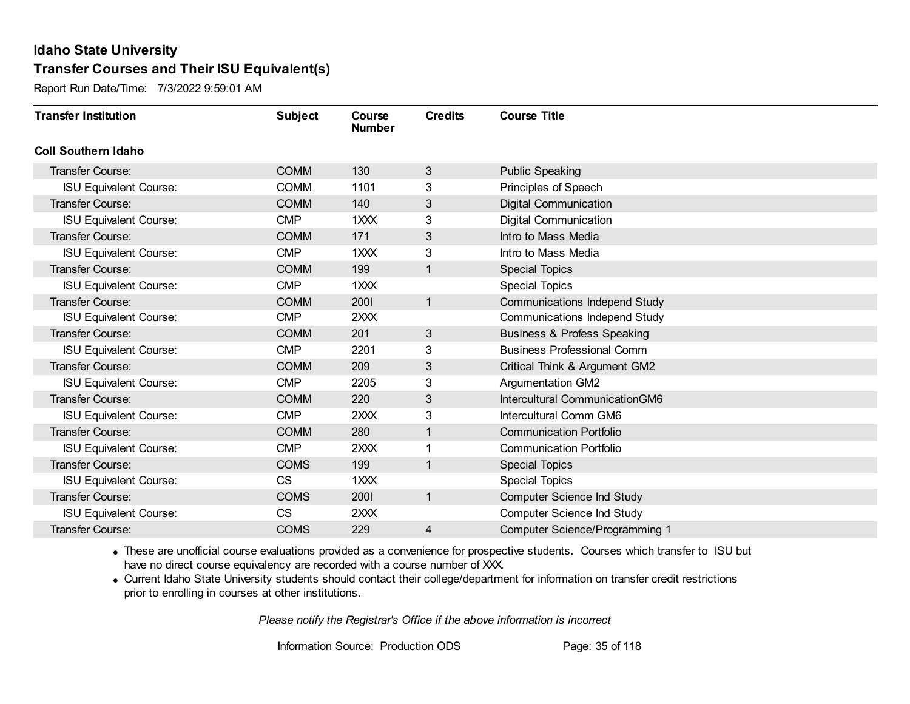Report Run Date/Time: 7/3/2022 9:59:01 AM

| <b>Transfer Institution</b>   | <b>Subject</b> | Course<br><b>Number</b> | <b>Credits</b> | <b>Course Title</b>                    |
|-------------------------------|----------------|-------------------------|----------------|----------------------------------------|
| <b>Coll Southern Idaho</b>    |                |                         |                |                                        |
| Transfer Course:              | <b>COMM</b>    | 130                     | 3              | <b>Public Speaking</b>                 |
| <b>ISU Equivalent Course:</b> | <b>COMM</b>    | 1101                    | 3              | Principles of Speech                   |
| <b>Transfer Course:</b>       | <b>COMM</b>    | 140                     | $\mathfrak{B}$ | <b>Digital Communication</b>           |
| <b>ISU Equivalent Course:</b> | <b>CMP</b>     | 1XXX                    | 3              | <b>Digital Communication</b>           |
| Transfer Course:              | <b>COMM</b>    | 171                     | $\mathfrak{B}$ | Intro to Mass Media                    |
| <b>ISU Equivalent Course:</b> | <b>CMP</b>     | $1 \times X$            | 3              | Intro to Mass Media                    |
| <b>Transfer Course:</b>       | <b>COMM</b>    | 199                     | $\mathbf{1}$   | <b>Special Topics</b>                  |
| <b>ISU Equivalent Course:</b> | <b>CMP</b>     | 1 <sub>XX</sub>         |                | <b>Special Topics</b>                  |
| <b>Transfer Course:</b>       | <b>COMM</b>    | 2001                    | $\mathbf{1}$   | <b>Communications Independ Study</b>   |
| <b>ISU Equivalent Course:</b> | <b>CMP</b>     | 2XXX                    |                | <b>Communications Independ Study</b>   |
| <b>Transfer Course:</b>       | <b>COMM</b>    | 201                     | 3              | <b>Business &amp; Profess Speaking</b> |
| <b>ISU Equivalent Course:</b> | <b>CMP</b>     | 2201                    | 3              | <b>Business Professional Comm</b>      |
| Transfer Course:              | <b>COMM</b>    | 209                     | 3              | Critical Think & Argument GM2          |
| <b>ISU Equivalent Course:</b> | <b>CMP</b>     | 2205                    | 3              | <b>Argumentation GM2</b>               |
| Transfer Course:              | <b>COMM</b>    | 220                     | $\mathfrak{B}$ | Intercultural CommunicationGM6         |
| <b>ISU Equivalent Course:</b> | <b>CMP</b>     | 2XXX                    | 3              | Intercultural Comm GM6                 |
| <b>Transfer Course:</b>       | <b>COMM</b>    | 280                     | $\mathbf{1}$   | <b>Communication Portfolio</b>         |
| <b>ISU Equivalent Course:</b> | <b>CMP</b>     | 2XXX                    |                | <b>Communication Portfolio</b>         |
| <b>Transfer Course:</b>       | <b>COMS</b>    | 199                     | $\mathbf{1}$   | <b>Special Topics</b>                  |
| <b>ISU Equivalent Course:</b> | <b>CS</b>      | 1XXX                    |                | <b>Special Topics</b>                  |
| <b>Transfer Course:</b>       | <b>COMS</b>    | 2001                    | $\mathbf{1}$   | <b>Computer Science Ind Study</b>      |
| <b>ISU Equivalent Course:</b> | CS             | 2XXX                    |                | <b>Computer Science Ind Study</b>      |
| Transfer Course:              | <b>COMS</b>    | 229                     | 4              | <b>Computer Science/Programming 1</b>  |

· These are unofficial course evaluations provided as a convenience for prospective students. Courses which transfer to ISU but have no direct course equivalency are recorded with a course number of XXX.

· Current Idaho State University students should contact their college/department for information on transfer credit restrictions prior to enrolling in courses at other institutions.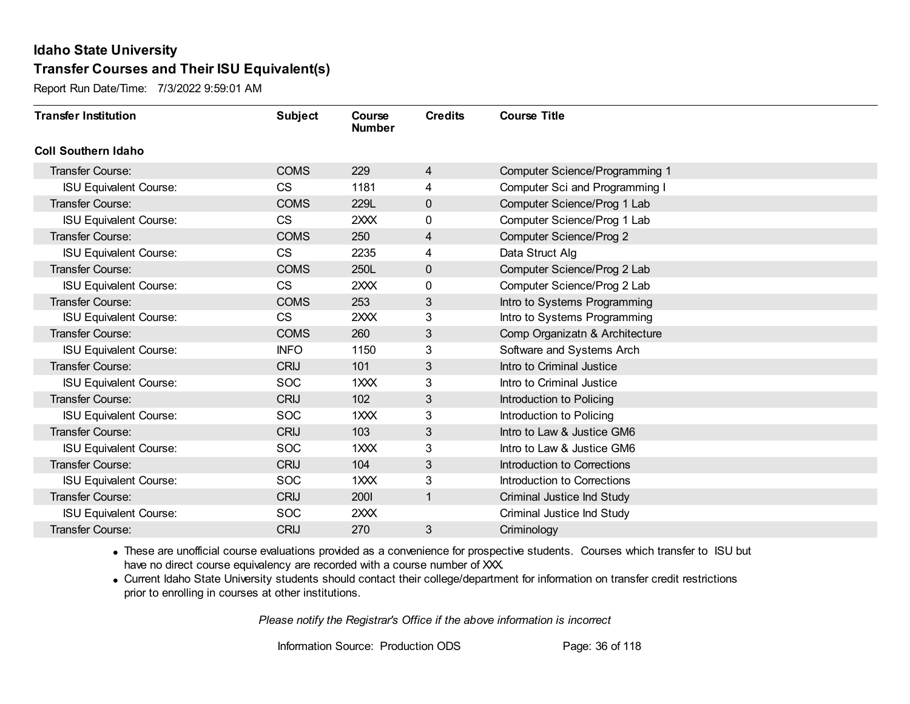Report Run Date/Time: 7/3/2022 9:59:01 AM

| <b>Transfer Institution</b>   | <b>Subject</b> | Course<br><b>Number</b> | <b>Credits</b> | <b>Course Title</b>                   |
|-------------------------------|----------------|-------------------------|----------------|---------------------------------------|
| <b>Coll Southern Idaho</b>    |                |                         |                |                                       |
| Transfer Course:              | <b>COMS</b>    | 229                     | 4              | <b>Computer Science/Programming 1</b> |
| <b>ISU Equivalent Course:</b> | <b>CS</b>      | 1181                    | 4              | Computer Sci and Programming I        |
| Transfer Course:              | <b>COMS</b>    | 229L                    | $\pmb{0}$      | Computer Science/Prog 1 Lab           |
| <b>ISU Equivalent Course:</b> | <b>CS</b>      | 2XXX                    | 0              | Computer Science/Prog 1 Lab           |
| Transfer Course:              | <b>COMS</b>    | 250                     | 4              | <b>Computer Science/Prog 2</b>        |
| <b>ISU Equivalent Course:</b> | <b>CS</b>      | 2235                    | 4              | Data Struct Alg                       |
| Transfer Course:              | <b>COMS</b>    | 250L                    | $\mathbf 0$    | Computer Science/Prog 2 Lab           |
| <b>ISU Equivalent Course:</b> | <b>CS</b>      | 2XXX                    | $\mathbf 0$    | Computer Science/Prog 2 Lab           |
| <b>Transfer Course:</b>       | <b>COMS</b>    | 253                     | 3              | Intro to Systems Programming          |
| <b>ISU Equivalent Course:</b> | <b>CS</b>      | 2XXX                    | 3              | Intro to Systems Programming          |
| <b>Transfer Course:</b>       | <b>COMS</b>    | 260                     | 3              | Comp Organizatn & Architecture        |
| <b>ISU Equivalent Course:</b> | <b>INFO</b>    | 1150                    | 3              | Software and Systems Arch             |
| Transfer Course:              | <b>CRIJ</b>    | 101                     | 3              | Intro to Criminal Justice             |
| <b>ISU Equivalent Course:</b> | <b>SOC</b>     | $1 \times X$            | 3              | Intro to Criminal Justice             |
| Transfer Course:              | <b>CRIJ</b>    | 102                     | 3              | Introduction to Policing              |
| <b>ISU Equivalent Course:</b> | <b>SOC</b>     | 1XXX                    | 3              | Introduction to Policing              |
| Transfer Course:              | <b>CRIJ</b>    | 103                     | $\mathfrak{B}$ | Intro to Law & Justice GM6            |
| <b>ISU Equivalent Course:</b> | <b>SOC</b>     | $1$ $XX$                | 3              | Intro to Law & Justice GM6            |
| Transfer Course:              | <b>CRIJ</b>    | 104                     | 3              | <b>Introduction to Corrections</b>    |
| <b>ISU Equivalent Course:</b> | <b>SOC</b>     | 1XXX                    | 3              | Introduction to Corrections           |
| Transfer Course:              | <b>CRIJ</b>    | 2001                    | $\overline{1}$ | Criminal Justice Ind Study            |
| <b>ISU Equivalent Course:</b> | <b>SOC</b>     | 2XXX                    |                | Criminal Justice Ind Study            |
| Transfer Course:              | <b>CRIJ</b>    | 270                     | 3              | Criminology                           |

· These are unofficial course evaluations provided as a convenience for prospective students. Courses which transfer to ISU but have no direct course equivalency are recorded with a course number of XXX.

· Current Idaho State University students should contact their college/department for information on transfer credit restrictions prior to enrolling in courses at other institutions.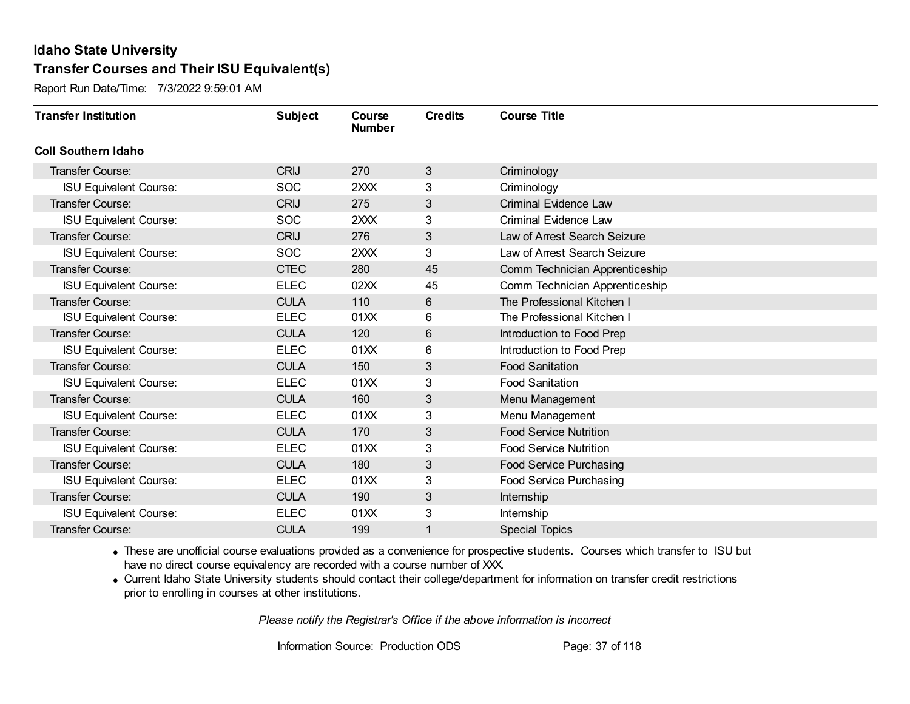Report Run Date/Time: 7/3/2022 9:59:01 AM

| <b>Transfer Institution</b>   | <b>Subject</b> | Course<br><b>Number</b> | <b>Credits</b> | <b>Course Title</b>            |
|-------------------------------|----------------|-------------------------|----------------|--------------------------------|
| <b>Coll Southern Idaho</b>    |                |                         |                |                                |
| <b>Transfer Course:</b>       | <b>CRIJ</b>    | 270                     | 3              | Criminology                    |
| <b>ISU Equivalent Course:</b> | <b>SOC</b>     | 2XXX                    | 3              | Criminology                    |
| <b>Transfer Course:</b>       | <b>CRIJ</b>    | 275                     | $\mathfrak{S}$ | <b>Criminal Evidence Law</b>   |
| <b>ISU Equivalent Course:</b> | <b>SOC</b>     | 2XXX                    | 3              | <b>Criminal Evidence Law</b>   |
| <b>Transfer Course:</b>       | <b>CRIJ</b>    | 276                     | 3              | Law of Arrest Search Seizure   |
| <b>ISU Equivalent Course:</b> | <b>SOC</b>     | 2XXX                    | 3              | Law of Arrest Search Seizure   |
| <b>Transfer Course:</b>       | <b>CTEC</b>    | 280                     | 45             | Comm Technician Apprenticeship |
| <b>ISU Equivalent Course:</b> | <b>ELEC</b>    | 02XX                    | 45             | Comm Technician Apprenticeship |
| <b>Transfer Course:</b>       | <b>CULA</b>    | 110                     | 6              | The Professional Kitchen I     |
| <b>ISU Equivalent Course:</b> | <b>ELEC</b>    | 01XX                    | 6              | The Professional Kitchen I     |
| Transfer Course:              | <b>CULA</b>    | 120                     | 6              | Introduction to Food Prep      |
| <b>ISU Equivalent Course:</b> | <b>ELEC</b>    | 01XX                    | 6              | Introduction to Food Prep      |
| <b>Transfer Course:</b>       | <b>CULA</b>    | 150                     | 3              | <b>Food Sanitation</b>         |
| <b>ISU Equivalent Course:</b> | <b>ELEC</b>    | 01XX                    | 3              | <b>Food Sanitation</b>         |
| Transfer Course:              | <b>CULA</b>    | 160                     | 3              | Menu Management                |
| <b>ISU Equivalent Course:</b> | <b>ELEC</b>    | 01XX                    | 3              | Menu Management                |
| <b>Transfer Course:</b>       | <b>CULA</b>    | 170                     | $\mathfrak{S}$ | <b>Food Service Nutrition</b>  |
| <b>ISU Equivalent Course:</b> | <b>ELEC</b>    | 01XX                    | 3              | <b>Food Service Nutrition</b>  |
| Transfer Course:              | <b>CULA</b>    | 180                     | 3              | <b>Food Service Purchasing</b> |
| <b>ISU Equivalent Course:</b> | <b>ELEC</b>    | 01XX                    | 3              | Food Service Purchasing        |
| <b>Transfer Course:</b>       | <b>CULA</b>    | 190                     | $\mathfrak{S}$ | Internship                     |
| <b>ISU Equivalent Course:</b> | <b>ELEC</b>    | 01XX                    | 3              | Internship                     |
| <b>Transfer Course:</b>       | <b>CULA</b>    | 199                     |                | <b>Special Topics</b>          |

· These are unofficial course evaluations provided as a convenience for prospective students. Courses which transfer to ISU but have no direct course equivalency are recorded with a course number of XXX.

· Current Idaho State University students should contact their college/department for information on transfer credit restrictions prior to enrolling in courses at other institutions.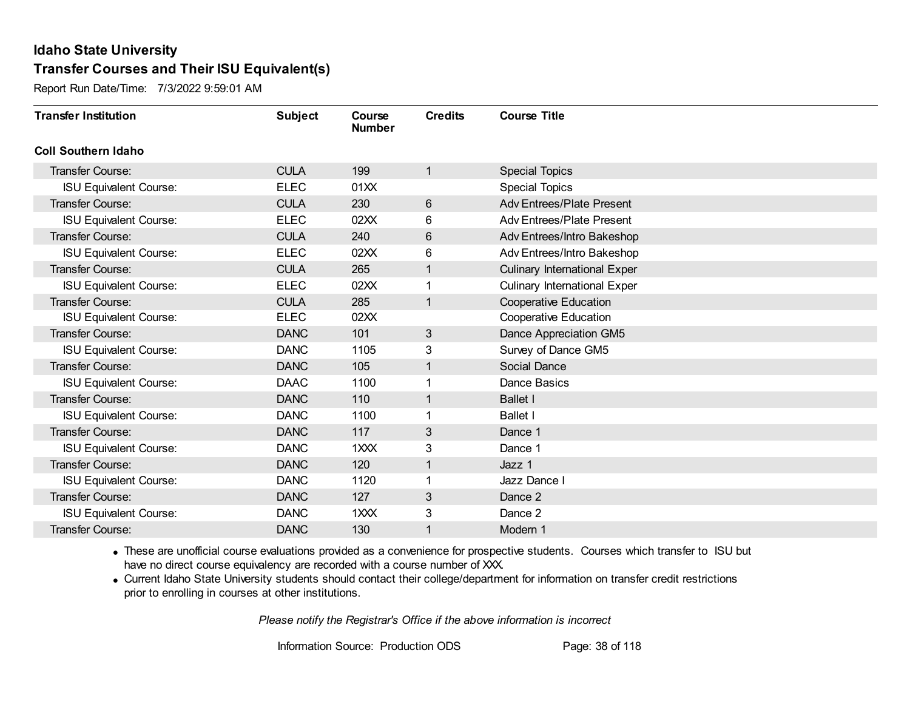Report Run Date/Time: 7/3/2022 9:59:01 AM

| <b>Transfer Institution</b>   | <b>Subject</b> | Course<br><b>Number</b> | <b>Credits</b> | <b>Course Title</b>                 |
|-------------------------------|----------------|-------------------------|----------------|-------------------------------------|
| <b>Coll Southern Idaho</b>    |                |                         |                |                                     |
| Transfer Course:              | <b>CULA</b>    | 199                     | 1              | <b>Special Topics</b>               |
| <b>ISU Equivalent Course:</b> | <b>ELEC</b>    | 01XX                    |                | <b>Special Topics</b>               |
| Transfer Course:              | <b>CULA</b>    | 230                     | $6\phantom{1}$ | <b>Adv Entrees/Plate Present</b>    |
| <b>ISU Equivalent Course:</b> | <b>ELEC</b>    | 02XX                    | 6              | <b>Adv Entrees/Plate Present</b>    |
| <b>Transfer Course:</b>       | <b>CULA</b>    | 240                     | 6              | Adv Entrees/Intro Bakeshop          |
| <b>ISU Equivalent Course:</b> | <b>ELEC</b>    | 02XX                    | 6              | Adv Entrees/Intro Bakeshop          |
| <b>Transfer Course:</b>       | <b>CULA</b>    | 265                     | 1              | <b>Culinary International Exper</b> |
| <b>ISU Equivalent Course:</b> | <b>ELEC</b>    | 02XX                    | 1              | <b>Culinary International Exper</b> |
| <b>Transfer Course:</b>       | <b>CULA</b>    | 285                     | 1              | <b>Cooperative Education</b>        |
| <b>ISU Equivalent Course:</b> | <b>ELEC</b>    | 02XX                    |                | <b>Cooperative Education</b>        |
| <b>Transfer Course:</b>       | <b>DANC</b>    | 101                     | 3              | Dance Appreciation GM5              |
| <b>ISU Equivalent Course:</b> | <b>DANC</b>    | 1105                    | 3              | Survey of Dance GM5                 |
| Transfer Course:              | <b>DANC</b>    | 105                     | 1              | Social Dance                        |
| <b>ISU Equivalent Course:</b> | <b>DAAC</b>    | 1100                    |                | Dance Basics                        |
| <b>Transfer Course:</b>       | <b>DANC</b>    | 110                     | 1              | <b>Ballet I</b>                     |
| <b>ISU Equivalent Course:</b> | <b>DANC</b>    | 1100                    |                | <b>Ballet I</b>                     |
| <b>Transfer Course:</b>       | <b>DANC</b>    | 117                     | 3              | Dance 1                             |
| <b>ISU Equivalent Course:</b> | <b>DANC</b>    | 1XXX                    | 3              | Dance 1                             |
| Transfer Course:              | <b>DANC</b>    | 120                     | 1              | Jazz 1                              |
| <b>ISU Equivalent Course:</b> | <b>DANC</b>    | 1120                    |                | Jazz Dance I                        |
| <b>Transfer Course:</b>       | <b>DANC</b>    | 127                     | 3              | Dance 2                             |
| <b>ISU Equivalent Course:</b> | <b>DANC</b>    | 1XXX                    | 3              | Dance 2                             |
| <b>Transfer Course:</b>       | <b>DANC</b>    | 130                     | 1              | Modern 1                            |

· These are unofficial course evaluations provided as a convenience for prospective students. Courses which transfer to ISU but have no direct course equivalency are recorded with a course number of XXX.

· Current Idaho State University students should contact their college/department for information on transfer credit restrictions prior to enrolling in courses at other institutions.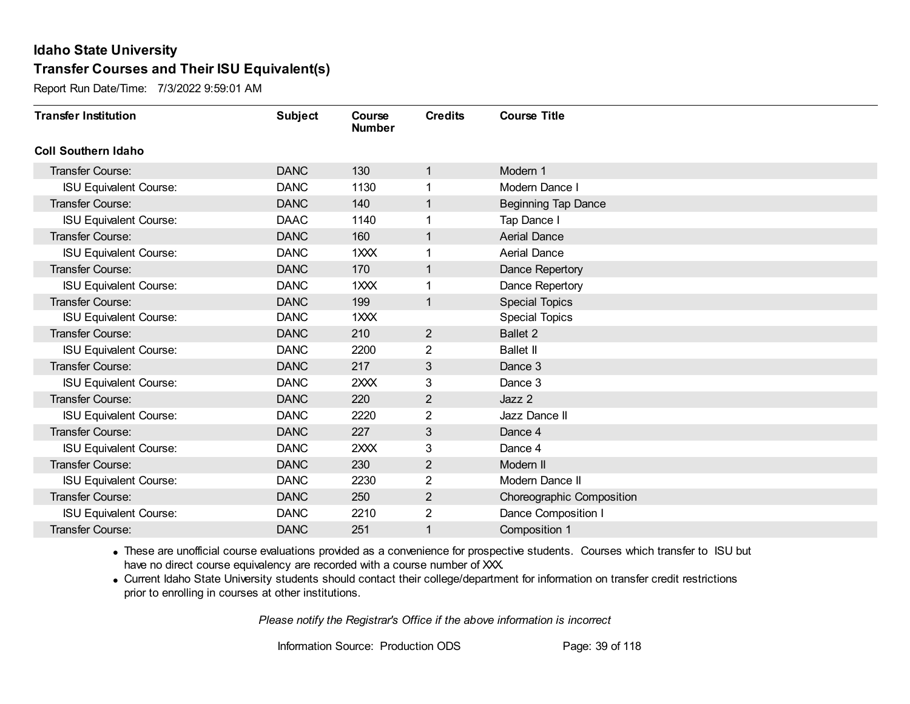Report Run Date/Time: 7/3/2022 9:59:01 AM

| <b>Transfer Institution</b>   | <b>Subject</b> | Course<br><b>Number</b> | <b>Credits</b> | <b>Course Title</b>        |
|-------------------------------|----------------|-------------------------|----------------|----------------------------|
| <b>Coll Southern Idaho</b>    |                |                         |                |                            |
| <b>Transfer Course:</b>       | <b>DANC</b>    | 130                     | 1              | Modern 1                   |
| <b>ISU Equivalent Course:</b> | <b>DANC</b>    | 1130                    | 1              | Modern Dance I             |
| <b>Transfer Course:</b>       | <b>DANC</b>    | 140                     | $\mathbf{1}$   | <b>Beginning Tap Dance</b> |
| <b>ISU Equivalent Course:</b> | <b>DAAC</b>    | 1140                    | 1              | Tap Dance I                |
| <b>Transfer Course:</b>       | <b>DANC</b>    | 160                     | $\mathbf{1}$   | <b>Aerial Dance</b>        |
| <b>ISU Equivalent Course:</b> | <b>DANC</b>    | 1XXX                    | 1              | <b>Aerial Dance</b>        |
| Transfer Course:              | <b>DANC</b>    | 170                     | $\mathbf{1}$   | Dance Repertory            |
| <b>ISU Equivalent Course:</b> | <b>DANC</b>    | 1XXX                    |                | Dance Repertory            |
| <b>Transfer Course:</b>       | <b>DANC</b>    | 199                     | $\mathbf{1}$   | <b>Special Topics</b>      |
| <b>ISU Equivalent Course:</b> | <b>DANC</b>    | 1XXX                    |                | <b>Special Topics</b>      |
| <b>Transfer Course:</b>       | <b>DANC</b>    | 210                     | $\overline{2}$ | <b>Ballet 2</b>            |
| <b>ISU Equivalent Course:</b> | <b>DANC</b>    | 2200                    | 2              | <b>Ballet II</b>           |
| <b>Transfer Course:</b>       | <b>DANC</b>    | 217                     | 3              | Dance 3                    |
| <b>ISU Equivalent Course:</b> | <b>DANC</b>    | 2XXX                    | 3              | Dance 3                    |
| <b>Transfer Course:</b>       | <b>DANC</b>    | 220                     | $\overline{2}$ | Jazz 2                     |
| <b>ISU Equivalent Course:</b> | <b>DANC</b>    | 2220                    | $\overline{2}$ | Jazz Dance II              |
| Transfer Course:              | <b>DANC</b>    | 227                     | 3              | Dance 4                    |
| <b>ISU Equivalent Course:</b> | <b>DANC</b>    | 2XXX                    | 3              | Dance 4                    |
| Transfer Course:              | <b>DANC</b>    | 230                     | $\overline{2}$ | Modern II                  |
| <b>ISU Equivalent Course:</b> | <b>DANC</b>    | 2230                    | 2              | Modern Dance II            |
| <b>Transfer Course:</b>       | <b>DANC</b>    | 250                     | $\overline{2}$ | Choreographic Composition  |
| <b>ISU Equivalent Course:</b> | <b>DANC</b>    | 2210                    | 2              | Dance Composition I        |
| Transfer Course:              | <b>DANC</b>    | 251                     | 1              | Composition 1              |

· These are unofficial course evaluations provided as a convenience for prospective students. Courses which transfer to ISU but have no direct course equivalency are recorded with a course number of XXX.

· Current Idaho State University students should contact their college/department for information on transfer credit restrictions prior to enrolling in courses at other institutions.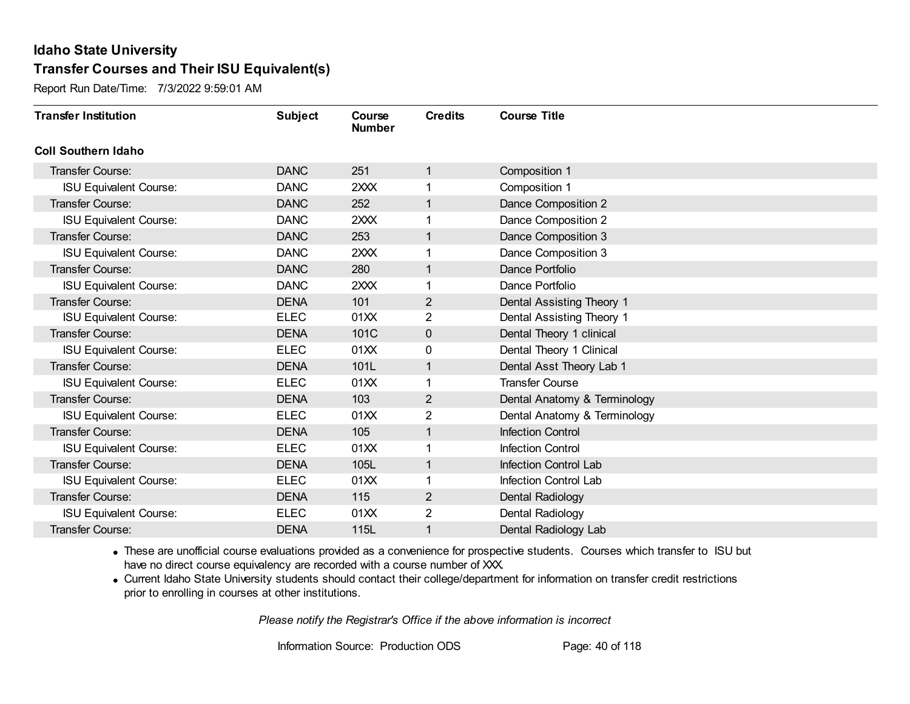Report Run Date/Time: 7/3/2022 9:59:01 AM

| <b>Transfer Institution</b>   | <b>Subject</b> | Course<br><b>Number</b> | <b>Credits</b>          | <b>Course Title</b>          |
|-------------------------------|----------------|-------------------------|-------------------------|------------------------------|
| <b>Coll Southern Idaho</b>    |                |                         |                         |                              |
| Transfer Course:              | <b>DANC</b>    | 251                     | 1                       | Composition 1                |
| <b>ISU Equivalent Course:</b> | <b>DANC</b>    | 2XXX                    |                         | Composition 1                |
| <b>Transfer Course:</b>       | <b>DANC</b>    | 252                     | 1                       | Dance Composition 2          |
| <b>ISU Equivalent Course:</b> | <b>DANC</b>    | 2XXX                    | 1                       | Dance Composition 2          |
| <b>Transfer Course:</b>       | <b>DANC</b>    | 253                     | 1                       | Dance Composition 3          |
| <b>ISU Equivalent Course:</b> | <b>DANC</b>    | 2XXX                    |                         | Dance Composition 3          |
| <b>Transfer Course:</b>       | <b>DANC</b>    | 280                     | $\mathbf{1}$            | Dance Portfolio              |
| <b>ISU Equivalent Course:</b> | <b>DANC</b>    | 2XXX                    |                         | Dance Portfolio              |
| <b>Transfer Course:</b>       | <b>DENA</b>    | 101                     | $\overline{2}$          | Dental Assisting Theory 1    |
| <b>ISU Equivalent Course:</b> | <b>ELEC</b>    | 01XX                    | $\overline{2}$          | Dental Assisting Theory 1    |
| <b>Transfer Course:</b>       | <b>DENA</b>    | 101C                    | $\mathbf 0$             | Dental Theory 1 clinical     |
| <b>ISU Equivalent Course:</b> | <b>ELEC</b>    | 01XX                    | 0                       | Dental Theory 1 Clinical     |
| <b>Transfer Course:</b>       | <b>DENA</b>    | 101L                    | 1                       | Dental Asst Theory Lab 1     |
| <b>ISU Equivalent Course:</b> | <b>ELEC</b>    | 01XX                    | 1                       | <b>Transfer Course</b>       |
| Transfer Course:              | <b>DENA</b>    | 103                     | 2                       | Dental Anatomy & Terminology |
| <b>ISU Equivalent Course:</b> | <b>ELEC</b>    | 01XX                    | $\overline{\mathbf{c}}$ | Dental Anatomy & Terminology |
| <b>Transfer Course:</b>       | <b>DENA</b>    | 105                     | 1                       | <b>Infection Control</b>     |
| <b>ISU Equivalent Course:</b> | <b>ELEC</b>    | 01XX                    | 1                       | <b>Infection Control</b>     |
| Transfer Course:              | <b>DENA</b>    | 105L                    | $\mathbf 1$             | Infection Control Lab        |
| <b>ISU Equivalent Course:</b> | <b>ELEC</b>    | 01XX                    |                         | Infection Control Lab        |
| <b>Transfer Course:</b>       | <b>DENA</b>    | 115                     | $\overline{2}$          | Dental Radiology             |
| <b>ISU Equivalent Course:</b> | <b>ELEC</b>    | 01XX                    | 2                       | Dental Radiology             |
| Transfer Course:              | <b>DENA</b>    | 115L                    | 1                       | Dental Radiology Lab         |

· These are unofficial course evaluations provided as a convenience for prospective students. Courses which transfer to ISU but have no direct course equivalency are recorded with a course number of XXX.

· Current Idaho State University students should contact their college/department for information on transfer credit restrictions prior to enrolling in courses at other institutions.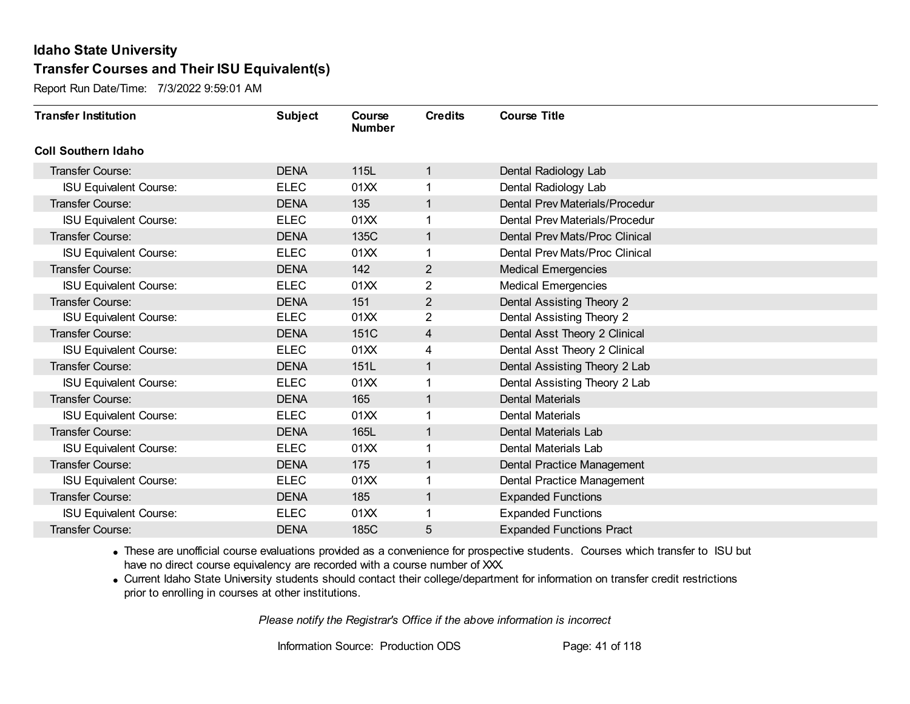Report Run Date/Time: 7/3/2022 9:59:01 AM

| <b>Transfer Institution</b>   | <b>Subject</b> | Course<br><b>Number</b> | <b>Credits</b> | <b>Course Title</b>             |
|-------------------------------|----------------|-------------------------|----------------|---------------------------------|
| <b>Coll Southern Idaho</b>    |                |                         |                |                                 |
| Transfer Course:              | <b>DENA</b>    | 115L                    | 1              | Dental Radiology Lab            |
| <b>ISU Equivalent Course:</b> | <b>ELEC</b>    | 01XX                    |                | Dental Radiology Lab            |
| <b>Transfer Course:</b>       | <b>DENA</b>    | 135                     | 1              | Dental Prev Materials/Procedur  |
| <b>ISU Equivalent Course:</b> | <b>ELEC</b>    | 01XX                    | 1              | Dental Prev Materials/Procedur  |
| <b>Transfer Course:</b>       | <b>DENA</b>    | 135C                    | 1              | Dental Prev Mats/Proc Clinical  |
| <b>ISU Equivalent Course:</b> | <b>ELEC</b>    | 01XX                    |                | Dental Prev Mats/Proc Clinical  |
| <b>Transfer Course:</b>       | <b>DENA</b>    | 142                     | $\overline{2}$ | <b>Medical Emergencies</b>      |
| <b>ISU Equivalent Course:</b> | <b>ELEC</b>    | 01XX                    | $\overline{2}$ | <b>Medical Emergencies</b>      |
| <b>Transfer Course:</b>       | <b>DENA</b>    | 151                     | $\overline{2}$ | Dental Assisting Theory 2       |
| <b>ISU Equivalent Course:</b> | <b>ELEC</b>    | 01XX                    | $\overline{2}$ | Dental Assisting Theory 2       |
| <b>Transfer Course:</b>       | <b>DENA</b>    | 151C                    | 4              | Dental Asst Theory 2 Clinical   |
| <b>ISU Equivalent Course:</b> | <b>ELEC</b>    | 01XX                    | 4              | Dental Asst Theory 2 Clinical   |
| <b>Transfer Course:</b>       | <b>DENA</b>    | 151L                    | 1              | Dental Assisting Theory 2 Lab   |
| <b>ISU Equivalent Course:</b> | <b>ELEC</b>    | 01XX                    | 1              | Dental Assisting Theory 2 Lab   |
| Transfer Course:              | <b>DENA</b>    | 165                     | 1              | <b>Dental Materials</b>         |
| <b>ISU Equivalent Course:</b> | <b>ELEC</b>    | 01XX                    | 1              | Dental Materials                |
| <b>Transfer Course:</b>       | <b>DENA</b>    | 165L                    | 1              | Dental Materials Lab            |
| <b>ISU Equivalent Course:</b> | <b>ELEC</b>    | 01XX                    | 1              | Dental Materials Lab            |
| Transfer Course:              | <b>DENA</b>    | 175                     | 1              | Dental Practice Management      |
| <b>ISU Equivalent Course:</b> | <b>ELEC</b>    | 01XX                    |                | Dental Practice Management      |
| <b>Transfer Course:</b>       | <b>DENA</b>    | 185                     | 1              | <b>Expanded Functions</b>       |
| <b>ISU Equivalent Course:</b> | <b>ELEC</b>    | 01XX                    |                | <b>Expanded Functions</b>       |
| Transfer Course:              | <b>DENA</b>    | 185C                    | 5              | <b>Expanded Functions Pract</b> |

· These are unofficial course evaluations provided as a convenience for prospective students. Courses which transfer to ISU but have no direct course equivalency are recorded with a course number of XXX.

· Current Idaho State University students should contact their college/department for information on transfer credit restrictions prior to enrolling in courses at other institutions.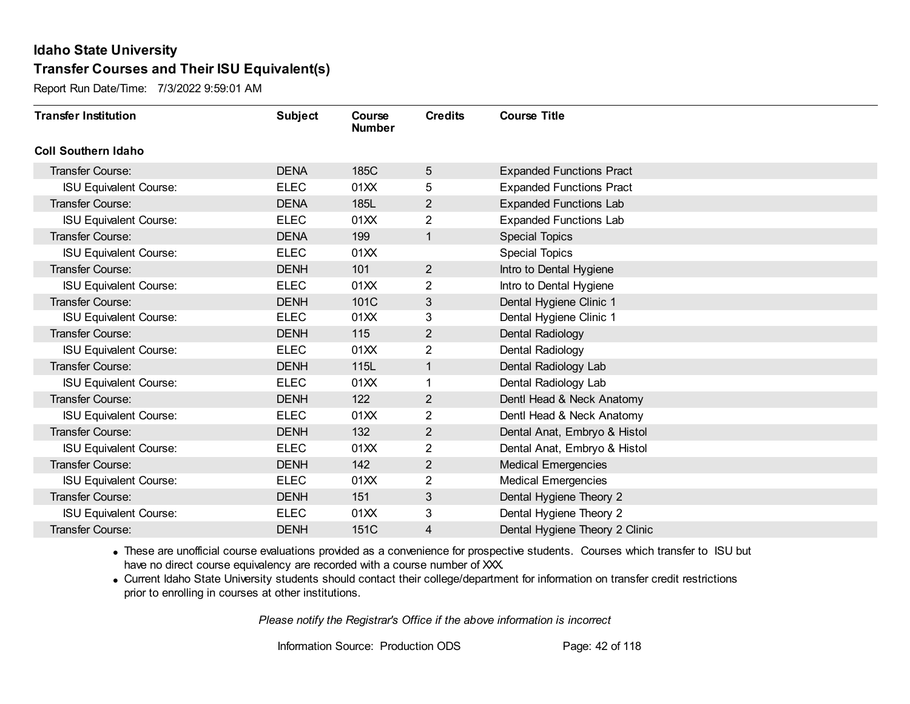Report Run Date/Time: 7/3/2022 9:59:01 AM

| <b>Transfer Institution</b>   | <b>Subject</b> | Course<br><b>Number</b> | <b>Credits</b> | <b>Course Title</b>             |
|-------------------------------|----------------|-------------------------|----------------|---------------------------------|
| <b>Coll Southern Idaho</b>    |                |                         |                |                                 |
| Transfer Course:              | <b>DENA</b>    | 185C                    | 5              | <b>Expanded Functions Pract</b> |
| <b>ISU Equivalent Course:</b> | <b>ELEC</b>    | 01XX                    | 5              | <b>Expanded Functions Pract</b> |
| Transfer Course:              | <b>DENA</b>    | 185L                    | $\overline{2}$ | <b>Expanded Functions Lab</b>   |
| <b>ISU Equivalent Course:</b> | <b>ELEC</b>    | 01XX                    | $\overline{2}$ | <b>Expanded Functions Lab</b>   |
| <b>Transfer Course:</b>       | <b>DENA</b>    | 199                     | 1              | <b>Special Topics</b>           |
| <b>ISU Equivalent Course:</b> | <b>ELEC</b>    | 01XX                    |                | <b>Special Topics</b>           |
| Transfer Course:              | <b>DENH</b>    | 101                     | $\overline{2}$ | Intro to Dental Hygiene         |
| <b>ISU Equivalent Course:</b> | <b>ELEC</b>    | 01XX                    | $\overline{2}$ | Intro to Dental Hygiene         |
| <b>Transfer Course:</b>       | <b>DENH</b>    | 101C                    | 3              | Dental Hygiene Clinic 1         |
| <b>ISU Equivalent Course:</b> | <b>ELEC</b>    | 01XX                    | 3              | Dental Hygiene Clinic 1         |
| <b>Transfer Course:</b>       | <b>DENH</b>    | 115                     | 2              | Dental Radiology                |
| <b>ISU Equivalent Course:</b> | <b>ELEC</b>    | 01XX                    | $\overline{2}$ | Dental Radiology                |
| Transfer Course:              | <b>DENH</b>    | 115L                    | 1              | Dental Radiology Lab            |
| <b>ISU Equivalent Course:</b> | <b>ELEC</b>    | 01XX                    | 1              | Dental Radiology Lab            |
| Transfer Course:              | <b>DENH</b>    | 122                     | 2              | Dentl Head & Neck Anatomy       |
| <b>ISU Equivalent Course:</b> | <b>ELEC</b>    | 01XX                    | $\overline{2}$ | Dentl Head & Neck Anatomy       |
| Transfer Course:              | <b>DENH</b>    | 132                     | $\overline{2}$ | Dental Anat, Embryo & Histol    |
| <b>ISU Equivalent Course:</b> | <b>ELEC</b>    | 01XX                    | $\overline{2}$ | Dental Anat, Embryo & Histol    |
| Transfer Course:              | <b>DENH</b>    | 142                     | 2              | <b>Medical Emergencies</b>      |
| <b>ISU Equivalent Course:</b> | <b>ELEC</b>    | 01XX                    | $\overline{2}$ | <b>Medical Emergencies</b>      |
| Transfer Course:              | <b>DENH</b>    | 151                     | 3              | Dental Hygiene Theory 2         |
| <b>ISU Equivalent Course:</b> | <b>ELEC</b>    | 01XX                    | 3              | Dental Hygiene Theory 2         |
| Transfer Course:              | <b>DENH</b>    | 151C                    | 4              | Dental Hygiene Theory 2 Clinic  |

· These are unofficial course evaluations provided as a convenience for prospective students. Courses which transfer to ISU but have no direct course equivalency are recorded with a course number of XXX.

· Current Idaho State University students should contact their college/department for information on transfer credit restrictions prior to enrolling in courses at other institutions.

*Please notify the Registrar's Office if the above information is incorrect*

Information Source: Production ODS Page: 42 of 118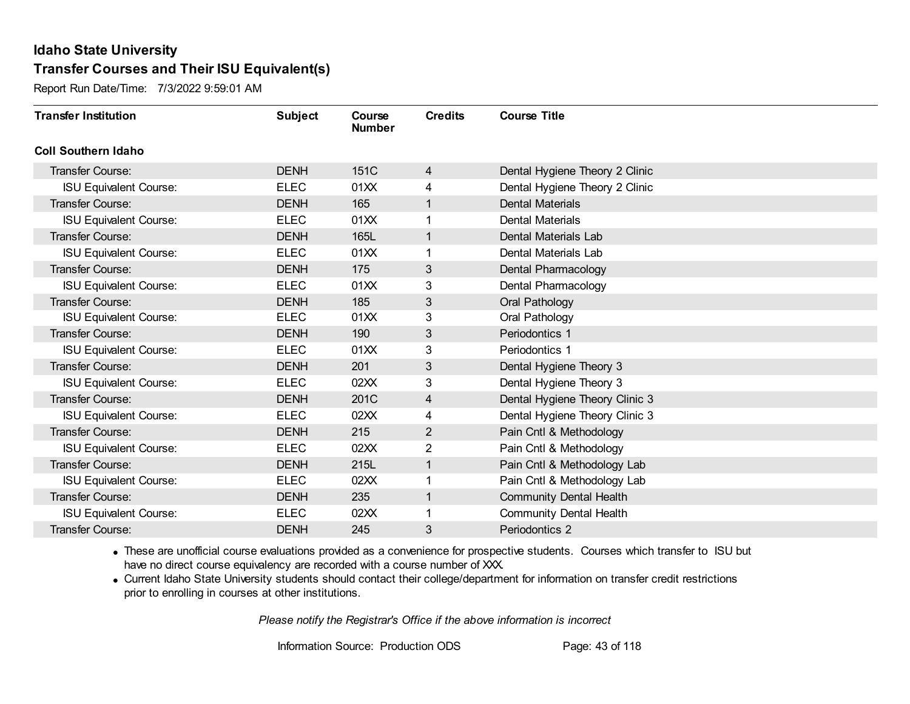Report Run Date/Time: 7/3/2022 9:59:01 AM

| <b>Transfer Institution</b>   | <b>Subject</b> | Course<br><b>Number</b> | <b>Credits</b> | <b>Course Title</b>            |
|-------------------------------|----------------|-------------------------|----------------|--------------------------------|
| <b>Coll Southern Idaho</b>    |                |                         |                |                                |
| Transfer Course:              | <b>DENH</b>    | 151C                    | 4              | Dental Hygiene Theory 2 Clinic |
| <b>ISU Equivalent Course:</b> | <b>ELEC</b>    | 01XX                    | 4              | Dental Hygiene Theory 2 Clinic |
| <b>Transfer Course:</b>       | <b>DENH</b>    | 165                     | 1              | <b>Dental Materials</b>        |
| <b>ISU Equivalent Course:</b> | <b>ELEC</b>    | 01XX                    | 1              | Dental Materials               |
| <b>Transfer Course:</b>       | <b>DENH</b>    | 165L                    | 1              | Dental Materials Lab           |
| <b>ISU Equivalent Course:</b> | <b>ELEC</b>    | 01XX                    |                | Dental Materials Lab           |
| <b>Transfer Course:</b>       | <b>DENH</b>    | 175                     | 3              | Dental Pharmacology            |
| <b>ISU Equivalent Course:</b> | <b>ELEC</b>    | 01XX                    | 3              | Dental Pharmacology            |
| <b>Transfer Course:</b>       | <b>DENH</b>    | 185                     | 3              | Oral Pathology                 |
| <b>ISU Equivalent Course:</b> | <b>ELEC</b>    | 01XX                    | 3              | Oral Pathology                 |
| <b>Transfer Course:</b>       | <b>DENH</b>    | 190                     | 3              | Periodontics 1                 |
| <b>ISU Equivalent Course:</b> | <b>ELEC</b>    | 01XX                    | 3              | Periodontics 1                 |
| <b>Transfer Course:</b>       | <b>DENH</b>    | 201                     | 3              | Dental Hygiene Theory 3        |
| <b>ISU Equivalent Course:</b> | <b>ELEC</b>    | 02XX                    | 3              | Dental Hygiene Theory 3        |
| <b>Transfer Course:</b>       | <b>DENH</b>    | 201C                    | $\overline{4}$ | Dental Hygiene Theory Clinic 3 |
| <b>ISU Equivalent Course:</b> | <b>ELEC</b>    | 02XX                    | 4              | Dental Hygiene Theory Clinic 3 |
| <b>Transfer Course:</b>       | <b>DENH</b>    | 215                     | 2              | Pain Cntl & Methodology        |
| <b>ISU Equivalent Course:</b> | <b>ELEC</b>    | 02XX                    | 2              | Pain Cntl & Methodology        |
| <b>Transfer Course:</b>       | <b>DENH</b>    | 215L                    | $\mathbf{1}$   | Pain Cntl & Methodology Lab    |
| <b>ISU Equivalent Course:</b> | <b>ELEC</b>    | 02XX                    |                | Pain Cntl & Methodology Lab    |
| <b>Transfer Course:</b>       | <b>DENH</b>    | 235                     | 1              | Community Dental Health        |
| <b>ISU Equivalent Course:</b> | <b>ELEC</b>    | 02XX                    |                | <b>Community Dental Health</b> |
| Transfer Course:              | <b>DENH</b>    | 245                     | 3              | Periodontics 2                 |

· These are unofficial course evaluations provided as a convenience for prospective students. Courses which transfer to ISU but have no direct course equivalency are recorded with a course number of XXX.

· Current Idaho State University students should contact their college/department for information on transfer credit restrictions prior to enrolling in courses at other institutions.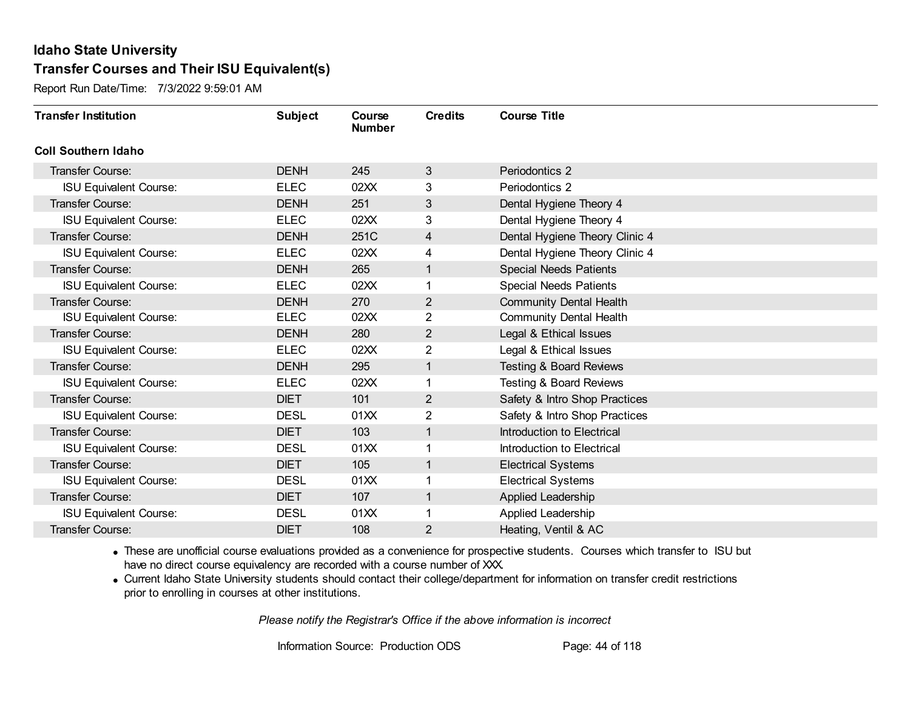Report Run Date/Time: 7/3/2022 9:59:01 AM

| <b>Transfer Institution</b>   | <b>Subject</b> | Course<br><b>Number</b> | <b>Credits</b> | <b>Course Title</b>                |
|-------------------------------|----------------|-------------------------|----------------|------------------------------------|
| <b>Coll Southern Idaho</b>    |                |                         |                |                                    |
| Transfer Course:              | <b>DENH</b>    | 245                     | 3              | Periodontics 2                     |
| <b>ISU Equivalent Course:</b> | <b>ELEC</b>    | 02XX                    | 3              | Periodontics 2                     |
| <b>Transfer Course:</b>       | <b>DENH</b>    | 251                     | 3              | Dental Hygiene Theory 4            |
| <b>ISU Equivalent Course:</b> | <b>ELEC</b>    | 02XX                    | 3              | Dental Hygiene Theory 4            |
| <b>Transfer Course:</b>       | <b>DENH</b>    | 251C                    | 4              | Dental Hygiene Theory Clinic 4     |
| <b>ISU Equivalent Course:</b> | <b>ELEC</b>    | 02XX                    | 4              | Dental Hygiene Theory Clinic 4     |
| <b>Transfer Course:</b>       | <b>DENH</b>    | 265                     | 1              | <b>Special Needs Patients</b>      |
| <b>ISU Equivalent Course:</b> | <b>ELEC</b>    | 02XX                    |                | <b>Special Needs Patients</b>      |
| <b>Transfer Course:</b>       | <b>DENH</b>    | 270                     | 2              | Community Dental Health            |
| <b>ISU Equivalent Course:</b> | <b>ELEC</b>    | 02XX                    | $\overline{2}$ | <b>Community Dental Health</b>     |
| <b>Transfer Course:</b>       | <b>DENH</b>    | 280                     | 2              | Legal & Ethical Issues             |
| <b>ISU Equivalent Course:</b> | <b>ELEC</b>    | 02XX                    | $\overline{2}$ | Legal & Ethical Issues             |
| <b>Transfer Course:</b>       | <b>DENH</b>    | 295                     | 1              | <b>Testing &amp; Board Reviews</b> |
| <b>ISU Equivalent Course:</b> | <b>ELEC</b>    | 02XX                    | $\mathbf{1}$   | <b>Testing &amp; Board Reviews</b> |
| Transfer Course:              | <b>DIET</b>    | 101                     | $\overline{2}$ | Safety & Intro Shop Practices      |
| <b>ISU Equivalent Course:</b> | <b>DESL</b>    | 01XX                    | $\overline{2}$ | Safety & Intro Shop Practices      |
| <b>Transfer Course:</b>       | <b>DIET</b>    | 103                     | 1              | Introduction to Electrical         |
| <b>ISU Equivalent Course:</b> | <b>DESL</b>    | 01XX                    |                | Introduction to Electrical         |
| <b>Transfer Course:</b>       | <b>DIET</b>    | 105                     | 1              | <b>Electrical Systems</b>          |
| <b>ISU Equivalent Course:</b> | <b>DESL</b>    | 01XX                    |                | <b>Electrical Systems</b>          |
| <b>Transfer Course:</b>       | <b>DIET</b>    | 107                     | 1              | Applied Leadership                 |
| <b>ISU Equivalent Course:</b> | <b>DESL</b>    | 01XX                    | 1              | Applied Leadership                 |
| Transfer Course:              | <b>DIET</b>    | 108                     | 2              | Heating, Ventil & AC               |

· These are unofficial course evaluations provided as a convenience for prospective students. Courses which transfer to ISU but have no direct course equivalency are recorded with a course number of XXX.

· Current Idaho State University students should contact their college/department for information on transfer credit restrictions prior to enrolling in courses at other institutions.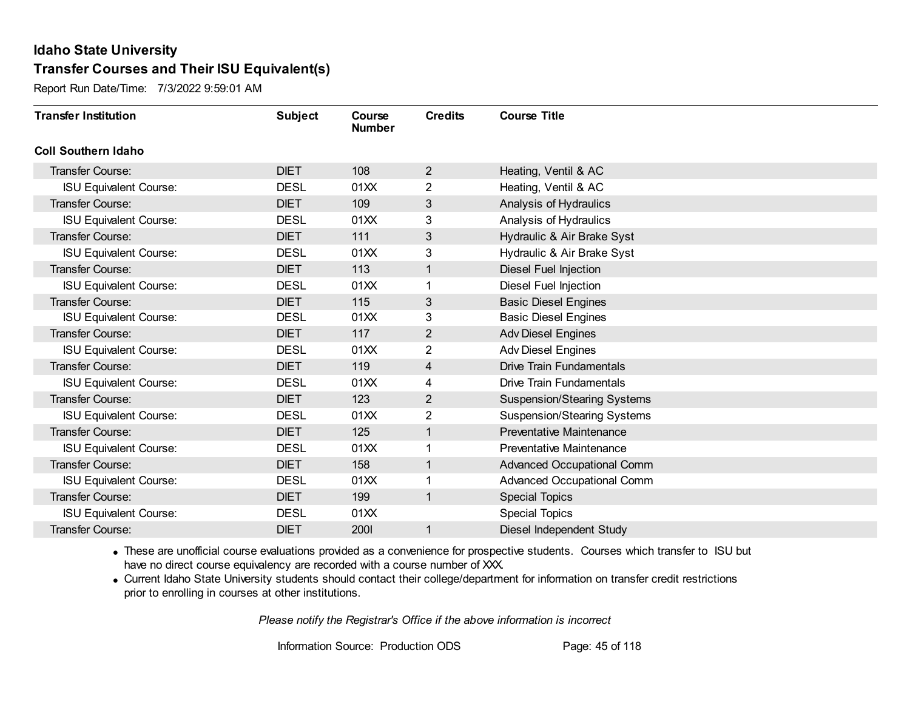Report Run Date/Time: 7/3/2022 9:59:01 AM

| <b>Transfer Institution</b>   | <b>Subject</b> | Course<br><b>Number</b> | <b>Credits</b> | <b>Course Title</b>                |
|-------------------------------|----------------|-------------------------|----------------|------------------------------------|
| <b>Coll Southern Idaho</b>    |                |                         |                |                                    |
| Transfer Course:              | <b>DIET</b>    | 108                     | 2              | Heating, Ventil & AC               |
| <b>ISU Equivalent Course:</b> | <b>DESL</b>    | 01XX                    | $\overline{2}$ | Heating, Ventil & AC               |
| Transfer Course:              | <b>DIET</b>    | 109                     | 3              | Analysis of Hydraulics             |
| <b>ISU Equivalent Course:</b> | <b>DESL</b>    | 01XX                    | 3              | Analysis of Hydraulics             |
| <b>Transfer Course:</b>       | <b>DIET</b>    | 111                     | 3              | Hydraulic & Air Brake Syst         |
| <b>ISU Equivalent Course:</b> | <b>DESL</b>    | 01XX                    | 3              | Hydraulic & Air Brake Syst         |
| <b>Transfer Course:</b>       | <b>DIET</b>    | 113                     | 1              | Diesel Fuel Injection              |
| <b>ISU Equivalent Course:</b> | <b>DESL</b>    | 01XX                    | 1              | Diesel Fuel Injection              |
| <b>Transfer Course:</b>       | <b>DIET</b>    | 115                     | 3              | <b>Basic Diesel Engines</b>        |
| <b>ISU Equivalent Course:</b> | <b>DESL</b>    | 01XX                    | 3              | <b>Basic Diesel Engines</b>        |
| <b>Transfer Course:</b>       | <b>DIET</b>    | 117                     | 2              | <b>Adv Diesel Engines</b>          |
| <b>ISU Equivalent Course:</b> | <b>DESL</b>    | 01XX                    | 2              | <b>Adv Diesel Engines</b>          |
| Transfer Course:              | <b>DIET</b>    | 119                     | 4              | <b>Drive Train Fundamentals</b>    |
| <b>ISU Equivalent Course:</b> | <b>DESL</b>    | 01XX                    | 4              | Drive Train Fundamentals           |
| Transfer Course:              | <b>DIET</b>    | 123                     | $\overline{2}$ | Suspension/Stearing Systems        |
| <b>ISU Equivalent Course:</b> | <b>DESL</b>    | 01XX                    | $\overline{2}$ | <b>Suspension/Stearing Systems</b> |
| <b>Transfer Course:</b>       | <b>DIET</b>    | 125                     | 1              | Preventative Maintenance           |
| <b>ISU Equivalent Course:</b> | <b>DESL</b>    | 01XX                    |                | <b>Preventative Maintenance</b>    |
| <b>Transfer Course:</b>       | <b>DIET</b>    | 158                     | 1              | Advanced Occupational Comm         |
| <b>ISU Equivalent Course:</b> | <b>DESL</b>    | 01XX                    |                | Advanced Occupational Comm         |
| <b>Transfer Course:</b>       | <b>DIET</b>    | 199                     | 1              | <b>Special Topics</b>              |
| <b>ISU Equivalent Course:</b> | <b>DESL</b>    | 01XX                    |                | <b>Special Topics</b>              |
| Transfer Course:              | <b>DIET</b>    | 2001                    | 1              | Diesel Independent Study           |

· These are unofficial course evaluations provided as a convenience for prospective students. Courses which transfer to ISU but have no direct course equivalency are recorded with a course number of XXX.

· Current Idaho State University students should contact their college/department for information on transfer credit restrictions prior to enrolling in courses at other institutions.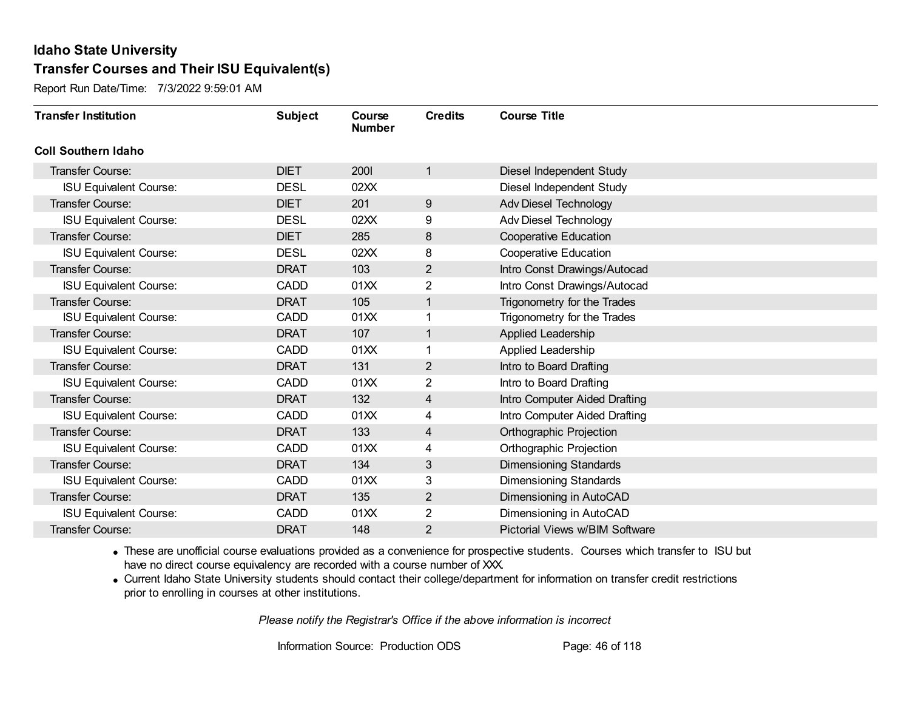Report Run Date/Time: 7/3/2022 9:59:01 AM

| <b>Transfer Institution</b>   | <b>Subject</b> | Course<br><b>Number</b> | <b>Credits</b> | <b>Course Title</b>            |
|-------------------------------|----------------|-------------------------|----------------|--------------------------------|
| <b>Coll Southern Idaho</b>    |                |                         |                |                                |
| Transfer Course:              | <b>DIET</b>    | 2001                    | 1              | Diesel Independent Study       |
| <b>ISU Equivalent Course:</b> | <b>DESL</b>    | 02XX                    |                | Diesel Independent Study       |
| Transfer Course:              | <b>DIET</b>    | 201                     | $9\,$          | Adv Diesel Technology          |
| <b>ISU Equivalent Course:</b> | <b>DESL</b>    | 02XX                    | 9              | Adv Diesel Technology          |
| Transfer Course:              | <b>DIET</b>    | 285                     | 8              | <b>Cooperative Education</b>   |
| <b>ISU Equivalent Course:</b> | <b>DESL</b>    | 02XX                    | 8              | <b>Cooperative Education</b>   |
| Transfer Course:              | <b>DRAT</b>    | 103                     | $\overline{2}$ | Intro Const Drawings/Autocad   |
| <b>ISU Equivalent Course:</b> | <b>CADD</b>    | 01XX                    | 2              | Intro Const Drawings/Autocad   |
| <b>Transfer Course:</b>       | <b>DRAT</b>    | 105                     | 1              | Trigonometry for the Trades    |
| <b>ISU Equivalent Course:</b> | <b>CADD</b>    | 01XX                    | 1              | Trigonometry for the Trades    |
| Transfer Course:              | <b>DRAT</b>    | 107                     | 1              | Applied Leadership             |
| <b>ISU Equivalent Course:</b> | <b>CADD</b>    | 01XX                    |                | Applied Leadership             |
| Transfer Course:              | <b>DRAT</b>    | 131                     | $\mathbf{2}$   | Intro to Board Drafting        |
| <b>ISU Equivalent Course:</b> | <b>CADD</b>    | 01XX                    | $\overline{2}$ | Intro to Board Drafting        |
| Transfer Course:              | <b>DRAT</b>    | 132                     | 4              | Intro Computer Aided Drafting  |
| <b>ISU Equivalent Course:</b> | <b>CADD</b>    | 01XX                    | 4              | Intro Computer Aided Drafting  |
| Transfer Course:              | <b>DRAT</b>    | 133                     | 4              | Orthographic Projection        |
| <b>ISU Equivalent Course:</b> | <b>CADD</b>    | 01XX                    | 4              | Orthographic Projection        |
| Transfer Course:              | <b>DRAT</b>    | 134                     | 3              | <b>Dimensioning Standards</b>  |
| <b>ISU Equivalent Course:</b> | <b>CADD</b>    | 01XX                    | 3              | Dimensioning Standards         |
| <b>Transfer Course:</b>       | <b>DRAT</b>    | 135                     | $\overline{2}$ | Dimensioning in AutoCAD        |
| <b>ISU Equivalent Course:</b> | <b>CADD</b>    | 01XX                    | $\overline{2}$ | Dimensioning in AutoCAD        |
| Transfer Course:              | <b>DRAT</b>    | 148                     | 2              | Pictorial Views w/BIM Software |

· These are unofficial course evaluations provided as a convenience for prospective students. Courses which transfer to ISU but have no direct course equivalency are recorded with a course number of XXX.

· Current Idaho State University students should contact their college/department for information on transfer credit restrictions prior to enrolling in courses at other institutions.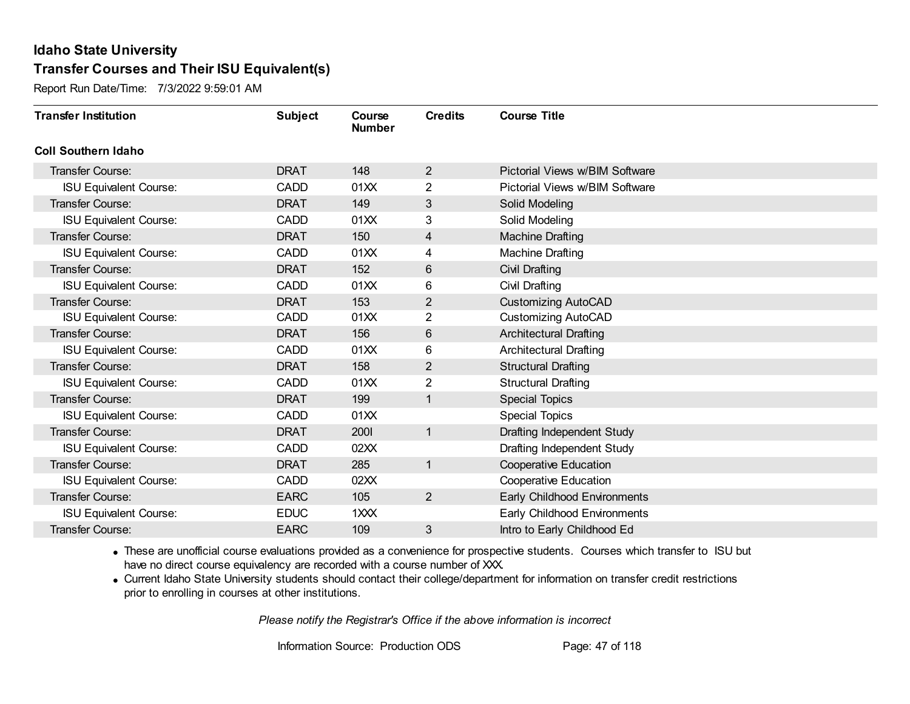Report Run Date/Time: 7/3/2022 9:59:01 AM

| <b>Transfer Institution</b>   | <b>Subject</b> | Course<br><b>Number</b> | <b>Credits</b> | <b>Course Title</b>            |
|-------------------------------|----------------|-------------------------|----------------|--------------------------------|
| <b>Coll Southern Idaho</b>    |                |                         |                |                                |
| <b>Transfer Course:</b>       | <b>DRAT</b>    | 148                     | $\overline{2}$ | Pictorial Views w/BIM Software |
| <b>ISU Equivalent Course:</b> | <b>CADD</b>    | 01XX                    | 2              | Pictorial Views w/BIM Software |
| Transfer Course:              | <b>DRAT</b>    | 149                     | 3              | Solid Modeling                 |
| <b>ISU Equivalent Course:</b> | <b>CADD</b>    | 01XX                    | 3              | Solid Modeling                 |
| <b>Transfer Course:</b>       | <b>DRAT</b>    | 150                     | 4              | <b>Machine Drafting</b>        |
| <b>ISU Equivalent Course:</b> | <b>CADD</b>    | 01XX                    | 4              | <b>Machine Drafting</b>        |
| <b>Transfer Course:</b>       | <b>DRAT</b>    | 152                     | $6\,$          | Civil Drafting                 |
| <b>ISU Equivalent Course:</b> | <b>CADD</b>    | 01XX                    | 6              | Civil Drafting                 |
| <b>Transfer Course:</b>       | <b>DRAT</b>    | 153                     | $\overline{2}$ | <b>Customizing AutoCAD</b>     |
| <b>ISU Equivalent Course:</b> | <b>CADD</b>    | 01XX                    | $\overline{2}$ | <b>Customizing AutoCAD</b>     |
| <b>Transfer Course:</b>       | <b>DRAT</b>    | 156                     | 6              | <b>Architectural Drafting</b>  |
| <b>ISU Equivalent Course:</b> | <b>CADD</b>    | 01XX                    | 6              | <b>Architectural Drafting</b>  |
| Transfer Course:              | <b>DRAT</b>    | 158                     | $\overline{2}$ | <b>Structural Drafting</b>     |
| <b>ISU Equivalent Course:</b> | <b>CADD</b>    | 01XX                    | $\overline{2}$ | <b>Structural Drafting</b>     |
| Transfer Course:              | <b>DRAT</b>    | 199                     | 1              | <b>Special Topics</b>          |
| <b>ISU Equivalent Course:</b> | <b>CADD</b>    | 01XX                    |                | <b>Special Topics</b>          |
| <b>Transfer Course:</b>       | <b>DRAT</b>    | 2001                    | $\mathbf{1}$   | Drafting Independent Study     |
| <b>ISU Equivalent Course:</b> | <b>CADD</b>    | 02XX                    |                | Drafting Independent Study     |
| <b>Transfer Course:</b>       | <b>DRAT</b>    | 285                     | $\mathbf{1}$   | <b>Cooperative Education</b>   |
| <b>ISU Equivalent Course:</b> | <b>CADD</b>    | 02XX                    |                | <b>Cooperative Education</b>   |
| <b>Transfer Course:</b>       | <b>EARC</b>    | 105                     | $\overline{2}$ | Early Childhood Environments   |
| <b>ISU Equivalent Course:</b> | <b>EDUC</b>    | 1XXX                    |                | Early Childhood Environments   |
| <b>Transfer Course:</b>       | <b>EARC</b>    | 109                     | 3              | Intro to Early Childhood Ed    |

· These are unofficial course evaluations provided as a convenience for prospective students. Courses which transfer to ISU but have no direct course equivalency are recorded with a course number of XXX.

· Current Idaho State University students should contact their college/department for information on transfer credit restrictions prior to enrolling in courses at other institutions.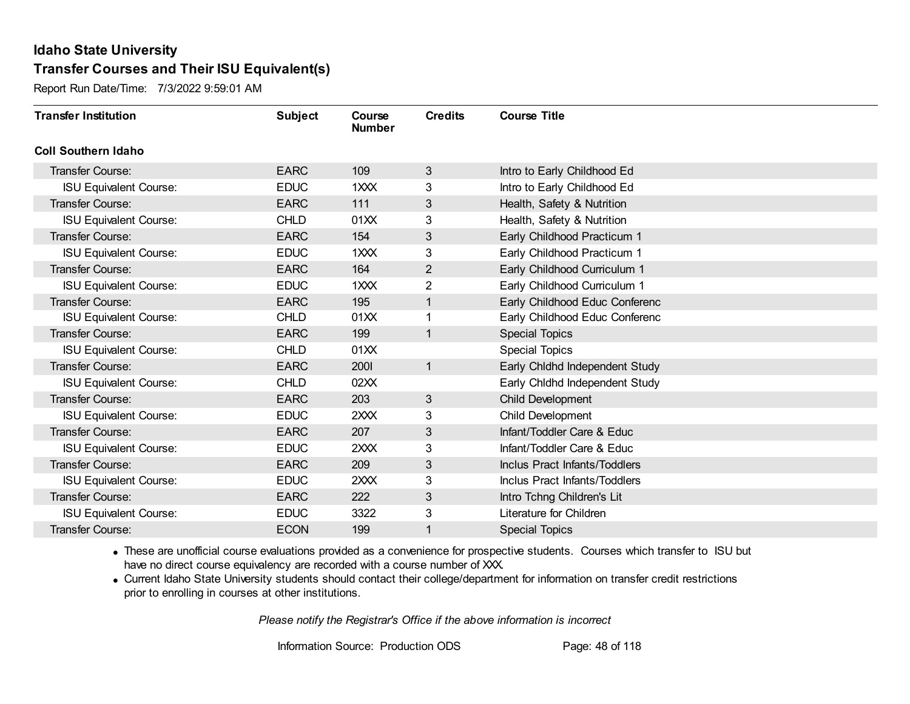Report Run Date/Time: 7/3/2022 9:59:01 AM

| <b>Transfer Institution</b>   | <b>Subject</b> | Course<br><b>Number</b> | <b>Credits</b> | <b>Course Title</b>            |
|-------------------------------|----------------|-------------------------|----------------|--------------------------------|
| <b>Coll Southern Idaho</b>    |                |                         |                |                                |
| Transfer Course:              | <b>EARC</b>    | 109                     | 3              | Intro to Early Childhood Ed    |
| <b>ISU Equivalent Course:</b> | <b>EDUC</b>    | $1 \times X$            | 3              | Intro to Early Childhood Ed    |
| Transfer Course:              | <b>EARC</b>    | 111                     | 3              | Health, Safety & Nutrition     |
| <b>ISU Equivalent Course:</b> | <b>CHLD</b>    | 01XX                    | 3              | Health, Safety & Nutrition     |
| Transfer Course:              | <b>EARC</b>    | 154                     | $\mathfrak{S}$ | Early Childhood Practicum 1    |
| <b>ISU Equivalent Course:</b> | <b>EDUC</b>    | 1XXX                    | 3              | Early Childhood Practicum 1    |
| Transfer Course:              | <b>EARC</b>    | 164                     | $\overline{2}$ | Early Childhood Curriculum 1   |
| <b>ISU Equivalent Course:</b> | <b>EDUC</b>    | 1XXX                    | 2              | Early Childhood Curriculum 1   |
| <b>Transfer Course:</b>       | <b>EARC</b>    | 195                     | $\mathbf 1$    | Early Childhood Educ Conferenc |
| <b>ISU Equivalent Course:</b> | <b>CHLD</b>    | 01XX                    |                | Early Childhood Educ Conferenc |
| <b>Transfer Course:</b>       | <b>EARC</b>    | 199                     | 1              | <b>Special Topics</b>          |
| <b>ISU Equivalent Course:</b> | <b>CHLD</b>    | 01XX                    |                | <b>Special Topics</b>          |
| Transfer Course:              | <b>EARC</b>    | 2001                    | $\mathbf{1}$   | Early Chidhd Independent Study |
| <b>ISU Equivalent Course:</b> | <b>CHLD</b>    | 02XX                    |                | Early Chidhd Independent Study |
| Transfer Course:              | <b>EARC</b>    | 203                     | 3              | Child Development              |
| <b>ISU Equivalent Course:</b> | <b>EDUC</b>    | 2XXX                    | 3              | Child Development              |
| Transfer Course:              | <b>EARC</b>    | 207                     | 3              | Infant/Toddler Care & Educ     |
| <b>ISU Equivalent Course:</b> | <b>EDUC</b>    | 2XXX                    | 3              | Infant/Toddler Care & Educ     |
| Transfer Course:              | <b>EARC</b>    | 209                     | 3              | Inclus Pract Infants/Toddlers  |
| <b>ISU Equivalent Course:</b> | <b>EDUC</b>    | 2XXX                    | 3              | Inclus Pract Infants/Toddlers  |
| Transfer Course:              | <b>EARC</b>    | 222                     | $\sqrt{3}$     | Intro Tchng Children's Lit     |
| <b>ISU Equivalent Course:</b> | <b>EDUC</b>    | 3322                    | 3              | Literature for Children        |
| Transfer Course:              | <b>ECON</b>    | 199                     | 1              | <b>Special Topics</b>          |

· These are unofficial course evaluations provided as a convenience for prospective students. Courses which transfer to ISU but have no direct course equivalency are recorded with a course number of XXX.

· Current Idaho State University students should contact their college/department for information on transfer credit restrictions prior to enrolling in courses at other institutions.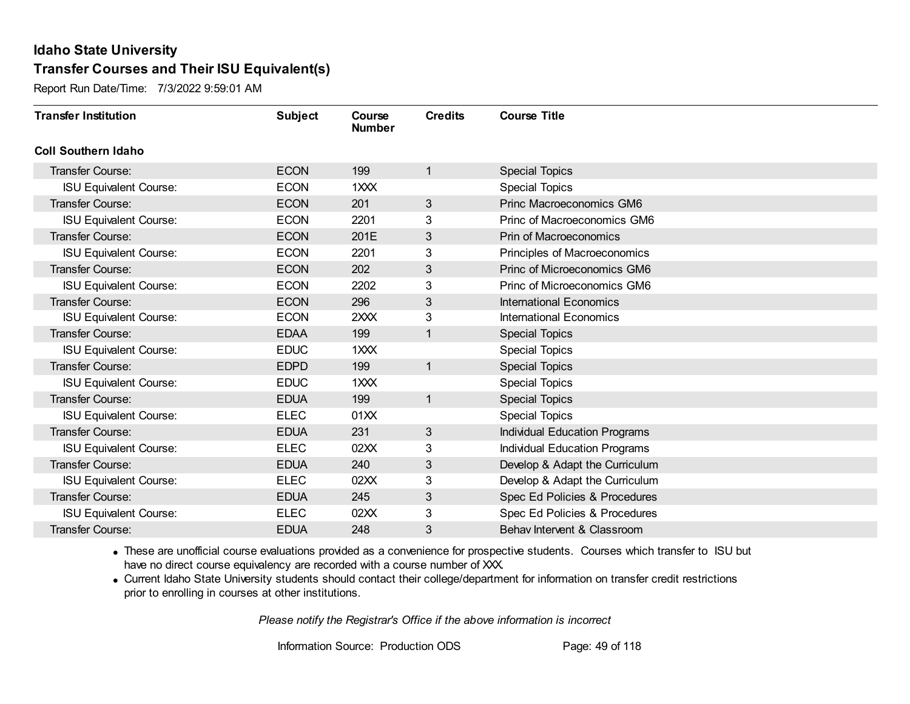Report Run Date/Time: 7/3/2022 9:59:01 AM

| <b>Transfer Institution</b>   | <b>Subject</b> | Course<br><b>Number</b> | <b>Credits</b> | <b>Course Title</b>                  |
|-------------------------------|----------------|-------------------------|----------------|--------------------------------------|
| <b>Coll Southern Idaho</b>    |                |                         |                |                                      |
| <b>Transfer Course:</b>       | <b>ECON</b>    | 199                     | 1              | <b>Special Topics</b>                |
| ISU Equivalent Course:        | <b>ECON</b>    | 1XXX                    |                | <b>Special Topics</b>                |
| Transfer Course:              | <b>ECON</b>    | 201                     | 3              | Princ Macroeconomics GM6             |
| <b>ISU Equivalent Course:</b> | <b>ECON</b>    | 2201                    | 3              | Princ of Macroeconomics GM6          |
| <b>Transfer Course:</b>       | <b>ECON</b>    | 201E                    | 3              | Prin of Macroeconomics               |
| <b>ISU Equivalent Course:</b> | <b>ECON</b>    | 2201                    | 3              | Principles of Macroeconomics         |
| Transfer Course:              | <b>ECON</b>    | 202                     | 3              | Princ of Microeconomics GM6          |
| <b>ISU Equivalent Course:</b> | <b>ECON</b>    | 2202                    | 3              | Princ of Microeconomics GM6          |
| Transfer Course:              | <b>ECON</b>    | 296                     | 3              | <b>International Economics</b>       |
| <b>ISU Equivalent Course:</b> | <b>ECON</b>    | 2XXX                    | 3              | <b>International Economics</b>       |
| Transfer Course:              | <b>EDAA</b>    | 199                     | $\mathbf{1}$   | <b>Special Topics</b>                |
| <b>ISU Equivalent Course:</b> | <b>EDUC</b>    | 1XXX                    |                | <b>Special Topics</b>                |
| Transfer Course:              | <b>EDPD</b>    | 199                     | $\mathbf{1}$   | <b>Special Topics</b>                |
| <b>ISU Equivalent Course:</b> | <b>EDUC</b>    | 1XXX                    |                | <b>Special Topics</b>                |
| Transfer Course:              | <b>EDUA</b>    | 199                     | $\mathbf{1}$   | <b>Special Topics</b>                |
| <b>ISU Equivalent Course:</b> | <b>ELEC</b>    | 01XX                    |                | <b>Special Topics</b>                |
| Transfer Course:              | <b>EDUA</b>    | 231                     | $\mathbf{3}$   | <b>Individual Education Programs</b> |
| <b>ISU Equivalent Course:</b> | <b>ELEC</b>    | 02XX                    | 3              | <b>Individual Education Programs</b> |
| Transfer Course:              | <b>EDUA</b>    | 240                     | 3              | Develop & Adapt the Curriculum       |
| <b>ISU Equivalent Course:</b> | <b>ELEC</b>    | 02XX                    | 3              | Develop & Adapt the Curriculum       |
| <b>Transfer Course:</b>       | <b>EDUA</b>    | 245                     | 3              | Spec Ed Policies & Procedures        |
| <b>ISU Equivalent Course:</b> | <b>ELEC</b>    | 02XX                    | 3              | Spec Ed Policies & Procedures        |
| Transfer Course:              | <b>EDUA</b>    | 248                     | 3              | Behav Intervent & Classroom          |

· These are unofficial course evaluations provided as a convenience for prospective students. Courses which transfer to ISU but have no direct course equivalency are recorded with a course number of XXX.

· Current Idaho State University students should contact their college/department for information on transfer credit restrictions prior to enrolling in courses at other institutions.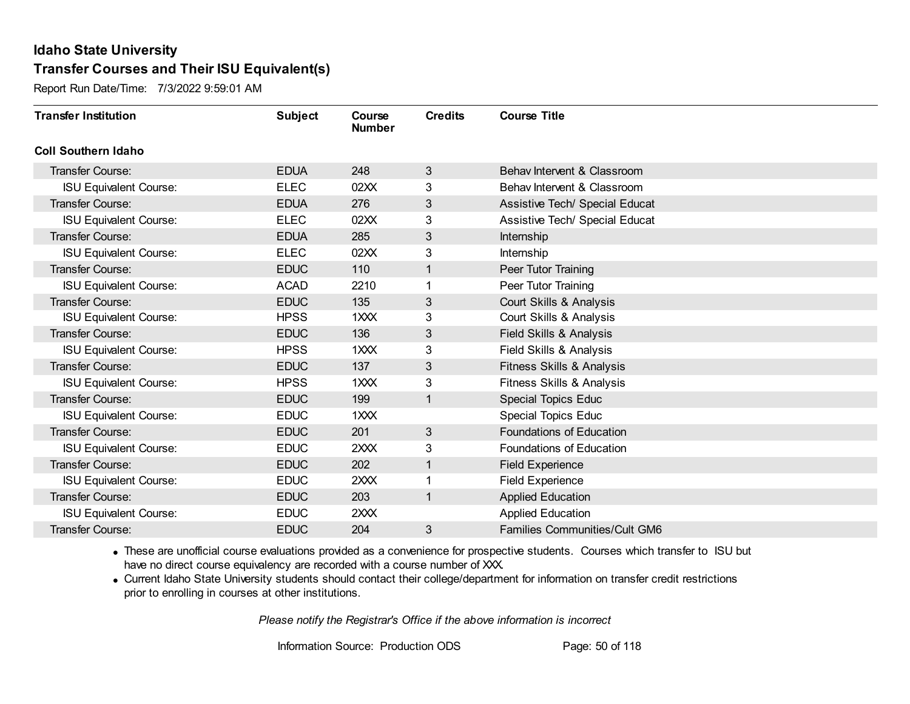Report Run Date/Time: 7/3/2022 9:59:01 AM

| <b>Transfer Institution</b>   | <b>Subject</b> | Course<br><b>Number</b> | <b>Credits</b> | <b>Course Title</b>                  |
|-------------------------------|----------------|-------------------------|----------------|--------------------------------------|
| <b>Coll Southern Idaho</b>    |                |                         |                |                                      |
| <b>Transfer Course:</b>       | <b>EDUA</b>    | 248                     | 3              | Behav Intervent & Classroom          |
| <b>ISU Equivalent Course:</b> | <b>ELEC</b>    | 02XX                    | 3              | Behav Intervent & Classroom          |
| <b>Transfer Course:</b>       | <b>EDUA</b>    | 276                     | 3              | Assistive Tech/ Special Educat       |
| <b>ISU Equivalent Course:</b> | <b>ELEC</b>    | 02XX                    | 3              | Assistive Tech/ Special Educat       |
| <b>Transfer Course:</b>       | <b>EDUA</b>    | 285                     | 3              | Internship                           |
| <b>ISU Equivalent Course:</b> | <b>ELEC</b>    | 02XX                    | 3              | Internship                           |
| <b>Transfer Course:</b>       | <b>EDUC</b>    | 110                     | 1              | Peer Tutor Training                  |
| <b>ISU Equivalent Course:</b> | <b>ACAD</b>    | 2210                    |                | Peer Tutor Training                  |
| <b>Transfer Course:</b>       | <b>EDUC</b>    | 135                     | 3              | Court Skills & Analysis              |
| <b>ISU Equivalent Course:</b> | <b>HPSS</b>    | 1XXX                    | 3              | Court Skills & Analysis              |
| <b>Transfer Course:</b>       | <b>EDUC</b>    | 136                     | 3              | Field Skills & Analysis              |
| <b>ISU Equivalent Course:</b> | <b>HPSS</b>    | 1XXX                    | 3              | Field Skills & Analysis              |
| <b>Transfer Course:</b>       | <b>EDUC</b>    | 137                     | 3              | Fitness Skills & Analysis            |
| <b>ISU Equivalent Course:</b> | <b>HPSS</b>    | 1XXX                    | 3              | Fitness Skills & Analysis            |
| Transfer Course:              | <b>EDUC</b>    | 199                     | $\mathbf{1}$   | <b>Special Topics Educ</b>           |
| <b>ISU Equivalent Course:</b> | <b>EDUC</b>    | 1XXX                    |                | <b>Special Topics Educ</b>           |
| <b>Transfer Course:</b>       | <b>EDUC</b>    | 201                     | 3              | Foundations of Education             |
| <b>ISU Equivalent Course:</b> | <b>EDUC</b>    | 2XXX                    | 3              | Foundations of Education             |
| <b>Transfer Course:</b>       | <b>EDUC</b>    | 202                     | 1              | <b>Field Experience</b>              |
| <b>ISU Equivalent Course:</b> | <b>EDUC</b>    | 2XXX                    |                | <b>Field Experience</b>              |
| <b>Transfer Course:</b>       | <b>EDUC</b>    | 203                     | 1              | <b>Applied Education</b>             |
| <b>ISU Equivalent Course:</b> | <b>EDUC</b>    | 2XXX                    |                | <b>Applied Education</b>             |
| Transfer Course:              | <b>EDUC</b>    | 204                     | 3              | <b>Families Communities/Cult GM6</b> |

· These are unofficial course evaluations provided as a convenience for prospective students. Courses which transfer to ISU but have no direct course equivalency are recorded with a course number of XXX.

· Current Idaho State University students should contact their college/department for information on transfer credit restrictions prior to enrolling in courses at other institutions.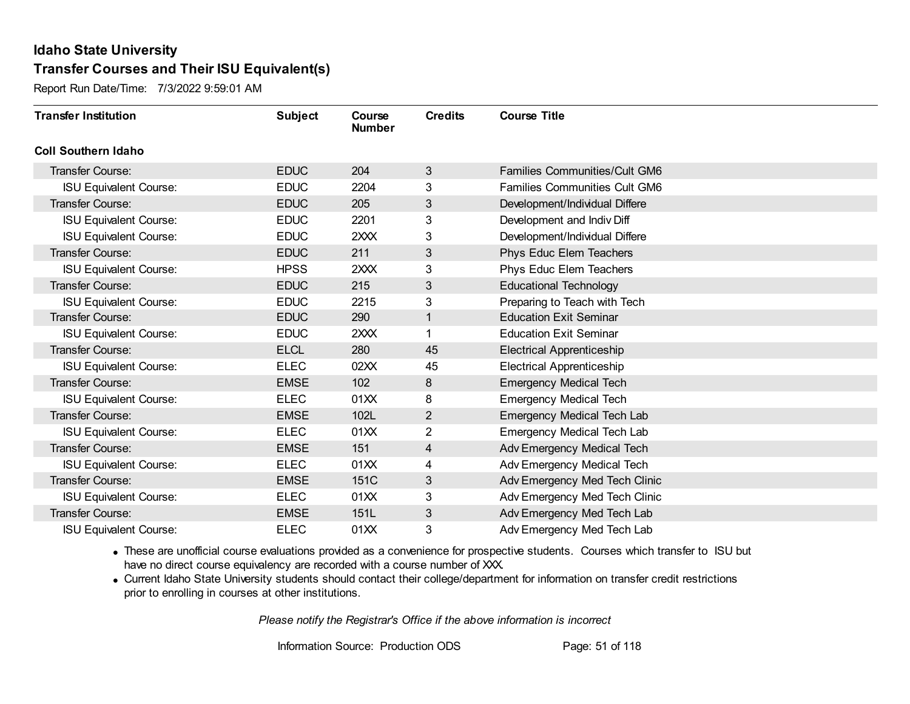Report Run Date/Time: 7/3/2022 9:59:01 AM

| <b>Transfer Institution</b>   | <b>Subject</b> | Course<br><b>Number</b> | <b>Credits</b> | <b>Course Title</b>                  |
|-------------------------------|----------------|-------------------------|----------------|--------------------------------------|
| <b>Coll Southern Idaho</b>    |                |                         |                |                                      |
| Transfer Course:              | <b>EDUC</b>    | 204                     | 3              | <b>Families Communities/Cult GM6</b> |
| <b>ISU Equivalent Course:</b> | <b>EDUC</b>    | 2204                    | 3              | <b>Families Communities Cult GM6</b> |
| Transfer Course:              | <b>EDUC</b>    | 205                     | $\mathfrak{S}$ | Development/Individual Differe       |
| <b>ISU Equivalent Course:</b> | <b>EDUC</b>    | 2201                    | 3              | Development and Indiv Diff           |
| <b>ISU Equivalent Course:</b> | <b>EDUC</b>    | 2XXX                    | 3              | Development/Individual Differe       |
| <b>Transfer Course:</b>       | <b>EDUC</b>    | 211                     | 3              | Phys Educ Elem Teachers              |
| <b>ISU Equivalent Course:</b> | <b>HPSS</b>    | 2XXX                    | 3              | Phys Educ Elem Teachers              |
| <b>Transfer Course:</b>       | <b>EDUC</b>    | 215                     | 3              | <b>Educational Technology</b>        |
| <b>ISU Equivalent Course:</b> | <b>EDUC</b>    | 2215                    | 3              | Preparing to Teach with Tech         |
| <b>Transfer Course:</b>       | <b>EDUC</b>    | 290                     | $\mathbf{1}$   | <b>Education Exit Seminar</b>        |
| <b>ISU Equivalent Course:</b> | <b>EDUC</b>    | 2XXX                    |                | <b>Education Exit Seminar</b>        |
| Transfer Course:              | <b>ELCL</b>    | 280                     | 45             | <b>Electrical Apprenticeship</b>     |
| <b>ISU Equivalent Course:</b> | <b>ELEC</b>    | 02XX                    | 45             | <b>Electrical Apprenticeship</b>     |
| <b>Transfer Course:</b>       | <b>EMSE</b>    | 102                     | 8              | <b>Emergency Medical Tech</b>        |
| <b>ISU Equivalent Course:</b> | <b>ELEC</b>    | 01XX                    | 8              | <b>Emergency Medical Tech</b>        |
| <b>Transfer Course:</b>       | <b>EMSE</b>    | 102L                    | $\mathbf{2}$   | <b>Emergency Medical Tech Lab</b>    |
| <b>ISU Equivalent Course:</b> | <b>ELEC</b>    | 01XX                    | $\overline{2}$ | <b>Emergency Medical Tech Lab</b>    |
| <b>Transfer Course:</b>       | <b>EMSE</b>    | 151                     | 4              | Adv Emergency Medical Tech           |
| <b>ISU Equivalent Course:</b> | <b>ELEC</b>    | 01XX                    | 4              | Adv Emergency Medical Tech           |
| <b>Transfer Course:</b>       | <b>EMSE</b>    | 151C                    | 3              | Adv Emergency Med Tech Clinic        |
| <b>ISU Equivalent Course:</b> | <b>ELEC</b>    | 01XX                    | 3              | Adv Emergency Med Tech Clinic        |
| Transfer Course:              | <b>EMSE</b>    | 151L                    | $\mathfrak{S}$ | Adv Emergency Med Tech Lab           |
| <b>ISU Equivalent Course:</b> | <b>ELEC</b>    | 01XX                    | 3              | Adv Emergency Med Tech Lab           |

· These are unofficial course evaluations provided as a convenience for prospective students. Courses which transfer to ISU but have no direct course equivalency are recorded with a course number of XXX.

· Current Idaho State University students should contact their college/department for information on transfer credit restrictions prior to enrolling in courses at other institutions.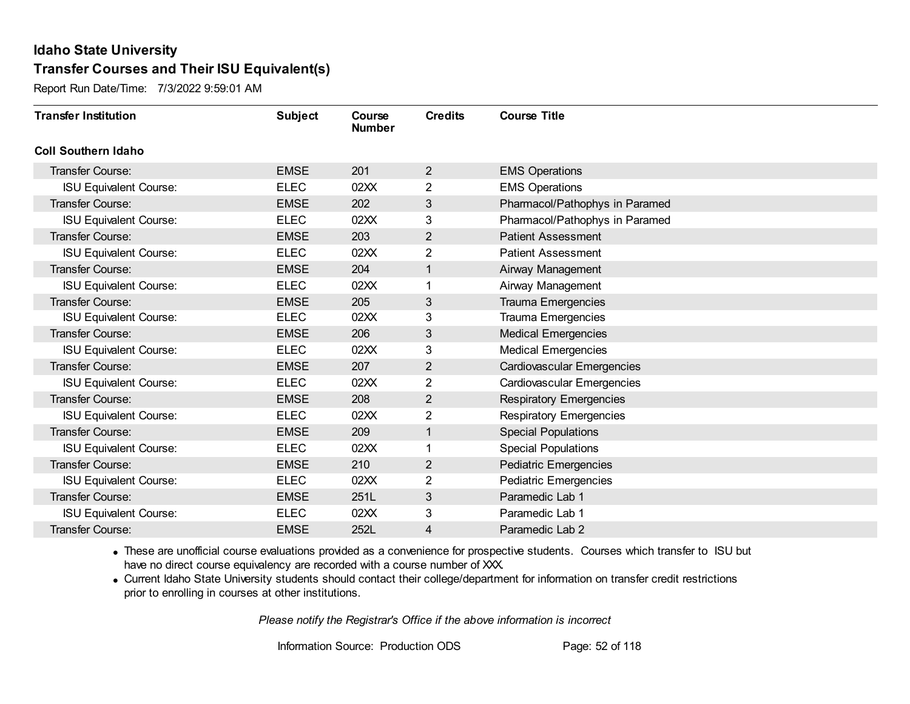Report Run Date/Time: 7/3/2022 9:59:01 AM

| <b>Transfer Institution</b>   | <b>Subject</b> | Course<br><b>Number</b> | <b>Credits</b> | <b>Course Title</b>               |
|-------------------------------|----------------|-------------------------|----------------|-----------------------------------|
| <b>Coll Southern Idaho</b>    |                |                         |                |                                   |
| Transfer Course:              | <b>EMSE</b>    | 201                     | $\overline{2}$ | <b>EMS Operations</b>             |
| <b>ISU Equivalent Course:</b> | <b>ELEC</b>    | 02XX                    | $\overline{2}$ | <b>EMS Operations</b>             |
| <b>Transfer Course:</b>       | <b>EMSE</b>    | 202                     | 3              | Pharmacol/Pathophys in Paramed    |
| <b>ISU Equivalent Course:</b> | <b>ELEC</b>    | 02XX                    | 3              | Pharmacol/Pathophys in Paramed    |
| <b>Transfer Course:</b>       | <b>EMSE</b>    | 203                     | 2              | <b>Patient Assessment</b>         |
| <b>ISU Equivalent Course:</b> | <b>ELEC</b>    | 02XX                    | $\overline{2}$ | <b>Patient Assessment</b>         |
| <b>Transfer Course:</b>       | <b>EMSE</b>    | 204                     | $\mathbf{1}$   | Airway Management                 |
| <b>ISU Equivalent Course:</b> | <b>ELEC</b>    | 02XX                    |                | Airway Management                 |
| <b>Transfer Course:</b>       | <b>EMSE</b>    | 205                     | 3              | <b>Trauma Emergencies</b>         |
| <b>ISU Equivalent Course:</b> | <b>ELEC</b>    | 02XX                    | 3              | <b>Trauma Emergencies</b>         |
| <b>Transfer Course:</b>       | <b>EMSE</b>    | 206                     | 3              | <b>Medical Emergencies</b>        |
| <b>ISU Equivalent Course:</b> | <b>ELEC</b>    | 02XX                    | 3              | <b>Medical Emergencies</b>        |
| Transfer Course:              | <b>EMSE</b>    | 207                     | 2              | Cardiovascular Emergencies        |
| <b>ISU Equivalent Course:</b> | <b>ELEC</b>    | 02XX                    | $\overline{2}$ | <b>Cardiovascular Emergencies</b> |
| Transfer Course:              | <b>EMSE</b>    | 208                     | $\overline{2}$ | <b>Respiratory Emergencies</b>    |
| <b>ISU Equivalent Course:</b> | <b>ELEC</b>    | 02XX                    | $\mathbf{2}$   | <b>Respiratory Emergencies</b>    |
| <b>Transfer Course:</b>       | <b>EMSE</b>    | 209                     | $\mathbf{1}$   | <b>Special Populations</b>        |
| <b>ISU Equivalent Course:</b> | <b>ELEC</b>    | 02XX                    | 1              | <b>Special Populations</b>        |
| Transfer Course:              | <b>EMSE</b>    | 210                     | $\overline{2}$ | <b>Pediatric Emergencies</b>      |
| <b>ISU Equivalent Course:</b> | <b>ELEC</b>    | 02XX                    | 2              | Pediatric Emergencies             |
| <b>Transfer Course:</b>       | <b>EMSE</b>    | 251L                    | 3              | Paramedic Lab 1                   |
| <b>ISU Equivalent Course:</b> | <b>ELEC</b>    | 02XX                    | 3              | Paramedic Lab 1                   |
| Transfer Course:              | <b>EMSE</b>    | 252L                    | 4              | Paramedic Lab 2                   |

· These are unofficial course evaluations provided as a convenience for prospective students. Courses which transfer to ISU but have no direct course equivalency are recorded with a course number of XXX.

· Current Idaho State University students should contact their college/department for information on transfer credit restrictions prior to enrolling in courses at other institutions.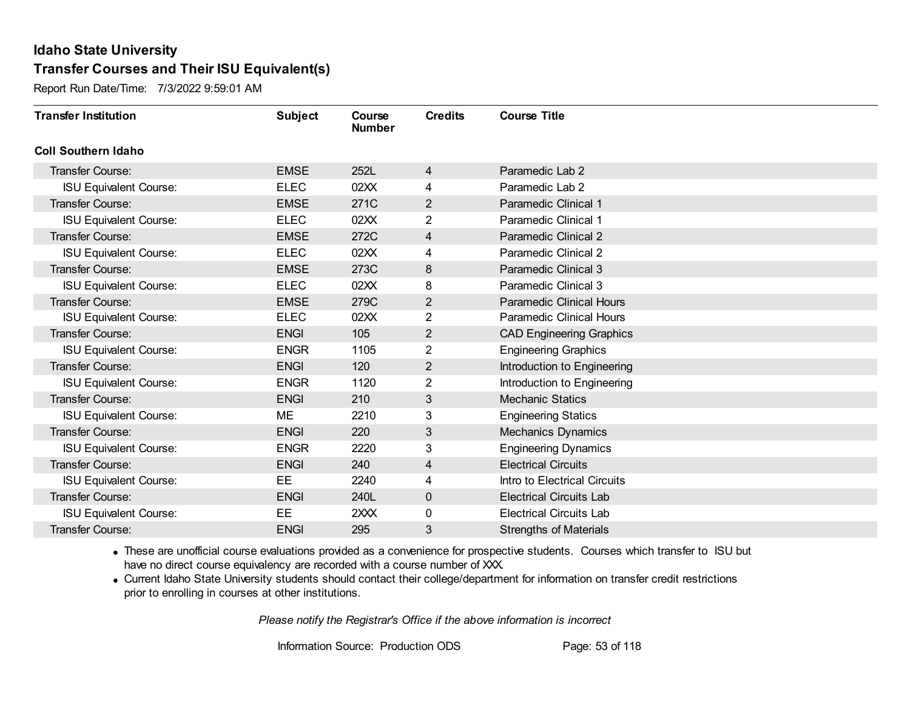Report Run Date/Time: 7/3/2022 9:59:01 AM

| <b>Transfer Institution</b>   | <b>Subject</b> | Course<br><b>Number</b> | <b>Credits</b> | <b>Course Title</b>             |
|-------------------------------|----------------|-------------------------|----------------|---------------------------------|
| <b>Coll Southern Idaho</b>    |                |                         |                |                                 |
| Transfer Course:              | <b>EMSE</b>    | 252L                    | $\overline{4}$ | Paramedic Lab 2                 |
| <b>ISU Equivalent Course:</b> | <b>ELEC</b>    | 02XX                    | 4              | Paramedic Lab 2                 |
| Transfer Course:              | <b>EMSE</b>    | 271C                    | $\overline{2}$ | Paramedic Clinical 1            |
| <b>ISU Equivalent Course:</b> | <b>ELEC</b>    | 02XX                    | $\overline{2}$ | Paramedic Clinical 1            |
| <b>Transfer Course:</b>       | <b>EMSE</b>    | 272C                    | 4              | Paramedic Clinical 2            |
| <b>ISU Equivalent Course:</b> | <b>ELEC</b>    | 02XX                    | 4              | Paramedic Clinical 2            |
| Transfer Course:              | <b>EMSE</b>    | 273C                    | 8              | Paramedic Clinical 3            |
| <b>ISU Equivalent Course:</b> | <b>ELEC</b>    | 02XX                    | 8              | Paramedic Clinical 3            |
| Transfer Course:              | <b>EMSE</b>    | 279C                    | $\mathbf{2}$   | <b>Paramedic Clinical Hours</b> |
| <b>ISU Equivalent Course:</b> | <b>ELEC</b>    | 02XX                    | $\overline{c}$ | <b>Paramedic Clinical Hours</b> |
| Transfer Course:              | <b>ENGI</b>    | 105                     | $\overline{2}$ | <b>CAD Engineering Graphics</b> |
| <b>ISU Equivalent Course:</b> | <b>ENGR</b>    | 1105                    | 2              | <b>Engineering Graphics</b>     |
| Transfer Course:              | <b>ENGI</b>    | 120                     | $\overline{2}$ | Introduction to Engineering     |
| <b>ISU Equivalent Course:</b> | <b>ENGR</b>    | 1120                    | 2              | Introduction to Engineering     |
| Transfer Course:              | <b>ENGI</b>    | 210                     | $\mathfrak{S}$ | <b>Mechanic Statics</b>         |
| <b>ISU Equivalent Course:</b> | ME             | 2210                    | 3              | <b>Engineering Statics</b>      |
| Transfer Course:              | <b>ENGI</b>    | 220                     | $\mathfrak{S}$ | Mechanics Dynamics              |
| <b>ISU Equivalent Course:</b> | <b>ENGR</b>    | 2220                    | 3              | <b>Engineering Dynamics</b>     |
| Transfer Course:              | <b>ENGI</b>    | 240                     | 4              | <b>Electrical Circuits</b>      |
| <b>ISU Equivalent Course:</b> | EE             | 2240                    | 4              | Intro to Electrical Circuits    |
| <b>Transfer Course:</b>       | <b>ENGI</b>    | 240L                    | $\mathbf 0$    | <b>Electrical Circuits Lab</b>  |
| <b>ISU Equivalent Course:</b> | <b>EE</b>      | 2XXX                    | 0              | <b>Electrical Circuits Lab</b>  |
| Transfer Course:              | <b>ENGI</b>    | 295                     | 3              | <b>Strengths of Materials</b>   |

· These are unofficial course evaluations provided as a convenience for prospective students. Courses which transfer to ISU but have no direct course equivalency are recorded with a course number of XXX.

· Current Idaho State University students should contact their college/department for information on transfer credit restrictions prior to enrolling in courses at other institutions.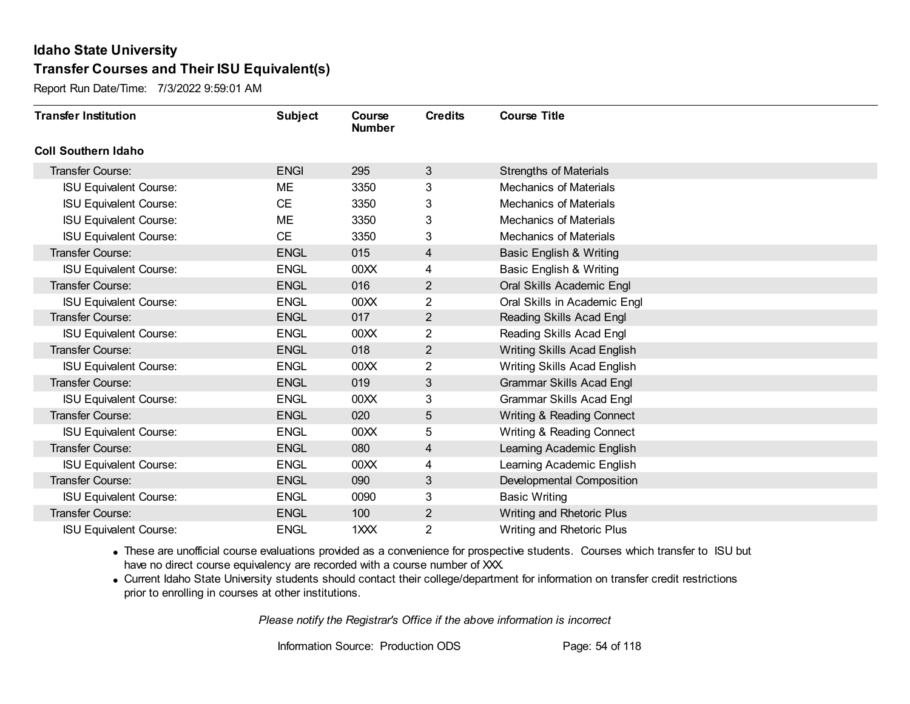Report Run Date/Time: 7/3/2022 9:59:01 AM

| <b>Transfer Institution</b>   | <b>Subject</b> | Course<br><b>Number</b> | <b>Credits</b>          | <b>Course Title</b>                |
|-------------------------------|----------------|-------------------------|-------------------------|------------------------------------|
| <b>Coll Southern Idaho</b>    |                |                         |                         |                                    |
| Transfer Course:              | <b>ENGI</b>    | 295                     | 3                       | <b>Strengths of Materials</b>      |
| <b>ISU Equivalent Course:</b> | ME             | 3350                    | 3                       | <b>Mechanics of Materials</b>      |
| <b>ISU Equivalent Course:</b> | <b>CE</b>      | 3350                    | 3                       | <b>Mechanics of Materials</b>      |
| <b>ISU Equivalent Course:</b> | ME             | 3350                    | 3                       | <b>Mechanics of Materials</b>      |
| <b>ISU Equivalent Course:</b> | <b>CE</b>      | 3350                    | 3                       | <b>Mechanics of Materials</b>      |
| Transfer Course:              | <b>ENGL</b>    | 015                     | $\overline{4}$          | <b>Basic English &amp; Writing</b> |
| <b>ISU Equivalent Course:</b> | <b>ENGL</b>    | 00XX                    | 4                       | <b>Basic English &amp; Writing</b> |
| Transfer Course:              | <b>ENGL</b>    | 016                     | $\overline{2}$          | Oral Skills Academic Engl          |
| <b>ISU Equivalent Course:</b> | <b>ENGL</b>    | 00 <sub>XX</sub>        | $\overline{2}$          | Oral Skills in Academic Engl       |
| Transfer Course:              | <b>ENGL</b>    | 017                     | $\overline{2}$          | Reading Skills Acad Engl           |
| <b>ISU Equivalent Course:</b> | <b>ENGL</b>    | 00 <sub>XX</sub>        | 2                       | Reading Skills Acad Engl           |
| Transfer Course:              | <b>ENGL</b>    | 018                     | $\overline{2}$          | <b>Writing Skills Acad English</b> |
| <b>ISU Equivalent Course:</b> | <b>ENGL</b>    | 00XX                    | $\overline{2}$          | Writing Skills Acad English        |
| <b>Transfer Course:</b>       | <b>ENGL</b>    | 019                     | 3                       | <b>Grammar Skills Acad Engl</b>    |
| <b>ISU Equivalent Course:</b> | <b>ENGL</b>    | 00 <sub>XX</sub>        | 3                       | <b>Grammar Skills Acad Engl</b>    |
| Transfer Course:              | <b>ENGL</b>    | 020                     | $\overline{5}$          | Writing & Reading Connect          |
| <b>ISU Equivalent Course:</b> | <b>ENGL</b>    | 00 <sub>XX</sub>        | 5                       | Writing & Reading Connect          |
| Transfer Course:              | <b>ENGL</b>    | 080                     | $\overline{\mathbf{4}}$ | Learning Academic English          |
| <b>ISU Equivalent Course:</b> | <b>ENGL</b>    | 00XX                    | 4                       | Learning Academic English          |
| Transfer Course:              | <b>ENGL</b>    | 090                     | 3                       | Developmental Composition          |
| <b>ISU Equivalent Course:</b> | <b>ENGL</b>    | 0090                    | 3                       | <b>Basic Writing</b>               |
| Transfer Course:              | <b>ENGL</b>    | 100                     | $\overline{2}$          | Writing and Rhetoric Plus          |
| <b>ISU Equivalent Course:</b> | <b>ENGL</b>    | 1XXX                    | $\overline{2}$          | Writing and Rhetoric Plus          |

· These are unofficial course evaluations provided as a convenience for prospective students. Courses which transfer to ISU but have no direct course equivalency are recorded with a course number of XXX.

· Current Idaho State University students should contact their college/department for information on transfer credit restrictions prior to enrolling in courses at other institutions.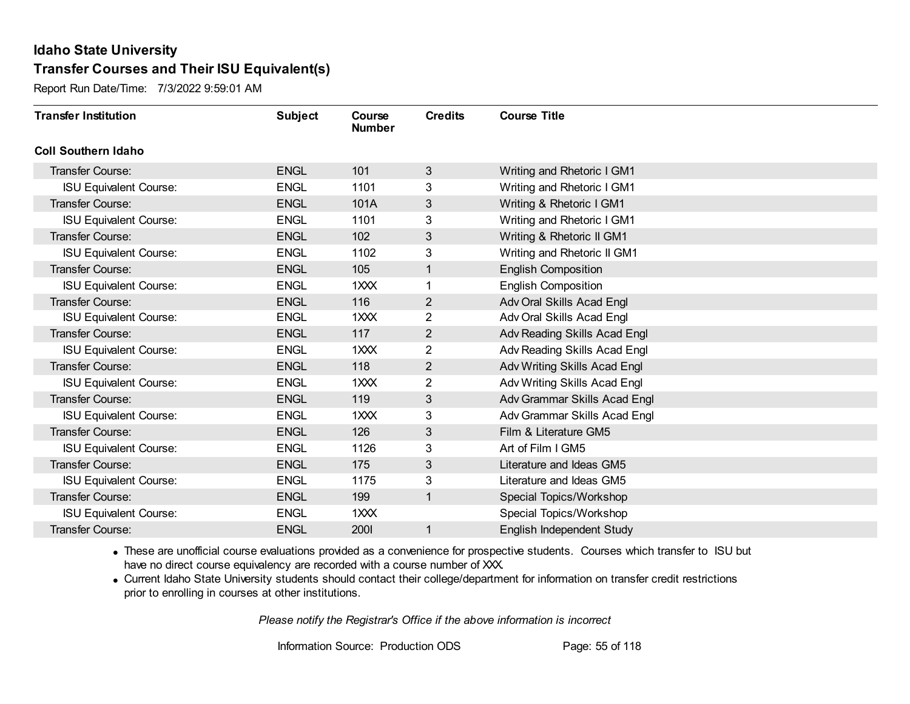Report Run Date/Time: 7/3/2022 9:59:01 AM

| <b>Transfer Institution</b>   | <b>Subject</b> | Course<br><b>Number</b> | <b>Credits</b> | <b>Course Title</b>          |
|-------------------------------|----------------|-------------------------|----------------|------------------------------|
| <b>Coll Southern Idaho</b>    |                |                         |                |                              |
| <b>Transfer Course:</b>       | <b>ENGL</b>    | 101                     | 3              | Writing and Rhetoric I GM1   |
| <b>ISU Equivalent Course:</b> | <b>ENGL</b>    | 1101                    | 3              | Writing and Rhetoric I GM1   |
| Transfer Course:              | <b>ENGL</b>    | 101A                    | 3              | Writing & Rhetoric I GM1     |
| <b>ISU Equivalent Course:</b> | <b>ENGL</b>    | 1101                    | 3              | Writing and Rhetoric I GM1   |
| <b>Transfer Course:</b>       | <b>ENGL</b>    | 102                     | 3              | Writing & Rhetoric II GM1    |
| <b>ISU Equivalent Course:</b> | <b>ENGL</b>    | 1102                    | 3              | Writing and Rhetoric II GM1  |
| <b>Transfer Course:</b>       | <b>ENGL</b>    | 105                     | 1              | <b>English Composition</b>   |
| <b>ISU Equivalent Course:</b> | <b>ENGL</b>    | 1XXX                    | 1              | <b>English Composition</b>   |
| Transfer Course:              | <b>ENGL</b>    | 116                     | $\overline{2}$ | Adv Oral Skills Acad Engl    |
| <b>ISU Equivalent Course:</b> | <b>ENGL</b>    | $1 \times X$            | $\overline{c}$ | Adv Oral Skills Acad Engl    |
| <b>Transfer Course:</b>       | <b>ENGL</b>    | 117                     | $\overline{2}$ | Adv Reading Skills Acad Engl |
| <b>ISU Equivalent Course:</b> | <b>ENGL</b>    | 1XXX                    | $\overline{2}$ | Adv Reading Skills Acad Engl |
| Transfer Course:              | <b>ENGL</b>    | 118                     | $\overline{2}$ | Adv Writing Skills Acad Engl |
| <b>ISU Equivalent Course:</b> | <b>ENGL</b>    | 1XXX                    | $\overline{2}$ | Adv Writing Skills Acad Engl |
| Transfer Course:              | <b>ENGL</b>    | 119                     | 3              | Adv Grammar Skills Acad Engl |
| <b>ISU Equivalent Course:</b> | <b>ENGL</b>    | 1XXX                    | 3              | Adv Grammar Skills Acad Engl |
| Transfer Course:              | <b>ENGL</b>    | 126                     | 3              | Film & Literature GM5        |
| <b>ISU Equivalent Course:</b> | <b>ENGL</b>    | 1126                    | 3              | Art of Film I GM5            |
| <b>Transfer Course:</b>       | <b>ENGL</b>    | 175                     | 3              | Literature and Ideas GM5     |
| <b>ISU Equivalent Course:</b> | <b>ENGL</b>    | 1175                    | 3              | Literature and Ideas GM5     |
| Transfer Course:              | <b>ENGL</b>    | 199                     | $\mathbf{1}$   | Special Topics/Workshop      |
| <b>ISU Equivalent Course:</b> | <b>ENGL</b>    | $1 \times X$            |                | Special Topics/Workshop      |
| Transfer Course:              | <b>ENGL</b>    | 2001                    | 1              | English Independent Study    |

· These are unofficial course evaluations provided as a convenience for prospective students. Courses which transfer to ISU but have no direct course equivalency are recorded with a course number of XXX.

· Current Idaho State University students should contact their college/department for information on transfer credit restrictions prior to enrolling in courses at other institutions.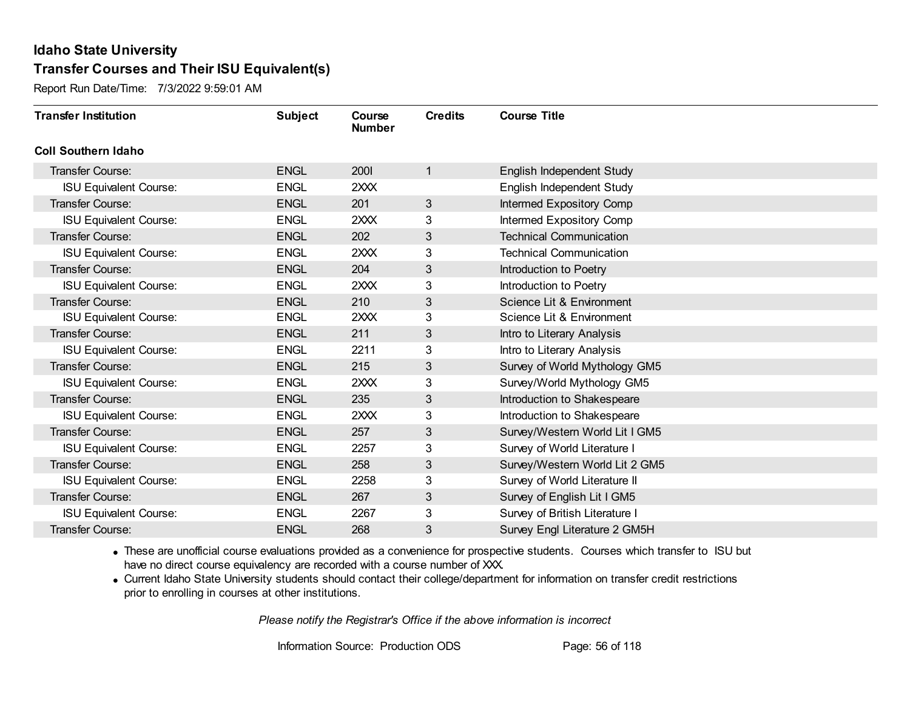Report Run Date/Time: 7/3/2022 9:59:01 AM

| <b>Transfer Institution</b>   | <b>Subject</b> | Course<br><b>Number</b> | <b>Credits</b>  | <b>Course Title</b>            |
|-------------------------------|----------------|-------------------------|-----------------|--------------------------------|
| <b>Coll Southern Idaho</b>    |                |                         |                 |                                |
| Transfer Course:              | <b>ENGL</b>    | <b>2001</b>             | 1               | English Independent Study      |
| <b>ISU Equivalent Course:</b> | <b>ENGL</b>    | 2XXX                    |                 | English Independent Study      |
| Transfer Course:              | <b>ENGL</b>    | 201                     | $3\overline{3}$ | Intermed Expository Comp       |
| <b>ISU Equivalent Course:</b> | <b>ENGL</b>    | 2XXX                    | 3               | Intermed Expository Comp       |
| <b>Transfer Course:</b>       | <b>ENGL</b>    | 202                     | 3               | <b>Technical Communication</b> |
| <b>ISU Equivalent Course:</b> | <b>ENGL</b>    | 2XXX                    | 3               | <b>Technical Communication</b> |
| <b>Transfer Course:</b>       | <b>ENGL</b>    | 204                     | 3               | Introduction to Poetry         |
| <b>ISU Equivalent Course:</b> | <b>ENGL</b>    | 2XXX                    | 3               | Introduction to Poetry         |
| Transfer Course:              | <b>ENGL</b>    | 210                     | 3               | Science Lit & Environment      |
| <b>ISU Equivalent Course:</b> | <b>ENGL</b>    | 2XXX                    | 3               | Science Lit & Environment      |
| Transfer Course:              | <b>ENGL</b>    | 211                     | 3               | Intro to Literary Analysis     |
| <b>ISU Equivalent Course:</b> | <b>ENGL</b>    | 2211                    | 3               | Intro to Literary Analysis     |
| <b>Transfer Course:</b>       | <b>ENGL</b>    | 215                     | 3               | Survey of World Mythology GM5  |
| <b>ISU Equivalent Course:</b> | <b>ENGL</b>    | 2XXX                    | 3               | Survey/World Mythology GM5     |
| Transfer Course:              | <b>ENGL</b>    | 235                     | 3               | Introduction to Shakespeare    |
| <b>ISU Equivalent Course:</b> | <b>ENGL</b>    | 2XXX                    | 3               | Introduction to Shakespeare    |
| Transfer Course:              | <b>ENGL</b>    | 257                     | $\mathbf{3}$    | Survey/Western World Lit I GM5 |
| <b>ISU Equivalent Course:</b> | <b>ENGL</b>    | 2257                    | 3               | Survey of World Literature I   |
| Transfer Course:              | <b>ENGL</b>    | 258                     | 3               | Survey/Western World Lit 2 GM5 |
| <b>ISU Equivalent Course:</b> | <b>ENGL</b>    | 2258                    | 3               | Survey of World Literature II  |
| Transfer Course:              | <b>ENGL</b>    | 267                     | 3               | Survey of English Lit I GM5    |
| <b>ISU Equivalent Course:</b> | <b>ENGL</b>    | 2267                    | 3               | Survey of British Literature I |
| Transfer Course:              | <b>ENGL</b>    | 268                     | 3               | Survey Engl Literature 2 GM5H  |

· These are unofficial course evaluations provided as a convenience for prospective students. Courses which transfer to ISU but have no direct course equivalency are recorded with a course number of XXX.

· Current Idaho State University students should contact their college/department for information on transfer credit restrictions prior to enrolling in courses at other institutions.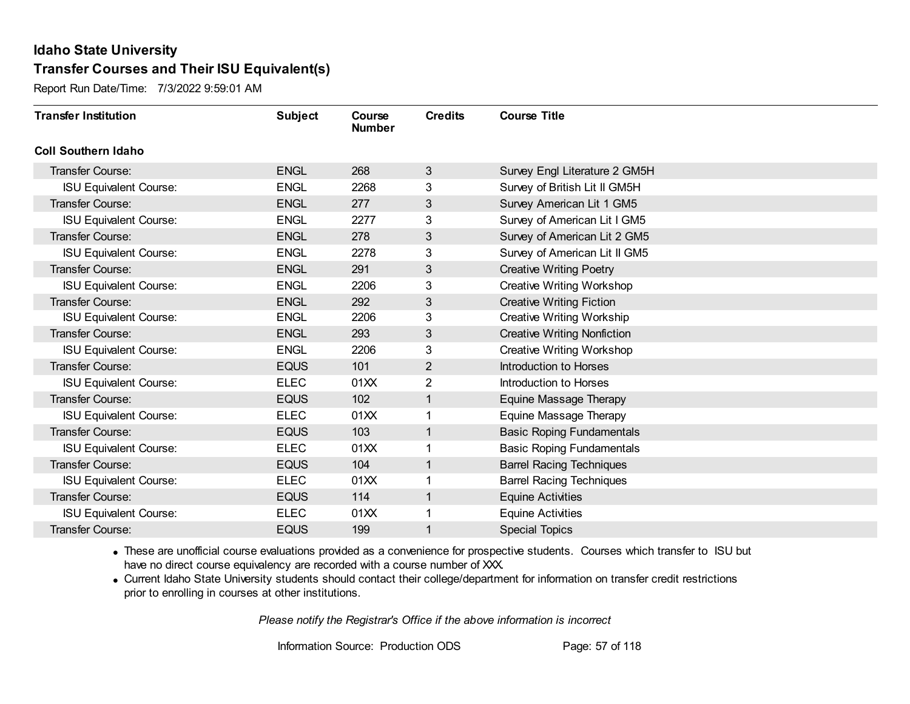Report Run Date/Time: 7/3/2022 9:59:01 AM

| <b>Transfer Institution</b>   | <b>Subject</b> | Course<br><b>Number</b> | <b>Credits</b> | <b>Course Title</b>                |
|-------------------------------|----------------|-------------------------|----------------|------------------------------------|
| <b>Coll Southern Idaho</b>    |                |                         |                |                                    |
| Transfer Course:              | <b>ENGL</b>    | 268                     | 3              | Survey Engl Literature 2 GM5H      |
| <b>ISU Equivalent Course:</b> | <b>ENGL</b>    | 2268                    | 3              | Survey of British Lit II GM5H      |
| Transfer Course:              | <b>ENGL</b>    | 277                     | 3              | Survey American Lit 1 GM5          |
| <b>ISU Equivalent Course:</b> | <b>ENGL</b>    | 2277                    | 3              | Survey of American Lit I GM5       |
| <b>Transfer Course:</b>       | <b>ENGL</b>    | 278                     | 3              | Survey of American Lit 2 GM5       |
| <b>ISU Equivalent Course:</b> | <b>ENGL</b>    | 2278                    | 3              | Survey of American Lit II GM5      |
| Transfer Course:              | <b>ENGL</b>    | 291                     | 3              | <b>Creative Writing Poetry</b>     |
| <b>ISU Equivalent Course:</b> | <b>ENGL</b>    | 2206                    | 3              | <b>Creative Writing Workshop</b>   |
| Transfer Course:              | <b>ENGL</b>    | 292                     | 3              | <b>Creative Writing Fiction</b>    |
| <b>ISU Equivalent Course:</b> | <b>ENGL</b>    | 2206                    | 3              | <b>Creative Writing Workship</b>   |
| <b>Transfer Course:</b>       | <b>ENGL</b>    | 293                     | 3              | <b>Creative Writing Nonfiction</b> |
| <b>ISU Equivalent Course:</b> | <b>ENGL</b>    | 2206                    | 3              | <b>Creative Writing Workshop</b>   |
| Transfer Course:              | <b>EQUS</b>    | 101                     | $\overline{2}$ | <b>Introduction to Horses</b>      |
| <b>ISU Equivalent Course:</b> | <b>ELEC</b>    | 01XX                    | $\overline{2}$ | Introduction to Horses             |
| Transfer Course:              | <b>EQUS</b>    | 102                     | 1              | Equine Massage Therapy             |
| <b>ISU Equivalent Course:</b> | <b>ELEC</b>    | 01XX                    | $\mathbf 1$    | Equine Massage Therapy             |
| Transfer Course:              | <b>EQUS</b>    | 103                     | 1              | <b>Basic Roping Fundamentals</b>   |
| <b>ISU Equivalent Course:</b> | <b>ELEC</b>    | 01XX                    | 1              | <b>Basic Roping Fundamentals</b>   |
| Transfer Course:              | <b>EQUS</b>    | 104                     | 1              | <b>Barrel Racing Techniques</b>    |
| <b>ISU Equivalent Course:</b> | <b>ELEC</b>    | 01XX                    |                | <b>Barrel Racing Techniques</b>    |
| Transfer Course:              | <b>EQUS</b>    | 114                     | 1              | <b>Equine Activities</b>           |
| <b>ISU Equivalent Course:</b> | <b>ELEC</b>    | 01XX                    | 1              | <b>Equine Activities</b>           |
| Transfer Course:              | <b>EQUS</b>    | 199                     | 1              | <b>Special Topics</b>              |

· These are unofficial course evaluations provided as a convenience for prospective students. Courses which transfer to ISU but have no direct course equivalency are recorded with a course number of XXX.

· Current Idaho State University students should contact their college/department for information on transfer credit restrictions prior to enrolling in courses at other institutions.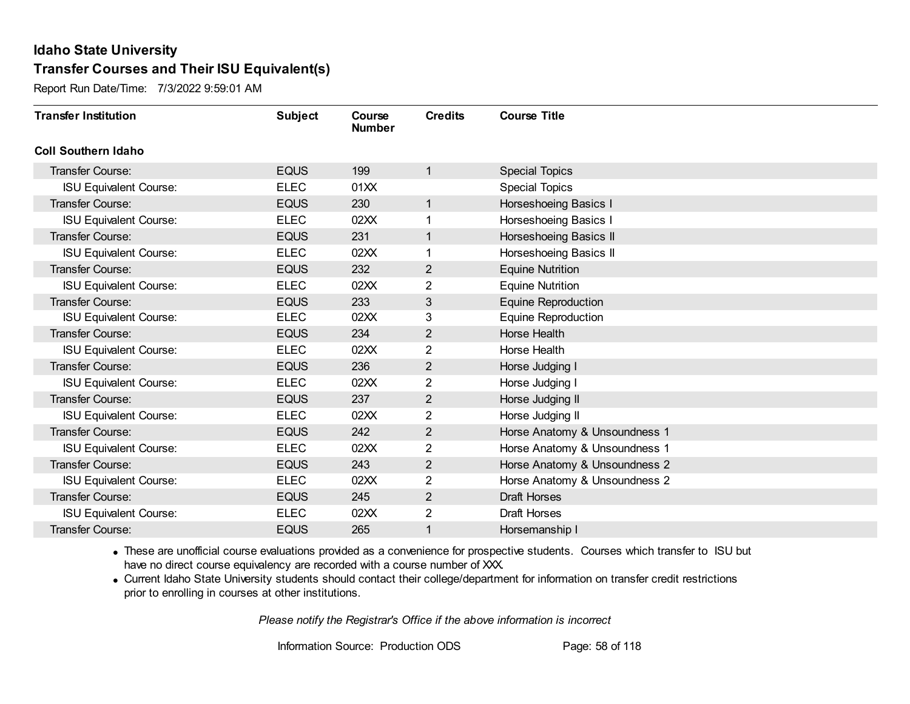Report Run Date/Time: 7/3/2022 9:59:01 AM

| <b>Transfer Institution</b>   | <b>Subject</b> | Course<br><b>Number</b> | <b>Credits</b> | <b>Course Title</b>           |
|-------------------------------|----------------|-------------------------|----------------|-------------------------------|
| <b>Coll Southern Idaho</b>    |                |                         |                |                               |
| Transfer Course:              | <b>EQUS</b>    | 199                     | 1              | <b>Special Topics</b>         |
| <b>ISU Equivalent Course:</b> | <b>ELEC</b>    | 01XX                    |                | <b>Special Topics</b>         |
| Transfer Course:              | <b>EQUS</b>    | 230                     | $\mathbf{1}$   | Horseshoeing Basics I         |
| <b>ISU Equivalent Course:</b> | <b>ELEC</b>    | 02XX                    | 1              | Horseshoeing Basics I         |
| <b>Transfer Course:</b>       | <b>EQUS</b>    | 231                     | $\mathbf{1}$   | Horseshoeing Basics II        |
| <b>ISU Equivalent Course:</b> | <b>ELEC</b>    | 02XX                    | 1              | Horseshoeing Basics II        |
| Transfer Course:              | <b>EQUS</b>    | 232                     | $\overline{2}$ | <b>Equine Nutrition</b>       |
| <b>ISU Equivalent Course:</b> | <b>ELEC</b>    | 02XX                    | 2              | <b>Equine Nutrition</b>       |
| Transfer Course:              | <b>EQUS</b>    | 233                     | 3              | <b>Equine Reproduction</b>    |
| <b>ISU Equivalent Course:</b> | <b>ELEC</b>    | 02XX                    | 3              | <b>Equine Reproduction</b>    |
| <b>Transfer Course:</b>       | <b>EQUS</b>    | 234                     | $\overline{2}$ | Horse Health                  |
| <b>ISU Equivalent Course:</b> | <b>ELEC</b>    | 02XX                    | 2              | Horse Health                  |
| Transfer Course:              | <b>EQUS</b>    | 236                     | $\overline{2}$ | Horse Judging I               |
| <b>ISU Equivalent Course:</b> | <b>ELEC</b>    | 02XX                    | 2              | Horse Judging I               |
| Transfer Course:              | <b>EQUS</b>    | 237                     | $\overline{2}$ | Horse Judging II              |
| <b>ISU Equivalent Course:</b> | <b>ELEC</b>    | 02XX                    | $\overline{2}$ | Horse Judging II              |
| Transfer Course:              | <b>EQUS</b>    | 242                     | $\overline{2}$ | Horse Anatomy & Unsoundness 1 |
| <b>ISU Equivalent Course:</b> | <b>ELEC</b>    | 02XX                    | 2              | Horse Anatomy & Unsoundness 1 |
| <b>Transfer Course:</b>       | <b>EQUS</b>    | 243                     | $\overline{c}$ | Horse Anatomy & Unsoundness 2 |
| <b>ISU Equivalent Course:</b> | <b>ELEC</b>    | 02XX                    | 2              | Horse Anatomy & Unsoundness 2 |
| Transfer Course:              | <b>EQUS</b>    | 245                     | $\overline{2}$ | <b>Draft Horses</b>           |
| <b>ISU Equivalent Course:</b> | <b>ELEC</b>    | 02XX                    | $\overline{2}$ | Draft Horses                  |
| <b>Transfer Course:</b>       | <b>EQUS</b>    | 265                     | 1              | Horsemanship I                |

· These are unofficial course evaluations provided as a convenience for prospective students. Courses which transfer to ISU but have no direct course equivalency are recorded with a course number of XXX.

· Current Idaho State University students should contact their college/department for information on transfer credit restrictions prior to enrolling in courses at other institutions.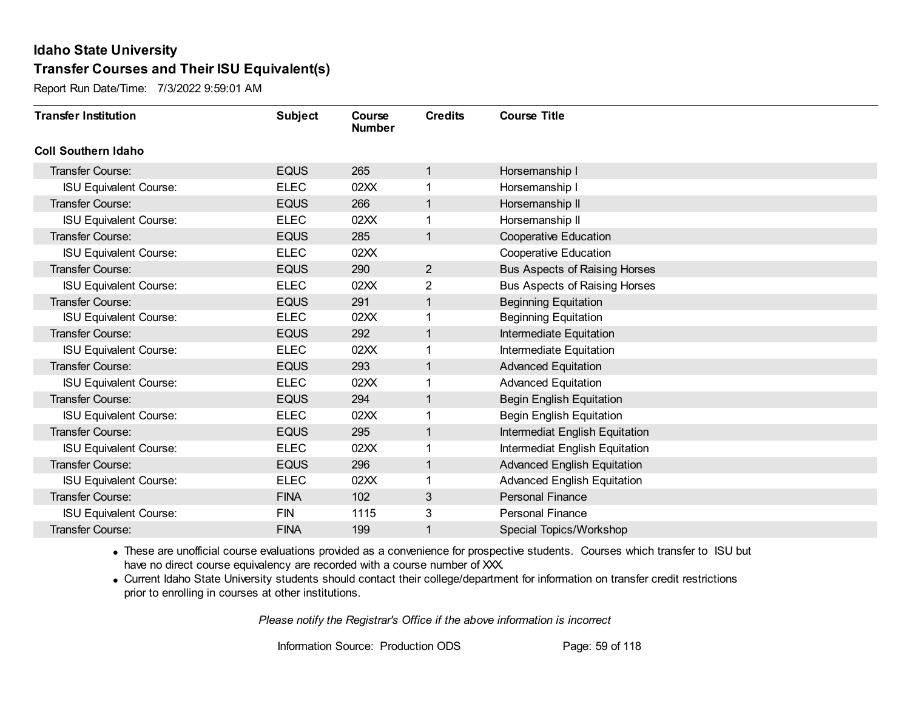Report Run Date/Time: 7/3/2022 9:59:01 AM

| <b>Transfer Institution</b>   | <b>Subject</b> | Course<br><b>Number</b> | <b>Credits</b> | <b>Course Title</b>                  |
|-------------------------------|----------------|-------------------------|----------------|--------------------------------------|
| <b>Coll Southern Idaho</b>    |                |                         |                |                                      |
| Transfer Course:              | <b>EQUS</b>    | 265                     | 1              | Horsemanship I                       |
| <b>ISU Equivalent Course:</b> | <b>ELEC</b>    | 02XX                    |                | Horsemanship I                       |
| Transfer Course:              | <b>EQUS</b>    | 266                     | 1              | Horsemanship II                      |
| <b>ISU Equivalent Course:</b> | <b>ELEC</b>    | 02XX                    | 1              | Horsemanship II                      |
| <b>Transfer Course:</b>       | <b>EQUS</b>    | 285                     | $\mathbf 1$    | <b>Cooperative Education</b>         |
| <b>ISU Equivalent Course:</b> | <b>ELEC</b>    | 02XX                    |                | <b>Cooperative Education</b>         |
| Transfer Course:              | <b>EQUS</b>    | 290                     | $\overline{2}$ | <b>Bus Aspects of Raising Horses</b> |
| <b>ISU Equivalent Course:</b> | <b>ELEC</b>    | 02XX                    | 2              | <b>Bus Aspects of Raising Horses</b> |
| Transfer Course:              | <b>EQUS</b>    | 291                     | 1              | <b>Beginning Equitation</b>          |
| <b>ISU Equivalent Course:</b> | <b>ELEC</b>    | 02XX                    | 1              | <b>Beginning Equitation</b>          |
| <b>Transfer Course:</b>       | <b>EQUS</b>    | 292                     | 1              | Intermediate Equitation              |
| <b>ISU Equivalent Course:</b> | <b>ELEC</b>    | 02XX                    |                | Intermediate Equitation              |
| Transfer Course:              | <b>EQUS</b>    | 293                     | 1              | <b>Advanced Equitation</b>           |
| <b>ISU Equivalent Course:</b> | <b>ELEC</b>    | 02XX                    | 1              | <b>Advanced Equitation</b>           |
| Transfer Course:              | <b>EQUS</b>    | 294                     | 1              | <b>Begin English Equitation</b>      |
| <b>ISU Equivalent Course:</b> | <b>ELEC</b>    | 02XX                    | $\mathbf 1$    | <b>Begin English Equitation</b>      |
| Transfer Course:              | <b>EQUS</b>    | 295                     | 1              | Intermediat English Equitation       |
| <b>ISU Equivalent Course:</b> | <b>ELEC</b>    | 02XX                    |                | Intermediat English Equitation       |
| Transfer Course:              | <b>EQUS</b>    | 296                     | 1              | <b>Advanced English Equitation</b>   |
| <b>ISU Equivalent Course:</b> | <b>ELEC</b>    | 02XX                    |                | <b>Advanced English Equitation</b>   |
| Transfer Course:              | <b>FINA</b>    | 102                     | 3              | <b>Personal Finance</b>              |
| <b>ISU Equivalent Course:</b> | <b>FIN</b>     | 1115                    | 3              | <b>Personal Finance</b>              |
| Transfer Course:              | <b>FINA</b>    | 199                     | 1              | Special Topics/Workshop              |

· These are unofficial course evaluations provided as a convenience for prospective students. Courses which transfer to ISU but have no direct course equivalency are recorded with a course number of XXX.

· Current Idaho State University students should contact their college/department for information on transfer credit restrictions prior to enrolling in courses at other institutions.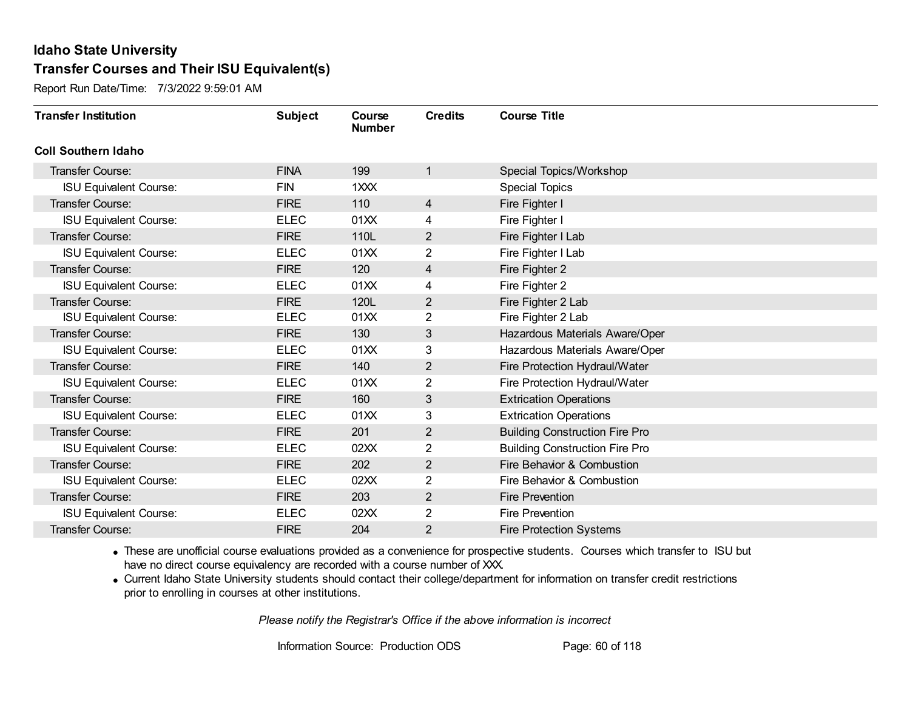Report Run Date/Time: 7/3/2022 9:59:01 AM

| <b>Transfer Institution</b>   | <b>Subject</b> | Course<br><b>Number</b> | <b>Credits</b> | <b>Course Title</b>                   |
|-------------------------------|----------------|-------------------------|----------------|---------------------------------------|
| <b>Coll Southern Idaho</b>    |                |                         |                |                                       |
| Transfer Course:              | <b>FINA</b>    | 199                     | 1              | Special Topics/Workshop               |
| <b>ISU Equivalent Course:</b> | <b>FIN</b>     | 1XXX                    |                | <b>Special Topics</b>                 |
| Transfer Course:              | <b>FIRE</b>    | 110                     | 4              | Fire Fighter I                        |
| <b>ISU Equivalent Course:</b> | <b>ELEC</b>    | 01XX                    | 4              | Fire Fighter I                        |
| <b>Transfer Course:</b>       | <b>FIRE</b>    | 110L                    | $\overline{2}$ | Fire Fighter I Lab                    |
| <b>ISU Equivalent Course:</b> | <b>ELEC</b>    | 01XX                    | 2              | Fire Fighter I Lab                    |
| Transfer Course:              | <b>FIRE</b>    | 120                     | 4              | Fire Fighter 2                        |
| <b>ISU Equivalent Course:</b> | <b>ELEC</b>    | 01XX                    | 4              | Fire Fighter 2                        |
| <b>Transfer Course:</b>       | <b>FIRE</b>    | 120L                    | $\overline{2}$ | Fire Fighter 2 Lab                    |
| <b>ISU Equivalent Course:</b> | <b>ELEC</b>    | 01XX                    | $\overline{2}$ | Fire Fighter 2 Lab                    |
| <b>Transfer Course:</b>       | <b>FIRE</b>    | 130                     | 3              | Hazardous Materials Aware/Oper        |
| <b>ISU Equivalent Course:</b> | <b>ELEC</b>    | 01XX                    | 3              | Hazardous Materials Aware/Oper        |
| Transfer Course:              | <b>FIRE</b>    | 140                     | $\overline{2}$ | Fire Protection Hydraul/Water         |
| <b>ISU Equivalent Course:</b> | <b>ELEC</b>    | 01XX                    | 2              | Fire Protection Hydraul/Water         |
| Transfer Course:              | <b>FIRE</b>    | 160                     | 3              | <b>Extrication Operations</b>         |
| <b>ISU Equivalent Course:</b> | <b>ELEC</b>    | 01XX                    | 3              | <b>Extrication Operations</b>         |
| Transfer Course:              | <b>FIRE</b>    | 201                     | $\overline{2}$ | <b>Building Construction Fire Pro</b> |
| <b>ISU Equivalent Course:</b> | <b>ELEC</b>    | 02XX                    | 2              | <b>Building Construction Fire Pro</b> |
| Transfer Course:              | <b>FIRE</b>    | 202                     | $\overline{2}$ | Fire Behavior & Combustion            |
| <b>ISU Equivalent Course:</b> | <b>ELEC</b>    | 02XX                    | 2              | Fire Behavior & Combustion            |
| Transfer Course:              | <b>FIRE</b>    | 203                     | $\overline{2}$ | <b>Fire Prevention</b>                |
| <b>ISU Equivalent Course:</b> | <b>ELEC</b>    | 02XX                    | 2              | <b>Fire Prevention</b>                |
| Transfer Course:              | <b>FIRE</b>    | 204                     | 2              | <b>Fire Protection Systems</b>        |

· These are unofficial course evaluations provided as a convenience for prospective students. Courses which transfer to ISU but have no direct course equivalency are recorded with a course number of XXX.

· Current Idaho State University students should contact their college/department for information on transfer credit restrictions prior to enrolling in courses at other institutions.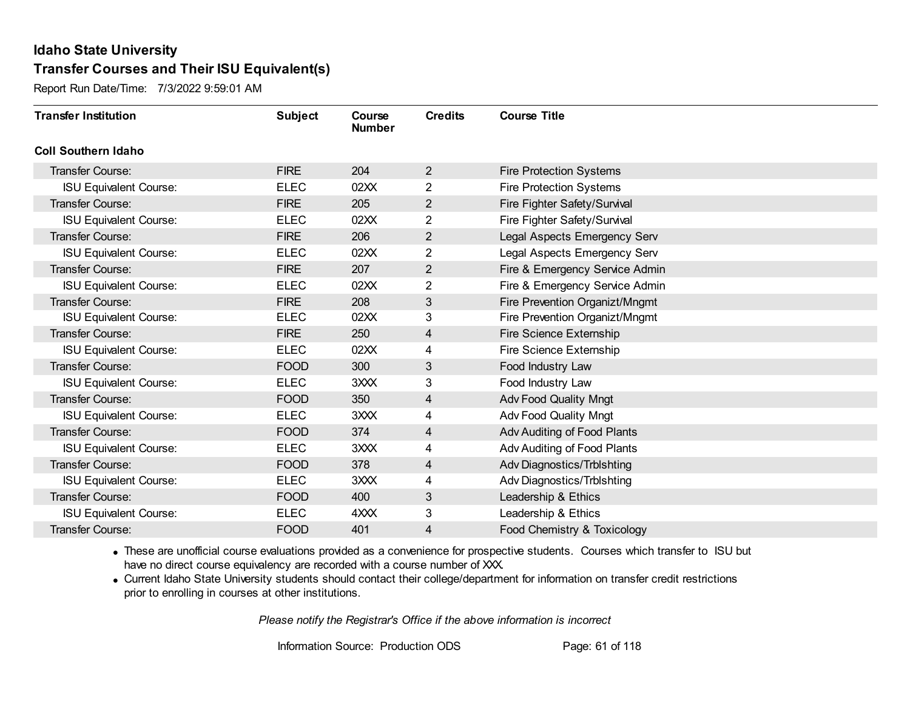Report Run Date/Time: 7/3/2022 9:59:01 AM

| <b>Transfer Institution</b>   | <b>Subject</b> | Course<br><b>Number</b> | <b>Credits</b> | <b>Course Title</b>            |
|-------------------------------|----------------|-------------------------|----------------|--------------------------------|
| <b>Coll Southern Idaho</b>    |                |                         |                |                                |
| Transfer Course:              | <b>FIRE</b>    | 204                     | $\overline{2}$ | <b>Fire Protection Systems</b> |
| <b>ISU Equivalent Course:</b> | <b>ELEC</b>    | 02XX                    | $\overline{2}$ | <b>Fire Protection Systems</b> |
| <b>Transfer Course:</b>       | <b>FIRE</b>    | 205                     | $\overline{2}$ | Fire Fighter Safety/Survival   |
| <b>ISU Equivalent Course:</b> | <b>ELEC</b>    | 02XX                    | $\overline{2}$ | Fire Fighter Safety/Survival   |
| <b>Transfer Course:</b>       | <b>FIRE</b>    | 206                     | $\overline{2}$ | Legal Aspects Emergency Serv   |
| <b>ISU Equivalent Course:</b> | <b>ELEC</b>    | 02XX                    | 2              | Legal Aspects Emergency Serv   |
| <b>Transfer Course:</b>       | <b>FIRE</b>    | 207                     | $\overline{2}$ | Fire & Emergency Service Admin |
| <b>ISU Equivalent Course:</b> | <b>ELEC</b>    | 02XX                    | 2              | Fire & Emergency Service Admin |
| <b>Transfer Course:</b>       | <b>FIRE</b>    | 208                     | $\sqrt{3}$     | Fire Prevention Organizt/Mngmt |
| <b>ISU Equivalent Course:</b> | <b>ELEC</b>    | 02XX                    | 3              | Fire Prevention Organizt/Mngmt |
| Transfer Course:              | <b>FIRE</b>    | 250                     | 4              | Fire Science Externship        |
| <b>ISU Equivalent Course:</b> | <b>ELEC</b>    | 02XX                    | 4              | Fire Science Externship        |
| <b>Transfer Course:</b>       | <b>FOOD</b>    | 300                     | 3              | Food Industry Law              |
| <b>ISU Equivalent Course:</b> | <b>ELEC</b>    | 3XXX                    | 3              | Food Industry Law              |
| Transfer Course:              | <b>FOOD</b>    | 350                     | 4              | <b>Adv Food Quality Mngt</b>   |
| <b>ISU Equivalent Course:</b> | <b>ELEC</b>    | 3XXX                    | 4              | <b>Adv Food Quality Mngt</b>   |
| <b>Transfer Course:</b>       | <b>FOOD</b>    | 374                     | 4              | Adv Auditing of Food Plants    |
| <b>ISU Equivalent Course:</b> | <b>ELEC</b>    | 3XXX                    | 4              | Adv Auditing of Food Plants    |
| <b>Transfer Course:</b>       | <b>FOOD</b>    | 378                     | 4              | Adv Diagnostics/Trblshting     |
| <b>ISU Equivalent Course:</b> | <b>ELEC</b>    | 3XXX                    | 4              | Adv Diagnostics/Trblshting     |
| <b>Transfer Course:</b>       | <b>FOOD</b>    | 400                     | $\sqrt{3}$     | Leadership & Ethics            |
| <b>ISU Equivalent Course:</b> | <b>ELEC</b>    | 4XXX                    | 3              | Leadership & Ethics            |
| Transfer Course:              | <b>FOOD</b>    | 401                     | 4              | Food Chemistry & Toxicology    |

· These are unofficial course evaluations provided as a convenience for prospective students. Courses which transfer to ISU but have no direct course equivalency are recorded with a course number of XXX.

· Current Idaho State University students should contact their college/department for information on transfer credit restrictions prior to enrolling in courses at other institutions.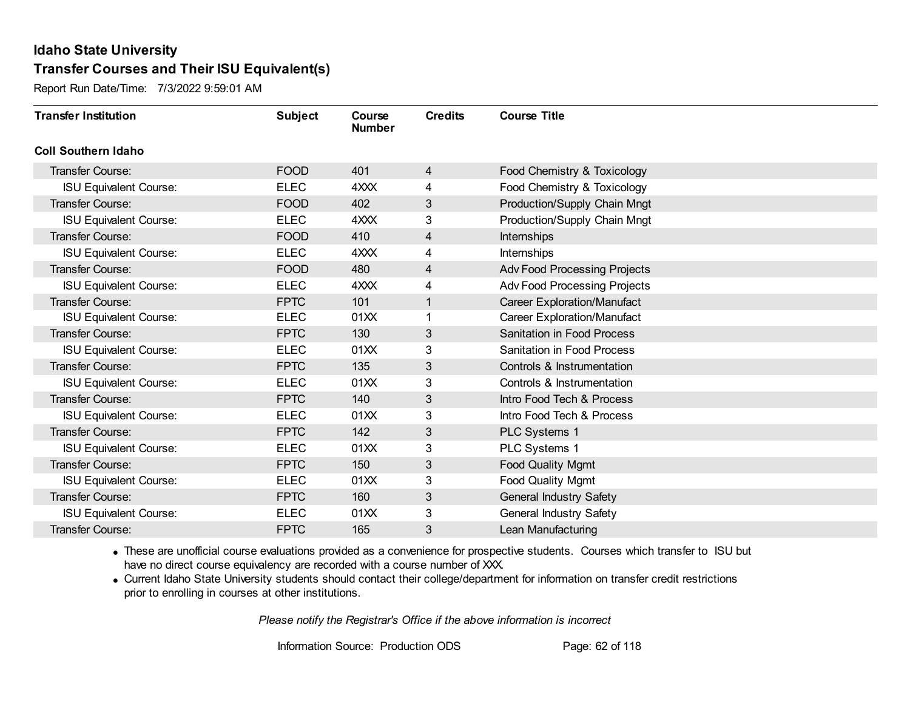Report Run Date/Time: 7/3/2022 9:59:01 AM

| <b>Transfer Institution</b>   | <b>Subject</b> | Course<br><b>Number</b> | <b>Credits</b> | <b>Course Title</b>                |
|-------------------------------|----------------|-------------------------|----------------|------------------------------------|
| <b>Coll Southern Idaho</b>    |                |                         |                |                                    |
| Transfer Course:              | <b>FOOD</b>    | 401                     | 4              | Food Chemistry & Toxicology        |
| <b>ISU Equivalent Course:</b> | <b>ELEC</b>    | 4XXX                    | 4              | Food Chemistry & Toxicology        |
| Transfer Course:              | <b>FOOD</b>    | 402                     | 3              | Production/Supply Chain Mngt       |
| <b>ISU Equivalent Course:</b> | <b>ELEC</b>    | 4XXX                    | 3              | Production/Supply Chain Mngt       |
| <b>Transfer Course:</b>       | <b>FOOD</b>    | 410                     | 4              | Internships                        |
| <b>ISU Equivalent Course:</b> | <b>ELEC</b>    | 4XXX                    | 4              | Internships                        |
| Transfer Course:              | <b>FOOD</b>    | 480                     | 4              | Adv Food Processing Projects       |
| <b>ISU Equivalent Course:</b> | <b>ELEC</b>    | 4XXX                    | 4              | Adv Food Processing Projects       |
| <b>Transfer Course:</b>       | <b>FPTC</b>    | 101                     | 1              | <b>Career Exploration/Manufact</b> |
| <b>ISU Equivalent Course:</b> | <b>ELEC</b>    | 01XX                    | 1              | <b>Career Exploration/Manufact</b> |
| Transfer Course:              | <b>FPTC</b>    | 130                     | 3              | <b>Sanitation in Food Process</b>  |
| <b>ISU Equivalent Course:</b> | <b>ELEC</b>    | 01XX                    | 3              | <b>Sanitation in Food Process</b>  |
| Transfer Course:              | <b>FPTC</b>    | 135                     | 3              | Controls & Instrumentation         |
| <b>ISU Equivalent Course:</b> | <b>ELEC</b>    | 01XX                    | 3              | Controls & Instrumentation         |
| Transfer Course:              | <b>FPTC</b>    | 140                     | 3              | Intro Food Tech & Process          |
| <b>ISU Equivalent Course:</b> | <b>ELEC</b>    | 01XX                    | 3              | Intro Food Tech & Process          |
| Transfer Course:              | <b>FPTC</b>    | 142                     | 3              | PLC Systems 1                      |
| <b>ISU Equivalent Course:</b> | <b>ELEC</b>    | 01XX                    | 3              | PLC Systems 1                      |
| Transfer Course:              | <b>FPTC</b>    | 150                     | 3              | <b>Food Quality Mgmt</b>           |
| <b>ISU Equivalent Course:</b> | <b>ELEC</b>    | 01XX                    | 3              | <b>Food Quality Mgmt</b>           |
| Transfer Course:              | <b>FPTC</b>    | 160                     | 3              | <b>General Industry Safety</b>     |
| <b>ISU Equivalent Course:</b> | <b>ELEC</b>    | 01XX                    | 3              | General Industry Safety            |
| Transfer Course:              | <b>FPTC</b>    | 165                     | 3              | Lean Manufacturing                 |

· These are unofficial course evaluations provided as a convenience for prospective students. Courses which transfer to ISU but have no direct course equivalency are recorded with a course number of XXX.

· Current Idaho State University students should contact their college/department for information on transfer credit restrictions prior to enrolling in courses at other institutions.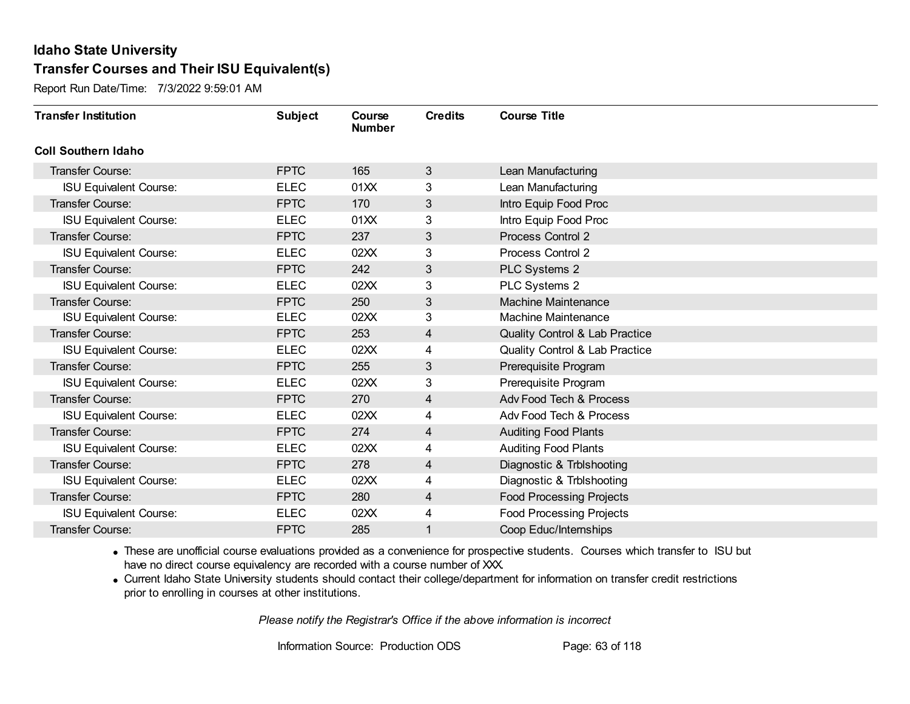Report Run Date/Time: 7/3/2022 9:59:01 AM

| <b>Transfer Institution</b>   | <b>Subject</b> | Course<br><b>Number</b> | <b>Credits</b> | <b>Course Title</b>                       |
|-------------------------------|----------------|-------------------------|----------------|-------------------------------------------|
| <b>Coll Southern Idaho</b>    |                |                         |                |                                           |
| Transfer Course:              | <b>FPTC</b>    | 165                     | 3              | Lean Manufacturing                        |
| <b>ISU Equivalent Course:</b> | <b>ELEC</b>    | 01XX                    | 3              | Lean Manufacturing                        |
| <b>Transfer Course:</b>       | <b>FPTC</b>    | 170                     | 3              | Intro Equip Food Proc                     |
| <b>ISU Equivalent Course:</b> | <b>ELEC</b>    | 01XX                    | 3              | Intro Equip Food Proc                     |
| <b>Transfer Course:</b>       | <b>FPTC</b>    | 237                     | 3              | Process Control 2                         |
| <b>ISU Equivalent Course:</b> | <b>ELEC</b>    | 02XX                    | 3              | Process Control 2                         |
| <b>Transfer Course:</b>       | <b>FPTC</b>    | 242                     | 3              | PLC Systems 2                             |
| <b>ISU Equivalent Course:</b> | <b>ELEC</b>    | 02XX                    | 3              | PLC Systems 2                             |
| <b>Transfer Course:</b>       | <b>FPTC</b>    | 250                     | 3              | <b>Machine Maintenance</b>                |
| <b>ISU Equivalent Course:</b> | <b>ELEC</b>    | 02XX                    | 3              | <b>Machine Maintenance</b>                |
| <b>Transfer Course:</b>       | <b>FPTC</b>    | 253                     | 4              | Quality Control & Lab Practice            |
| <b>ISU Equivalent Course:</b> | <b>ELEC</b>    | 02XX                    | 4              | <b>Quality Control &amp; Lab Practice</b> |
| Transfer Course:              | <b>FPTC</b>    | 255                     | 3              | Prerequisite Program                      |
| <b>ISU Equivalent Course:</b> | <b>ELEC</b>    | 02XX                    | 3              | Prerequisite Program                      |
| Transfer Course:              | <b>FPTC</b>    | 270                     | 4              | Adv Food Tech & Process                   |
| <b>ISU Equivalent Course:</b> | <b>ELEC</b>    | 02XX                    | 4              | Adv Food Tech & Process                   |
| <b>Transfer Course:</b>       | <b>FPTC</b>    | 274                     | 4              | <b>Auditing Food Plants</b>               |
| <b>ISU Equivalent Course:</b> | <b>ELEC</b>    | 02XX                    | 4              | <b>Auditing Food Plants</b>               |
| Transfer Course:              | <b>FPTC</b>    | 278                     | 4              | Diagnostic & Trblshooting                 |
| <b>ISU Equivalent Course:</b> | <b>ELEC</b>    | 02XX                    | 4              | Diagnostic & Trblshooting                 |
| <b>Transfer Course:</b>       | <b>FPTC</b>    | 280                     | 4              | <b>Food Processing Projects</b>           |
| <b>ISU Equivalent Course:</b> | <b>ELEC</b>    | 02XX                    | 4              | <b>Food Processing Projects</b>           |
| <b>Transfer Course:</b>       | <b>FPTC</b>    | 285                     | 1              | Coop Educ/Internships                     |

· These are unofficial course evaluations provided as a convenience for prospective students. Courses which transfer to ISU but have no direct course equivalency are recorded with a course number of XXX.

· Current Idaho State University students should contact their college/department for information on transfer credit restrictions prior to enrolling in courses at other institutions.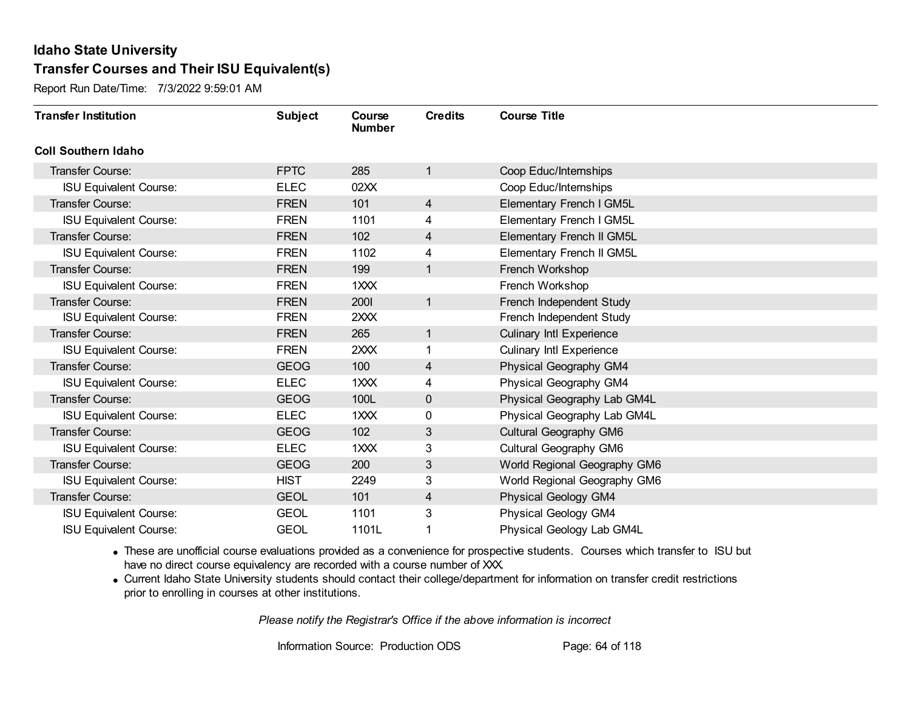Report Run Date/Time: 7/3/2022 9:59:01 AM

| <b>Transfer Institution</b>   | <b>Subject</b> | Course<br><b>Number</b> | <b>Credits</b> | <b>Course Title</b>             |
|-------------------------------|----------------|-------------------------|----------------|---------------------------------|
| <b>Coll Southern Idaho</b>    |                |                         |                |                                 |
| Transfer Course:              | <b>FPTC</b>    | 285                     | 1              | Coop Educ/Internships           |
| <b>ISU Equivalent Course:</b> | <b>ELEC</b>    | 02XX                    |                | Coop Educ/Internships           |
| Transfer Course:              | <b>FREN</b>    | 101                     | 4              | <b>Elementary French I GM5L</b> |
| <b>ISU Equivalent Course:</b> | <b>FREN</b>    | 1101                    | 4              | Elementary French I GM5L        |
| Transfer Course:              | <b>FREN</b>    | 102                     | 4              | Elementary French II GM5L       |
| <b>ISU Equivalent Course:</b> | <b>FREN</b>    | 1102                    | 4              | Elementary French II GM5L       |
| Transfer Course:              | <b>FREN</b>    | 199                     | $\mathbf{1}$   | French Workshop                 |
| <b>ISU Equivalent Course:</b> | <b>FREN</b>    | 1XXX                    |                | French Workshop                 |
| Transfer Course:              | <b>FREN</b>    | 2001                    | $\mathbf{1}$   | French Independent Study        |
| <b>ISU Equivalent Course:</b> | <b>FREN</b>    | 2XXX                    |                | French Independent Study        |
| Transfer Course:              | <b>FREN</b>    | 265                     | $\mathbf{1}$   | <b>Culinary Intl Experience</b> |
| <b>ISU Equivalent Course:</b> | <b>FREN</b>    | 2XXX                    |                | <b>Culinary Intl Experience</b> |
| Transfer Course:              | <b>GEOG</b>    | 100                     | 4              | Physical Geography GM4          |
| <b>ISU Equivalent Course:</b> | <b>ELEC</b>    | 1XXX                    | 4              | Physical Geography GM4          |
| Transfer Course:              | <b>GEOG</b>    | 100L                    | 0              | Physical Geography Lab GM4L     |
| <b>ISU Equivalent Course:</b> | <b>ELEC</b>    | 1XXX                    | 0              | Physical Geography Lab GM4L     |
| Transfer Course:              | <b>GEOG</b>    | 102                     | 3              | Cultural Geography GM6          |
| <b>ISU Equivalent Course:</b> | <b>ELEC</b>    | $1 \times X$            | 3              | Cultural Geography GM6          |
| Transfer Course:              | <b>GEOG</b>    | 200                     | 3              | World Regional Geography GM6    |
| <b>ISU Equivalent Course:</b> | <b>HIST</b>    | 2249                    | 3              | World Regional Geography GM6    |
| Transfer Course:              | <b>GEOL</b>    | 101                     | $\overline{4}$ | <b>Physical Geology GM4</b>     |
| <b>ISU Equivalent Course:</b> | <b>GEOL</b>    | 1101                    | 3              | Physical Geology GM4            |
| <b>ISU Equivalent Course:</b> | <b>GEOL</b>    | 1101L                   |                | Physical Geology Lab GM4L       |

· These are unofficial course evaluations provided as a convenience for prospective students. Courses which transfer to ISU but have no direct course equivalency are recorded with a course number of XXX.

· Current Idaho State University students should contact their college/department for information on transfer credit restrictions prior to enrolling in courses at other institutions.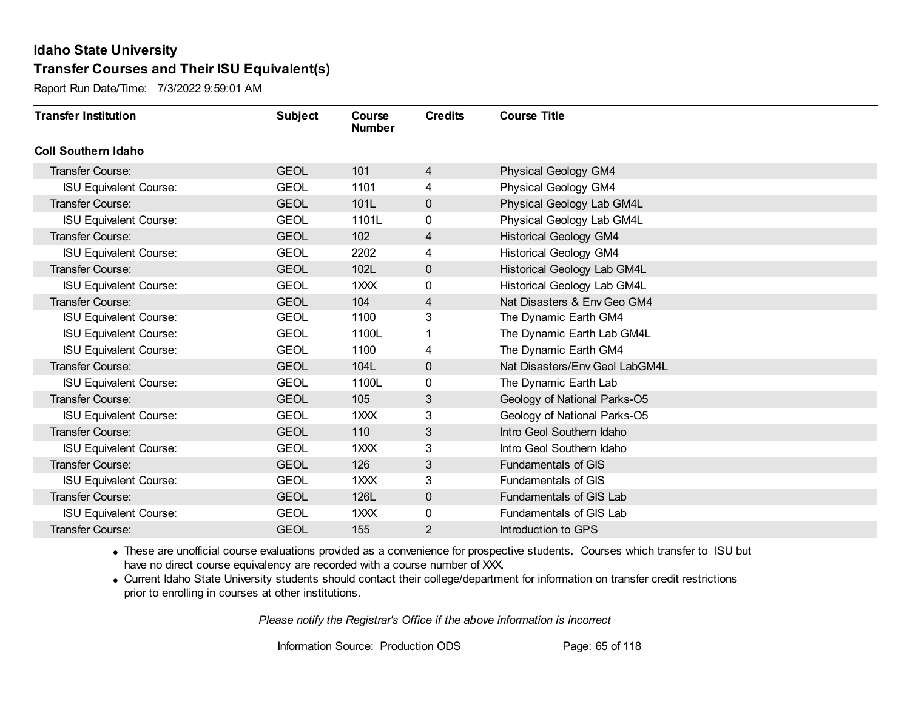Report Run Date/Time: 7/3/2022 9:59:01 AM

| <b>Transfer Institution</b>   | <b>Subject</b> | Course<br><b>Number</b> | <b>Credits</b> | <b>Course Title</b>            |
|-------------------------------|----------------|-------------------------|----------------|--------------------------------|
| <b>Coll Southern Idaho</b>    |                |                         |                |                                |
| Transfer Course:              | <b>GEOL</b>    | 101                     | 4              | <b>Physical Geology GM4</b>    |
| <b>ISU Equivalent Course:</b> | <b>GEOL</b>    | 1101                    | 4              | <b>Physical Geology GM4</b>    |
| Transfer Course:              | <b>GEOL</b>    | 101L                    | 0              | Physical Geology Lab GM4L      |
| <b>ISU Equivalent Course:</b> | <b>GEOL</b>    | 1101L                   | 0              | Physical Geology Lab GM4L      |
| <b>Transfer Course:</b>       | <b>GEOL</b>    | 102                     | 4              | <b>Historical Geology GM4</b>  |
| <b>ISU Equivalent Course:</b> | <b>GEOL</b>    | 2202                    | 4              | <b>Historical Geology GM4</b>  |
| Transfer Course:              | <b>GEOL</b>    | 102L                    | $\mathbf 0$    | Historical Geology Lab GM4L    |
| <b>ISU Equivalent Course:</b> | <b>GEOL</b>    | 1XXX                    | 0              | Historical Geology Lab GM4L    |
| <b>Transfer Course:</b>       | <b>GEOL</b>    | 104                     | 4              | Nat Disasters & Env Geo GM4    |
| <b>ISU Equivalent Course:</b> | <b>GEOL</b>    | 1100                    | 3              | The Dynamic Earth GM4          |
| <b>ISU Equivalent Course:</b> | <b>GEOL</b>    | 1100L                   |                | The Dynamic Earth Lab GM4L     |
| <b>ISU Equivalent Course:</b> | <b>GEOL</b>    | 1100                    | 4              | The Dynamic Earth GM4          |
| Transfer Course:              | <b>GEOL</b>    | 104L                    | 0              | Nat Disasters/Env Geol LabGM4L |
| <b>ISU Equivalent Course:</b> | <b>GEOL</b>    | 1100L                   | 0              | The Dynamic Earth Lab          |
| Transfer Course:              | <b>GEOL</b>    | 105                     | 3              | Geology of National Parks-O5   |
| <b>ISU Equivalent Course:</b> | <b>GEOL</b>    | 1XXX                    | 3              | Geology of National Parks-O5   |
| Transfer Course:              | <b>GEOL</b>    | 110                     | 3              | Intro Geol Southern Idaho      |
| <b>ISU Equivalent Course:</b> | <b>GEOL</b>    | 1XXX                    | 3              | Intro Geol Southern Idaho      |
| Transfer Course:              | <b>GEOL</b>    | 126                     | 3              | <b>Fundamentals of GIS</b>     |
| <b>ISU Equivalent Course:</b> | <b>GEOL</b>    | 1XXX                    | 3              | <b>Fundamentals of GIS</b>     |
| Transfer Course:              | <b>GEOL</b>    | 126L                    | $\mathbf 0$    | Fundamentals of GIS Lab        |
| <b>ISU Equivalent Course:</b> | <b>GEOL</b>    | 1XXX                    | 0              | Fundamentals of GIS Lab        |
| <b>Transfer Course:</b>       | <b>GEOL</b>    | 155                     | 2              | Introduction to GPS            |

· These are unofficial course evaluations provided as a convenience for prospective students. Courses which transfer to ISU but have no direct course equivalency are recorded with a course number of XXX.

· Current Idaho State University students should contact their college/department for information on transfer credit restrictions prior to enrolling in courses at other institutions.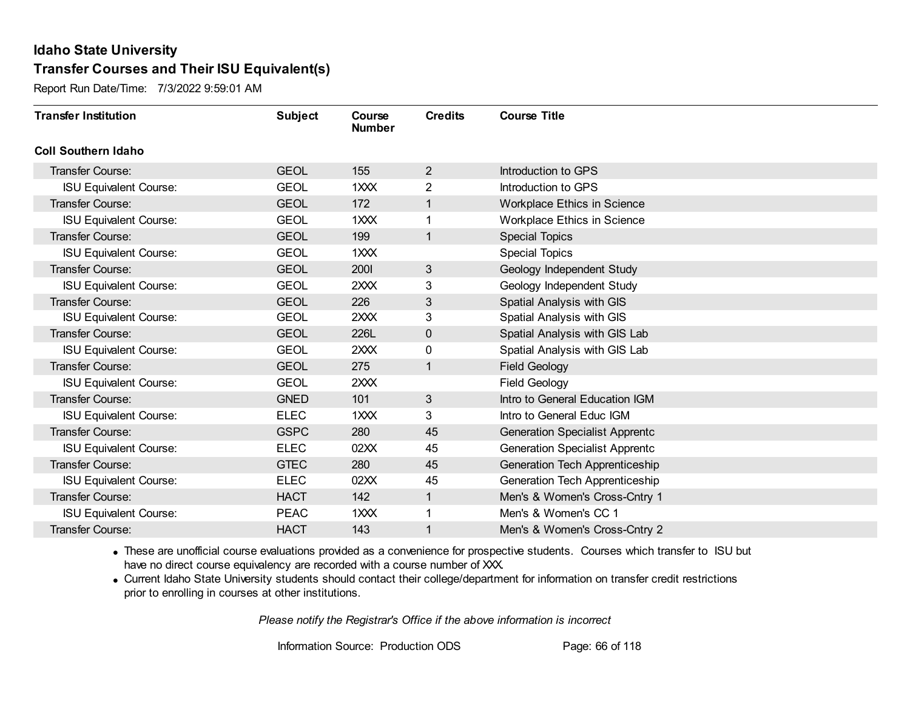Report Run Date/Time: 7/3/2022 9:59:01 AM

| <b>Transfer Institution</b>   | <b>Subject</b> | Course<br><b>Number</b> | <b>Credits</b> | <b>Course Title</b>                   |
|-------------------------------|----------------|-------------------------|----------------|---------------------------------------|
| <b>Coll Southern Idaho</b>    |                |                         |                |                                       |
| Transfer Course:              | <b>GEOL</b>    | 155                     | $\overline{2}$ | Introduction to GPS                   |
| <b>ISU Equivalent Course:</b> | <b>GEOL</b>    | 1XXX                    | $\overline{2}$ | Introduction to GPS                   |
| Transfer Course:              | <b>GEOL</b>    | 172                     |                | Workplace Ethics in Science           |
| <b>ISU Equivalent Course:</b> | <b>GEOL</b>    | 1XXX                    |                | Workplace Ethics in Science           |
| <b>Transfer Course:</b>       | <b>GEOL</b>    | 199                     | $\mathbf{1}$   | <b>Special Topics</b>                 |
| <b>ISU Equivalent Course:</b> | <b>GEOL</b>    | 1XXX                    |                | <b>Special Topics</b>                 |
| Transfer Course:              | <b>GEOL</b>    | 2001                    | 3              | Geology Independent Study             |
| <b>ISU Equivalent Course:</b> | <b>GEOL</b>    | 2XXX                    | 3              | Geology Independent Study             |
| Transfer Course:              | <b>GEOL</b>    | 226                     | $\mathfrak{S}$ | Spatial Analysis with GIS             |
| <b>ISU Equivalent Course:</b> | <b>GEOL</b>    | 2XXX                    | 3              | Spatial Analysis with GIS             |
| Transfer Course:              | <b>GEOL</b>    | 226L                    | $\mathbf 0$    | Spatial Analysis with GIS Lab         |
| <b>ISU Equivalent Course:</b> | <b>GEOL</b>    | 2XXX                    | 0              | Spatial Analysis with GIS Lab         |
| Transfer Course:              | <b>GEOL</b>    | 275                     | $\mathbf{1}$   | <b>Field Geology</b>                  |
| <b>ISU Equivalent Course:</b> | <b>GEOL</b>    | 2XXX                    |                | <b>Field Geology</b>                  |
| Transfer Course:              | <b>GNED</b>    | 101                     | $\mathbf{3}$   | Intro to General Education IGM        |
| <b>ISU Equivalent Course:</b> | <b>ELEC</b>    | 1XXX                    | 3              | Intro to General Educ IGM             |
| Transfer Course:              | <b>GSPC</b>    | 280                     | 45             | <b>Generation Specialist Apprentc</b> |
| <b>ISU Equivalent Course:</b> | <b>ELEC</b>    | 02XX                    | 45             | <b>Generation Specialist Apprentc</b> |
| Transfer Course:              | <b>GTEC</b>    | 280                     | 45             | Generation Tech Apprenticeship        |
| <b>ISU Equivalent Course:</b> | <b>ELEC</b>    | 02XX                    | 45             | Generation Tech Apprenticeship        |
| Transfer Course:              | <b>HACT</b>    | 142                     | $\mathbf{1}$   | Men's & Women's Cross-Cntry 1         |
| <b>ISU Equivalent Course:</b> | <b>PEAC</b>    | 1XXX                    |                | Men's & Women's CC 1                  |
| Transfer Course:              | <b>HACT</b>    | 143                     |                | Men's & Women's Cross-Cntry 2         |

· These are unofficial course evaluations provided as a convenience for prospective students. Courses which transfer to ISU but have no direct course equivalency are recorded with a course number of XXX.

· Current Idaho State University students should contact their college/department for information on transfer credit restrictions prior to enrolling in courses at other institutions.

*Please notify the Registrar's Office if the above information is incorrect*

Information Source: Production ODS Page: 66 of 118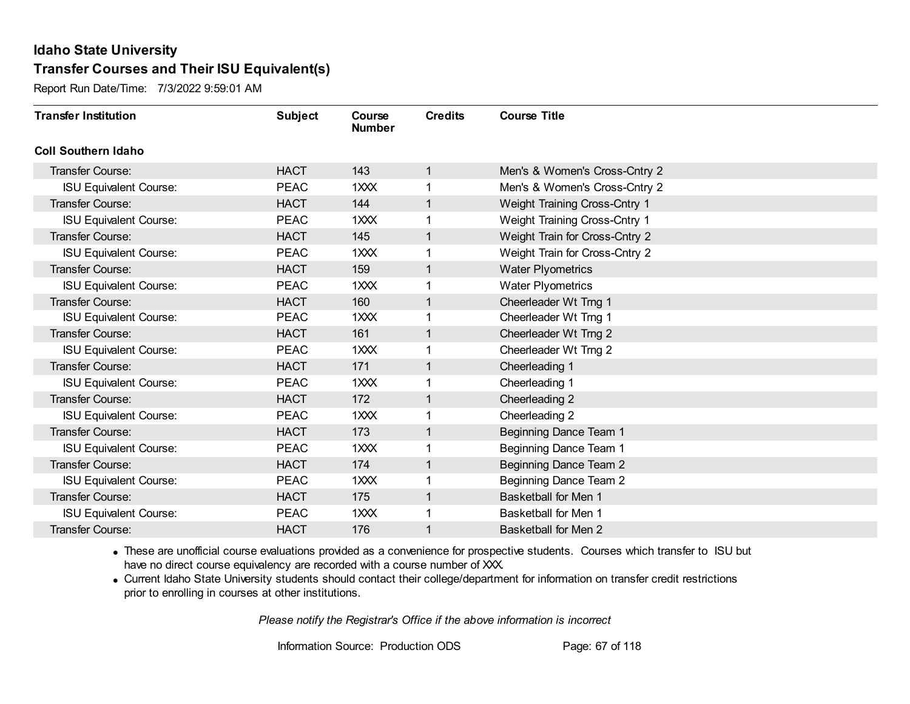Report Run Date/Time: 7/3/2022 9:59:01 AM

| <b>Transfer Institution</b>   | <b>Subject</b> | Course<br><b>Number</b> | <b>Credits</b> | <b>Course Title</b>            |
|-------------------------------|----------------|-------------------------|----------------|--------------------------------|
| <b>Coll Southern Idaho</b>    |                |                         |                |                                |
| Transfer Course:              | <b>HACT</b>    | 143                     | 1              | Men's & Women's Cross-Cntry 2  |
| <b>ISU Equivalent Course:</b> | <b>PEAC</b>    | $1 \times X$            | 1              | Men's & Women's Cross-Cntry 2  |
| Transfer Course:              | <b>HACT</b>    | 144                     | 1              | Weight Training Cross-Cntry 1  |
| <b>ISU Equivalent Course:</b> | <b>PEAC</b>    | 1XXX                    | 1              | Weight Training Cross-Cntry 1  |
| <b>Transfer Course:</b>       | <b>HACT</b>    | 145                     | 1              | Weight Train for Cross-Cntry 2 |
| <b>ISU Equivalent Course:</b> | <b>PEAC</b>    | 1XXX                    |                | Weight Train for Cross-Cntry 2 |
| Transfer Course:              | <b>HACT</b>    | 159                     | 1              | <b>Water Plyometrics</b>       |
| <b>ISU Equivalent Course:</b> | <b>PEAC</b>    | 1XXX                    |                | <b>Water Plyometrics</b>       |
| <b>Transfer Course:</b>       | <b>HACT</b>    | 160                     | 1              | Cheerleader Wt Trng 1          |
| <b>ISU Equivalent Course:</b> | <b>PEAC</b>    | 1XXX                    | 1              | Cheerleader Wt Trng 1          |
| <b>Transfer Course:</b>       | <b>HACT</b>    | 161                     | 1              | Cheerleader Wt Trng 2          |
| <b>ISU Equivalent Course:</b> | <b>PEAC</b>    | 1XXX                    |                | Cheerleader Wt Trng 2          |
| Transfer Course:              | <b>HACT</b>    | 171                     | 1              | Cheerleading 1                 |
| <b>ISU Equivalent Course:</b> | <b>PEAC</b>    | $1 \times X$            | 1              | Cheerleading 1                 |
| Transfer Course:              | <b>HACT</b>    | 172                     | 1              | Cheerleading 2                 |
| <b>ISU Equivalent Course:</b> | <b>PEAC</b>    | 1XXX                    | 1              | Cheerleading 2                 |
| Transfer Course:              | <b>HACT</b>    | 173                     | 1              | Beginning Dance Team 1         |
| <b>ISU Equivalent Course:</b> | <b>PEAC</b>    | 1XXX                    | 1              | Beginning Dance Team 1         |
| Transfer Course:              | <b>HACT</b>    | 174                     | 1              | Beginning Dance Team 2         |
| <b>ISU Equivalent Course:</b> | <b>PEAC</b>    | $1 \times X$            |                | Beginning Dance Team 2         |
| Transfer Course:              | <b>HACT</b>    | 175                     | 1              | <b>Basketball for Men 1</b>    |
| <b>ISU Equivalent Course:</b> | <b>PEAC</b>    | 1XXX                    |                | Basketball for Men 1           |
| Transfer Course:              | <b>HACT</b>    | 176                     | 1              | Basketball for Men 2           |

· These are unofficial course evaluations provided as a convenience for prospective students. Courses which transfer to ISU but have no direct course equivalency are recorded with a course number of XXX.

· Current Idaho State University students should contact their college/department for information on transfer credit restrictions prior to enrolling in courses at other institutions.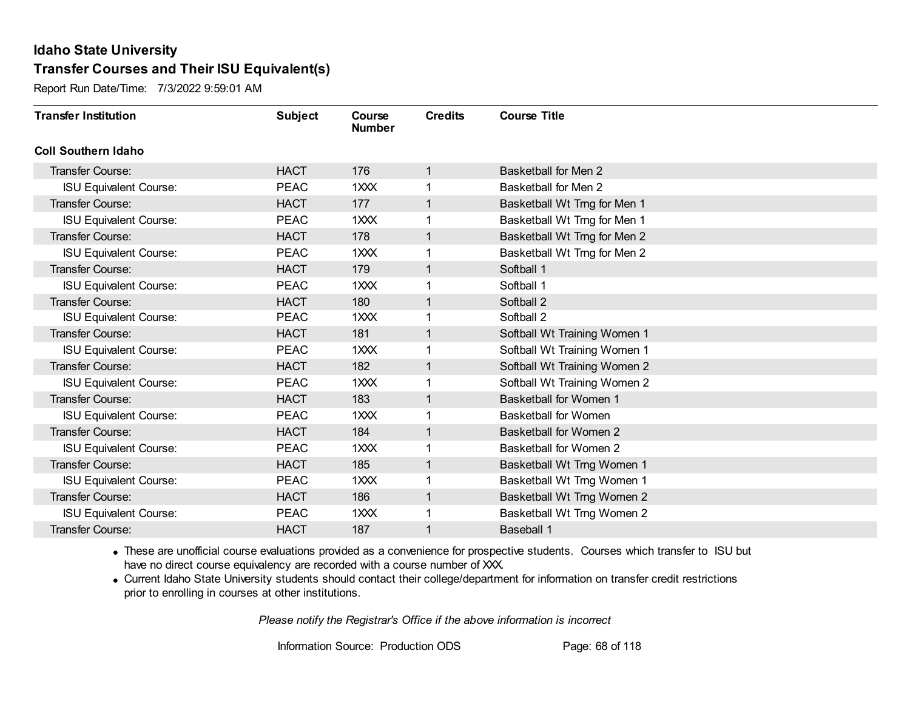Report Run Date/Time: 7/3/2022 9:59:01 AM

| <b>Transfer Institution</b>   | <b>Subject</b> | Course<br><b>Number</b> | <b>Credits</b> | <b>Course Title</b>           |
|-------------------------------|----------------|-------------------------|----------------|-------------------------------|
| <b>Coll Southern Idaho</b>    |                |                         |                |                               |
| Transfer Course:              | <b>HACT</b>    | 176                     | $\mathbf{1}$   | <b>Basketball for Men 2</b>   |
| <b>ISU Equivalent Course:</b> | <b>PEAC</b>    | $1 \times X$            |                | Basketball for Men 2          |
| Transfer Course:              | <b>HACT</b>    | 177                     |                | Basketball Wt Trng for Men 1  |
| <b>ISU Equivalent Course:</b> | <b>PEAC</b>    | 1XXX                    |                | Basketball Wt Trng for Men 1  |
| Transfer Course:              | <b>HACT</b>    | 178                     | 1              | Basketball Wt Trng for Men 2  |
| <b>ISU Equivalent Course:</b> | <b>PEAC</b>    | 1XXX                    |                | Basketball Wt Trng for Men 2  |
| Transfer Course:              | <b>HACT</b>    | 179                     | 1              | Softball 1                    |
| <b>ISU Equivalent Course:</b> | <b>PEAC</b>    | 1XXX                    |                | Softball 1                    |
| <b>Transfer Course:</b>       | <b>HACT</b>    | 180                     | 1              | Softball 2                    |
| <b>ISU Equivalent Course:</b> | <b>PEAC</b>    | 1XXX                    |                | Softball 2                    |
| Transfer Course:              | <b>HACT</b>    | 181                     | 1              | Softball Wt Training Women 1  |
| <b>ISU Equivalent Course:</b> | <b>PEAC</b>    | $1$ $XX$                |                | Softball Wt Training Women 1  |
| Transfer Course:              | <b>HACT</b>    | 182                     | 1              | Softball Wt Training Women 2  |
| <b>ISU Equivalent Course:</b> | <b>PEAC</b>    | 1XXX                    |                | Softball Wt Training Women 2  |
| Transfer Course:              | <b>HACT</b>    | 183                     |                | <b>Basketball for Women 1</b> |
| <b>ISU Equivalent Course:</b> | <b>PEAC</b>    | 1XXX                    |                | <b>Basketball for Women</b>   |
| Transfer Course:              | <b>HACT</b>    | 184                     | 1              | <b>Basketball for Women 2</b> |
| <b>ISU Equivalent Course:</b> | <b>PEAC</b>    | 1XXX                    |                | <b>Basketball for Women 2</b> |
| Transfer Course:              | <b>HACT</b>    | 185                     | 1              | Basketball Wt Trng Women 1    |
| <b>ISU Equivalent Course:</b> | <b>PEAC</b>    | 1XXX                    |                | Basketball Wt Trng Women 1    |
| Transfer Course:              | <b>HACT</b>    | 186                     | 1              | Basketball Wt Trng Women 2    |
| <b>ISU Equivalent Course:</b> | <b>PEAC</b>    | 1XXX                    |                | Basketball Wt Trng Women 2    |
| Transfer Course:              | <b>HACT</b>    | 187                     |                | <b>Baseball 1</b>             |

· These are unofficial course evaluations provided as a convenience for prospective students. Courses which transfer to ISU but have no direct course equivalency are recorded with a course number of XXX.

· Current Idaho State University students should contact their college/department for information on transfer credit restrictions prior to enrolling in courses at other institutions.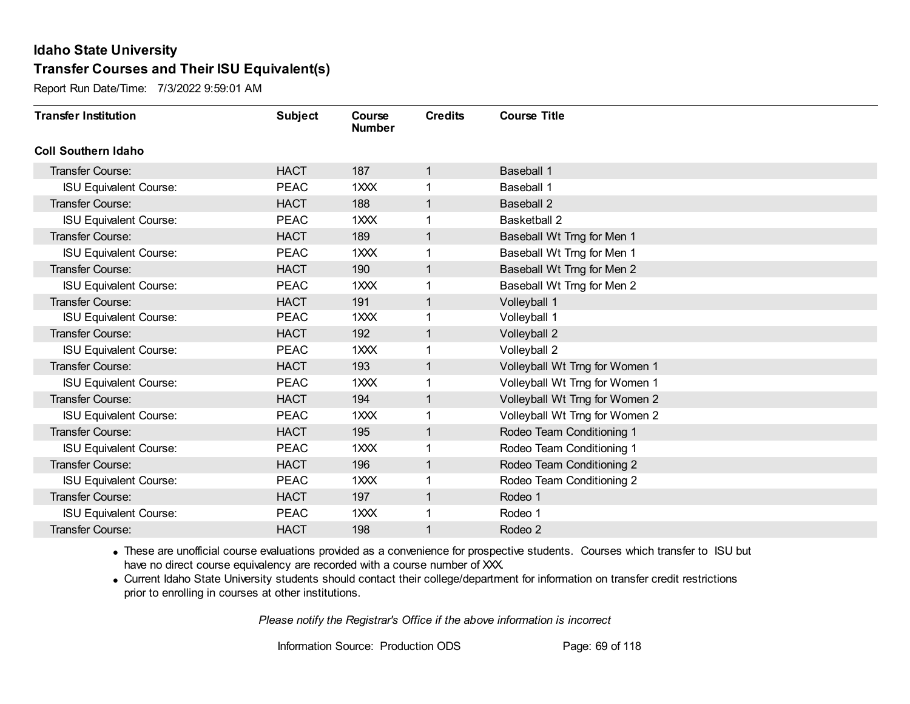Report Run Date/Time: 7/3/2022 9:59:01 AM

| <b>Transfer Institution</b>   | <b>Subject</b> | Course<br><b>Number</b> | <b>Credits</b> | <b>Course Title</b>            |
|-------------------------------|----------------|-------------------------|----------------|--------------------------------|
| <b>Coll Southern Idaho</b>    |                |                         |                |                                |
| Transfer Course:              | <b>HACT</b>    | 187                     | 1              | <b>Baseball 1</b>              |
| <b>ISU Equivalent Course:</b> | <b>PEAC</b>    | 1XXX                    |                | <b>Baseball 1</b>              |
| Transfer Course:              | <b>HACT</b>    | 188                     |                | <b>Baseball 2</b>              |
| <b>ISU Equivalent Course:</b> | <b>PEAC</b>    | 1XXX                    |                | <b>Basketball 2</b>            |
| <b>Transfer Course:</b>       | <b>HACT</b>    | 189                     | 1              | Baseball Wt Trng for Men 1     |
| <b>ISU Equivalent Course:</b> | <b>PEAC</b>    | 1XXX                    |                | Baseball Wt Trng for Men 1     |
| Transfer Course:              | <b>HACT</b>    | 190                     | 1              | Baseball Wt Trng for Men 2     |
| <b>ISU Equivalent Course:</b> | <b>PEAC</b>    | 1XXX                    |                | Baseball Wt Trng for Men 2     |
| <b>Transfer Course:</b>       | <b>HACT</b>    | 191                     | 1              | Volleyball 1                   |
| <b>ISU Equivalent Course:</b> | <b>PEAC</b>    | 1XXX                    |                | Volleyball 1                   |
| <b>Transfer Course:</b>       | <b>HACT</b>    | 192                     | 1              | Volleyball 2                   |
| <b>ISU Equivalent Course:</b> | <b>PEAC</b>    | 1XXX                    |                | Volleyball 2                   |
| Transfer Course:              | <b>HACT</b>    | 193                     |                | Volleyball Wt Trng for Women 1 |
| <b>ISU Equivalent Course:</b> | <b>PEAC</b>    | 1XXX                    |                | Volleyball Wt Trng for Women 1 |
| Transfer Course:              | <b>HACT</b>    | 194                     | 1              | Volleyball Wt Trng for Women 2 |
| <b>ISU Equivalent Course:</b> | <b>PEAC</b>    | 1XXX                    |                | Volleyball Wt Trng for Women 2 |
| Transfer Course:              | <b>HACT</b>    | 195                     | 1              | Rodeo Team Conditioning 1      |
| <b>ISU Equivalent Course:</b> | <b>PEAC</b>    | 1XXX                    |                | Rodeo Team Conditioning 1      |
| Transfer Course:              | <b>HACT</b>    | 196                     | 1              | Rodeo Team Conditioning 2      |
| <b>ISU Equivalent Course:</b> | <b>PEAC</b>    | 1XXX                    |                | Rodeo Team Conditioning 2      |
| Transfer Course:              | <b>HACT</b>    | 197                     | 1              | Rodeo 1                        |
| <b>ISU Equivalent Course:</b> | <b>PEAC</b>    | 1XXX                    |                | Rodeo 1                        |
| Transfer Course:              | <b>HACT</b>    | 198                     |                | Rodeo 2                        |

· These are unofficial course evaluations provided as a convenience for prospective students. Courses which transfer to ISU but have no direct course equivalency are recorded with a course number of XXX.

· Current Idaho State University students should contact their college/department for information on transfer credit restrictions prior to enrolling in courses at other institutions.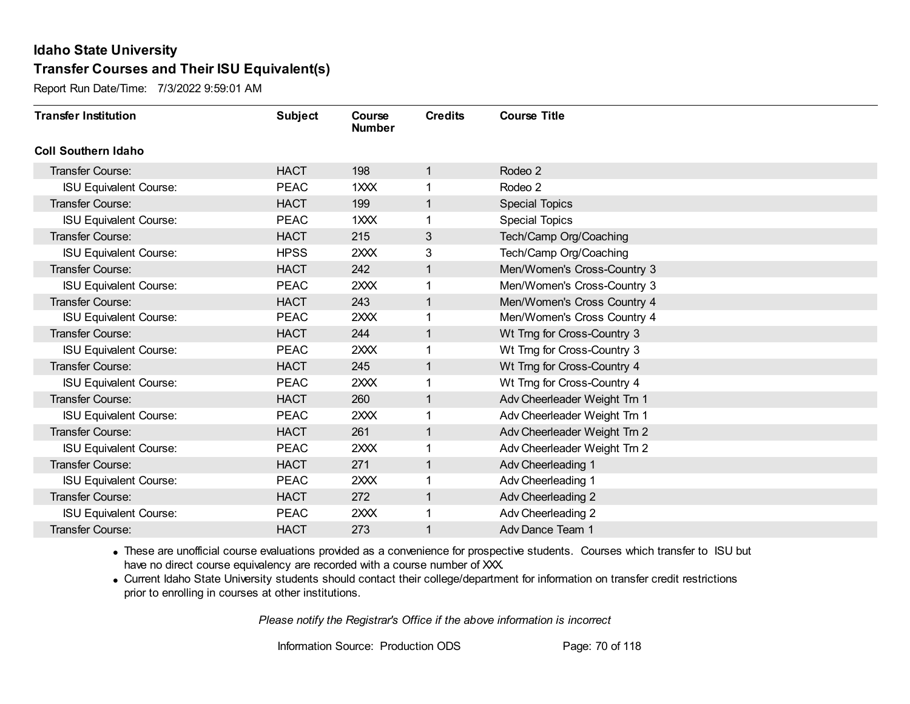Report Run Date/Time: 7/3/2022 9:59:01 AM

| <b>Transfer Institution</b>   | <b>Subject</b> | Course<br><b>Number</b> | <b>Credits</b> | <b>Course Title</b>          |
|-------------------------------|----------------|-------------------------|----------------|------------------------------|
| <b>Coll Southern Idaho</b>    |                |                         |                |                              |
| <b>Transfer Course:</b>       | <b>HACT</b>    | 198                     | 1              | Rodeo 2                      |
| <b>ISU Equivalent Course:</b> | <b>PEAC</b>    | 1XXX                    |                | Rodeo 2                      |
| <b>Transfer Course:</b>       | <b>HACT</b>    | 199                     |                | <b>Special Topics</b>        |
| <b>ISU Equivalent Course:</b> | <b>PEAC</b>    | $1 \times X$            |                | Special Topics               |
| <b>Transfer Course:</b>       | <b>HACT</b>    | 215                     | 3              | Tech/Camp Org/Coaching       |
| <b>ISU Equivalent Course:</b> | <b>HPSS</b>    | 2XXX                    | 3              | Tech/Camp Org/Coaching       |
| <b>Transfer Course:</b>       | <b>HACT</b>    | 242                     | $\mathbf{1}$   | Men/Women's Cross-Country 3  |
| <b>ISU Equivalent Course:</b> | <b>PEAC</b>    | 2XXX                    |                | Men/Women's Cross-Country 3  |
| <b>Transfer Course:</b>       | <b>HACT</b>    | 243                     |                | Men/Women's Cross Country 4  |
| <b>ISU Equivalent Course:</b> | <b>PEAC</b>    | 2XXX                    |                | Men/Women's Cross Country 4  |
| <b>Transfer Course:</b>       | <b>HACT</b>    | 244                     | 1              | Wt Trng for Cross-Country 3  |
| <b>ISU Equivalent Course:</b> | <b>PEAC</b>    | 2XXX                    |                | Wt Trng for Cross-Country 3  |
| <b>Transfer Course:</b>       | <b>HACT</b>    | 245                     | 1              | Wt Trng for Cross-Country 4  |
| <b>ISU Equivalent Course:</b> | <b>PEAC</b>    | 2XXX                    |                | Wt Trng for Cross-Country 4  |
| Transfer Course:              | <b>HACT</b>    | 260                     |                | Adv Cheerleader Weight Trn 1 |
| <b>ISU Equivalent Course:</b> | <b>PEAC</b>    | 2XXX                    |                | Adv Cheerleader Weight Trn 1 |
| <b>Transfer Course:</b>       | <b>HACT</b>    | 261                     | $\mathbf{1}$   | Adv Cheerleader Weight Trn 2 |
| <b>ISU Equivalent Course:</b> | <b>PEAC</b>    | 2XXX                    |                | Adv Cheerleader Weight Trn 2 |
| <b>Transfer Course:</b>       | <b>HACT</b>    | 271                     | 1              | Adv Cheerleading 1           |
| <b>ISU Equivalent Course:</b> | <b>PEAC</b>    | 2XXX                    |                | Adv Cheerleading 1           |
| <b>Transfer Course:</b>       | <b>HACT</b>    | 272                     |                | Adv Cheerleading 2           |
| <b>ISU Equivalent Course:</b> | <b>PEAC</b>    | 2XXX                    |                | Adv Cheerleading 2           |
| Transfer Course:              | <b>HACT</b>    | 273                     |                | Adv Dance Team 1             |

· These are unofficial course evaluations provided as a convenience for prospective students. Courses which transfer to ISU but have no direct course equivalency are recorded with a course number of XXX.

· Current Idaho State University students should contact their college/department for information on transfer credit restrictions prior to enrolling in courses at other institutions.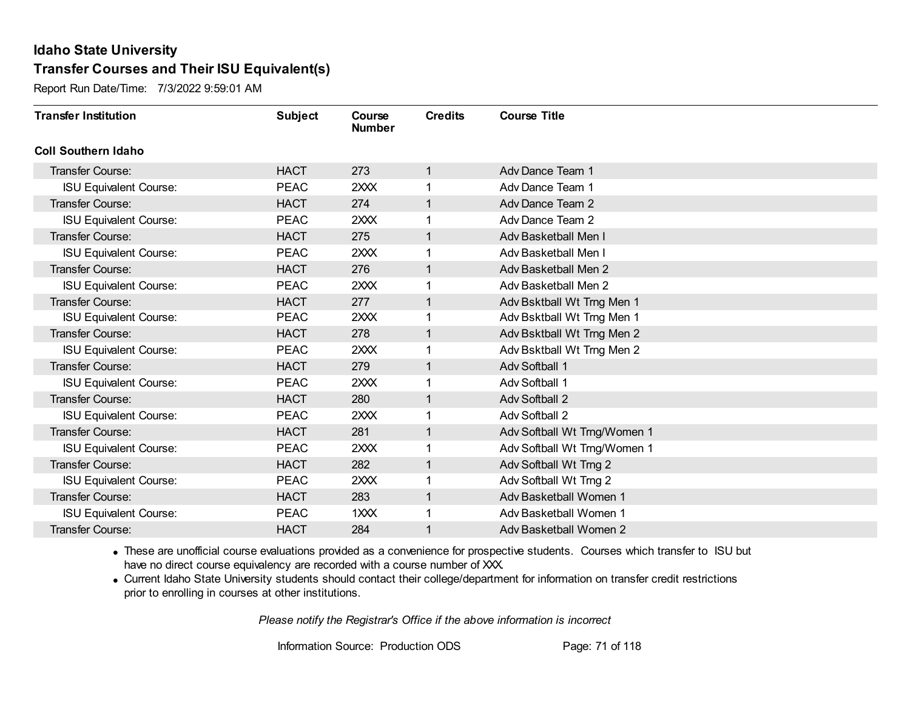Report Run Date/Time: 7/3/2022 9:59:01 AM

| <b>Transfer Institution</b>   | <b>Subject</b> | Course<br><b>Number</b> | <b>Credits</b> | <b>Course Title</b>          |
|-------------------------------|----------------|-------------------------|----------------|------------------------------|
| <b>Coll Southern Idaho</b>    |                |                         |                |                              |
| Transfer Course:              | <b>HACT</b>    | 273                     | $\mathbf{1}$   | Adv Dance Team 1             |
| <b>ISU Equivalent Course:</b> | <b>PEAC</b>    | 2XXX                    |                | Adv Dance Team 1             |
| <b>Transfer Course:</b>       | <b>HACT</b>    | 274                     |                | Adv Dance Team 2             |
| <b>ISU Equivalent Course:</b> | <b>PEAC</b>    | 2XXX                    |                | Adv Dance Team 2             |
| <b>Transfer Course:</b>       | <b>HACT</b>    | 275                     | $\mathbf{1}$   | Adv Basketball Men I         |
| <b>ISU Equivalent Course:</b> | <b>PEAC</b>    | 2XXX                    |                | Adv Basketball Men I         |
| <b>Transfer Course:</b>       | <b>HACT</b>    | 276                     | 1              | Adv Basketball Men 2         |
| <b>ISU Equivalent Course:</b> | <b>PEAC</b>    | 2XXX                    |                | Adv Basketball Men 2         |
| <b>Transfer Course:</b>       | <b>HACT</b>    | 277                     |                | Adv Bsktball Wt Trng Men 1   |
| <b>ISU Equivalent Course:</b> | <b>PEAC</b>    | 2XXX                    |                | Adv Bsktball Wt Trng Men 1   |
| Transfer Course:              | <b>HACT</b>    | 278                     | 1              | Adv Bsktball Wt Trng Men 2   |
| <b>ISU Equivalent Course:</b> | <b>PEAC</b>    | 2XXX                    |                | Adv Bsktball Wt Trng Men 2   |
| <b>Transfer Course:</b>       | <b>HACT</b>    | 279                     | 1              | Adv Softball 1               |
| <b>ISU Equivalent Course:</b> | <b>PEAC</b>    | 2XXX                    |                | Adv Softball 1               |
| Transfer Course:              | <b>HACT</b>    | 280                     |                | <b>Adv Softball 2</b>        |
| <b>ISU Equivalent Course:</b> | <b>PEAC</b>    | 2XXX                    |                | Adv Softball 2               |
| <b>Transfer Course:</b>       | <b>HACT</b>    | 281                     | $\mathbf{1}$   | Adv Softball Wt Trng/Women 1 |
| <b>ISU Equivalent Course:</b> | <b>PEAC</b>    | 2XXX                    |                | Adv Softball Wt Trng/Women 1 |
| Transfer Course:              | <b>HACT</b>    | 282                     | 1              | Adv Softball Wt Trng 2       |
| <b>ISU Equivalent Course:</b> | <b>PEAC</b>    | 2XXX                    |                | Adv Softball Wt Trng 2       |
| <b>Transfer Course:</b>       | <b>HACT</b>    | 283                     |                | Adv Basketball Women 1       |
| <b>ISU Equivalent Course:</b> | <b>PEAC</b>    | 1 <sub>XX</sub>         |                | Adv Basketball Women 1       |
| Transfer Course:              | <b>HACT</b>    | 284                     |                | Adv Basketball Women 2       |

· These are unofficial course evaluations provided as a convenience for prospective students. Courses which transfer to ISU but have no direct course equivalency are recorded with a course number of XXX.

· Current Idaho State University students should contact their college/department for information on transfer credit restrictions prior to enrolling in courses at other institutions.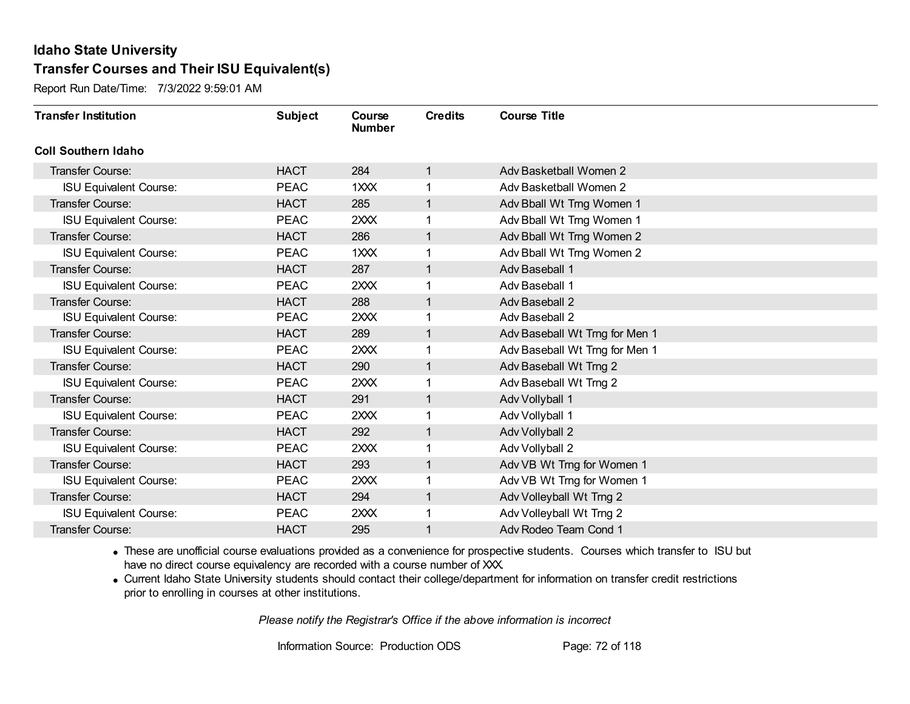Report Run Date/Time: 7/3/2022 9:59:01 AM

| <b>Transfer Institution</b>   | <b>Subject</b> | Course<br><b>Number</b> | <b>Credits</b> | <b>Course Title</b>            |
|-------------------------------|----------------|-------------------------|----------------|--------------------------------|
| <b>Coll Southern Idaho</b>    |                |                         |                |                                |
| Transfer Course:              | <b>HACT</b>    | 284                     | $\mathbf{1}$   | Adv Basketball Women 2         |
| <b>ISU Equivalent Course:</b> | <b>PEAC</b>    | 1XXX                    |                | Adv Basketball Women 2         |
| <b>Transfer Course:</b>       | <b>HACT</b>    | 285                     |                | Adv Bball Wt Trng Women 1      |
| <b>ISU Equivalent Course:</b> | <b>PEAC</b>    | 2XXX                    |                | Adv Bball Wt Trng Women 1      |
| <b>Transfer Course:</b>       | <b>HACT</b>    | 286                     | $\mathbf{1}$   | Adv Bball Wt Trng Women 2      |
| <b>ISU Equivalent Course:</b> | <b>PEAC</b>    | 1XXX                    |                | Adv Bball Wt Trng Women 2      |
| <b>Transfer Course:</b>       | <b>HACT</b>    | 287                     | 1              | Adv Baseball 1                 |
| <b>ISU Equivalent Course:</b> | <b>PEAC</b>    | 2XXX                    |                | Adv Baseball 1                 |
| <b>Transfer Course:</b>       | <b>HACT</b>    | 288                     |                | Adv Baseball 2                 |
| <b>ISU Equivalent Course:</b> | <b>PEAC</b>    | 2XXX                    |                | Adv Baseball 2                 |
| <b>Transfer Course:</b>       | <b>HACT</b>    | 289                     | $\mathbf{1}$   | Adv Baseball Wt Trng for Men 1 |
| <b>ISU Equivalent Course:</b> | <b>PEAC</b>    | 2XXX                    |                | Adv Baseball Wt Trng for Men 1 |
| <b>Transfer Course:</b>       | <b>HACT</b>    | 290                     |                | Adv Baseball Wt Trng 2         |
| <b>ISU Equivalent Course:</b> | <b>PEAC</b>    | 2XXX                    |                | Adv Baseball Wt Trng 2         |
| Transfer Course:              | <b>HACT</b>    | 291                     |                | Adv Vollyball 1                |
| <b>ISU Equivalent Course:</b> | <b>PEAC</b>    | 2XXX                    |                | Adv Vollyball 1                |
| <b>Transfer Course:</b>       | <b>HACT</b>    | 292                     | $\mathbf{1}$   | Adv Vollyball 2                |
| <b>ISU Equivalent Course:</b> | <b>PEAC</b>    | 2XXX                    |                | Adv Vollyball 2                |
| <b>Transfer Course:</b>       | <b>HACT</b>    | 293                     | $\mathbf{1}$   | Adv VB Wt Trng for Women 1     |
| <b>ISU Equivalent Course:</b> | <b>PEAC</b>    | 2XXX                    |                | Adv VB Wt Trng for Women 1     |
| <b>Transfer Course:</b>       | <b>HACT</b>    | 294                     | $\mathbf{1}$   | Adv Volleyball Wt Trng 2       |
| <b>ISU Equivalent Course:</b> | <b>PEAC</b>    | 2XXX                    |                | Adv Volleyball Wt Trng 2       |
| Transfer Course:              | <b>HACT</b>    | 295                     |                | Adv Rodeo Team Cond 1          |

· These are unofficial course evaluations provided as a convenience for prospective students. Courses which transfer to ISU but have no direct course equivalency are recorded with a course number of XXX.

· Current Idaho State University students should contact their college/department for information on transfer credit restrictions prior to enrolling in courses at other institutions.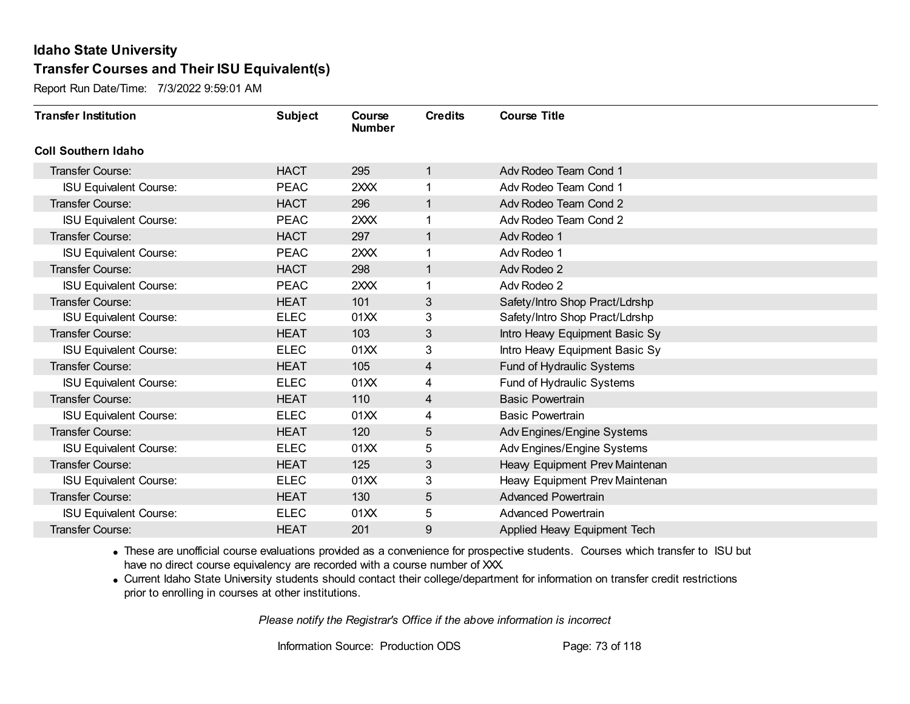Report Run Date/Time: 7/3/2022 9:59:01 AM

| <b>Transfer Institution</b>   | <b>Subject</b> | Course<br><b>Number</b> | <b>Credits</b> | <b>Course Title</b>            |
|-------------------------------|----------------|-------------------------|----------------|--------------------------------|
| <b>Coll Southern Idaho</b>    |                |                         |                |                                |
| Transfer Course:              | <b>HACT</b>    | 295                     | $\mathbf{1}$   | Adv Rodeo Team Cond 1          |
| <b>ISU Equivalent Course:</b> | <b>PEAC</b>    | 2XXX                    |                | Adv Rodeo Team Cond 1          |
| <b>Transfer Course:</b>       | <b>HACT</b>    | 296                     |                | Adv Rodeo Team Cond 2          |
| <b>ISU Equivalent Course:</b> | <b>PEAC</b>    | 2XXX                    |                | Adv Rodeo Team Cond 2          |
| Transfer Course:              | <b>HACT</b>    | 297                     | $\mathbf{1}$   | Adv Rodeo 1                    |
| <b>ISU Equivalent Course:</b> | <b>PEAC</b>    | 2XXX                    |                | Adv Rodeo 1                    |
| <b>Transfer Course:</b>       | <b>HACT</b>    | 298                     |                | Adv Rodeo 2                    |
| <b>ISU Equivalent Course:</b> | <b>PEAC</b>    | 2XXX                    |                | Adv Rodeo 2                    |
| <b>Transfer Course:</b>       | <b>HEAT</b>    | 101                     | 3              | Safety/Intro Shop Pract/Ldrshp |
| <b>ISU Equivalent Course:</b> | <b>ELEC</b>    | 01XX                    | 3              | Safety/Intro Shop Pract/Ldrshp |
| <b>Transfer Course:</b>       | <b>HEAT</b>    | 103                     | 3              | Intro Heavy Equipment Basic Sy |
| <b>ISU Equivalent Course:</b> | <b>ELEC</b>    | 01XX                    | 3              | Intro Heavy Equipment Basic Sy |
| Transfer Course:              | <b>HEAT</b>    | 105                     | 4              | Fund of Hydraulic Systems      |
| <b>ISU Equivalent Course:</b> | <b>ELEC</b>    | 01XX                    | 4              | Fund of Hydraulic Systems      |
| Transfer Course:              | <b>HEAT</b>    | 110                     | 4              | <b>Basic Powertrain</b>        |
| <b>ISU Equivalent Course:</b> | <b>ELEC</b>    | 01XX                    | 4              | <b>Basic Powertrain</b>        |
| <b>Transfer Course:</b>       | <b>HEAT</b>    | 120                     | 5              | Adv Engines/Engine Systems     |
| <b>ISU Equivalent Course:</b> | <b>ELEC</b>    | 01XX                    | 5              | Adv Engines/Engine Systems     |
| <b>Transfer Course:</b>       | <b>HEAT</b>    | 125                     | 3              | Heavy Equipment Prev Maintenan |
| <b>ISU Equivalent Course:</b> | ELEC           | 01XX                    | 3              | Heavy Equipment Prev Maintenan |
| <b>Transfer Course:</b>       | <b>HEAT</b>    | 130                     | $\overline{5}$ | <b>Advanced Powertrain</b>     |
| <b>ISU Equivalent Course:</b> | <b>ELEC</b>    | 01XX                    | 5              | <b>Advanced Powertrain</b>     |
| <b>Transfer Course:</b>       | <b>HEAT</b>    | 201                     | 9              | Applied Heavy Equipment Tech   |

· These are unofficial course evaluations provided as a convenience for prospective students. Courses which transfer to ISU but have no direct course equivalency are recorded with a course number of XXX.

· Current Idaho State University students should contact their college/department for information on transfer credit restrictions prior to enrolling in courses at other institutions.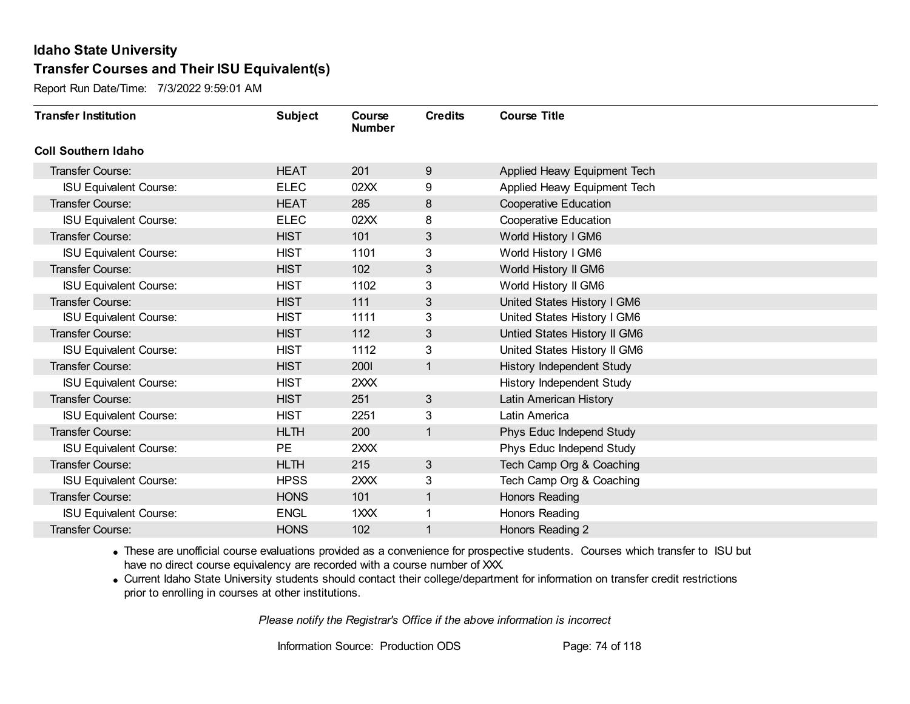Report Run Date/Time: 7/3/2022 9:59:01 AM

| <b>Transfer Institution</b>   | <b>Subject</b> | Course<br><b>Number</b> | <b>Credits</b> | <b>Course Title</b>              |
|-------------------------------|----------------|-------------------------|----------------|----------------------------------|
| <b>Coll Southern Idaho</b>    |                |                         |                |                                  |
| Transfer Course:              | <b>HEAT</b>    | 201                     | 9              | Applied Heavy Equipment Tech     |
| <b>ISU Equivalent Course:</b> | <b>ELEC</b>    | 02XX                    | 9              | Applied Heavy Equipment Tech     |
| Transfer Course:              | <b>HEAT</b>    | 285                     | $\bf 8$        | <b>Cooperative Education</b>     |
| <b>ISU Equivalent Course:</b> | <b>ELEC</b>    | 02XX                    | 8              | <b>Cooperative Education</b>     |
| <b>Transfer Course:</b>       | <b>HIST</b>    | 101                     | 3              | World History I GM6              |
| <b>ISU Equivalent Course:</b> | <b>HIST</b>    | 1101                    | 3              | World History I GM6              |
| Transfer Course:              | <b>HIST</b>    | 102                     | 3              | World History II GM6             |
| <b>ISU Equivalent Course:</b> | <b>HIST</b>    | 1102                    | 3              | World History II GM6             |
| Transfer Course:              | <b>HIST</b>    | 111                     | 3              | United States History I GM6      |
| <b>ISU Equivalent Course:</b> | <b>HIST</b>    | 1111                    | 3              | United States History I GM6      |
| <b>Transfer Course:</b>       | <b>HIST</b>    | 112                     | 3              | Untied States History II GM6     |
| <b>ISU Equivalent Course:</b> | <b>HIST</b>    | 1112                    | 3              | United States History II GM6     |
| Transfer Course:              | <b>HIST</b>    | <b>2001</b>             | 1              | History Independent Study        |
| <b>ISU Equivalent Course:</b> | <b>HIST</b>    | 2XXX                    |                | <b>History Independent Study</b> |
| Transfer Course:              | <b>HIST</b>    | 251                     | 3              | Latin American History           |
| <b>ISU Equivalent Course:</b> | <b>HIST</b>    | 2251                    | 3              | Latin America                    |
| Transfer Course:              | <b>HLTH</b>    | 200                     | 1              | Phys Educ Independ Study         |
| <b>ISU Equivalent Course:</b> | <b>PE</b>      | 2XXX                    |                | Phys Educ Independ Study         |
| <b>Transfer Course:</b>       | <b>HLTH</b>    | 215                     | 3              | Tech Camp Org & Coaching         |
| <b>ISU Equivalent Course:</b> | <b>HPSS</b>    | 2XXX                    | 3              | Tech Camp Org & Coaching         |
| Transfer Course:              | <b>HONS</b>    | 101                     | 1              | Honors Reading                   |
| <b>ISU Equivalent Course:</b> | <b>ENGL</b>    | 1XXX                    | 1              | Honors Reading                   |
| Transfer Course:              | <b>HONS</b>    | 102                     | 1              | Honors Reading 2                 |

· These are unofficial course evaluations provided as a convenience for prospective students. Courses which transfer to ISU but have no direct course equivalency are recorded with a course number of XXX.

· Current Idaho State University students should contact their college/department for information on transfer credit restrictions prior to enrolling in courses at other institutions.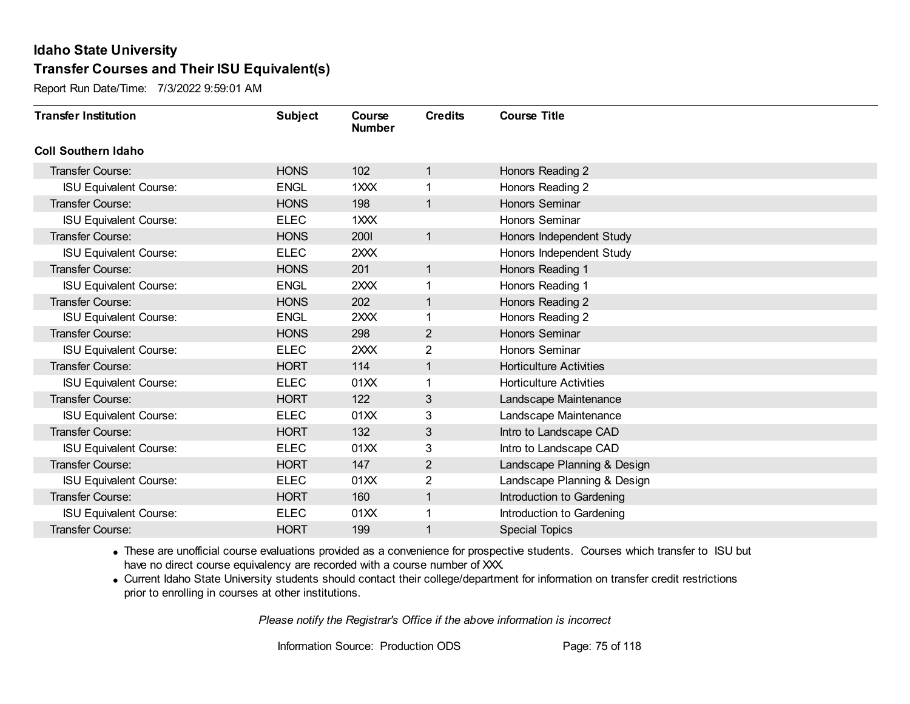Report Run Date/Time: 7/3/2022 9:59:01 AM

| <b>Transfer Institution</b>   | <b>Subject</b> | Course<br><b>Number</b> | <b>Credits</b> | <b>Course Title</b>            |
|-------------------------------|----------------|-------------------------|----------------|--------------------------------|
| <b>Coll Southern Idaho</b>    |                |                         |                |                                |
| Transfer Course:              | <b>HONS</b>    | 102                     | 1              | Honors Reading 2               |
| <b>ISU Equivalent Course:</b> | <b>ENGL</b>    | 1XXX                    | 1              | Honors Reading 2               |
| Transfer Course:              | <b>HONS</b>    | 198                     | $\mathbf{1}$   | <b>Honors Seminar</b>          |
| <b>ISU Equivalent Course:</b> | <b>ELEC</b>    | 1XXX                    |                | Honors Seminar                 |
| Transfer Course:              | <b>HONS</b>    | 2001                    | $\mathbf{1}$   | Honors Independent Study       |
| <b>ISU Equivalent Course:</b> | <b>ELEC</b>    | 2XXX                    |                | Honors Independent Study       |
| Transfer Course:              | <b>HONS</b>    | 201                     | $\mathbf{1}$   | Honors Reading 1               |
| <b>ISU Equivalent Course:</b> | <b>ENGL</b>    | 2XXX                    |                | Honors Reading 1               |
| <b>Transfer Course:</b>       | <b>HONS</b>    | 202                     | $\mathbf{1}$   | Honors Reading 2               |
| <b>ISU Equivalent Course:</b> | <b>ENGL</b>    | 2XXX                    | 1              | Honors Reading 2               |
| <b>Transfer Course:</b>       | <b>HONS</b>    | 298                     | $\overline{2}$ | Honors Seminar                 |
| <b>ISU Equivalent Course:</b> | <b>ELEC</b>    | 2XXX                    | 2              | Honors Seminar                 |
| Transfer Course:              | <b>HORT</b>    | 114                     | 1              | <b>Horticulture Activities</b> |
| <b>ISU Equivalent Course:</b> | <b>ELEC</b>    | 01XX                    | 1              | <b>Horticulture Activities</b> |
| Transfer Course:              | <b>HORT</b>    | 122                     | 3              | Landscape Maintenance          |
| <b>ISU Equivalent Course:</b> | <b>ELEC</b>    | 01XX                    | 3              | Landscape Maintenance          |
| Transfer Course:              | <b>HORT</b>    | 132                     | 3              | Intro to Landscape CAD         |
| <b>ISU Equivalent Course:</b> | <b>ELEC</b>    | 01XX                    | 3              | Intro to Landscape CAD         |
| Transfer Course:              | <b>HORT</b>    | 147                     | $\overline{2}$ | Landscape Planning & Design    |
| <b>ISU Equivalent Course:</b> | <b>ELEC</b>    | 01XX                    | 2              | Landscape Planning & Design    |
| Transfer Course:              | <b>HORT</b>    | 160                     | $\mathbf{1}$   | Introduction to Gardening      |
| <b>ISU Equivalent Course:</b> | <b>ELEC</b>    | 01XX                    | 1              | Introduction to Gardening      |
| Transfer Course:              | <b>HORT</b>    | 199                     | 1              | <b>Special Topics</b>          |

· These are unofficial course evaluations provided as a convenience for prospective students. Courses which transfer to ISU but have no direct course equivalency are recorded with a course number of XXX.

· Current Idaho State University students should contact their college/department for information on transfer credit restrictions prior to enrolling in courses at other institutions.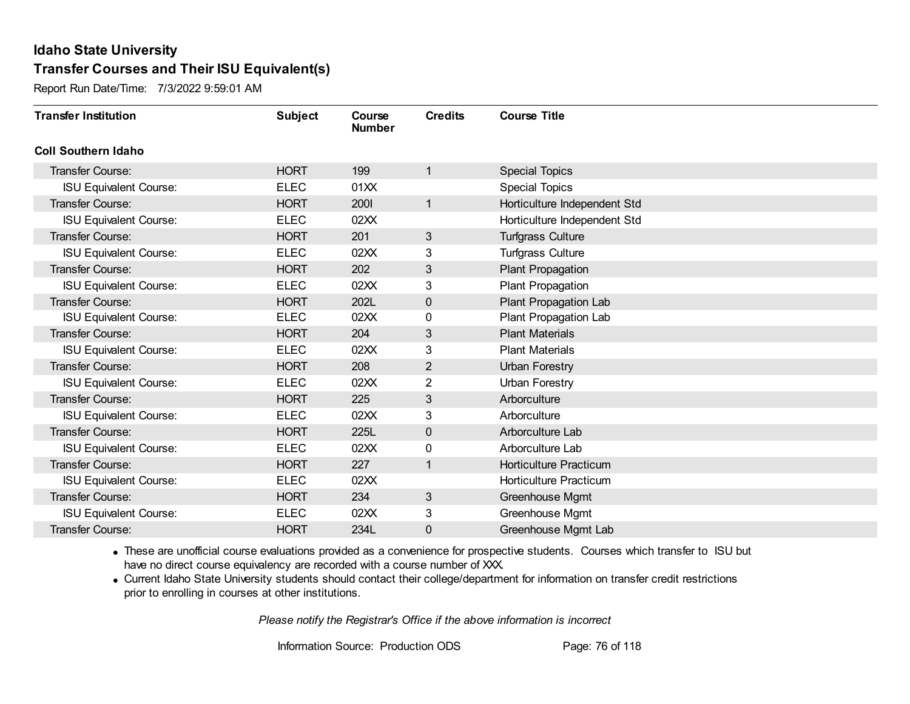Report Run Date/Time: 7/3/2022 9:59:01 AM

| <b>Transfer Institution</b>   | <b>Subject</b> | Course<br><b>Number</b> | <b>Credits</b> | <b>Course Title</b>           |
|-------------------------------|----------------|-------------------------|----------------|-------------------------------|
| <b>Coll Southern Idaho</b>    |                |                         |                |                               |
| Transfer Course:              | <b>HORT</b>    | 199                     | 1              | <b>Special Topics</b>         |
| <b>ISU Equivalent Course:</b> | <b>ELEC</b>    | 01XX                    |                | <b>Special Topics</b>         |
| <b>Transfer Course:</b>       | <b>HORT</b>    | 2001                    | 1              | Horticulture Independent Std  |
| <b>ISU Equivalent Course:</b> | <b>ELEC</b>    | 02XX                    |                | Horticulture Independent Std  |
| <b>Transfer Course:</b>       | <b>HORT</b>    | 201                     | 3              | <b>Turfgrass Culture</b>      |
| <b>ISU Equivalent Course:</b> | <b>ELEC</b>    | 02XX                    | 3              | <b>Turfgrass Culture</b>      |
| <b>Transfer Course:</b>       | <b>HORT</b>    | 202                     | 3              | Plant Propagation             |
| <b>ISU Equivalent Course:</b> | <b>ELEC</b>    | 02XX                    | 3              | Plant Propagation             |
| <b>Transfer Course:</b>       | <b>HORT</b>    | 202L                    | $\mathbf 0$    | Plant Propagation Lab         |
| <b>ISU Equivalent Course:</b> | <b>ELEC</b>    | 02XX                    | 0              | Plant Propagation Lab         |
| <b>Transfer Course:</b>       | <b>HORT</b>    | 204                     | 3              | <b>Plant Materials</b>        |
| <b>ISU Equivalent Course:</b> | <b>ELEC</b>    | 02XX                    | 3              | <b>Plant Materials</b>        |
| Transfer Course:              | <b>HORT</b>    | 208                     | 2              | <b>Urban Forestry</b>         |
| <b>ISU Equivalent Course:</b> | <b>ELEC</b>    | 02XX                    | $\overline{2}$ | <b>Urban Forestry</b>         |
| <b>Transfer Course:</b>       | <b>HORT</b>    | 225                     | 3              | Arborculture                  |
| <b>ISU Equivalent Course:</b> | <b>ELEC</b>    | 02XX                    | 3              | Arborculture                  |
| <b>Transfer Course:</b>       | <b>HORT</b>    | 225L                    | $\mathbf 0$    | Arborculture Lab              |
| <b>ISU Equivalent Course:</b> | <b>ELEC</b>    | 02XX                    | 0              | Arborculture Lab              |
| Transfer Course:              | <b>HORT</b>    | 227                     | 1              | Horticulture Practicum        |
| <b>ISU Equivalent Course:</b> | <b>ELEC</b>    | 02XX                    |                | <b>Horticulture Practicum</b> |
| <b>Transfer Course:</b>       | <b>HORT</b>    | 234                     | 3              | Greenhouse Mgmt               |
| <b>ISU Equivalent Course:</b> | <b>ELEC</b>    | 02XX                    | 3              | Greenhouse Mgmt               |
| <b>Transfer Course:</b>       | <b>HORT</b>    | 234L                    | 0              | Greenhouse Mgmt Lab           |

· These are unofficial course evaluations provided as a convenience for prospective students. Courses which transfer to ISU but have no direct course equivalency are recorded with a course number of XXX.

· Current Idaho State University students should contact their college/department for information on transfer credit restrictions prior to enrolling in courses at other institutions.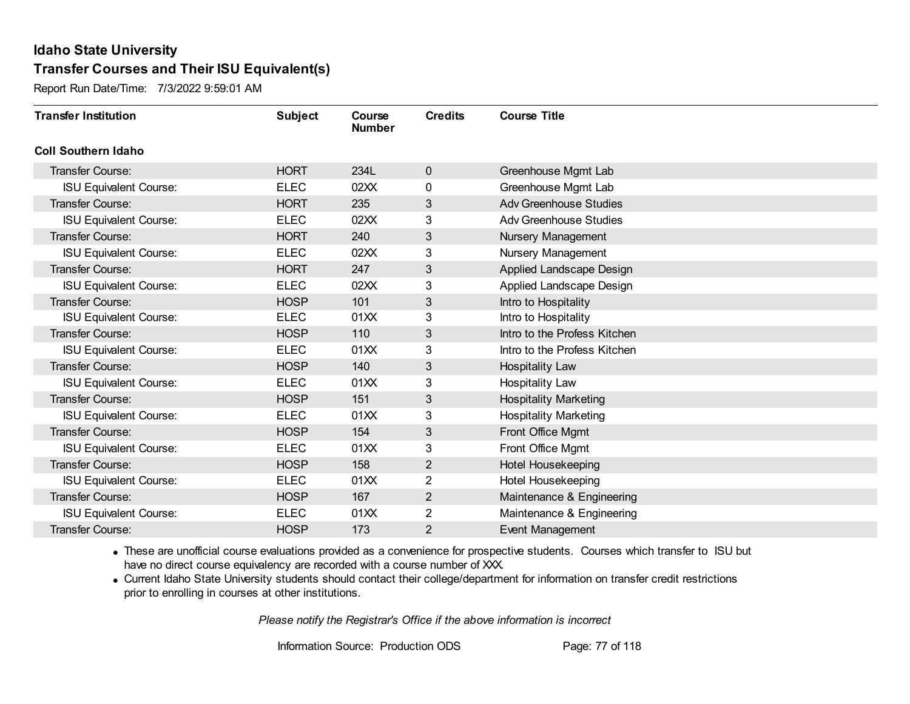Report Run Date/Time: 7/3/2022 9:59:01 AM

| <b>Transfer Institution</b>   | <b>Subject</b> | Course<br><b>Number</b> | <b>Credits</b> | <b>Course Title</b>           |
|-------------------------------|----------------|-------------------------|----------------|-------------------------------|
| <b>Coll Southern Idaho</b>    |                |                         |                |                               |
| Transfer Course:              | <b>HORT</b>    | 234L                    | $\mathbf 0$    | Greenhouse Mgmt Lab           |
| <b>ISU Equivalent Course:</b> | <b>ELEC</b>    | 02XX                    | 0              | Greenhouse Mgmt Lab           |
| Transfer Course:              | <b>HORT</b>    | 235                     | 3              | <b>Adv Greenhouse Studies</b> |
| <b>ISU Equivalent Course:</b> | <b>ELEC</b>    | 02XX                    | 3              | <b>Adv Greenhouse Studies</b> |
| <b>Transfer Course:</b>       | <b>HORT</b>    | 240                     | 3              | Nursery Management            |
| <b>ISU Equivalent Course:</b> | <b>ELEC</b>    | 02XX                    | 3              | Nursery Management            |
| <b>Transfer Course:</b>       | <b>HORT</b>    | 247                     | 3              | Applied Landscape Design      |
| <b>ISU Equivalent Course:</b> | <b>ELEC</b>    | 02XX                    | 3              | Applied Landscape Design      |
| <b>Transfer Course:</b>       | <b>HOSP</b>    | 101                     | 3              | Intro to Hospitality          |
| <b>ISU Equivalent Course:</b> | <b>ELEC</b>    | 01XX                    | 3              | Intro to Hospitality          |
| <b>Transfer Course:</b>       | <b>HOSP</b>    | 110                     | 3              | Intro to the Profess Kitchen  |
| <b>ISU Equivalent Course:</b> | <b>ELEC</b>    | 01XX                    | 3              | Intro to the Profess Kitchen  |
| <b>Transfer Course:</b>       | <b>HOSP</b>    | 140                     | 3              | <b>Hospitality Law</b>        |
| <b>ISU Equivalent Course:</b> | <b>ELEC</b>    | 01XX                    | 3              | Hospitality Law               |
| <b>Transfer Course:</b>       | <b>HOSP</b>    | 151                     | 3              | <b>Hospitality Marketing</b>  |
| <b>ISU Equivalent Course:</b> | <b>ELEC</b>    | 01XX                    | 3              | <b>Hospitality Marketing</b>  |
| Transfer Course:              | <b>HOSP</b>    | 154                     | 3              | Front Office Mgmt             |
| <b>ISU Equivalent Course:</b> | <b>ELEC</b>    | 01XX                    | 3              | Front Office Mgmt             |
| <b>Transfer Course:</b>       | <b>HOSP</b>    | 158                     | 2              | Hotel Housekeeping            |
| <b>ISU Equivalent Course:</b> | <b>ELEC</b>    | 01XX                    | $\overline{2}$ | Hotel Housekeeping            |
| <b>Transfer Course:</b>       | <b>HOSP</b>    | 167                     | $\overline{2}$ | Maintenance & Engineering     |
| <b>ISU Equivalent Course:</b> | <b>ELEC</b>    | 01XX                    | $\overline{2}$ | Maintenance & Engineering     |
| <b>Transfer Course:</b>       | <b>HOSP</b>    | 173                     | 2              | Event Management              |

· These are unofficial course evaluations provided as a convenience for prospective students. Courses which transfer to ISU but have no direct course equivalency are recorded with a course number of XXX.

· Current Idaho State University students should contact their college/department for information on transfer credit restrictions prior to enrolling in courses at other institutions.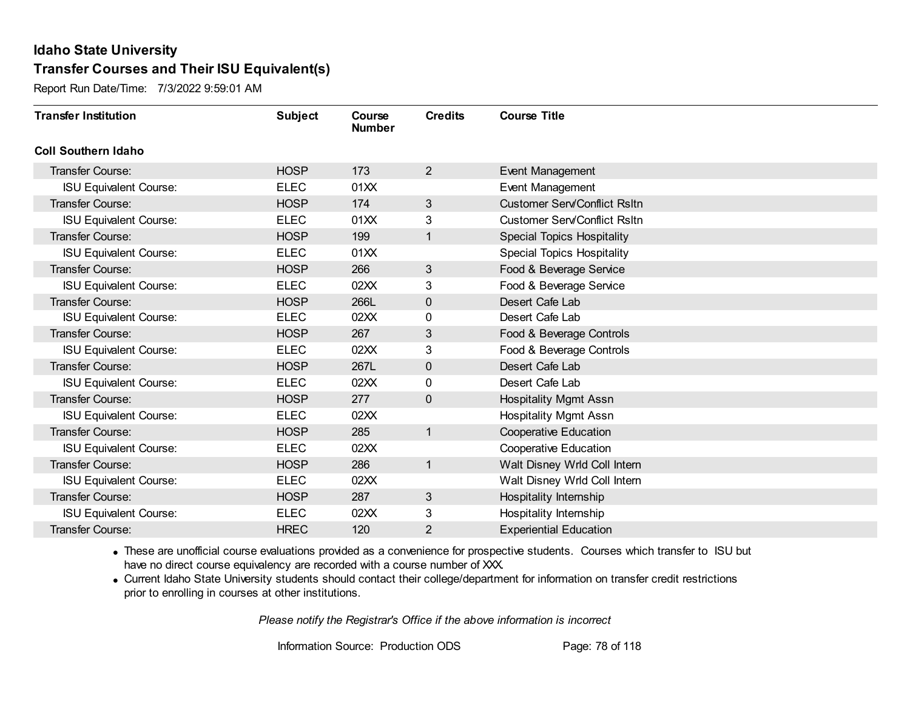Report Run Date/Time: 7/3/2022 9:59:01 AM

| <b>Transfer Institution</b>   | <b>Subject</b> | Course<br><b>Number</b> | <b>Credits</b> | <b>Course Title</b>                 |
|-------------------------------|----------------|-------------------------|----------------|-------------------------------------|
| <b>Coll Southern Idaho</b>    |                |                         |                |                                     |
| Transfer Course:              | <b>HOSP</b>    | 173                     | $\overline{2}$ | Event Management                    |
| <b>ISU Equivalent Course:</b> | <b>ELEC</b>    | 01XX                    |                | Event Management                    |
| Transfer Course:              | <b>HOSP</b>    | 174                     | 3 <sup>2</sup> | <b>Customer Serv/Conflict Rsltn</b> |
| <b>ISU Equivalent Course:</b> | <b>ELEC</b>    | 01XX                    | 3              | <b>Customer Serv/Conflict Rsltn</b> |
| <b>Transfer Course:</b>       | <b>HOSP</b>    | 199                     | 1              | <b>Special Topics Hospitality</b>   |
| <b>ISU Equivalent Course:</b> | <b>ELEC</b>    | 01XX                    |                | <b>Special Topics Hospitality</b>   |
| Transfer Course:              | <b>HOSP</b>    | 266                     | 3              | Food & Beverage Service             |
| <b>ISU Equivalent Course:</b> | <b>ELEC</b>    | 02XX                    | 3              | Food & Beverage Service             |
| Transfer Course:              | <b>HOSP</b>    | 266L                    | $\mathbf 0$    | Desert Cafe Lab                     |
| <b>ISU Equivalent Course:</b> | <b>ELEC</b>    | 02XX                    | 0              | Desert Cafe Lab                     |
| <b>Transfer Course:</b>       | <b>HOSP</b>    | 267                     | 3              | Food & Beverage Controls            |
| <b>ISU Equivalent Course:</b> | <b>ELEC</b>    | 02XX                    | 3              | Food & Beverage Controls            |
| Transfer Course:              | <b>HOSP</b>    | 267L                    | $\mathbf{0}$   | Desert Cafe Lab                     |
| <b>ISU Equivalent Course:</b> | <b>ELEC</b>    | 02XX                    | 0              | Desert Cafe Lab                     |
| Transfer Course:              | <b>HOSP</b>    | 277                     | $\mathbf 0$    | <b>Hospitality Mgmt Assn</b>        |
| <b>ISU Equivalent Course:</b> | <b>ELEC</b>    | 02XX                    |                | Hospitality Mgmt Assn               |
| Transfer Course:              | <b>HOSP</b>    | 285                     | $\mathbf{1}$   | <b>Cooperative Education</b>        |
| <b>ISU Equivalent Course:</b> | <b>ELEC</b>    | 02XX                    |                | <b>Cooperative Education</b>        |
| Transfer Course:              | <b>HOSP</b>    | 286                     | $\mathbf{1}$   | Walt Disney Wrld Coll Intern        |
| <b>ISU Equivalent Course:</b> | <b>ELEC</b>    | 02XX                    |                | Walt Disney Wrld Coll Intern        |
| Transfer Course:              | <b>HOSP</b>    | 287                     | 3              | Hospitality Internship              |
| <b>ISU Equivalent Course:</b> | <b>ELEC</b>    | 02XX                    | 3              | Hospitality Internship              |
| Transfer Course:              | <b>HREC</b>    | 120                     | 2              | <b>Experiential Education</b>       |

· These are unofficial course evaluations provided as a convenience for prospective students. Courses which transfer to ISU but have no direct course equivalency are recorded with a course number of XXX.

· Current Idaho State University students should contact their college/department for information on transfer credit restrictions prior to enrolling in courses at other institutions.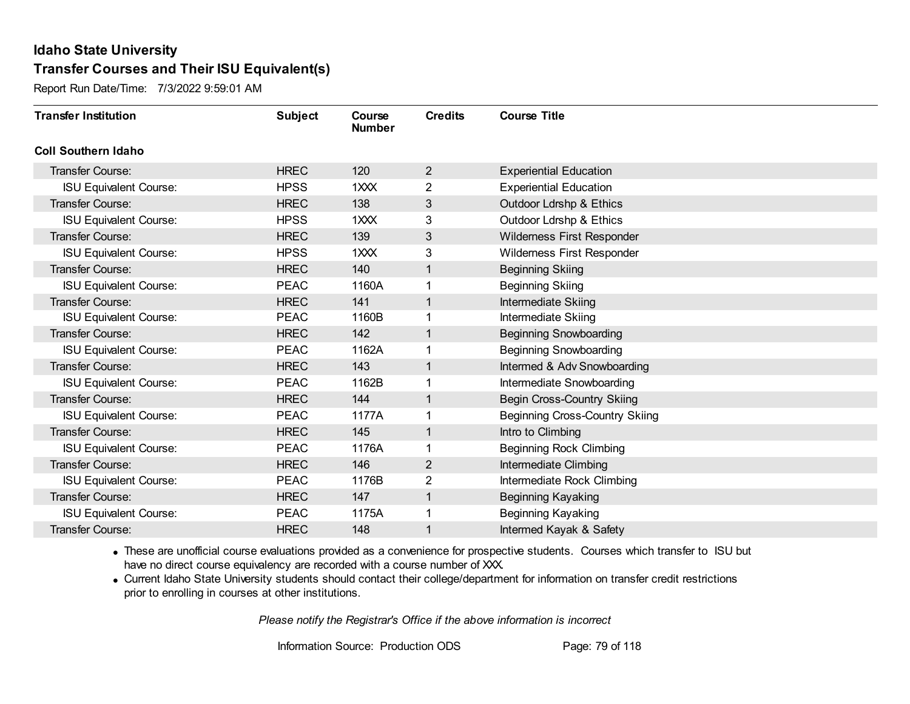Report Run Date/Time: 7/3/2022 9:59:01 AM

| <b>Transfer Institution</b>   | <b>Subject</b> | Course<br><b>Number</b> | <b>Credits</b> | <b>Course Title</b>                   |
|-------------------------------|----------------|-------------------------|----------------|---------------------------------------|
| <b>Coll Southern Idaho</b>    |                |                         |                |                                       |
| Transfer Course:              | <b>HREC</b>    | 120                     | $\overline{2}$ | <b>Experiential Education</b>         |
| <b>ISU Equivalent Course:</b> | <b>HPSS</b>    | 1XXX                    | 2              | <b>Experiential Education</b>         |
| Transfer Course:              | <b>HREC</b>    | 138                     | 3              | <b>Outdoor Ldrshp &amp; Ethics</b>    |
| <b>ISU Equivalent Course:</b> | <b>HPSS</b>    | 1XXX                    | 3              | Outdoor Ldrshp & Ethics               |
| <b>Transfer Course:</b>       | <b>HREC</b>    | 139                     | 3              | Wilderness First Responder            |
| <b>ISU Equivalent Course:</b> | <b>HPSS</b>    | 1XXX                    | 3              | Wilderness First Responder            |
| Transfer Course:              | <b>HREC</b>    | 140                     | 1              | <b>Beginning Skiing</b>               |
| <b>ISU Equivalent Course:</b> | <b>PEAC</b>    | 1160A                   |                | <b>Beginning Skiing</b>               |
| Transfer Course:              | <b>HREC</b>    | 141                     | 1              | <b>Intermediate Skiing</b>            |
| <b>ISU Equivalent Course:</b> | <b>PEAC</b>    | 1160B                   | 1              | Intermediate Skiing                   |
| Transfer Course:              | <b>HREC</b>    | 142                     | 1              | <b>Beginning Snowboarding</b>         |
| <b>ISU Equivalent Course:</b> | <b>PEAC</b>    | 1162A                   |                | <b>Beginning Snowboarding</b>         |
| Transfer Course:              | <b>HREC</b>    | 143                     | 1              | Intermed & Adv Snowboarding           |
| <b>ISU Equivalent Course:</b> | <b>PEAC</b>    | 1162B                   |                | Intermediate Snowboarding             |
| Transfer Course:              | <b>HREC</b>    | 144                     | 1              | Begin Cross-Country Skiing            |
| <b>ISU Equivalent Course:</b> | <b>PEAC</b>    | 1177A                   | 1              | <b>Beginning Cross-Country Skiing</b> |
| Transfer Course:              | <b>HREC</b>    | 145                     | 1              | Intro to Climbing                     |
| <b>ISU Equivalent Course:</b> | <b>PEAC</b>    | 1176A                   |                | <b>Beginning Rock Climbing</b>        |
| Transfer Course:              | <b>HREC</b>    | 146                     | $\overline{2}$ | Intermediate Climbing                 |
| <b>ISU Equivalent Course:</b> | <b>PEAC</b>    | 1176B                   | 2              | Intermediate Rock Climbing            |
| Transfer Course:              | <b>HREC</b>    | 147                     | $\mathbf{1}$   | <b>Beginning Kayaking</b>             |
| <b>ISU Equivalent Course:</b> | <b>PEAC</b>    | 1175A                   | 1              | Beginning Kayaking                    |
| Transfer Course:              | <b>HREC</b>    | 148                     | 1              | Intermed Kayak & Safety               |

· These are unofficial course evaluations provided as a convenience for prospective students. Courses which transfer to ISU but have no direct course equivalency are recorded with a course number of XXX.

· Current Idaho State University students should contact their college/department for information on transfer credit restrictions prior to enrolling in courses at other institutions.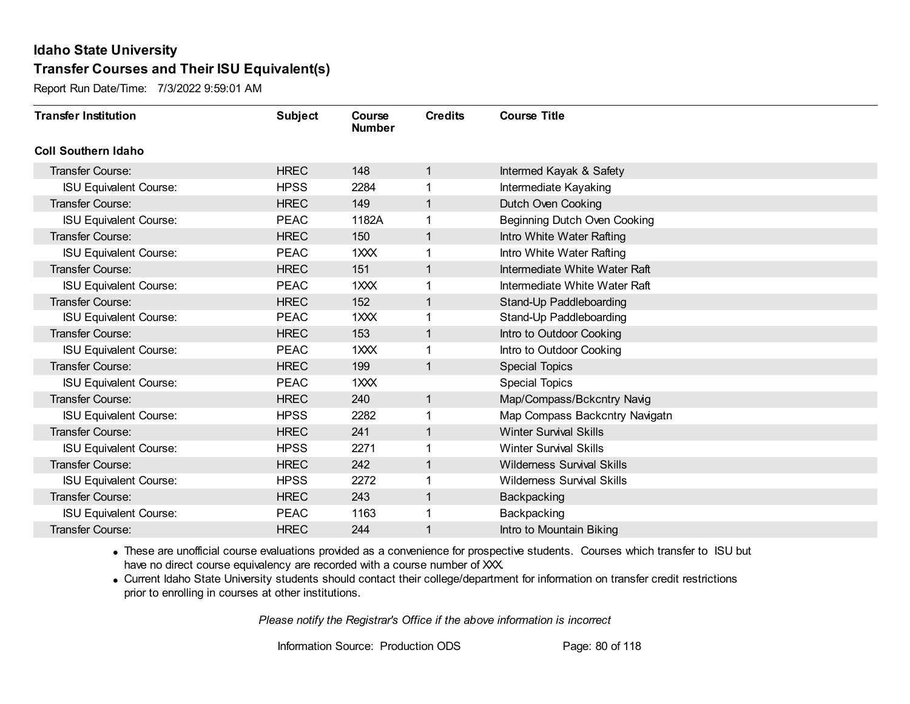Report Run Date/Time: 7/3/2022 9:59:01 AM

| <b>Transfer Institution</b>   | <b>Subject</b> | Course<br><b>Number</b> | <b>Credits</b> | <b>Course Title</b>               |
|-------------------------------|----------------|-------------------------|----------------|-----------------------------------|
| <b>Coll Southern Idaho</b>    |                |                         |                |                                   |
| <b>Transfer Course:</b>       | <b>HREC</b>    | 148                     | 1              | Intermed Kayak & Safety           |
| <b>ISU Equivalent Course:</b> | <b>HPSS</b>    | 2284                    |                | Intermediate Kayaking             |
| <b>Transfer Course:</b>       | <b>HREC</b>    | 149                     | $\mathbf{1}$   | Dutch Oven Cooking                |
| <b>ISU Equivalent Course:</b> | <b>PEAC</b>    | 1182A                   | 1              | Beginning Dutch Oven Cooking      |
| <b>Transfer Course:</b>       | <b>HREC</b>    | 150                     | 1              | Intro White Water Rafting         |
| <b>ISU Equivalent Course:</b> | <b>PEAC</b>    | 1XXX                    |                | Intro White Water Rafting         |
| <b>Transfer Course:</b>       | <b>HREC</b>    | 151                     | 1              | Intermediate White Water Raft     |
| <b>ISU Equivalent Course:</b> | <b>PEAC</b>    | 1XXX                    |                | Intermediate White Water Raft     |
| <b>Transfer Course:</b>       | <b>HREC</b>    | 152                     | 1              | Stand-Up Paddleboarding           |
| <b>ISU Equivalent Course:</b> | <b>PEAC</b>    | 1XXX                    | 1              | Stand-Up Paddleboarding           |
| <b>Transfer Course:</b>       | <b>HREC</b>    | 153                     | 1              | Intro to Outdoor Cooking          |
| <b>ISU Equivalent Course:</b> | <b>PEAC</b>    | 1XXX                    |                | Intro to Outdoor Cooking          |
| <b>Transfer Course:</b>       | <b>HREC</b>    | 199                     | 1              | <b>Special Topics</b>             |
| <b>ISU Equivalent Course:</b> | <b>PEAC</b>    | 1XXX                    |                | <b>Special Topics</b>             |
| Transfer Course:              | <b>HREC</b>    | 240                     | 1              | Map/Compass/Bckcntry Navig        |
| <b>ISU Equivalent Course:</b> | <b>HPSS</b>    | 2282                    | 1              | Map Compass Backcntry Navigatn    |
| <b>Transfer Course:</b>       | <b>HREC</b>    | 241                     | 1              | <b>Winter Survival Skills</b>     |
| <b>ISU Equivalent Course:</b> | <b>HPSS</b>    | 2271                    |                | <b>Winter Survival Skills</b>     |
| <b>Transfer Course:</b>       | <b>HREC</b>    | 242                     | $\mathbf 1$    | <b>Wilderness Survival Skills</b> |
| <b>ISU Equivalent Course:</b> | <b>HPSS</b>    | 2272                    |                | <b>Wilderness Survival Skills</b> |
| <b>Transfer Course:</b>       | <b>HREC</b>    | 243                     | $\mathbf{1}$   | Backpacking                       |
| <b>ISU Equivalent Course:</b> | <b>PEAC</b>    | 1163                    |                | Backpacking                       |
| Transfer Course:              | <b>HREC</b>    | 244                     | 1              | Intro to Mountain Biking          |

· These are unofficial course evaluations provided as a convenience for prospective students. Courses which transfer to ISU but have no direct course equivalency are recorded with a course number of XXX.

· Current Idaho State University students should contact their college/department for information on transfer credit restrictions prior to enrolling in courses at other institutions.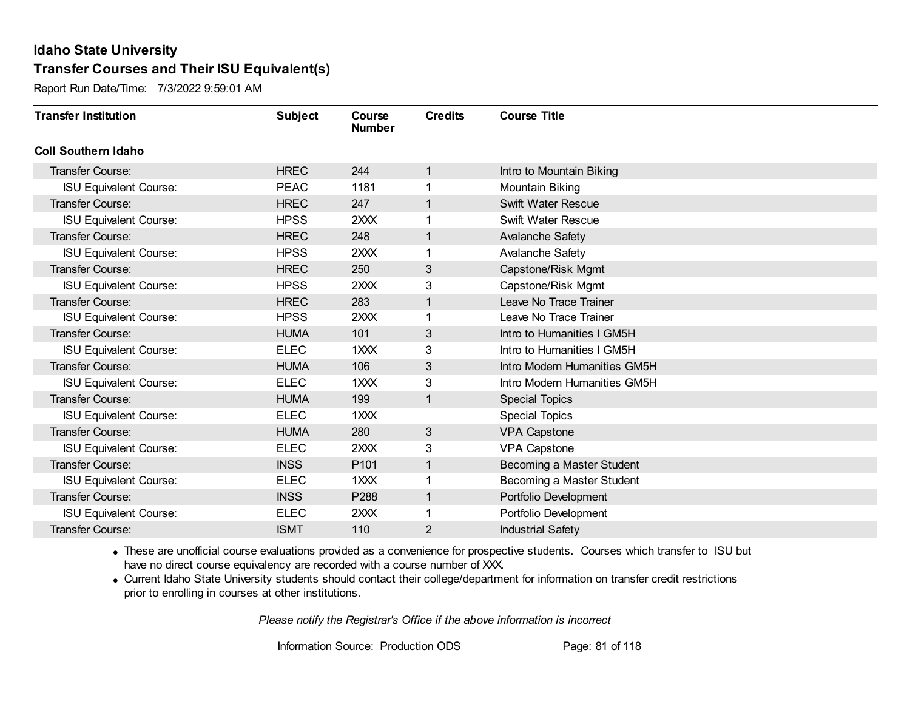Report Run Date/Time: 7/3/2022 9:59:01 AM

| <b>Transfer Institution</b>   | <b>Subject</b> | Course<br><b>Number</b> | <b>Credits</b> | <b>Course Title</b>          |
|-------------------------------|----------------|-------------------------|----------------|------------------------------|
| <b>Coll Southern Idaho</b>    |                |                         |                |                              |
| Transfer Course:              | <b>HREC</b>    | 244                     | 1              | Intro to Mountain Biking     |
| <b>ISU Equivalent Course:</b> | <b>PEAC</b>    | 1181                    |                | Mountain Biking              |
| Transfer Course:              | <b>HREC</b>    | 247                     | 1              | Swift Water Rescue           |
| <b>ISU Equivalent Course:</b> | <b>HPSS</b>    | 2XXX                    | 1              | Swift Water Rescue           |
| <b>Transfer Course:</b>       | <b>HREC</b>    | 248                     | 1              | <b>Avalanche Safety</b>      |
| <b>ISU Equivalent Course:</b> | <b>HPSS</b>    | 2XXX                    |                | Avalanche Safety             |
| Transfer Course:              | <b>HREC</b>    | 250                     | 3              | Capstone/Risk Mgmt           |
| <b>ISU Equivalent Course:</b> | <b>HPSS</b>    | 2XXX                    | 3              | Capstone/Risk Mgmt           |
| <b>Transfer Course:</b>       | <b>HREC</b>    | 283                     | 1              | Leave No Trace Trainer       |
| <b>ISU Equivalent Course:</b> | <b>HPSS</b>    | 2XXX                    | 1              | Leave No Trace Trainer       |
| <b>Transfer Course:</b>       | <b>HUMA</b>    | 101                     | 3              | Intro to Humanities I GM5H   |
| <b>ISU Equivalent Course:</b> | <b>ELEC</b>    | 1XXX                    | 3              | Intro to Humanities I GM5H   |
| Transfer Course:              | <b>HUMA</b>    | 106                     | 3              | Intro Modern Humanities GM5H |
| <b>ISU Equivalent Course:</b> | <b>ELEC</b>    | 1XXX                    | 3              | Intro Modern Humanities GM5H |
| Transfer Course:              | <b>HUMA</b>    | 199                     | 1              | <b>Special Topics</b>        |
| <b>ISU Equivalent Course:</b> | <b>ELEC</b>    | 1XXX                    |                | <b>Special Topics</b>        |
| Transfer Course:              | <b>HUMA</b>    | 280                     | $\mathbf{3}$   | <b>VPA Capstone</b>          |
| <b>ISU Equivalent Course:</b> | <b>ELEC</b>    | 2XXX                    | 3              | <b>VPA Capstone</b>          |
| Transfer Course:              | <b>INSS</b>    | P101                    | 1              | Becoming a Master Student    |
| <b>ISU Equivalent Course:</b> | <b>ELEC</b>    | 1XXX                    |                | Becoming a Master Student    |
| Transfer Course:              | <b>INSS</b>    | P288                    | 1              | Portfolio Development        |
| <b>ISU Equivalent Course:</b> | <b>ELEC</b>    | 2XXX                    |                | Portfolio Development        |
| Transfer Course:              | <b>ISMT</b>    | 110                     | 2              | <b>Industrial Safety</b>     |

· These are unofficial course evaluations provided as a convenience for prospective students. Courses which transfer to ISU but have no direct course equivalency are recorded with a course number of XXX.

· Current Idaho State University students should contact their college/department for information on transfer credit restrictions prior to enrolling in courses at other institutions.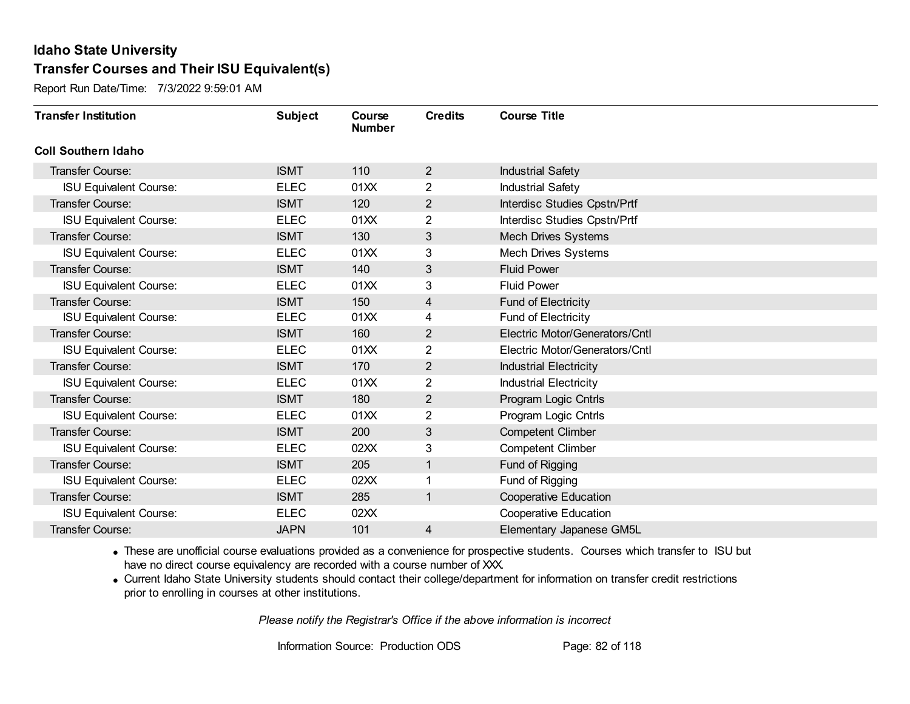Report Run Date/Time: 7/3/2022 9:59:01 AM

| <b>Transfer Institution</b>   | <b>Subject</b> | Course<br><b>Number</b> | <b>Credits</b>          | <b>Course Title</b>            |
|-------------------------------|----------------|-------------------------|-------------------------|--------------------------------|
| <b>Coll Southern Idaho</b>    |                |                         |                         |                                |
| Transfer Course:              | <b>ISMT</b>    | 110                     | $\overline{2}$          | <b>Industrial Safety</b>       |
| <b>ISU Equivalent Course:</b> | <b>ELEC</b>    | 01XX                    | $\overline{2}$          | <b>Industrial Safety</b>       |
| <b>Transfer Course:</b>       | <b>ISMT</b>    | 120                     | $\overline{2}$          | Interdisc Studies Cpstn/Prtf   |
| <b>ISU Equivalent Course:</b> | <b>ELEC</b>    | 01XX                    | $\overline{2}$          | Interdisc Studies Cpstn/Prtf   |
| <b>Transfer Course:</b>       | <b>ISMT</b>    | 130                     | $\mathbf{3}$            | Mech Drives Systems            |
| <b>ISU Equivalent Course:</b> | <b>ELEC</b>    | 01XX                    | 3                       | <b>Mech Drives Systems</b>     |
| <b>Transfer Course:</b>       | <b>ISMT</b>    | 140                     | 3                       | <b>Fluid Power</b>             |
| <b>ISU Equivalent Course:</b> | <b>ELEC</b>    | 01XX                    | 3                       | <b>Fluid Power</b>             |
| <b>Transfer Course:</b>       | <b>ISMT</b>    | 150                     | 4                       | <b>Fund of Electricity</b>     |
| <b>ISU Equivalent Course:</b> | <b>ELEC</b>    | 01XX                    | 4                       | Fund of Electricity            |
| <b>Transfer Course:</b>       | <b>ISMT</b>    | 160                     | 2                       | Electric Motor/Generators/Cntl |
| <b>ISU Equivalent Course:</b> | <b>ELEC</b>    | 01XX                    | 2                       | Electric Motor/Generators/Cntl |
| <b>Transfer Course:</b>       | <b>ISMT</b>    | 170                     | 2                       | <b>Industrial Electricity</b>  |
| <b>ISU Equivalent Course:</b> | <b>ELEC</b>    | 01XX                    | $\overline{2}$          | <b>Industrial Electricity</b>  |
| Transfer Course:              | <b>ISMT</b>    | 180                     | 2                       | Program Logic Cntrls           |
| <b>ISU Equivalent Course:</b> | <b>ELEC</b>    | 01XX                    | $\overline{\mathbf{c}}$ | Program Logic Cntrls           |
| <b>Transfer Course:</b>       | <b>ISMT</b>    | 200                     | 3                       | <b>Competent Climber</b>       |
| <b>ISU Equivalent Course:</b> | <b>ELEC</b>    | 02XX                    | 3                       | <b>Competent Climber</b>       |
| Transfer Course:              | <b>ISMT</b>    | 205                     | 1                       | Fund of Rigging                |
| <b>ISU Equivalent Course:</b> | <b>ELEC</b>    | 02XX                    |                         | Fund of Rigging                |
| <b>Transfer Course:</b>       | <b>ISMT</b>    | 285                     | 1                       | <b>Cooperative Education</b>   |
| <b>ISU Equivalent Course:</b> | <b>ELEC</b>    | 02XX                    |                         | <b>Cooperative Education</b>   |
| Transfer Course:              | <b>JAPN</b>    | 101                     | 4                       | Elementary Japanese GM5L       |

· These are unofficial course evaluations provided as a convenience for prospective students. Courses which transfer to ISU but have no direct course equivalency are recorded with a course number of XXX.

· Current Idaho State University students should contact their college/department for information on transfer credit restrictions prior to enrolling in courses at other institutions.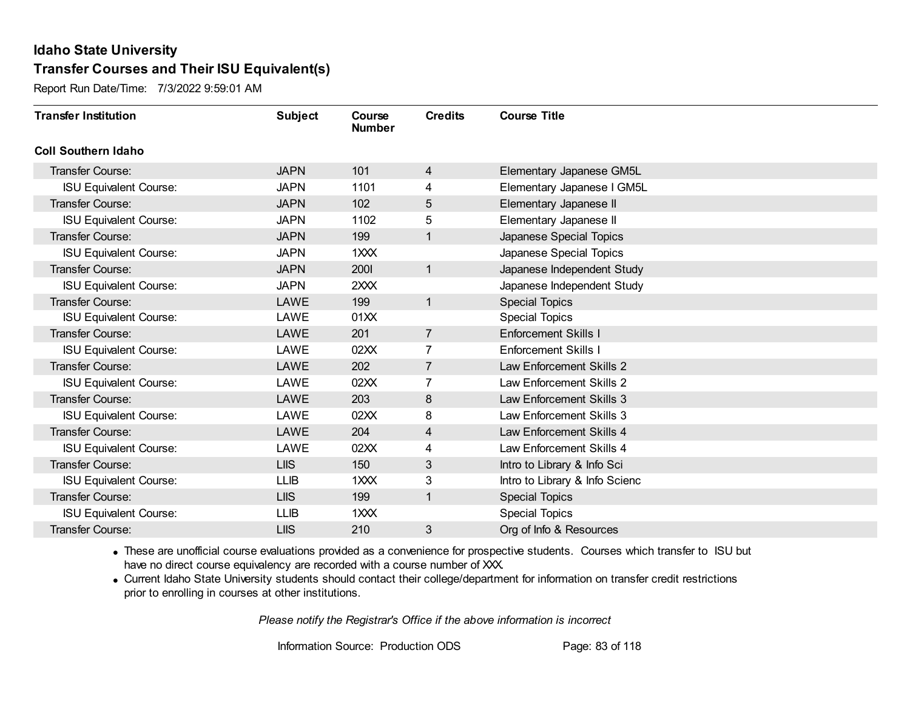Report Run Date/Time: 7/3/2022 9:59:01 AM

| <b>Transfer Institution</b>   | <b>Subject</b> | Course<br><b>Number</b> | <b>Credits</b> | <b>Course Title</b>            |
|-------------------------------|----------------|-------------------------|----------------|--------------------------------|
| <b>Coll Southern Idaho</b>    |                |                         |                |                                |
| Transfer Course:              | <b>JAPN</b>    | 101                     | 4              | Elementary Japanese GM5L       |
| <b>ISU Equivalent Course:</b> | <b>JAPN</b>    | 1101                    | 4              | Elementary Japanese I GM5L     |
| <b>Transfer Course:</b>       | <b>JAPN</b>    | 102                     | 5              | Elementary Japanese II         |
| <b>ISU Equivalent Course:</b> | <b>JAPN</b>    | 1102                    | 5              | Elementary Japanese II         |
| <b>Transfer Course:</b>       | <b>JAPN</b>    | 199                     | $\mathbf{1}$   | Japanese Special Topics        |
| <b>ISU Equivalent Course:</b> | <b>JAPN</b>    | $1 \times X$            |                | Japanese Special Topics        |
| <b>Transfer Course:</b>       | <b>JAPN</b>    | 2001                    | $\mathbf{1}$   | Japanese Independent Study     |
| <b>ISU Equivalent Course:</b> | <b>JAPN</b>    | 2XXX                    |                | Japanese Independent Study     |
| <b>Transfer Course:</b>       | LAWE           | 199                     | $\mathbf{1}$   | <b>Special Topics</b>          |
| <b>ISU Equivalent Course:</b> | LAWE           | 01XX                    |                | <b>Special Topics</b>          |
| <b>Transfer Course:</b>       | LAWE           | 201                     | $\overline{7}$ | <b>Enforcement Skills I</b>    |
| <b>ISU Equivalent Course:</b> | LAWE           | 02XX                    | 7              | <b>Enforcement Skills I</b>    |
| Transfer Course:              | LAWE           | 202                     | $\overline{7}$ | Law Enforcement Skills 2       |
| <b>ISU Equivalent Course:</b> | LAWE           | 02XX                    | $\overline{7}$ | Law Enforcement Skills 2       |
| Transfer Course:              | LAWE           | 203                     | 8              | Law Enforcement Skills 3       |
| <b>ISU Equivalent Course:</b> | LAWE           | 02XX                    | 8              | Law Enforcement Skills 3       |
| <b>Transfer Course:</b>       | LAWE           | 204                     | 4              | Law Enforcement Skills 4       |
| <b>ISU Equivalent Course:</b> | LAWE           | 02XX                    | 4              | Law Enforcement Skills 4       |
| <b>Transfer Course:</b>       | <b>LIIS</b>    | 150                     | 3              | Intro to Library & Info Sci    |
| <b>ISU Equivalent Course:</b> | <b>LLIB</b>    | $1 \times X$            | 3              | Intro to Library & Info Scienc |
| <b>Transfer Course:</b>       | <b>LIIS</b>    | 199                     | $\mathbf{1}$   | <b>Special Topics</b>          |
| <b>ISU Equivalent Course:</b> | <b>LLIB</b>    | 1XXX                    |                | <b>Special Topics</b>          |
| Transfer Course:              | <b>LIIS</b>    | 210                     | 3              | Org of Info & Resources        |

· These are unofficial course evaluations provided as a convenience for prospective students. Courses which transfer to ISU but have no direct course equivalency are recorded with a course number of XXX.

· Current Idaho State University students should contact their college/department for information on transfer credit restrictions prior to enrolling in courses at other institutions.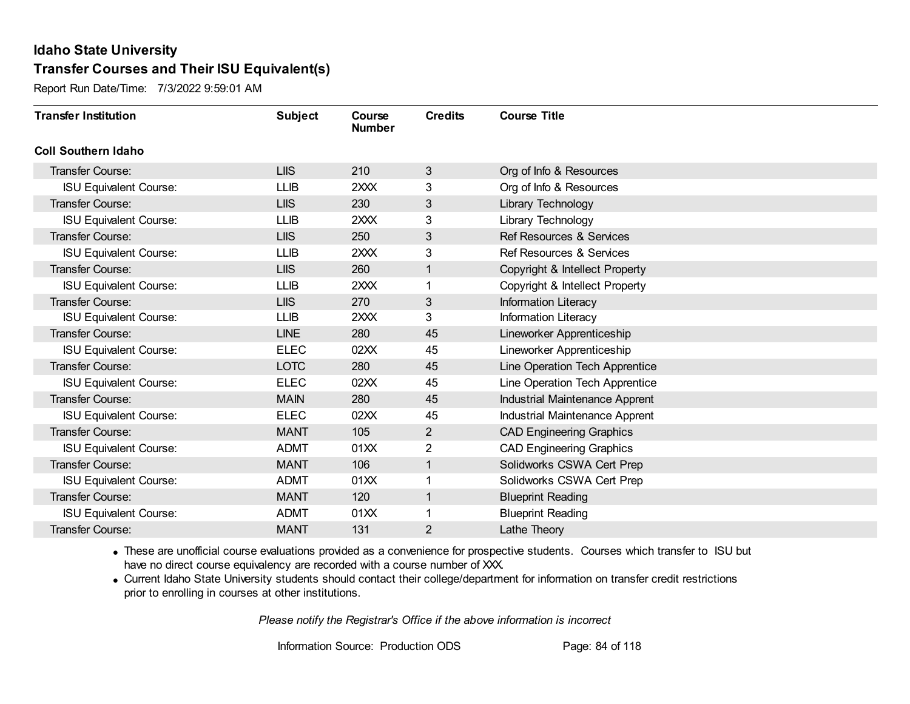Report Run Date/Time: 7/3/2022 9:59:01 AM

| <b>Transfer Institution</b>   | <b>Subject</b> | Course<br><b>Number</b> | <b>Credits</b> | <b>Course Title</b>                   |
|-------------------------------|----------------|-------------------------|----------------|---------------------------------------|
| <b>Coll Southern Idaho</b>    |                |                         |                |                                       |
| Transfer Course:              | <b>LIIS</b>    | 210                     | 3              | Org of Info & Resources               |
| <b>ISU Equivalent Course:</b> | <b>LLIB</b>    | 2XXX                    | 3              | Org of Info & Resources               |
| Transfer Course:              | <b>LIIS</b>    | 230                     | 3              | Library Technology                    |
| <b>ISU Equivalent Course:</b> | <b>LLIB</b>    | 2XXX                    | 3              | Library Technology                    |
| Transfer Course:              | <b>LIIS</b>    | 250                     | 3              | <b>Ref Resources &amp; Services</b>   |
| <b>ISU Equivalent Course:</b> | <b>LLIB</b>    | 2XXX                    | 3              | <b>Ref Resources &amp; Services</b>   |
| Transfer Course:              | <b>LIIS</b>    | 260                     | $\mathbf{1}$   | Copyright & Intellect Property        |
| <b>ISU Equivalent Course:</b> | <b>LLIB</b>    | 2XXX                    |                | Copyright & Intellect Property        |
| <b>Transfer Course:</b>       | <b>LIIS</b>    | 270                     | $\mathfrak{B}$ | Information Literacy                  |
| <b>ISU Equivalent Course:</b> | <b>LLIB</b>    | 2XXX                    | 3              | Information Literacy                  |
| <b>Transfer Course:</b>       | <b>LINE</b>    | 280                     | 45             | Lineworker Apprenticeship             |
| <b>ISU Equivalent Course:</b> | <b>ELEC</b>    | 02XX                    | 45             | Lineworker Apprenticeship             |
| Transfer Course:              | <b>LOTC</b>    | 280                     | 45             | Line Operation Tech Apprentice        |
| <b>ISU Equivalent Course:</b> | <b>ELEC</b>    | 02XX                    | 45             | Line Operation Tech Apprentice        |
| Transfer Course:              | <b>MAIN</b>    | 280                     | 45             | Industrial Maintenance Apprent        |
| <b>ISU Equivalent Course:</b> | <b>ELEC</b>    | 02XX                    | 45             | <b>Industrial Maintenance Apprent</b> |
| Transfer Course:              | <b>MANT</b>    | 105                     | $\overline{2}$ | <b>CAD Engineering Graphics</b>       |
| <b>ISU Equivalent Course:</b> | <b>ADMT</b>    | 01XX                    | 2              | <b>CAD Engineering Graphics</b>       |
| Transfer Course:              | <b>MANT</b>    | 106                     | $\mathbf{1}$   | Solidworks CSWA Cert Prep             |
| <b>ISU Equivalent Course:</b> | <b>ADMT</b>    | 01XX                    |                | Solidworks CSWA Cert Prep             |
| <b>Transfer Course:</b>       | <b>MANT</b>    | 120                     | 1              | <b>Blueprint Reading</b>              |
| <b>ISU Equivalent Course:</b> | <b>ADMT</b>    | 01XX                    |                | <b>Blueprint Reading</b>              |
| Transfer Course:              | <b>MANT</b>    | 131                     | $\overline{2}$ | Lathe Theory                          |

· These are unofficial course evaluations provided as a convenience for prospective students. Courses which transfer to ISU but have no direct course equivalency are recorded with a course number of XXX.

· Current Idaho State University students should contact their college/department for information on transfer credit restrictions prior to enrolling in courses at other institutions.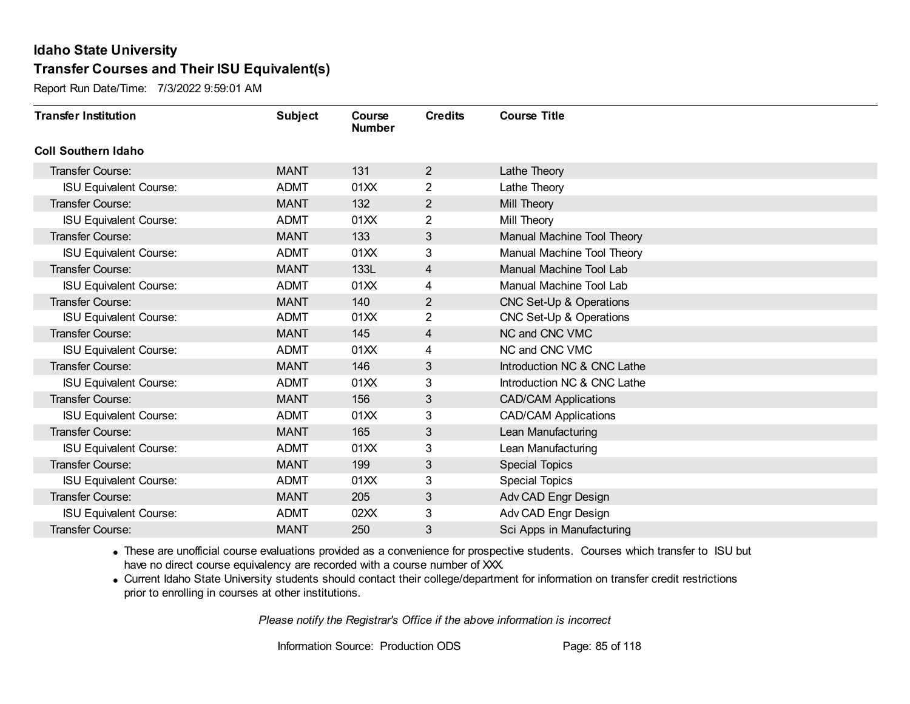Report Run Date/Time: 7/3/2022 9:59:01 AM

| <b>Transfer Institution</b>   | <b>Subject</b> | Course<br><b>Number</b> | <b>Credits</b> | <b>Course Title</b>         |
|-------------------------------|----------------|-------------------------|----------------|-----------------------------|
| <b>Coll Southern Idaho</b>    |                |                         |                |                             |
| Transfer Course:              | <b>MANT</b>    | 131                     | $\overline{2}$ | Lathe Theory                |
| <b>ISU Equivalent Course:</b> | <b>ADMT</b>    | 01XX                    | $\overline{2}$ | Lathe Theory                |
| <b>Transfer Course:</b>       | <b>MANT</b>    | 132                     | $\overline{2}$ | Mill Theory                 |
| <b>ISU Equivalent Course:</b> | <b>ADMT</b>    | 01XX                    | $\overline{2}$ | Mill Theory                 |
| <b>Transfer Course:</b>       | <b>MANT</b>    | 133                     | 3              | Manual Machine Tool Theory  |
| <b>ISU Equivalent Course:</b> | <b>ADMT</b>    | 01XX                    | 3              | Manual Machine Tool Theory  |
| <b>Transfer Course:</b>       | <b>MANT</b>    | 133L                    | 4              | Manual Machine Tool Lab     |
| <b>ISU Equivalent Course:</b> | <b>ADMT</b>    | 01XX                    | 4              | Manual Machine Tool Lab     |
| <b>Transfer Course:</b>       | <b>MANT</b>    | 140                     | 2              | CNC Set-Up & Operations     |
| <b>ISU Equivalent Course:</b> | <b>ADMT</b>    | 01XX                    | $\overline{2}$ | CNC Set-Up & Operations     |
| <b>Transfer Course:</b>       | <b>MANT</b>    | 145                     | 4              | NC and CNC VMC              |
| <b>ISU Equivalent Course:</b> | <b>ADMT</b>    | 01XX                    | 4              | NC and CNC VMC              |
| <b>Transfer Course:</b>       | <b>MANT</b>    | 146                     | 3              | Introduction NC & CNC Lathe |
| <b>ISU Equivalent Course:</b> | <b>ADMT</b>    | 01XX                    | 3              | Introduction NC & CNC Lathe |
| <b>Transfer Course:</b>       | <b>MANT</b>    | 156                     | 3              | <b>CAD/CAM Applications</b> |
| <b>ISU Equivalent Course:</b> | <b>ADMT</b>    | 01XX                    | 3              | <b>CAD/CAM Applications</b> |
| Transfer Course:              | <b>MANT</b>    | 165                     | 3              | Lean Manufacturing          |
| <b>ISU Equivalent Course:</b> | <b>ADMT</b>    | 01XX                    | 3              | Lean Manufacturing          |
| <b>Transfer Course:</b>       | <b>MANT</b>    | 199                     | 3              | <b>Special Topics</b>       |
| <b>ISU Equivalent Course:</b> | <b>ADMT</b>    | 01XX                    | 3              | Special Topics              |
| <b>Transfer Course:</b>       | <b>MANT</b>    | 205                     | $\mathfrak{S}$ | Adv CAD Engr Design         |
| <b>ISU Equivalent Course:</b> | <b>ADMT</b>    | 02XX                    | 3              | Adv CAD Engr Design         |
| <b>Transfer Course:</b>       | <b>MANT</b>    | 250                     | 3              | Sci Apps in Manufacturing   |

· These are unofficial course evaluations provided as a convenience for prospective students. Courses which transfer to ISU but have no direct course equivalency are recorded with a course number of XXX.

· Current Idaho State University students should contact their college/department for information on transfer credit restrictions prior to enrolling in courses at other institutions.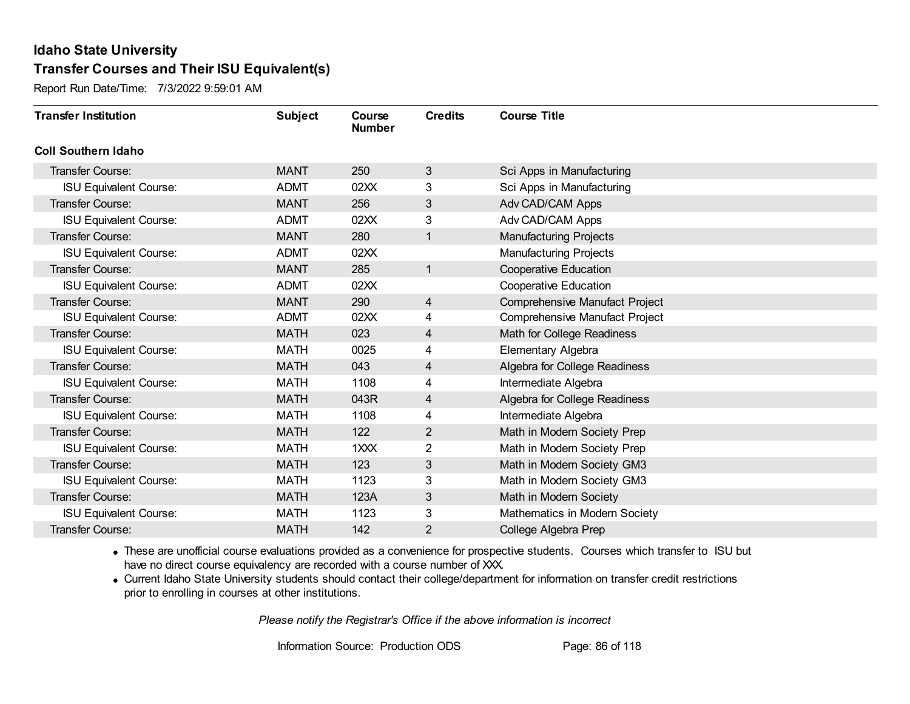Report Run Date/Time: 7/3/2022 9:59:01 AM

| <b>Transfer Institution</b>   | <b>Subject</b> | Course<br><b>Number</b> | <b>Credits</b> | <b>Course Title</b>                   |
|-------------------------------|----------------|-------------------------|----------------|---------------------------------------|
| <b>Coll Southern Idaho</b>    |                |                         |                |                                       |
| Transfer Course:              | <b>MANT</b>    | 250                     | 3              | Sci Apps in Manufacturing             |
| <b>ISU Equivalent Course:</b> | <b>ADMT</b>    | 02XX                    | 3              | Sci Apps in Manufacturing             |
| Transfer Course:              | <b>MANT</b>    | 256                     | 3              | Adv CAD/CAM Apps                      |
| <b>ISU Equivalent Course:</b> | <b>ADMT</b>    | 02XX                    | 3              | Adv CAD/CAM Apps                      |
| <b>Transfer Course:</b>       | <b>MANT</b>    | 280                     | 1              | <b>Manufacturing Projects</b>         |
| <b>ISU Equivalent Course:</b> | <b>ADMT</b>    | 02XX                    |                | <b>Manufacturing Projects</b>         |
| Transfer Course:              | <b>MANT</b>    | 285                     | 1              | Cooperative Education                 |
| <b>ISU Equivalent Course:</b> | <b>ADMT</b>    | 02XX                    |                | <b>Cooperative Education</b>          |
| <b>Transfer Course:</b>       | <b>MANT</b>    | 290                     | 4              | Comprehensive Manufact Project        |
| <b>ISU Equivalent Course:</b> | <b>ADMT</b>    | 02XX                    | 4              | <b>Comprehensive Manufact Project</b> |
| <b>Transfer Course:</b>       | <b>MATH</b>    | 023                     | 4              | Math for College Readiness            |
| <b>ISU Equivalent Course:</b> | <b>MATH</b>    | 0025                    | 4              | Elementary Algebra                    |
| Transfer Course:              | <b>MATH</b>    | 043                     | 4              | Algebra for College Readiness         |
| <b>ISU Equivalent Course:</b> | <b>MATH</b>    | 1108                    | 4              | Intermediate Algebra                  |
| Transfer Course:              | <b>MATH</b>    | 043R                    | 4              | Algebra for College Readiness         |
| <b>ISU Equivalent Course:</b> | <b>MATH</b>    | 1108                    | 4              | Intermediate Algebra                  |
| Transfer Course:              | <b>MATH</b>    | 122                     | 2              | Math in Modern Society Prep           |
| <b>ISU Equivalent Course:</b> | <b>MATH</b>    | 1XXX                    | 2              | Math in Modern Society Prep           |
| Transfer Course:              | <b>MATH</b>    | 123                     | 3              | Math in Modern Society GM3            |
| <b>ISU Equivalent Course:</b> | <b>MATH</b>    | 1123                    | 3              | Math in Modern Society GM3            |
| Transfer Course:              | <b>MATH</b>    | 123A                    | 3              | Math in Modern Society                |
| <b>ISU Equivalent Course:</b> | <b>MATH</b>    | 1123                    | 3              | Mathematics in Modern Society         |
| Transfer Course:              | <b>MATH</b>    | 142                     | 2              | College Algebra Prep                  |

· These are unofficial course evaluations provided as a convenience for prospective students. Courses which transfer to ISU but have no direct course equivalency are recorded with a course number of XXX.

· Current Idaho State University students should contact their college/department for information on transfer credit restrictions prior to enrolling in courses at other institutions.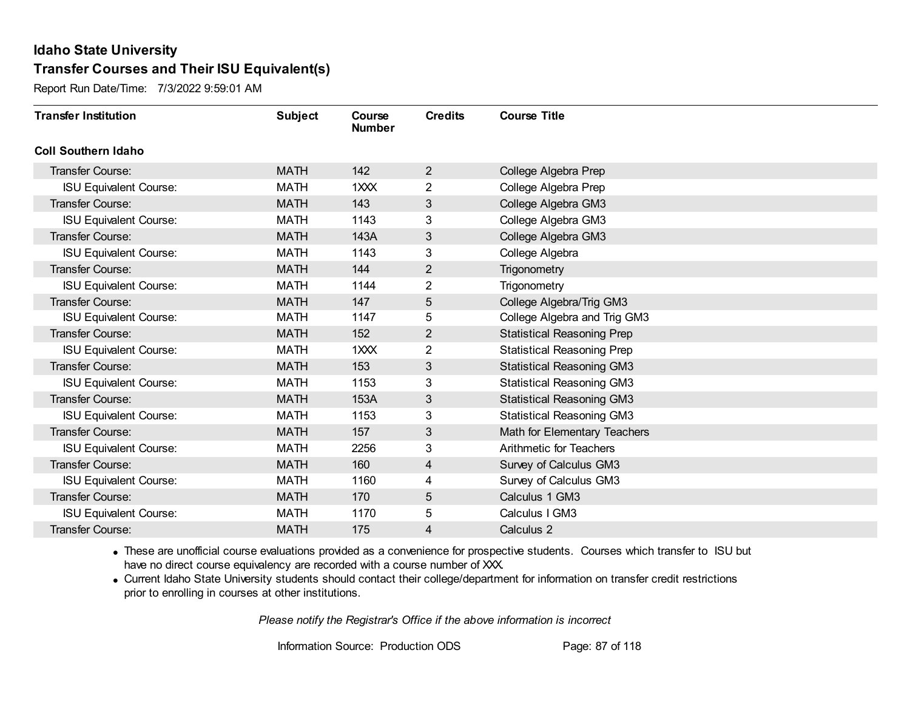Report Run Date/Time: 7/3/2022 9:59:01 AM

| <b>Transfer Institution</b>   | <b>Subject</b> | Course<br><b>Number</b> | <b>Credits</b> | <b>Course Title</b>               |
|-------------------------------|----------------|-------------------------|----------------|-----------------------------------|
| <b>Coll Southern Idaho</b>    |                |                         |                |                                   |
| Transfer Course:              | <b>MATH</b>    | 142                     | 2              | College Algebra Prep              |
| <b>ISU Equivalent Course:</b> | <b>MATH</b>    | 1XXX                    | $\overline{2}$ | College Algebra Prep              |
| Transfer Course:              | <b>MATH</b>    | 143                     | 3              | College Algebra GM3               |
| <b>ISU Equivalent Course:</b> | <b>MATH</b>    | 1143                    | 3              | College Algebra GM3               |
| <b>Transfer Course:</b>       | <b>MATH</b>    | 143A                    | 3              | College Algebra GM3               |
| <b>ISU Equivalent Course:</b> | <b>MATH</b>    | 1143                    | 3              | College Algebra                   |
| Transfer Course:              | <b>MATH</b>    | 144                     | 2              | Trigonometry                      |
| <b>ISU Equivalent Course:</b> | <b>MATH</b>    | 1144                    | $\overline{2}$ | Trigonometry                      |
| <b>Transfer Course:</b>       | <b>MATH</b>    | 147                     | 5              | College Algebra/Trig GM3          |
| <b>ISU Equivalent Course:</b> | <b>MATH</b>    | 1147                    | 5              | College Algebra and Trig GM3      |
| <b>Transfer Course:</b>       | <b>MATH</b>    | 152                     | 2              | <b>Statistical Reasoning Prep</b> |
| <b>ISU Equivalent Course:</b> | <b>MATH</b>    | 1XXX                    | $\overline{2}$ | <b>Statistical Reasoning Prep</b> |
| <b>Transfer Course:</b>       | <b>MATH</b>    | 153                     | 3              | <b>Statistical Reasoning GM3</b>  |
| <b>ISU Equivalent Course:</b> | <b>MATH</b>    | 1153                    | 3              | <b>Statistical Reasoning GM3</b>  |
| Transfer Course:              | <b>MATH</b>    | 153A                    | 3              | <b>Statistical Reasoning GM3</b>  |
| <b>ISU Equivalent Course:</b> | <b>MATH</b>    | 1153                    | 3              | <b>Statistical Reasoning GM3</b>  |
| Transfer Course:              | <b>MATH</b>    | 157                     | 3              | Math for Elementary Teachers      |
| <b>ISU Equivalent Course:</b> | <b>MATH</b>    | 2256                    | 3              | Arithmetic for Teachers           |
| Transfer Course:              | <b>MATH</b>    | 160                     | 4              | Survey of Calculus GM3            |
| <b>ISU Equivalent Course:</b> | <b>MATH</b>    | 1160                    | 4              | Survey of Calculus GM3            |
| Transfer Course:              | <b>MATH</b>    | 170                     | 5              | Calculus 1 GM3                    |
| <b>ISU Equivalent Course:</b> | <b>MATH</b>    | 1170                    | 5              | Calculus I GM3                    |
| Transfer Course:              | <b>MATH</b>    | 175                     | 4              | Calculus 2                        |

· These are unofficial course evaluations provided as a convenience for prospective students. Courses which transfer to ISU but have no direct course equivalency are recorded with a course number of XXX.

· Current Idaho State University students should contact their college/department for information on transfer credit restrictions prior to enrolling in courses at other institutions.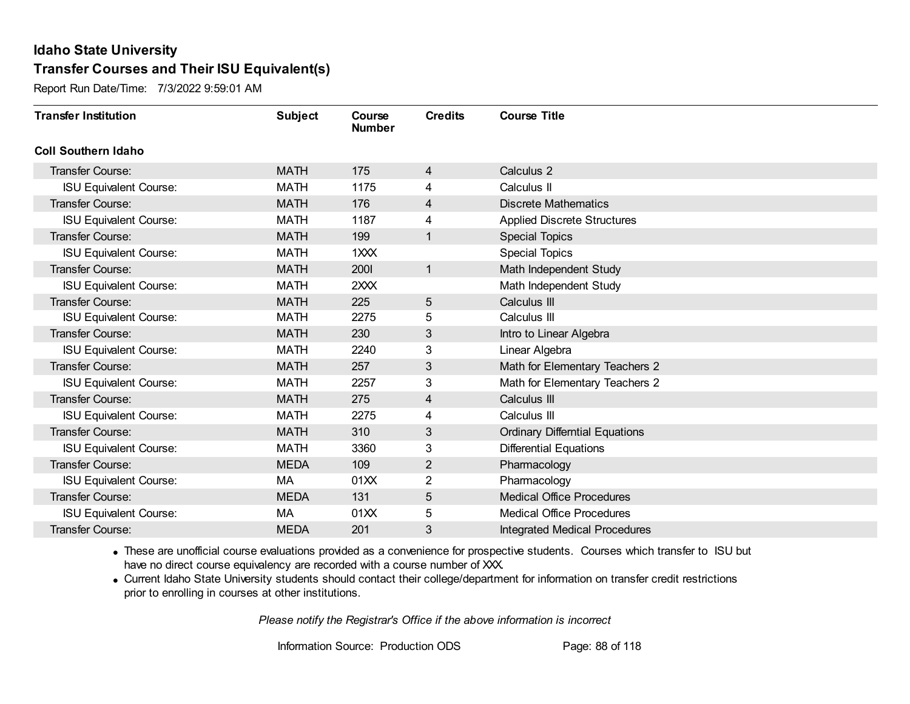Report Run Date/Time: 7/3/2022 9:59:01 AM

| <b>Transfer Institution</b>   | <b>Subject</b> | Course<br><b>Number</b> | <b>Credits</b> | <b>Course Title</b>                   |
|-------------------------------|----------------|-------------------------|----------------|---------------------------------------|
| <b>Coll Southern Idaho</b>    |                |                         |                |                                       |
| <b>Transfer Course:</b>       | <b>MATH</b>    | 175                     | 4              | Calculus 2                            |
| <b>ISU Equivalent Course:</b> | <b>MATH</b>    | 1175                    | 4              | Calculus II                           |
| <b>Transfer Course:</b>       | <b>MATH</b>    | 176                     | 4              | <b>Discrete Mathematics</b>           |
| <b>ISU Equivalent Course:</b> | <b>MATH</b>    | 1187                    | 4              | <b>Applied Discrete Structures</b>    |
| Transfer Course:              | <b>MATH</b>    | 199                     | $\mathbf{1}$   | <b>Special Topics</b>                 |
| <b>ISU Equivalent Course:</b> | <b>MATH</b>    | 1XXX                    |                | <b>Special Topics</b>                 |
| <b>Transfer Course:</b>       | <b>MATH</b>    | 2001                    | $\mathbf{1}$   | Math Independent Study                |
| <b>ISU Equivalent Course:</b> | <b>MATH</b>    | 2XXX                    |                | Math Independent Study                |
| <b>Transfer Course:</b>       | <b>MATH</b>    | 225                     | 5              | Calculus III                          |
| <b>ISU Equivalent Course:</b> | <b>MATH</b>    | 2275                    | 5              | Calculus III                          |
| <b>Transfer Course:</b>       | <b>MATH</b>    | 230                     | 3              | Intro to Linear Algebra               |
| <b>ISU Equivalent Course:</b> | <b>MATH</b>    | 2240                    | 3              | Linear Algebra                        |
| Transfer Course:              | <b>MATH</b>    | 257                     | 3              | Math for Elementary Teachers 2        |
| <b>ISU Equivalent Course:</b> | <b>MATH</b>    | 2257                    | 3              | Math for Elementary Teachers 2        |
| <b>Transfer Course:</b>       | <b>MATH</b>    | 275                     | 4              | Calculus III                          |
| <b>ISU Equivalent Course:</b> | <b>MATH</b>    | 2275                    | 4              | Calculus III                          |
| Transfer Course:              | <b>MATH</b>    | 310                     | 3              | <b>Ordinary Differntial Equations</b> |
| <b>ISU Equivalent Course:</b> | <b>MATH</b>    | 3360                    | 3              | <b>Differential Equations</b>         |
| <b>Transfer Course:</b>       | <b>MEDA</b>    | 109                     | $\overline{2}$ | Pharmacology                          |
| <b>ISU Equivalent Course:</b> | МA             | 01XX                    | 2              | Pharmacology                          |
| <b>Transfer Course:</b>       | <b>MEDA</b>    | 131                     | 5              | <b>Medical Office Procedures</b>      |
| <b>ISU Equivalent Course:</b> | МA             | 01XX                    | 5              | <b>Medical Office Procedures</b>      |
| <b>Transfer Course:</b>       | <b>MEDA</b>    | 201                     | 3              | <b>Integrated Medical Procedures</b>  |

· These are unofficial course evaluations provided as a convenience for prospective students. Courses which transfer to ISU but have no direct course equivalency are recorded with a course number of XXX.

· Current Idaho State University students should contact their college/department for information on transfer credit restrictions prior to enrolling in courses at other institutions.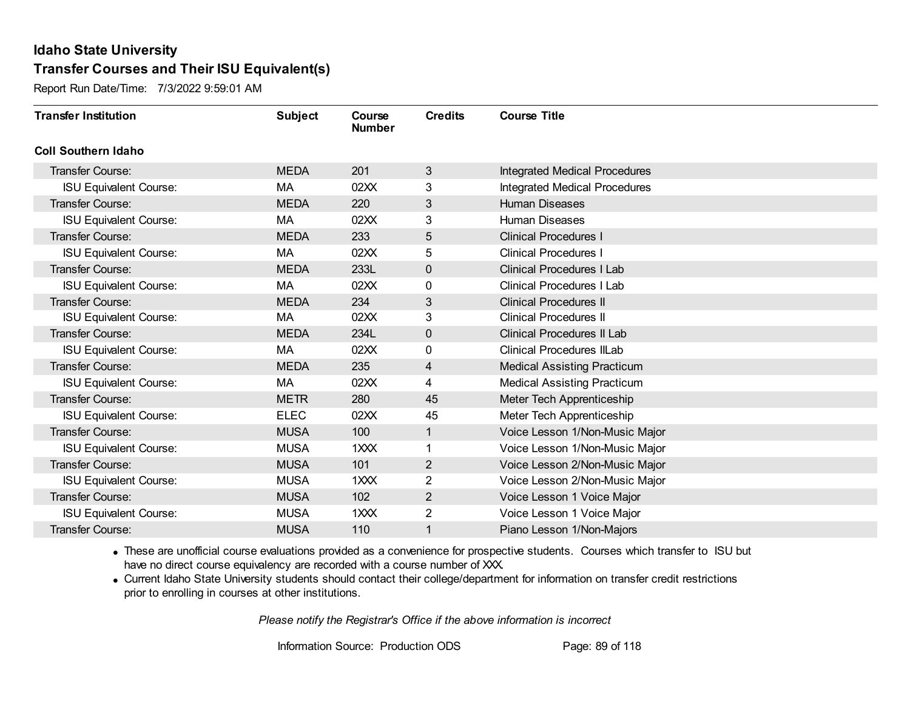Report Run Date/Time: 7/3/2022 9:59:01 AM

| <b>Transfer Institution</b>   | <b>Subject</b> | Course<br><b>Number</b> | <b>Credits</b> | <b>Course Title</b>                  |
|-------------------------------|----------------|-------------------------|----------------|--------------------------------------|
| <b>Coll Southern Idaho</b>    |                |                         |                |                                      |
| Transfer Course:              | <b>MEDA</b>    | 201                     | 3              | <b>Integrated Medical Procedures</b> |
| <b>ISU Equivalent Course:</b> | МA             | 02XX                    | 3              | <b>Integrated Medical Procedures</b> |
| Transfer Course:              | <b>MEDA</b>    | 220                     | 3              | <b>Human Diseases</b>                |
| <b>ISU Equivalent Course:</b> | МA             | 02XX                    | 3              | <b>Human Diseases</b>                |
| <b>Transfer Course:</b>       | <b>MEDA</b>    | 233                     | 5              | <b>Clinical Procedures I</b>         |
| <b>ISU Equivalent Course:</b> | МA             | 02XX                    | 5              | <b>Clinical Procedures I</b>         |
| <b>Transfer Course:</b>       | <b>MEDA</b>    | 233L                    | $\mathbf 0$    | <b>Clinical Procedures I Lab</b>     |
| <b>ISU Equivalent Course:</b> | МA             | 02XX                    | 0              | <b>Clinical Procedures I Lab</b>     |
| <b>Transfer Course:</b>       | <b>MEDA</b>    | 234                     | 3              | <b>Clinical Procedures II</b>        |
| <b>ISU Equivalent Course:</b> | МA             | 02XX                    | 3              | <b>Clinical Procedures II</b>        |
| <b>Transfer Course:</b>       | <b>MEDA</b>    | 234L                    | $\mathbf 0$    | <b>Clinical Procedures II Lab</b>    |
| <b>ISU Equivalent Course:</b> | МA             | 02XX                    | 0              | <b>Clinical Procedures IILab</b>     |
| <b>Transfer Course:</b>       | <b>MEDA</b>    | 235                     | 4              | <b>Medical Assisting Practicum</b>   |
| <b>ISU Equivalent Course:</b> | МA             | 02XX                    | 4              | <b>Medical Assisting Practicum</b>   |
| <b>Transfer Course:</b>       | <b>METR</b>    | 280                     | 45             | Meter Tech Apprenticeship            |
| <b>ISU Equivalent Course:</b> | <b>ELEC</b>    | 02XX                    | 45             | Meter Tech Apprenticeship            |
| <b>Transfer Course:</b>       | <b>MUSA</b>    | 100                     | 1              | Voice Lesson 1/Non-Music Major       |
| <b>ISU Equivalent Course:</b> | <b>MUSA</b>    | 1XXX                    | 1              | Voice Lesson 1/Non-Music Major       |
| <b>Transfer Course:</b>       | <b>MUSA</b>    | 101                     | $\overline{2}$ | Voice Lesson 2/Non-Music Major       |
| <b>ISU Equivalent Course:</b> | <b>MUSA</b>    | 1XXX                    | 2              | Voice Lesson 2/Non-Music Major       |
| <b>Transfer Course:</b>       | <b>MUSA</b>    | 102                     | $\mathbf{2}$   | Voice Lesson 1 Voice Major           |
| <b>ISU Equivalent Course:</b> | <b>MUSA</b>    | 1XXX                    | $\overline{2}$ | Voice Lesson 1 Voice Major           |
| <b>Transfer Course:</b>       | <b>MUSA</b>    | 110                     | 1              | Piano Lesson 1/Non-Majors            |

· These are unofficial course evaluations provided as a convenience for prospective students. Courses which transfer to ISU but have no direct course equivalency are recorded with a course number of XXX.

· Current Idaho State University students should contact their college/department for information on transfer credit restrictions prior to enrolling in courses at other institutions.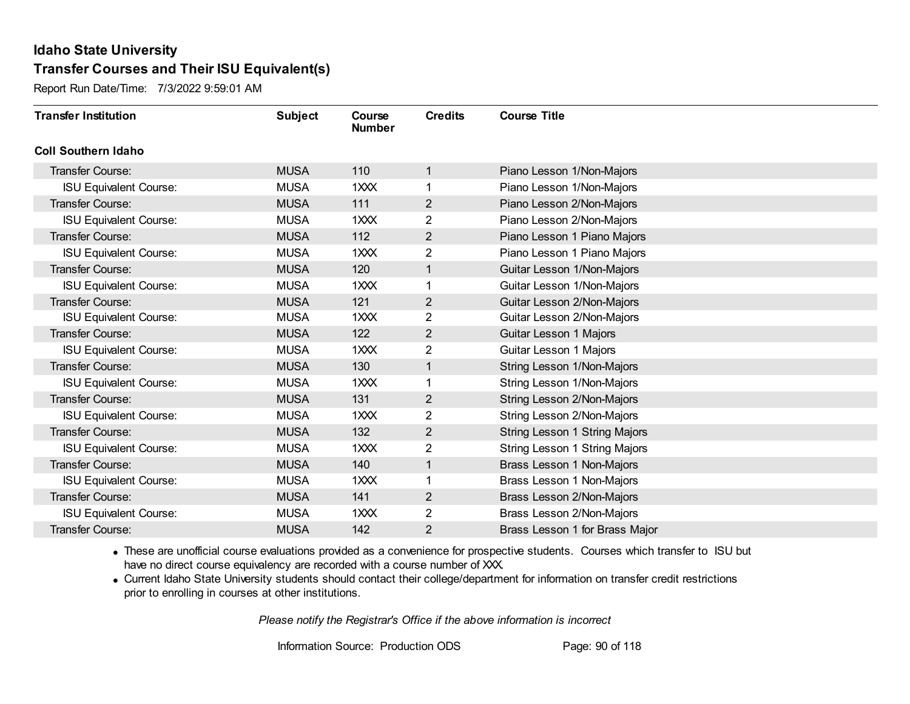Report Run Date/Time: 7/3/2022 9:59:01 AM

| <b>Transfer Institution</b>   | <b>Subject</b> | Course<br><b>Number</b> | <b>Credits</b> | <b>Course Title</b>            |
|-------------------------------|----------------|-------------------------|----------------|--------------------------------|
| <b>Coll Southern Idaho</b>    |                |                         |                |                                |
| Transfer Course:              | <b>MUSA</b>    | 110                     | 1              | Piano Lesson 1/Non-Majors      |
| <b>ISU Equivalent Course:</b> | <b>MUSA</b>    | 1XXX                    | 1              | Piano Lesson 1/Non-Majors      |
| Transfer Course:              | <b>MUSA</b>    | 111                     | $\overline{2}$ | Piano Lesson 2/Non-Majors      |
| <b>ISU Equivalent Course:</b> | <b>MUSA</b>    | 1XXX                    | $\overline{2}$ | Piano Lesson 2/Non-Majors      |
| <b>Transfer Course:</b>       | <b>MUSA</b>    | 112                     | $\overline{2}$ | Piano Lesson 1 Piano Majors    |
| <b>ISU Equivalent Course:</b> | <b>MUSA</b>    | 1XXX                    | 2              | Piano Lesson 1 Piano Majors    |
| Transfer Course:              | <b>MUSA</b>    | 120                     | $\mathbf{1}$   | Guitar Lesson 1/Non-Majors     |
| <b>ISU Equivalent Course:</b> | <b>MUSA</b>    | 1XXX                    | 1              | Guitar Lesson 1/Non-Majors     |
| <b>Transfer Course:</b>       | <b>MUSA</b>    | 121                     | $\overline{2}$ | Guitar Lesson 2/Non-Majors     |
| <b>ISU Equivalent Course:</b> | <b>MUSA</b>    | 1XXX                    | $\overline{2}$ | Guitar Lesson 2/Non-Majors     |
| <b>Transfer Course:</b>       | <b>MUSA</b>    | 122                     | $\overline{2}$ | <b>Guitar Lesson 1 Majors</b>  |
| <b>ISU Equivalent Course:</b> | <b>MUSA</b>    | 1XXX                    | 2              | Guitar Lesson 1 Majors         |
| Transfer Course:              | <b>MUSA</b>    | 130                     | 1              | String Lesson 1/Non-Majors     |
| <b>ISU Equivalent Course:</b> | <b>MUSA</b>    | 1XXX                    | 1              | String Lesson 1/Non-Majors     |
| Transfer Course:              | <b>MUSA</b>    | 131                     | $\overline{2}$ | String Lesson 2/Non-Majors     |
| <b>ISU Equivalent Course:</b> | <b>MUSA</b>    | 1XXX                    | $\overline{2}$ | String Lesson 2/Non-Majors     |
| Transfer Course:              | <b>MUSA</b>    | 132                     | $\overline{2}$ | String Lesson 1 String Majors  |
| <b>ISU Equivalent Course:</b> | <b>MUSA</b>    | 1XXX                    | $\overline{2}$ | String Lesson 1 String Majors  |
| Transfer Course:              | <b>MUSA</b>    | 140                     | 1              | Brass Lesson 1 Non-Majors      |
| <b>ISU Equivalent Course:</b> | <b>MUSA</b>    | 1XXX                    |                | Brass Lesson 1 Non-Majors      |
| Transfer Course:              | <b>MUSA</b>    | 141                     | $\overline{2}$ | Brass Lesson 2/Non-Majors      |
| <b>ISU Equivalent Course:</b> | <b>MUSA</b>    | 1XXX                    | $\overline{2}$ | Brass Lesson 2/Non-Majors      |
| Transfer Course:              | <b>MUSA</b>    | 142                     | 2              | Brass Lesson 1 for Brass Major |

· These are unofficial course evaluations provided as a convenience for prospective students. Courses which transfer to ISU but have no direct course equivalency are recorded with a course number of XXX.

· Current Idaho State University students should contact their college/department for information on transfer credit restrictions prior to enrolling in courses at other institutions.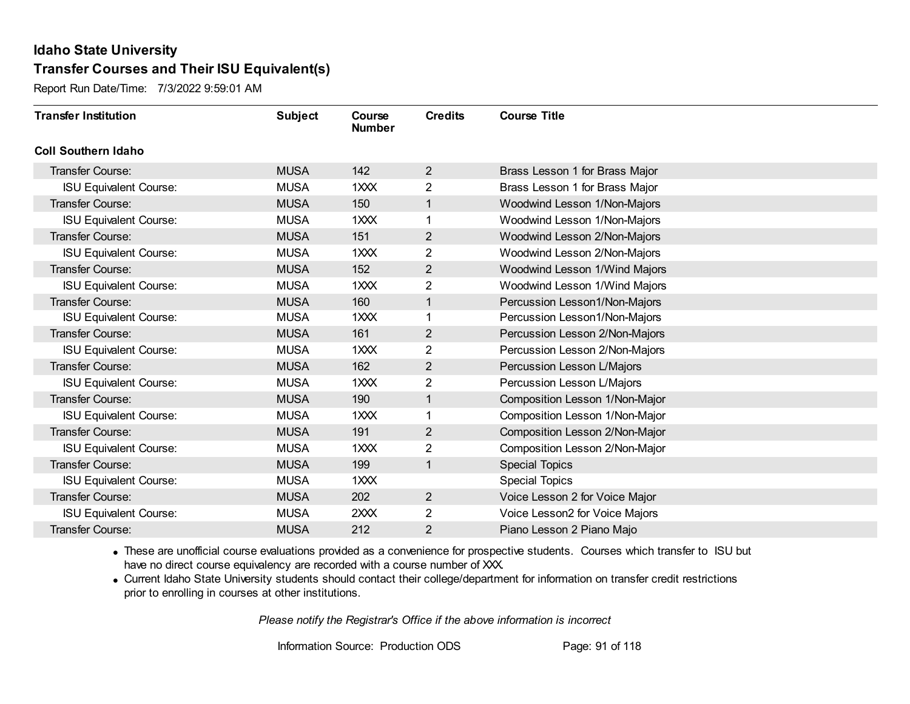Report Run Date/Time: 7/3/2022 9:59:01 AM

| <b>Transfer Institution</b>   | <b>Subject</b> | Course<br><b>Number</b> | <b>Credits</b> | <b>Course Title</b>            |
|-------------------------------|----------------|-------------------------|----------------|--------------------------------|
| <b>Coll Southern Idaho</b>    |                |                         |                |                                |
| Transfer Course:              | <b>MUSA</b>    | 142                     | $\overline{2}$ | Brass Lesson 1 for Brass Major |
| <b>ISU Equivalent Course:</b> | <b>MUSA</b>    | 1XXX                    | $\overline{2}$ | Brass Lesson 1 for Brass Major |
| <b>Transfer Course:</b>       | <b>MUSA</b>    | 150                     | $\mathbf{1}$   | Woodwind Lesson 1/Non-Majors   |
| <b>ISU Equivalent Course:</b> | <b>MUSA</b>    | 1XXX                    |                | Woodwind Lesson 1/Non-Majors   |
| <b>Transfer Course:</b>       | <b>MUSA</b>    | 151                     | $\overline{2}$ | Woodwind Lesson 2/Non-Majors   |
| <b>ISU Equivalent Course:</b> | <b>MUSA</b>    | 1XXX                    | $\overline{c}$ | Woodwind Lesson 2/Non-Majors   |
| <b>Transfer Course:</b>       | <b>MUSA</b>    | 152                     | $\overline{2}$ | Woodwind Lesson 1/Wind Majors  |
| <b>ISU Equivalent Course:</b> | <b>MUSA</b>    | 1XXX                    | $\overline{2}$ | Woodwind Lesson 1/Wind Majors  |
| <b>Transfer Course:</b>       | <b>MUSA</b>    | 160                     | $\mathbf{1}$   | Percussion Lesson1/Non-Majors  |
| <b>ISU Equivalent Course:</b> | <b>MUSA</b>    | 1XXX                    |                | Percussion Lesson1/Non-Majors  |
| <b>Transfer Course:</b>       | <b>MUSA</b>    | 161                     | $\overline{2}$ | Percussion Lesson 2/Non-Majors |
| <b>ISU Equivalent Course:</b> | <b>MUSA</b>    | 1XXX                    | $\overline{2}$ | Percussion Lesson 2/Non-Majors |
| <b>Transfer Course:</b>       | <b>MUSA</b>    | 162                     | $\overline{2}$ | Percussion Lesson L/Majors     |
| <b>ISU Equivalent Course:</b> | <b>MUSA</b>    | 1XXX                    | $\overline{2}$ | Percussion Lesson L/Majors     |
| Transfer Course:              | <b>MUSA</b>    | 190                     | $\mathbf{1}$   | Composition Lesson 1/Non-Major |
| <b>ISU Equivalent Course:</b> | <b>MUSA</b>    | 1XXX                    |                | Composition Lesson 1/Non-Major |
| <b>Transfer Course:</b>       | <b>MUSA</b>    | 191                     | $\overline{2}$ | Composition Lesson 2/Non-Major |
| <b>ISU Equivalent Course:</b> | <b>MUSA</b>    | 1XXX                    | $\overline{2}$ | Composition Lesson 2/Non-Major |
| <b>Transfer Course:</b>       | <b>MUSA</b>    | 199                     | $\mathbf{1}$   | <b>Special Topics</b>          |
| <b>ISU Equivalent Course:</b> | <b>MUSA</b>    | 1XXX                    |                | <b>Special Topics</b>          |
| <b>Transfer Course:</b>       | <b>MUSA</b>    | 202                     | $\overline{2}$ | Voice Lesson 2 for Voice Major |
| <b>ISU Equivalent Course:</b> | <b>MUSA</b>    | 2XXX                    | $\overline{2}$ | Voice Lesson2 for Voice Majors |
| <b>Transfer Course:</b>       | <b>MUSA</b>    | 212                     | $\overline{2}$ | Piano Lesson 2 Piano Majo      |

· These are unofficial course evaluations provided as a convenience for prospective students. Courses which transfer to ISU but have no direct course equivalency are recorded with a course number of XXX.

· Current Idaho State University students should contact their college/department for information on transfer credit restrictions prior to enrolling in courses at other institutions.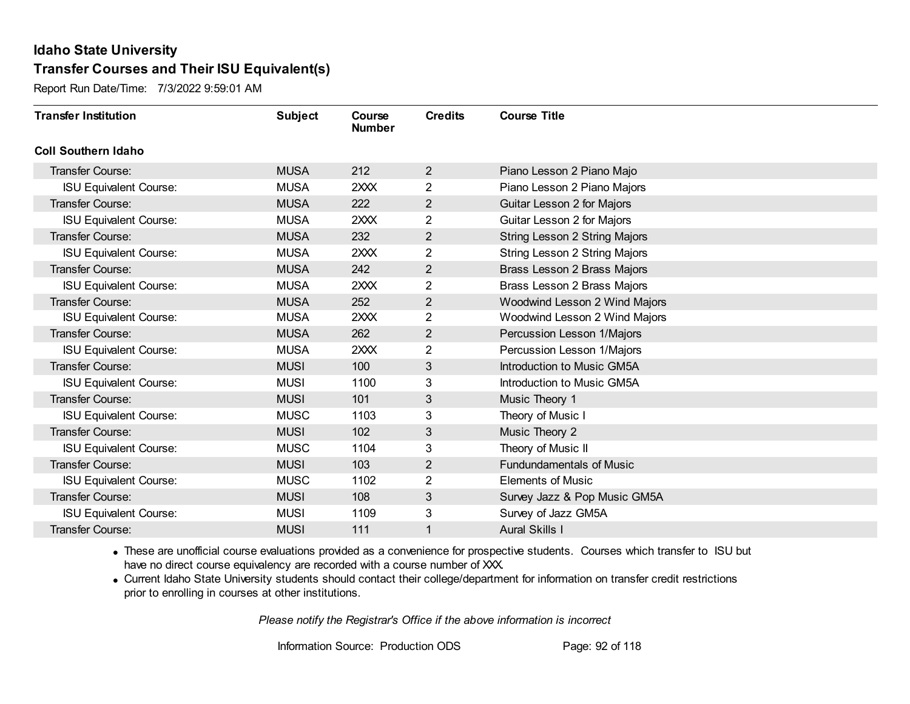Report Run Date/Time: 7/3/2022 9:59:01 AM

| <b>Transfer Institution</b>   | <b>Subject</b> | <b>Course</b><br><b>Number</b> | <b>Credits</b> | <b>Course Title</b>             |
|-------------------------------|----------------|--------------------------------|----------------|---------------------------------|
| <b>Coll Southern Idaho</b>    |                |                                |                |                                 |
| <b>Transfer Course:</b>       | <b>MUSA</b>    | 212                            | $\overline{2}$ | Piano Lesson 2 Piano Majo       |
| <b>ISU Equivalent Course:</b> | <b>MUSA</b>    | 2XXX                           | $\overline{2}$ | Piano Lesson 2 Piano Majors     |
| <b>Transfer Course:</b>       | <b>MUSA</b>    | 222                            | $\overline{2}$ | Guitar Lesson 2 for Majors      |
| <b>ISU Equivalent Course:</b> | <b>MUSA</b>    | 2XXX                           | $\overline{2}$ | Guitar Lesson 2 for Majors      |
| <b>Transfer Course:</b>       | <b>MUSA</b>    | 232                            | $\overline{2}$ | String Lesson 2 String Majors   |
| <b>ISU Equivalent Course:</b> | <b>MUSA</b>    | 2XXX                           | $\overline{2}$ | String Lesson 2 String Majors   |
| <b>Transfer Course:</b>       | <b>MUSA</b>    | 242                            | $\overline{2}$ | Brass Lesson 2 Brass Majors     |
| <b>ISU Equivalent Course:</b> | <b>MUSA</b>    | 2XXX                           | 2              | Brass Lesson 2 Brass Majors     |
| <b>Transfer Course:</b>       | <b>MUSA</b>    | 252                            | $\overline{2}$ | Woodwind Lesson 2 Wind Majors   |
| <b>ISU Equivalent Course:</b> | <b>MUSA</b>    | 2XXX                           | $\overline{2}$ | Woodwind Lesson 2 Wind Majors   |
| <b>Transfer Course:</b>       | <b>MUSA</b>    | 262                            | $\overline{2}$ | Percussion Lesson 1/Majors      |
| <b>ISU Equivalent Course:</b> | <b>MUSA</b>    | 2XXX                           | 2              | Percussion Lesson 1/Majors      |
| <b>Transfer Course:</b>       | <b>MUSI</b>    | 100                            | 3              | Introduction to Music GM5A      |
| <b>ISU Equivalent Course:</b> | <b>MUSI</b>    | 1100                           | 3              | Introduction to Music GM5A      |
| <b>Transfer Course:</b>       | <b>MUSI</b>    | 101                            | $\mathfrak{B}$ | Music Theory 1                  |
| <b>ISU Equivalent Course:</b> | <b>MUSC</b>    | 1103                           | 3              | Theory of Music I               |
| Transfer Course:              | <b>MUSI</b>    | 102                            | 3              | Music Theory 2                  |
| <b>ISU Equivalent Course:</b> | <b>MUSC</b>    | 1104                           | 3              | Theory of Music II              |
| <b>Transfer Course:</b>       | <b>MUSI</b>    | 103                            | $\overline{2}$ | <b>Fundundamentals of Music</b> |
| <b>ISU Equivalent Course:</b> | <b>MUSC</b>    | 1102                           | 2              | <b>Elements of Music</b>        |
| <b>Transfer Course:</b>       | <b>MUSI</b>    | 108                            | 3              | Survey Jazz & Pop Music GM5A    |
| <b>ISU Equivalent Course:</b> | <b>MUSI</b>    | 1109                           | $\mathbf{3}$   | Survey of Jazz GM5A             |
| <b>Transfer Course:</b>       | <b>MUSI</b>    | 111                            |                | <b>Aural Skills I</b>           |

· These are unofficial course evaluations provided as a convenience for prospective students. Courses which transfer to ISU but have no direct course equivalency are recorded with a course number of XXX.

· Current Idaho State University students should contact their college/department for information on transfer credit restrictions prior to enrolling in courses at other institutions.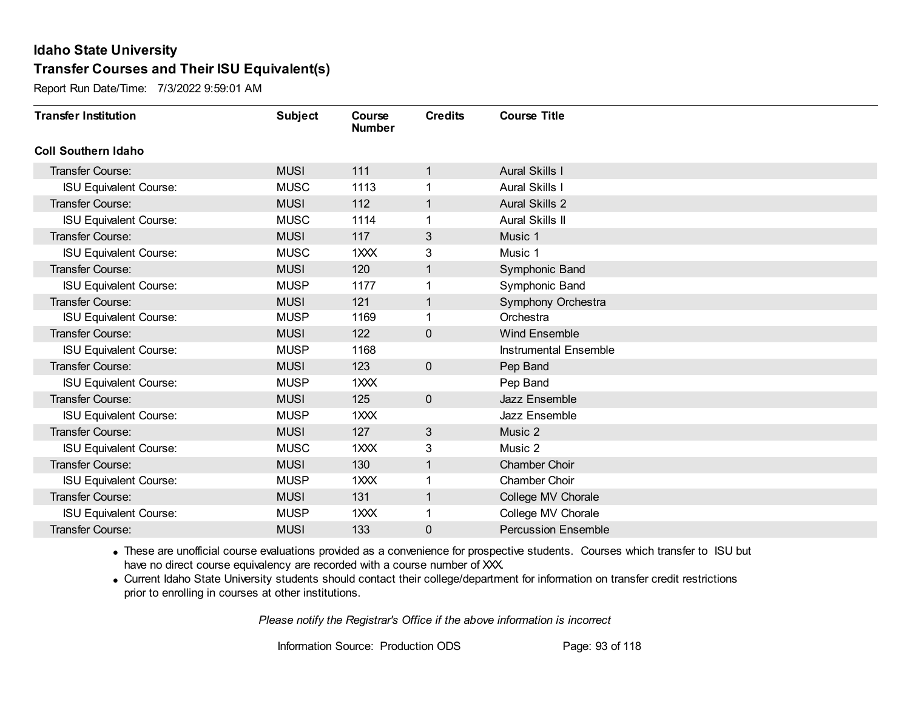Report Run Date/Time: 7/3/2022 9:59:01 AM

| <b>Transfer Institution</b>   | <b>Subject</b> | Course<br><b>Number</b> | <b>Credits</b> | <b>Course Title</b>        |
|-------------------------------|----------------|-------------------------|----------------|----------------------------|
| <b>Coll Southern Idaho</b>    |                |                         |                |                            |
| Transfer Course:              | <b>MUSI</b>    | 111                     | 1              | <b>Aural Skills I</b>      |
| <b>ISU Equivalent Course:</b> | <b>MUSC</b>    | 1113                    |                | <b>Aural Skills I</b>      |
| <b>Transfer Course:</b>       | <b>MUSI</b>    | 112                     | 1              | <b>Aural Skills 2</b>      |
| <b>ISU Equivalent Course:</b> | <b>MUSC</b>    | 1114                    | 1              | <b>Aural Skills II</b>     |
| <b>Transfer Course:</b>       | <b>MUSI</b>    | 117                     | 3              | Music 1                    |
| <b>ISU Equivalent Course:</b> | <b>MUSC</b>    | 1XXX                    | 3              | Music 1                    |
| <b>Transfer Course:</b>       | <b>MUSI</b>    | 120                     | 1              | Symphonic Band             |
| <b>ISU Equivalent Course:</b> | <b>MUSP</b>    | 1177                    |                | Symphonic Band             |
| <b>Transfer Course:</b>       | <b>MUSI</b>    | 121                     | 1              | Symphony Orchestra         |
| <b>ISU Equivalent Course:</b> | <b>MUSP</b>    | 1169                    | 1              | Orchestra                  |
| <b>Transfer Course:</b>       | <b>MUSI</b>    | 122                     | $\mathbf 0$    | <b>Wind Ensemble</b>       |
| <b>ISU Equivalent Course:</b> | <b>MUSP</b>    | 1168                    |                | Instrumental Ensemble      |
| Transfer Course:              | <b>MUSI</b>    | 123                     | $\mathbf 0$    | Pep Band                   |
| <b>ISU Equivalent Course:</b> | <b>MUSP</b>    | 1XXX                    |                | Pep Band                   |
| Transfer Course:              | <b>MUSI</b>    | 125                     | $\mathbf 0$    | Jazz Ensemble              |
| <b>ISU Equivalent Course:</b> | <b>MUSP</b>    | 1XXX                    |                | Jazz Ensemble              |
| <b>Transfer Course:</b>       | <b>MUSI</b>    | 127                     | 3              | Music 2                    |
| <b>ISU Equivalent Course:</b> | <b>MUSC</b>    | 1XXX                    | 3              | Music 2                    |
| <b>Transfer Course:</b>       | <b>MUSI</b>    | 130                     | 1              | <b>Chamber Choir</b>       |
| <b>ISU Equivalent Course:</b> | <b>MUSP</b>    | 1XXX                    |                | <b>Chamber Choir</b>       |
| <b>Transfer Course:</b>       | <b>MUSI</b>    | 131                     | 1              | College MV Chorale         |
| <b>ISU Equivalent Course:</b> | <b>MUSP</b>    | 1XXX                    | 1              | College MV Chorale         |
| Transfer Course:              | <b>MUSI</b>    | 133                     | 0              | <b>Percussion Ensemble</b> |

· These are unofficial course evaluations provided as a convenience for prospective students. Courses which transfer to ISU but have no direct course equivalency are recorded with a course number of XXX.

· Current Idaho State University students should contact their college/department for information on transfer credit restrictions prior to enrolling in courses at other institutions.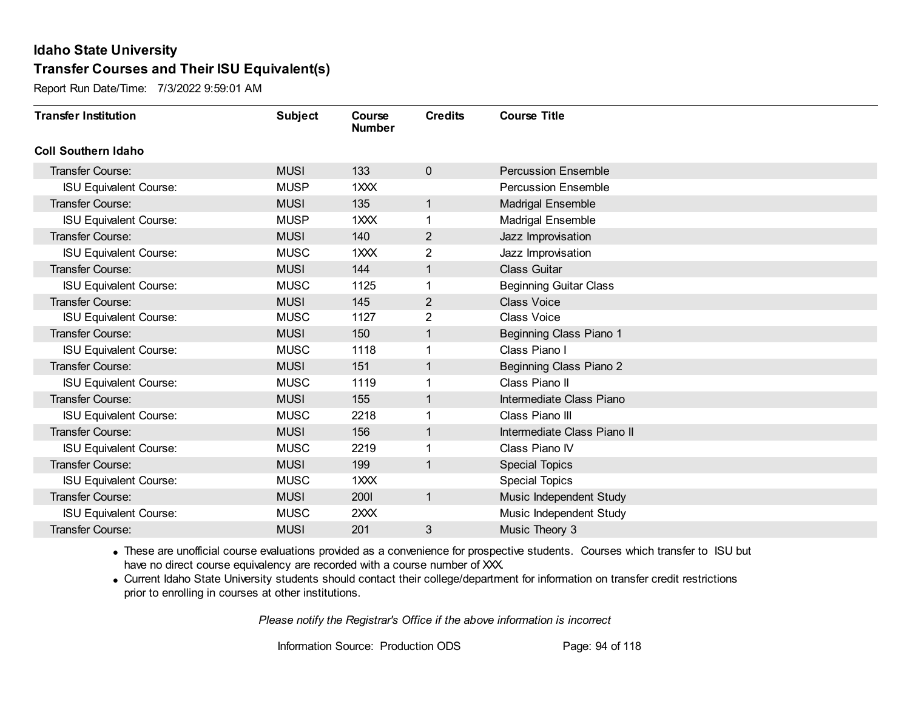Report Run Date/Time: 7/3/2022 9:59:01 AM

| <b>Transfer Institution</b>   | <b>Subject</b> | Course<br><b>Number</b> | <b>Credits</b> | <b>Course Title</b>           |
|-------------------------------|----------------|-------------------------|----------------|-------------------------------|
| <b>Coll Southern Idaho</b>    |                |                         |                |                               |
| Transfer Course:              | <b>MUSI</b>    | 133                     | $\mathbf 0$    | <b>Percussion Ensemble</b>    |
| <b>ISU Equivalent Course:</b> | <b>MUSP</b>    | 1XXX                    |                | <b>Percussion Ensemble</b>    |
| Transfer Course:              | <b>MUSI</b>    | 135                     | 1              | <b>Madrigal Ensemble</b>      |
| <b>ISU Equivalent Course:</b> | <b>MUSP</b>    | 1XXX                    | 1              | <b>Madrigal Ensemble</b>      |
| <b>Transfer Course:</b>       | <b>MUSI</b>    | 140                     | 2              | Jazz Improvisation            |
| <b>ISU Equivalent Course:</b> | <b>MUSC</b>    | 1XXX                    | 2              | Jazz Improvisation            |
| <b>Transfer Course:</b>       | <b>MUSI</b>    | 144                     | 1              | <b>Class Guitar</b>           |
| <b>ISU Equivalent Course:</b> | <b>MUSC</b>    | 1125                    |                | <b>Beginning Guitar Class</b> |
| <b>Transfer Course:</b>       | <b>MUSI</b>    | 145                     | 2              | <b>Class Voice</b>            |
| <b>ISU Equivalent Course:</b> | <b>MUSC</b>    | 1127                    | $\overline{2}$ | <b>Class Voice</b>            |
| <b>Transfer Course:</b>       | <b>MUSI</b>    | 150                     | 1              | Beginning Class Piano 1       |
| <b>ISU Equivalent Course:</b> | <b>MUSC</b>    | 1118                    |                | Class Piano I                 |
| <b>Transfer Course:</b>       | <b>MUSI</b>    | 151                     | 1              | Beginning Class Piano 2       |
| <b>ISU Equivalent Course:</b> | <b>MUSC</b>    | 1119                    | 1              | Class Piano II                |
| <b>Transfer Course:</b>       | <b>MUSI</b>    | 155                     |                | Intermediate Class Piano      |
| <b>ISU Equivalent Course:</b> | <b>MUSC</b>    | 2218                    |                | Class Piano III               |
| <b>Transfer Course:</b>       | <b>MUSI</b>    | 156                     | 1              | Intermediate Class Piano II   |
| <b>ISU Equivalent Course:</b> | <b>MUSC</b>    | 2219                    | 1              | Class Piano IV                |
| <b>Transfer Course:</b>       | <b>MUSI</b>    | 199                     | 1              | <b>Special Topics</b>         |
| <b>ISU Equivalent Course:</b> | <b>MUSC</b>    | 1XXX                    |                | <b>Special Topics</b>         |
| <b>Transfer Course:</b>       | <b>MUSI</b>    | 2001                    | $\mathbf{1}$   | Music Independent Study       |
| <b>ISU Equivalent Course:</b> | <b>MUSC</b>    | 2XXX                    |                | Music Independent Study       |
| Transfer Course:              | <b>MUSI</b>    | 201                     | 3              | Music Theory 3                |

· These are unofficial course evaluations provided as a convenience for prospective students. Courses which transfer to ISU but have no direct course equivalency are recorded with a course number of XXX.

· Current Idaho State University students should contact their college/department for information on transfer credit restrictions prior to enrolling in courses at other institutions.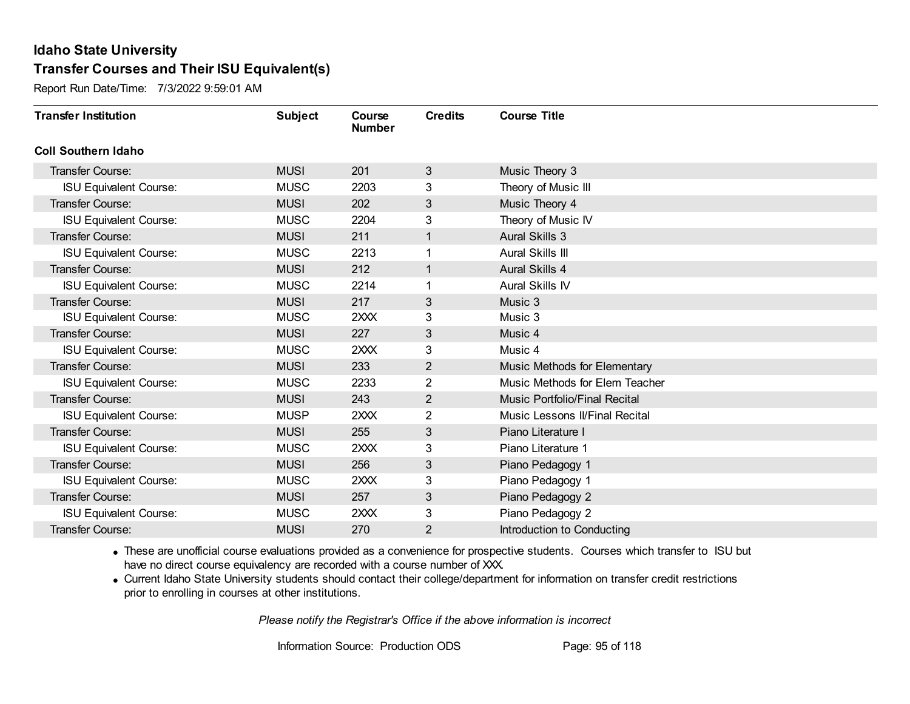Report Run Date/Time: 7/3/2022 9:59:01 AM

| <b>Transfer Institution</b>   | <b>Subject</b> | Course<br><b>Number</b> | <b>Credits</b> | <b>Course Title</b>            |
|-------------------------------|----------------|-------------------------|----------------|--------------------------------|
| <b>Coll Southern Idaho</b>    |                |                         |                |                                |
| Transfer Course:              | <b>MUSI</b>    | 201                     | 3              | Music Theory 3                 |
| <b>ISU Equivalent Course:</b> | <b>MUSC</b>    | 2203                    | 3              | Theory of Music III            |
| <b>Transfer Course:</b>       | <b>MUSI</b>    | 202                     | 3              | Music Theory 4                 |
| <b>ISU Equivalent Course:</b> | <b>MUSC</b>    | 2204                    | 3              | Theory of Music IV             |
| <b>Transfer Course:</b>       | <b>MUSI</b>    | 211                     | $\mathbf{1}$   | <b>Aural Skills 3</b>          |
| <b>ISU Equivalent Course:</b> | <b>MUSC</b>    | 2213                    |                | Aural Skills III               |
| <b>Transfer Course:</b>       | <b>MUSI</b>    | 212                     | 1              | Aural Skills 4                 |
| <b>ISU Equivalent Course:</b> | <b>MUSC</b>    | 2214                    |                | Aural Skills IV                |
| <b>Transfer Course:</b>       | <b>MUSI</b>    | 217                     | 3              | Music 3                        |
| <b>ISU Equivalent Course:</b> | <b>MUSC</b>    | 2XXX                    | 3              | Music 3                        |
| <b>Transfer Course:</b>       | <b>MUSI</b>    | 227                     | 3              | Music 4                        |
| <b>ISU Equivalent Course:</b> | <b>MUSC</b>    | 2XXX                    | 3              | Music 4                        |
| <b>Transfer Course:</b>       | <b>MUSI</b>    | 233                     | 2              | Music Methods for Elementary   |
| <b>ISU Equivalent Course:</b> | <b>MUSC</b>    | 2233                    | $\overline{2}$ | Music Methods for Elem Teacher |
| <b>Transfer Course:</b>       | <b>MUSI</b>    | 243                     | 2              | Music Portfolio/Final Recital  |
| <b>ISU Equivalent Course:</b> | <b>MUSP</b>    | 2XXX                    | $\overline{2}$ | Music Lessons II/Final Recital |
| <b>Transfer Course:</b>       | <b>MUSI</b>    | 255                     | $\mathbf{3}$   | Piano Literature I             |
| <b>ISU Equivalent Course:</b> | <b>MUSC</b>    | 2XXX                    | 3              | Piano Literature 1             |
| <b>Transfer Course:</b>       | <b>MUSI</b>    | 256                     | 3              | Piano Pedagogy 1               |
| <b>ISU Equivalent Course:</b> | <b>MUSC</b>    | 2XXX                    | 3              | Piano Pedagogy 1               |
| <b>Transfer Course:</b>       | <b>MUSI</b>    | 257                     | 3              | Piano Pedagogy 2               |
| <b>ISU Equivalent Course:</b> | <b>MUSC</b>    | 2XXX                    | 3              | Piano Pedagogy 2               |
| Transfer Course:              | <b>MUSI</b>    | 270                     | 2              | Introduction to Conducting     |

· These are unofficial course evaluations provided as a convenience for prospective students. Courses which transfer to ISU but have no direct course equivalency are recorded with a course number of XXX.

· Current Idaho State University students should contact their college/department for information on transfer credit restrictions prior to enrolling in courses at other institutions.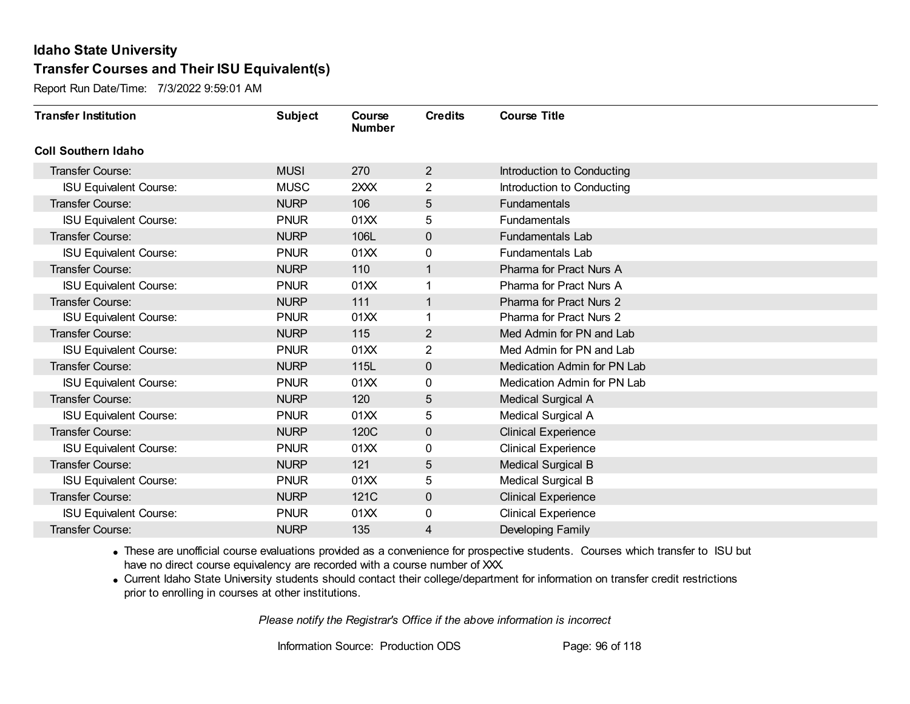Report Run Date/Time: 7/3/2022 9:59:01 AM

| <b>Transfer Institution</b>   | <b>Subject</b> | Course<br><b>Number</b> | <b>Credits</b> | <b>Course Title</b>            |
|-------------------------------|----------------|-------------------------|----------------|--------------------------------|
| <b>Coll Southern Idaho</b>    |                |                         |                |                                |
| Transfer Course:              | <b>MUSI</b>    | 270                     | 2              | Introduction to Conducting     |
| <b>ISU Equivalent Course:</b> | <b>MUSC</b>    | 2XXX                    | $\overline{2}$ | Introduction to Conducting     |
| Transfer Course:              | <b>NURP</b>    | 106                     | 5              | Fundamentals                   |
| <b>ISU Equivalent Course:</b> | <b>PNUR</b>    | 01XX                    | 5              | Fundamentals                   |
| <b>Transfer Course:</b>       | <b>NURP</b>    | 106L                    | $\mathbf 0$    | <b>Fundamentals Lab</b>        |
| <b>ISU Equivalent Course:</b> | <b>PNUR</b>    | 01XX                    | 0              | <b>Fundamentals Lab</b>        |
| <b>Transfer Course:</b>       | <b>NURP</b>    | 110                     | 1              | Pharma for Pract Nurs A        |
| <b>ISU Equivalent Course:</b> | <b>PNUR</b>    | 01XX                    |                | Pharma for Pract Nurs A        |
| <b>Transfer Course:</b>       | <b>NURP</b>    | 111                     | 1              | Pharma for Pract Nurs 2        |
| <b>ISU Equivalent Course:</b> | <b>PNUR</b>    | 01XX                    | 1              | <b>Pharma for Pract Nurs 2</b> |
| <b>Transfer Course:</b>       | <b>NURP</b>    | 115                     | 2              | Med Admin for PN and Lab       |
| <b>ISU Equivalent Course:</b> | <b>PNUR</b>    | 01XX                    | $\overline{2}$ | Med Admin for PN and Lab       |
| <b>Transfer Course:</b>       | <b>NURP</b>    | 115L                    | $\mathbf 0$    | Medication Admin for PN Lab    |
| <b>ISU Equivalent Course:</b> | <b>PNUR</b>    | 01XX                    | 0              | Medication Admin for PN Lab    |
| <b>Transfer Course:</b>       | <b>NURP</b>    | 120                     | 5              | Medical Surgical A             |
| <b>ISU Equivalent Course:</b> | <b>PNUR</b>    | 01XX                    | 5              | Medical Surgical A             |
| <b>Transfer Course:</b>       | <b>NURP</b>    | 120C                    | $\mathbf 0$    | <b>Clinical Experience</b>     |
| <b>ISU Equivalent Course:</b> | <b>PNUR</b>    | 01XX                    | 0              | <b>Clinical Experience</b>     |
| <b>Transfer Course:</b>       | <b>NURP</b>    | 121                     | 5              | <b>Medical Surgical B</b>      |
| <b>ISU Equivalent Course:</b> | <b>PNUR</b>    | 01XX                    | 5              | <b>Medical Surgical B</b>      |
| <b>Transfer Course:</b>       | <b>NURP</b>    | 121C                    | $\mathbf 0$    | <b>Clinical Experience</b>     |
| <b>ISU Equivalent Course:</b> | <b>PNUR</b>    | 01XX                    | 0              | <b>Clinical Experience</b>     |
| Transfer Course:              | <b>NURP</b>    | 135                     | 4              | Developing Family              |

· These are unofficial course evaluations provided as a convenience for prospective students. Courses which transfer to ISU but have no direct course equivalency are recorded with a course number of XXX.

· Current Idaho State University students should contact their college/department for information on transfer credit restrictions prior to enrolling in courses at other institutions.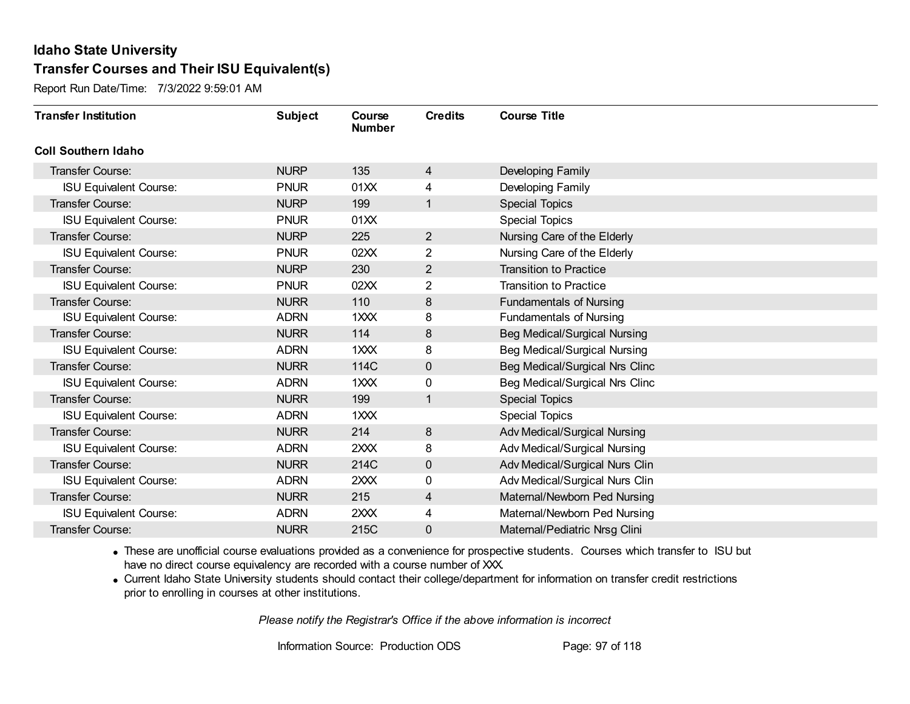Report Run Date/Time: 7/3/2022 9:59:01 AM

| <b>Transfer Institution</b>   | <b>Subject</b> | Course<br><b>Number</b> | <b>Credits</b> | <b>Course Title</b>                 |
|-------------------------------|----------------|-------------------------|----------------|-------------------------------------|
| <b>Coll Southern Idaho</b>    |                |                         |                |                                     |
| Transfer Course:              | <b>NURP</b>    | 135                     | 4              | Developing Family                   |
| <b>ISU Equivalent Course:</b> | <b>PNUR</b>    | 01XX                    | 4              | Developing Family                   |
| Transfer Course:              | <b>NURP</b>    | 199                     | 1              | <b>Special Topics</b>               |
| <b>ISU Equivalent Course:</b> | <b>PNUR</b>    | 01XX                    |                | <b>Special Topics</b>               |
| <b>Transfer Course:</b>       | <b>NURP</b>    | 225                     | $\overline{2}$ | Nursing Care of the Elderly         |
| <b>ISU Equivalent Course:</b> | <b>PNUR</b>    | 02XX                    | 2              | Nursing Care of the Elderly         |
| Transfer Course:              | <b>NURP</b>    | 230                     | $\overline{2}$ | <b>Transition to Practice</b>       |
| <b>ISU Equivalent Course:</b> | <b>PNUR</b>    | 02XX                    | 2              | <b>Transition to Practice</b>       |
| <b>Transfer Course:</b>       | <b>NURR</b>    | 110                     | 8              | <b>Fundamentals of Nursing</b>      |
| <b>ISU Equivalent Course:</b> | <b>ADRN</b>    | 1XXX                    | 8              | <b>Fundamentals of Nursing</b>      |
| <b>Transfer Course:</b>       | <b>NURR</b>    | 114                     | 8              | <b>Beg Medical/Surgical Nursing</b> |
| <b>ISU Equivalent Course:</b> | <b>ADRN</b>    | 1XXX                    | 8              | <b>Beg Medical/Surgical Nursing</b> |
| Transfer Course:              | <b>NURR</b>    | 114C                    | $\mathbf 0$    | Beg Medical/Surgical Nrs Clinc      |
| <b>ISU Equivalent Course:</b> | <b>ADRN</b>    | $1 \times X$            | 0              | Beg Medical/Surgical Nrs Clinc      |
| Transfer Course:              | <b>NURR</b>    | 199                     | 1              | <b>Special Topics</b>               |
| <b>ISU Equivalent Course:</b> | <b>ADRN</b>    | 1XXX                    |                | <b>Special Topics</b>               |
| Transfer Course:              | <b>NURR</b>    | 214                     | 8              | Adv Medical/Surgical Nursing        |
| <b>ISU Equivalent Course:</b> | <b>ADRN</b>    | 2XXX                    | 8              | Adv Medical/Surgical Nursing        |
| Transfer Course:              | <b>NURR</b>    | 214C                    | $\mathbf 0$    | Adv Medical/Surgical Nurs Clin      |
| <b>ISU Equivalent Course:</b> | <b>ADRN</b>    | 2XXX                    | 0              | Adv Medical/Surgical Nurs Clin      |
| Transfer Course:              | <b>NURR</b>    | 215                     | 4              | Maternal/Newborn Ped Nursing        |
| <b>ISU Equivalent Course:</b> | <b>ADRN</b>    | 2XXX                    | 4              | Maternal/Newborn Ped Nursing        |
| Transfer Course:              | <b>NURR</b>    | 215C                    | 0              | Maternal/Pediatric Nrsg Clini       |

· These are unofficial course evaluations provided as a convenience for prospective students. Courses which transfer to ISU but have no direct course equivalency are recorded with a course number of XXX.

· Current Idaho State University students should contact their college/department for information on transfer credit restrictions prior to enrolling in courses at other institutions.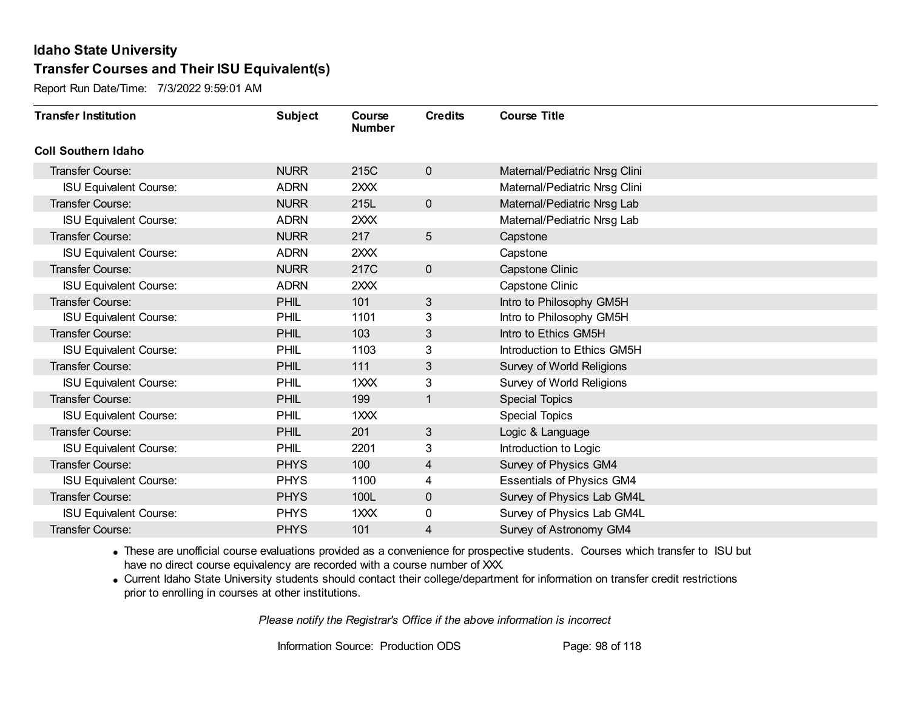Report Run Date/Time: 7/3/2022 9:59:01 AM

| <b>Transfer Institution</b>   | <b>Subject</b> | Course<br><b>Number</b> | <b>Credits</b>  | <b>Course Title</b>              |
|-------------------------------|----------------|-------------------------|-----------------|----------------------------------|
| <b>Coll Southern Idaho</b>    |                |                         |                 |                                  |
| Transfer Course:              | <b>NURR</b>    | 215C                    | $\mathbf 0$     | Maternal/Pediatric Nrsg Clini    |
| <b>ISU Equivalent Course:</b> | <b>ADRN</b>    | 2XXX                    |                 | Maternal/Pediatric Nrsg Clini    |
| Transfer Course:              | <b>NURR</b>    | 215L                    | $\mathbf 0$     | Maternal/Pediatric Nrsg Lab      |
| <b>ISU Equivalent Course:</b> | <b>ADRN</b>    | 2XXX                    |                 | Maternal/Pediatric Nrsg Lab      |
| <b>Transfer Course:</b>       | <b>NURR</b>    | 217                     | $5\overline{)}$ | Capstone                         |
| <b>ISU Equivalent Course:</b> | <b>ADRN</b>    | 2XXX                    |                 | Capstone                         |
| Transfer Course:              | <b>NURR</b>    | 217C                    | $\mathbf 0$     | Capstone Clinic                  |
| <b>ISU Equivalent Course:</b> | <b>ADRN</b>    | 2XXX                    |                 | Capstone Clinic                  |
| <b>Transfer Course:</b>       | <b>PHIL</b>    | 101                     | 3               | Intro to Philosophy GM5H         |
| <b>ISU Equivalent Course:</b> | PHIL           | 1101                    | 3               | Intro to Philosophy GM5H         |
| <b>Transfer Course:</b>       | PHIL           | 103                     | 3               | Intro to Ethics GM5H             |
| <b>ISU Equivalent Course:</b> | PHIL           | 1103                    | 3               | Introduction to Ethics GM5H      |
| Transfer Course:              | <b>PHIL</b>    | 111                     | 3               | Survey of World Religions        |
| <b>ISU Equivalent Course:</b> | PHIL           | $1 \times X$            | 3               | Survey of World Religions        |
| Transfer Course:              | <b>PHIL</b>    | 199                     | 1               | <b>Special Topics</b>            |
| <b>ISU Equivalent Course:</b> | PHIL           | 1XXX                    |                 | <b>Special Topics</b>            |
| Transfer Course:              | <b>PHIL</b>    | 201                     | $\mathbf{3}$    | Logic & Language                 |
| <b>ISU Equivalent Course:</b> | <b>PHIL</b>    | 2201                    | 3               | Introduction to Logic            |
| Transfer Course:              | <b>PHYS</b>    | 100                     | 4               | Survey of Physics GM4            |
| <b>ISU Equivalent Course:</b> | <b>PHYS</b>    | 1100                    | 4               | <b>Essentials of Physics GM4</b> |
| Transfer Course:              | <b>PHYS</b>    | 100L                    | $\mathbf 0$     | Survey of Physics Lab GM4L       |
| <b>ISU Equivalent Course:</b> | <b>PHYS</b>    | 1XXX                    | 0               | Survey of Physics Lab GM4L       |
| Transfer Course:              | <b>PHYS</b>    | 101                     | 4               | Survey of Astronomy GM4          |

· These are unofficial course evaluations provided as a convenience for prospective students. Courses which transfer to ISU but have no direct course equivalency are recorded with a course number of XXX.

· Current Idaho State University students should contact their college/department for information on transfer credit restrictions prior to enrolling in courses at other institutions.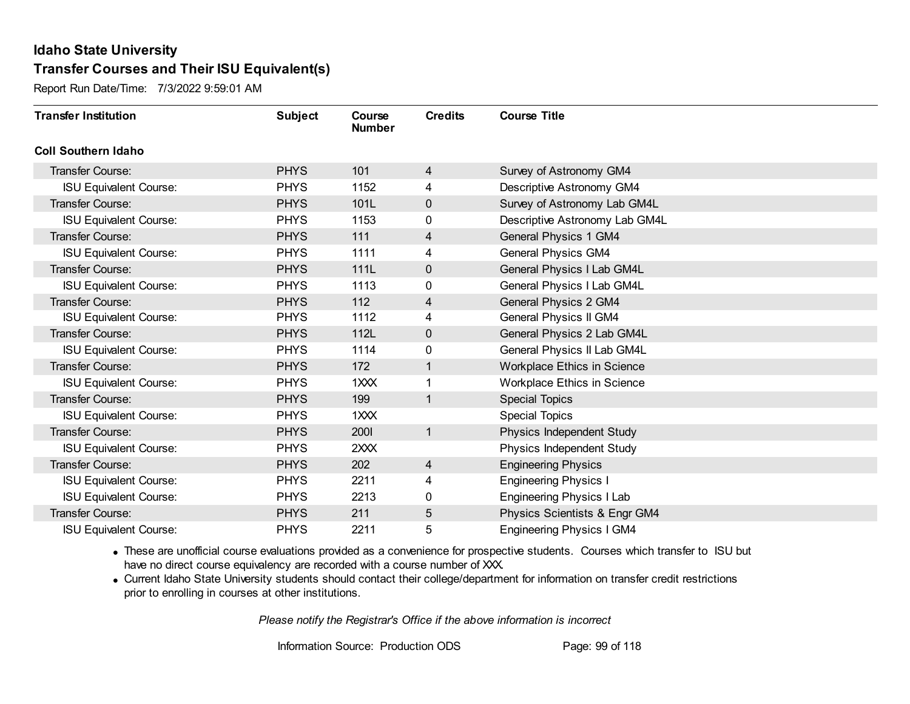Report Run Date/Time: 7/3/2022 9:59:01 AM

| <b>Transfer Institution</b>   | <b>Subject</b> | Course<br><b>Number</b> | <b>Credits</b>          | <b>Course Title</b>                |
|-------------------------------|----------------|-------------------------|-------------------------|------------------------------------|
| <b>Coll Southern Idaho</b>    |                |                         |                         |                                    |
| Transfer Course:              | <b>PHYS</b>    | 101                     | 4                       | Survey of Astronomy GM4            |
| <b>ISU Equivalent Course:</b> | <b>PHYS</b>    | 1152                    | 4                       | Descriptive Astronomy GM4          |
| Transfer Course:              | <b>PHYS</b>    | 101L                    | $\mathbf 0$             | Survey of Astronomy Lab GM4L       |
| <b>ISU Equivalent Course:</b> | <b>PHYS</b>    | 1153                    | 0                       | Descriptive Astronomy Lab GM4L     |
| <b>Transfer Course:</b>       | <b>PHYS</b>    | 111                     | $\overline{\mathbf{4}}$ | <b>General Physics 1 GM4</b>       |
| <b>ISU Equivalent Course:</b> | <b>PHYS</b>    | 1111                    | 4                       | General Physics GM4                |
| Transfer Course:              | <b>PHYS</b>    | 111L                    | $\mathbf 0$             | General Physics I Lab GM4L         |
| <b>ISU Equivalent Course:</b> | <b>PHYS</b>    | 1113                    | $\mathbf{0}$            | General Physics I Lab GM4L         |
| Transfer Course:              | <b>PHYS</b>    | 112                     | 4                       | General Physics 2 GM4              |
| <b>ISU Equivalent Course:</b> | <b>PHYS</b>    | 1112                    | 4                       | General Physics II GM4             |
| <b>Transfer Course:</b>       | <b>PHYS</b>    | 112L                    | $\mathbf 0$             | General Physics 2 Lab GM4L         |
| <b>ISU Equivalent Course:</b> | <b>PHYS</b>    | 1114                    | 0                       | General Physics II Lab GM4L        |
| Transfer Course:              | <b>PHYS</b>    | 172                     | 1                       | <b>Workplace Ethics in Science</b> |
| <b>ISU Equivalent Course:</b> | <b>PHYS</b>    | 1XXX                    |                         | Workplace Ethics in Science        |
| Transfer Course:              | <b>PHYS</b>    | 199                     | 1                       | <b>Special Topics</b>              |
| <b>ISU Equivalent Course:</b> | <b>PHYS</b>    | 1XXX                    |                         | <b>Special Topics</b>              |
| Transfer Course:              | <b>PHYS</b>    | 2001                    | $\mathbf{1}$            | Physics Independent Study          |
| <b>ISU Equivalent Course:</b> | <b>PHYS</b>    | 2XXX                    |                         | Physics Independent Study          |
| Transfer Course:              | <b>PHYS</b>    | 202                     | $\overline{4}$          | <b>Engineering Physics</b>         |
| <b>ISU Equivalent Course:</b> | <b>PHYS</b>    | 2211                    | 4                       | <b>Engineering Physics I</b>       |
| <b>ISU Equivalent Course:</b> | <b>PHYS</b>    | 2213                    | 0                       | <b>Engineering Physics I Lab</b>   |
| Transfer Course:              | <b>PHYS</b>    | 211                     | 5                       | Physics Scientists & Engr GM4      |
| <b>ISU Equivalent Course:</b> | <b>PHYS</b>    | 2211                    | 5                       | <b>Engineering Physics I GM4</b>   |

· These are unofficial course evaluations provided as a convenience for prospective students. Courses which transfer to ISU but have no direct course equivalency are recorded with a course number of XXX.

· Current Idaho State University students should contact their college/department for information on transfer credit restrictions prior to enrolling in courses at other institutions.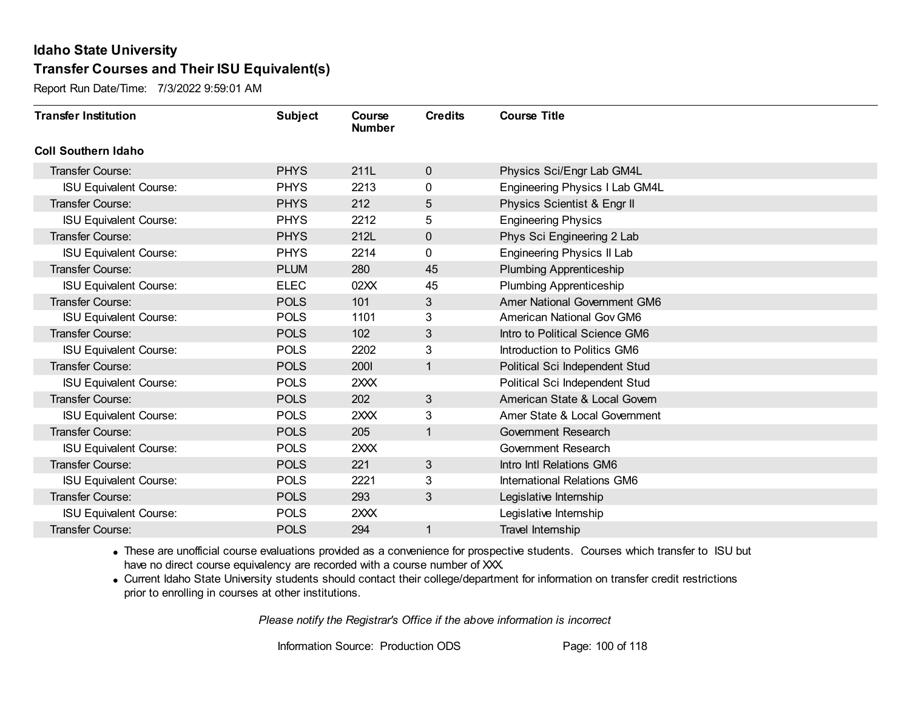Report Run Date/Time: 7/3/2022 9:59:01 AM

| <b>Transfer Institution</b>   | <b>Subject</b> | Course<br><b>Number</b> | <b>Credits</b> | <b>Course Title</b>                 |
|-------------------------------|----------------|-------------------------|----------------|-------------------------------------|
| <b>Coll Southern Idaho</b>    |                |                         |                |                                     |
| Transfer Course:              | <b>PHYS</b>    | 211L                    | $\mathbf 0$    | Physics Sci/Engr Lab GM4L           |
| <b>ISU Equivalent Course:</b> | <b>PHYS</b>    | 2213                    | 0              | Engineering Physics I Lab GM4L      |
| Transfer Course:              | <b>PHYS</b>    | 212                     | 5              | Physics Scientist & Engr II         |
| <b>ISU Equivalent Course:</b> | <b>PHYS</b>    | 2212                    | 5              | <b>Engineering Physics</b>          |
| <b>Transfer Course:</b>       | <b>PHYS</b>    | 212L                    | $\mathbf 0$    | Phys Sci Engineering 2 Lab          |
| <b>ISU Equivalent Course:</b> | <b>PHYS</b>    | 2214                    | 0              | Engineering Physics II Lab          |
| <b>Transfer Course:</b>       | <b>PLUM</b>    | 280                     | 45             | <b>Plumbing Apprenticeship</b>      |
| <b>ISU Equivalent Course:</b> | <b>ELEC</b>    | 02XX                    | 45             | <b>Plumbing Apprenticeship</b>      |
| <b>Transfer Course:</b>       | <b>POLS</b>    | 101                     | 3              | <b>Amer National Government GM6</b> |
| <b>ISU Equivalent Course:</b> | <b>POLS</b>    | 1101                    | 3              | American National Gov GM6           |
| <b>Transfer Course:</b>       | <b>POLS</b>    | 102                     | 3              | Intro to Political Science GM6      |
| <b>ISU Equivalent Course:</b> | <b>POLS</b>    | 2202                    | 3              | Introduction to Politics GM6        |
| Transfer Course:              | <b>POLS</b>    | <b>2001</b>             | 1              | Political Sci Independent Stud      |
| <b>ISU Equivalent Course:</b> | <b>POLS</b>    | 2XXX                    |                | Political Sci Independent Stud      |
| Transfer Course:              | <b>POLS</b>    | 202                     | 3              | American State & Local Govern       |
| <b>ISU Equivalent Course:</b> | <b>POLS</b>    | 2XXX                    | 3              | Amer State & Local Government       |
| Transfer Course:              | <b>POLS</b>    | 205                     | 1              | Government Research                 |
| <b>ISU Equivalent Course:</b> | <b>POLS</b>    | 2XXX                    |                | Government Research                 |
| Transfer Course:              | <b>POLS</b>    | 221                     | 3              | Intro Intl Relations GM6            |
| <b>ISU Equivalent Course:</b> | <b>POLS</b>    | 2221                    | 3              | International Relations GM6         |
| Transfer Course:              | <b>POLS</b>    | 293                     | 3              | Legislative Internship              |
| <b>ISU Equivalent Course:</b> | <b>POLS</b>    | 2XXX                    |                | Legislative Internship              |
| Transfer Course:              | <b>POLS</b>    | 294                     | 1              | Travel Internship                   |

· These are unofficial course evaluations provided as a convenience for prospective students. Courses which transfer to ISU but have no direct course equivalency are recorded with a course number of XXX.

· Current Idaho State University students should contact their college/department for information on transfer credit restrictions prior to enrolling in courses at other institutions.

*Please notify the Registrar's Office if the above information is incorrect*

Information Source: Production ODS Page: 100 of 118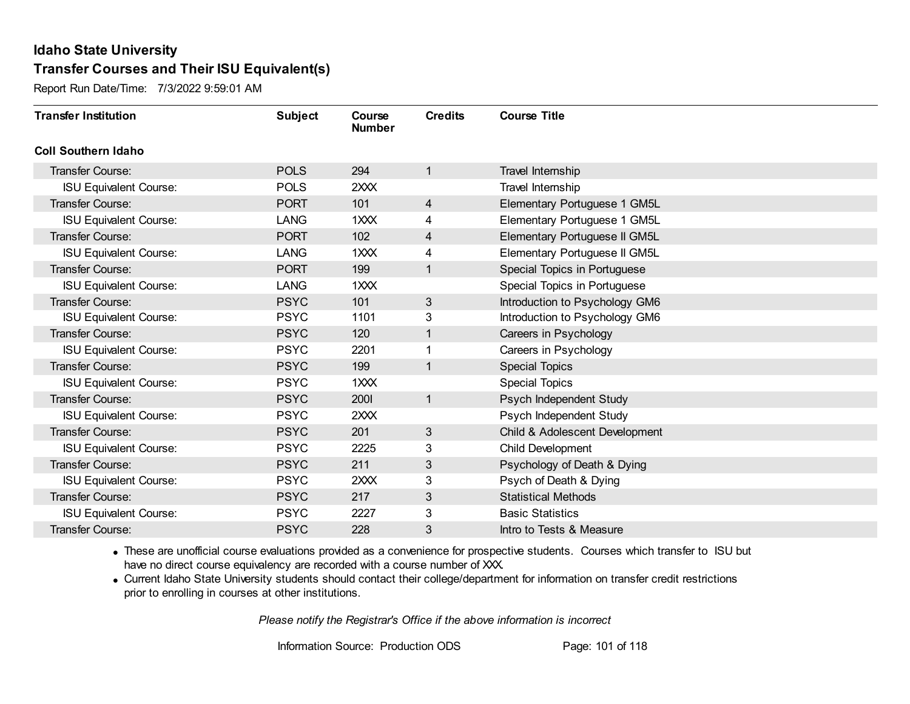Report Run Date/Time: 7/3/2022 9:59:01 AM

| <b>Transfer Institution</b>   | <b>Subject</b> | Course<br><b>Number</b> | <b>Credits</b> | <b>Course Title</b>            |
|-------------------------------|----------------|-------------------------|----------------|--------------------------------|
| <b>Coll Southern Idaho</b>    |                |                         |                |                                |
| <b>Transfer Course:</b>       | <b>POLS</b>    | 294                     | $\overline{1}$ | Travel Internship              |
| <b>ISU Equivalent Course:</b> | <b>POLS</b>    | 2XXX                    |                | Travel Internship              |
| <b>Transfer Course:</b>       | <b>PORT</b>    | 101                     | $\overline{4}$ | Elementary Portuguese 1 GM5L   |
| <b>ISU Equivalent Course:</b> | LANG           | $1$ $\times$ $\times$   | 4              | Elementary Portuguese 1 GM5L   |
| <b>Transfer Course:</b>       | <b>PORT</b>    | 102                     | 4              | Elementary Portuguese II GM5L  |
| <b>ISU Equivalent Course:</b> | <b>LANG</b>    | 1XXX                    | 4              | Elementary Portuguese II GM5L  |
| <b>Transfer Course:</b>       | <b>PORT</b>    | 199                     | $\mathbf{1}$   | Special Topics in Portuguese   |
| <b>ISU Equivalent Course:</b> | LANG           | 1XXX                    |                | Special Topics in Portuguese   |
| <b>Transfer Course:</b>       | <b>PSYC</b>    | 101                     | $\mathfrak{S}$ | Introduction to Psychology GM6 |
| <b>ISU Equivalent Course:</b> | <b>PSYC</b>    | 1101                    | 3              | Introduction to Psychology GM6 |
| <b>Transfer Course:</b>       | <b>PSYC</b>    | 120                     | $\mathbf{1}$   | Careers in Psychology          |
| <b>ISU Equivalent Course:</b> | <b>PSYC</b>    | 2201                    |                | Careers in Psychology          |
| <b>Transfer Course:</b>       | <b>PSYC</b>    | 199                     | $\mathbf{1}$   | <b>Special Topics</b>          |
| <b>ISU Equivalent Course:</b> | <b>PSYC</b>    | $1$ $\times$ $\times$   |                | <b>Special Topics</b>          |
| Transfer Course:              | <b>PSYC</b>    | 2001                    | $\overline{1}$ | Psych Independent Study        |
| <b>ISU Equivalent Course:</b> | <b>PSYC</b>    | 2XXX                    |                | Psych Independent Study        |
| <b>Transfer Course:</b>       | <b>PSYC</b>    | 201                     | 3              | Child & Adolescent Development |
| <b>ISU Equivalent Course:</b> | <b>PSYC</b>    | 2225                    | 3              | Child Development              |
| <b>Transfer Course:</b>       | <b>PSYC</b>    | 211                     | 3              | Psychology of Death & Dying    |
| <b>ISU Equivalent Course:</b> | <b>PSYC</b>    | 2XXX                    | 3              | Psych of Death & Dying         |
| <b>Transfer Course:</b>       | <b>PSYC</b>    | 217                     | $\mathfrak{B}$ | <b>Statistical Methods</b>     |
| <b>ISU Equivalent Course:</b> | <b>PSYC</b>    | 2227                    | 3              | <b>Basic Statistics</b>        |
| Transfer Course:              | <b>PSYC</b>    | 228                     | 3              | Intro to Tests & Measure       |

· These are unofficial course evaluations provided as a convenience for prospective students. Courses which transfer to ISU but have no direct course equivalency are recorded with a course number of XXX.

· Current Idaho State University students should contact their college/department for information on transfer credit restrictions prior to enrolling in courses at other institutions.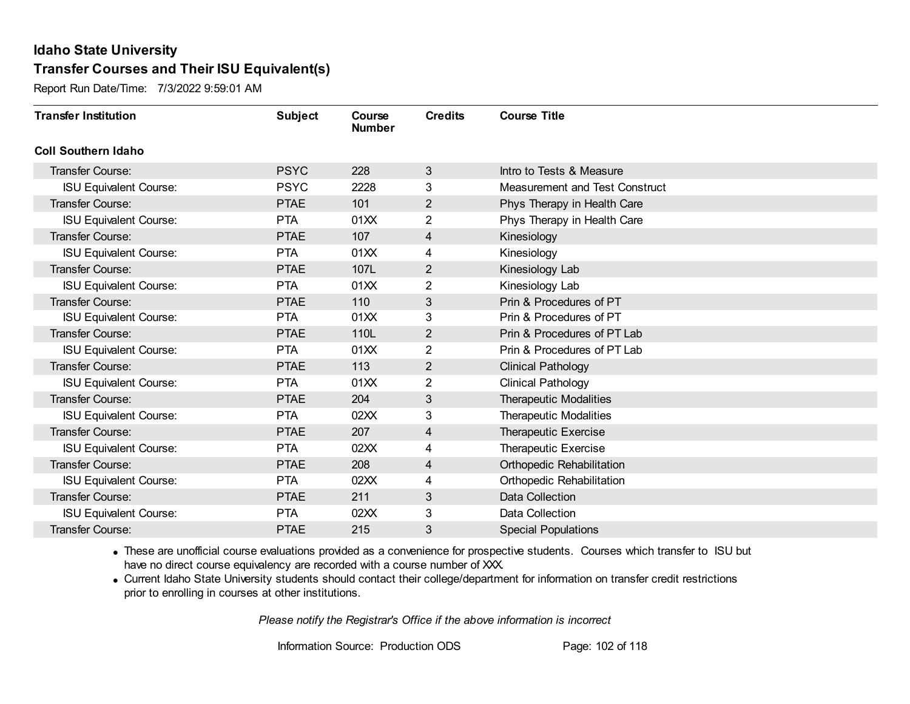Report Run Date/Time: 7/3/2022 9:59:01 AM

| <b>Transfer Institution</b>   | <b>Subject</b> | Course<br><b>Number</b> | <b>Credits</b> | <b>Course Title</b>            |
|-------------------------------|----------------|-------------------------|----------------|--------------------------------|
| <b>Coll Southern Idaho</b>    |                |                         |                |                                |
| Transfer Course:              | <b>PSYC</b>    | 228                     | 3              | Intro to Tests & Measure       |
| <b>ISU Equivalent Course:</b> | <b>PSYC</b>    | 2228                    | 3              | Measurement and Test Construct |
| <b>Transfer Course:</b>       | <b>PTAE</b>    | 101                     | $\overline{2}$ | Phys Therapy in Health Care    |
| <b>ISU Equivalent Course:</b> | <b>PTA</b>     | 01XX                    | $\overline{2}$ | Phys Therapy in Health Care    |
| <b>Transfer Course:</b>       | <b>PTAE</b>    | 107                     | 4              | Kinesiology                    |
| <b>ISU Equivalent Course:</b> | <b>PTA</b>     | 01XX                    | 4              | Kinesiology                    |
| <b>Transfer Course:</b>       | <b>PTAE</b>    | 107L                    | 2              | Kinesiology Lab                |
| <b>ISU Equivalent Course:</b> | <b>PTA</b>     | 01XX                    | $\overline{2}$ | Kinesiology Lab                |
| <b>Transfer Course:</b>       | <b>PTAE</b>    | 110                     | 3              | Prin & Procedures of PT        |
| <b>ISU Equivalent Course:</b> | <b>PTA</b>     | 01XX                    | 3              | Prin & Procedures of PT        |
| <b>Transfer Course:</b>       | <b>PTAE</b>    | 110L                    | 2              | Prin & Procedures of PT Lab    |
| <b>ISU Equivalent Course:</b> | <b>PTA</b>     | 01XX                    | 2              | Prin & Procedures of PT Lab    |
| Transfer Course:              | <b>PTAE</b>    | 113                     | 2              | <b>Clinical Pathology</b>      |
| <b>ISU Equivalent Course:</b> | <b>PTA</b>     | 01XX                    | $\overline{2}$ | <b>Clinical Pathology</b>      |
| Transfer Course:              | <b>PTAE</b>    | 204                     | 3              | <b>Therapeutic Modalities</b>  |
| <b>ISU Equivalent Course:</b> | <b>PTA</b>     | 02XX                    | 3              | <b>Therapeutic Modalities</b>  |
| <b>Transfer Course:</b>       | <b>PTAE</b>    | 207                     | 4              | Therapeutic Exercise           |
| <b>ISU Equivalent Course:</b> | <b>PTA</b>     | 02XX                    | 4              | Therapeutic Exercise           |
| Transfer Course:              | <b>PTAE</b>    | 208                     | 4              | Orthopedic Rehabilitation      |
| <b>ISU Equivalent Course:</b> | <b>PTA</b>     | 02XX                    | 4              | Orthopedic Rehabilitation      |
| <b>Transfer Course:</b>       | <b>PTAE</b>    | 211                     | 3              | Data Collection                |
| <b>ISU Equivalent Course:</b> | <b>PTA</b>     | 02XX                    | 3              | Data Collection                |
| Transfer Course:              | <b>PTAE</b>    | 215                     | 3              | <b>Special Populations</b>     |

· These are unofficial course evaluations provided as a convenience for prospective students. Courses which transfer to ISU but have no direct course equivalency are recorded with a course number of XXX.

· Current Idaho State University students should contact their college/department for information on transfer credit restrictions prior to enrolling in courses at other institutions.

*Please notify the Registrar's Office if the above information is incorrect*

Information Source: Production ODS Page: 102 of 118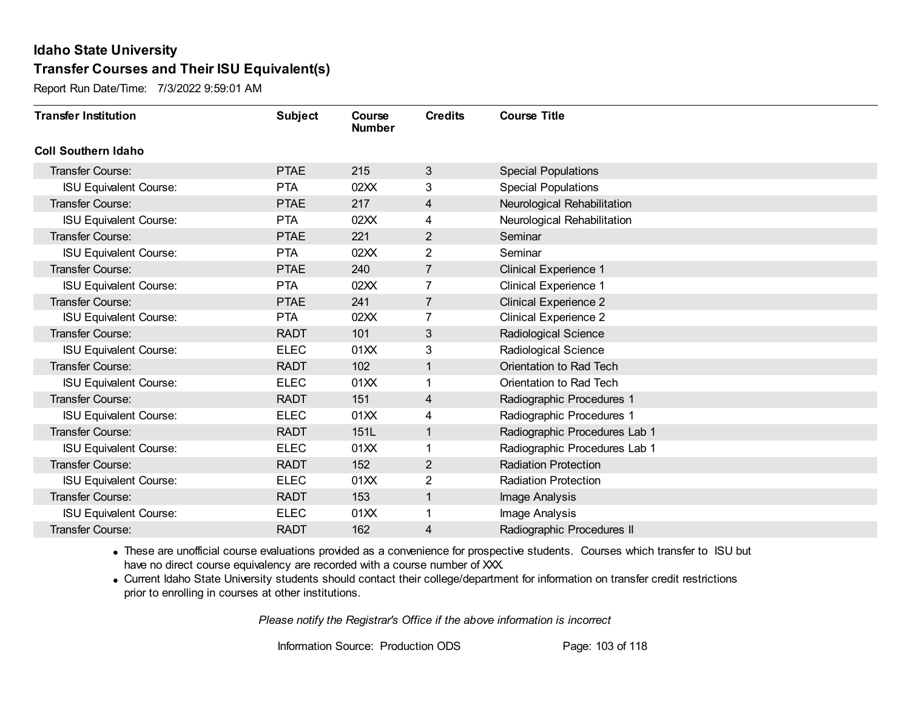Report Run Date/Time: 7/3/2022 9:59:01 AM

| <b>Transfer Institution</b>   | <b>Subject</b> | Course<br><b>Number</b> | <b>Credits</b> | <b>Course Title</b>           |
|-------------------------------|----------------|-------------------------|----------------|-------------------------------|
| <b>Coll Southern Idaho</b>    |                |                         |                |                               |
| Transfer Course:              | <b>PTAE</b>    | 215                     | 3              | <b>Special Populations</b>    |
| <b>ISU Equivalent Course:</b> | <b>PTA</b>     | 02XX                    | 3              | <b>Special Populations</b>    |
| Transfer Course:              | <b>PTAE</b>    | 217                     | 4              | Neurological Rehabilitation   |
| <b>ISU Equivalent Course:</b> | <b>PTA</b>     | 02XX                    | 4              | Neurological Rehabilitation   |
| <b>Transfer Course:</b>       | <b>PTAE</b>    | 221                     | $\overline{2}$ | Seminar                       |
| <b>ISU Equivalent Course:</b> | <b>PTA</b>     | 02XX                    | 2              | Seminar                       |
| <b>Transfer Course:</b>       | <b>PTAE</b>    | 240                     | 7              | <b>Clinical Experience 1</b>  |
| <b>ISU Equivalent Course:</b> | <b>PTA</b>     | 02XX                    |                | <b>Clinical Experience 1</b>  |
| <b>Transfer Course:</b>       | <b>PTAE</b>    | 241                     | $\overline{7}$ | <b>Clinical Experience 2</b>  |
| <b>ISU Equivalent Course:</b> | <b>PTA</b>     | 02XX                    | 7              | <b>Clinical Experience 2</b>  |
| <b>Transfer Course:</b>       | <b>RADT</b>    | 101                     | 3              | Radiological Science          |
| <b>ISU Equivalent Course:</b> | <b>ELEC</b>    | 01XX                    | 3              | Radiological Science          |
| Transfer Course:              | <b>RADT</b>    | 102                     | 1              | Orientation to Rad Tech       |
| <b>ISU Equivalent Course:</b> | <b>ELEC</b>    | 01XX                    | 1              | Orientation to Rad Tech       |
| Transfer Course:              | <b>RADT</b>    | 151                     | 4              | Radiographic Procedures 1     |
| <b>ISU Equivalent Course:</b> | <b>ELEC</b>    | 01XX                    | 4              | Radiographic Procedures 1     |
| <b>Transfer Course:</b>       | <b>RADT</b>    | 151L                    | 1              | Radiographic Procedures Lab 1 |
| <b>ISU Equivalent Course:</b> | <b>ELEC</b>    | 01XX                    | 1              | Radiographic Procedures Lab 1 |
| Transfer Course:              | <b>RADT</b>    | 152                     | $\overline{2}$ | <b>Radiation Protection</b>   |
| <b>ISU Equivalent Course:</b> | <b>ELEC</b>    | 01XX                    | 2              | <b>Radiation Protection</b>   |
| <b>Transfer Course:</b>       | <b>RADT</b>    | 153                     | $\mathbf{1}$   | Image Analysis                |
| <b>ISU Equivalent Course:</b> | <b>ELEC</b>    | 01XX                    | 1              | Image Analysis                |
| Transfer Course:              | <b>RADT</b>    | 162                     | 4              | Radiographic Procedures II    |

· These are unofficial course evaluations provided as a convenience for prospective students. Courses which transfer to ISU but have no direct course equivalency are recorded with a course number of XXX.

· Current Idaho State University students should contact their college/department for information on transfer credit restrictions prior to enrolling in courses at other institutions.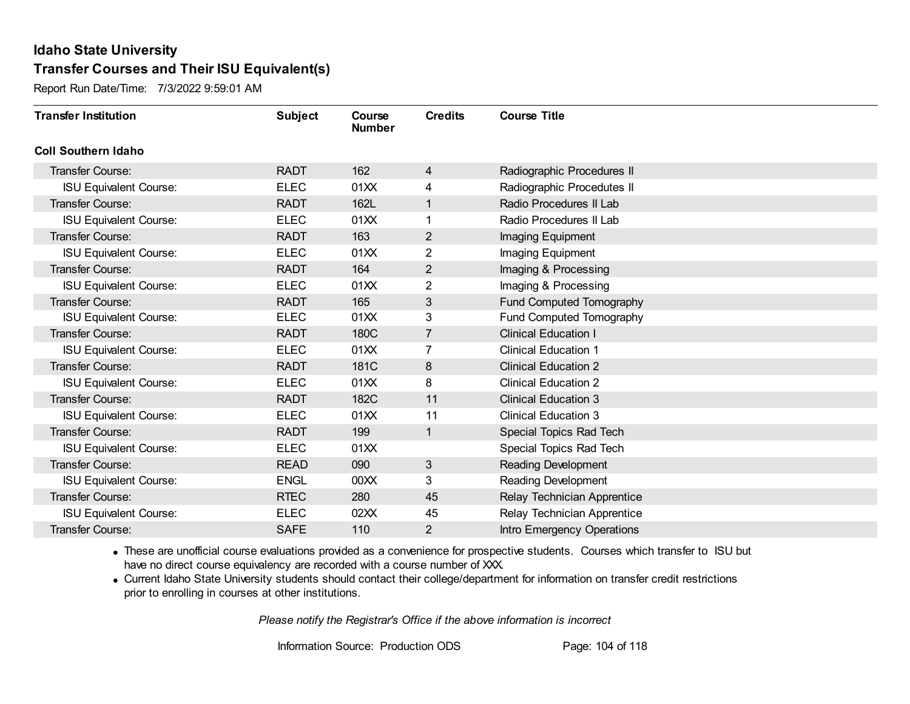Report Run Date/Time: 7/3/2022 9:59:01 AM

| <b>Transfer Institution</b>   | <b>Subject</b> | Course<br><b>Number</b> | <b>Credits</b> | <b>Course Title</b>         |
|-------------------------------|----------------|-------------------------|----------------|-----------------------------|
| <b>Coll Southern Idaho</b>    |                |                         |                |                             |
| Transfer Course:              | <b>RADT</b>    | 162                     | 4              | Radiographic Procedures II  |
| <b>ISU Equivalent Course:</b> | <b>ELEC</b>    | 01XX                    | 4              | Radiographic Procedutes II  |
| Transfer Course:              | <b>RADT</b>    | 162L                    | 1              | Radio Procedures II Lab     |
| <b>ISU Equivalent Course:</b> | <b>ELEC</b>    | 01XX                    | 1              | Radio Procedures II Lab     |
| <b>Transfer Course:</b>       | <b>RADT</b>    | 163                     | $\overline{2}$ | Imaging Equipment           |
| <b>ISU Equivalent Course:</b> | <b>ELEC</b>    | 01XX                    | 2              | Imaging Equipment           |
| Transfer Course:              | <b>RADT</b>    | 164                     | 2              | Imaging & Processing        |
| <b>ISU Equivalent Course:</b> | <b>ELEC</b>    | 01XX                    | $\overline{2}$ | Imaging & Processing        |
| Transfer Course:              | <b>RADT</b>    | 165                     | 3              | Fund Computed Tomography    |
| <b>ISU Equivalent Course:</b> | <b>ELEC</b>    | 01XX                    | 3              | Fund Computed Tomography    |
| <b>Transfer Course:</b>       | <b>RADT</b>    | 180C                    | $\overline{7}$ | <b>Clinical Education I</b> |
| <b>ISU Equivalent Course:</b> | <b>ELEC</b>    | 01XX                    | 7              | <b>Clinical Education 1</b> |
| Transfer Course:              | <b>RADT</b>    | 181C                    | 8              | <b>Clinical Education 2</b> |
| <b>ISU Equivalent Course:</b> | <b>ELEC</b>    | 01XX                    | 8              | <b>Clinical Education 2</b> |
| Transfer Course:              | <b>RADT</b>    | 182C                    | 11             | <b>Clinical Education 3</b> |
| <b>ISU Equivalent Course:</b> | <b>ELEC</b>    | 01XX                    | 11             | <b>Clinical Education 3</b> |
| Transfer Course:              | <b>RADT</b>    | 199                     | 1              | Special Topics Rad Tech     |
| <b>ISU Equivalent Course:</b> | <b>ELEC</b>    | 01XX                    |                | Special Topics Rad Tech     |
| Transfer Course:              | <b>READ</b>    | 090                     | $\mathbf{3}$   | <b>Reading Development</b>  |
| <b>ISU Equivalent Course:</b> | <b>ENGL</b>    | 00 <sub>XX</sub>        | 3              | Reading Development         |
| Transfer Course:              | <b>RTEC</b>    | 280                     | 45             | Relay Technician Apprentice |
| <b>ISU Equivalent Course:</b> | <b>ELEC</b>    | 02XX                    | 45             | Relay Technician Apprentice |
| Transfer Course:              | <b>SAFE</b>    | 110                     | 2              | Intro Emergency Operations  |

· These are unofficial course evaluations provided as a convenience for prospective students. Courses which transfer to ISU but have no direct course equivalency are recorded with a course number of XXX.

· Current Idaho State University students should contact their college/department for information on transfer credit restrictions prior to enrolling in courses at other institutions.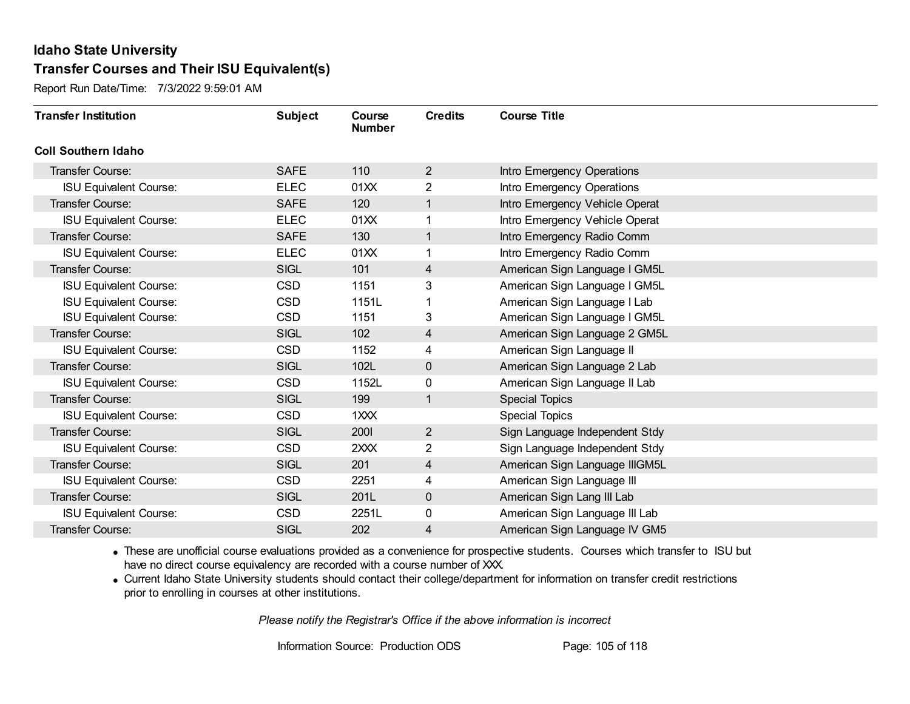Report Run Date/Time: 7/3/2022 9:59:01 AM

| <b>Transfer Institution</b>   | <b>Subject</b> | Course<br><b>Number</b> | <b>Credits</b> | <b>Course Title</b>            |
|-------------------------------|----------------|-------------------------|----------------|--------------------------------|
| <b>Coll Southern Idaho</b>    |                |                         |                |                                |
| Transfer Course:              | <b>SAFE</b>    | 110                     | $\overline{2}$ | Intro Emergency Operations     |
| <b>ISU Equivalent Course:</b> | <b>ELEC</b>    | 01XX                    | $\overline{2}$ | Intro Emergency Operations     |
| <b>Transfer Course:</b>       | <b>SAFE</b>    | 120                     | $\mathbf{1}$   | Intro Emergency Vehicle Operat |
| <b>ISU Equivalent Course:</b> | <b>ELEC</b>    | 01XX                    |                | Intro Emergency Vehicle Operat |
| <b>Transfer Course:</b>       | <b>SAFE</b>    | 130                     | $\mathbf{1}$   | Intro Emergency Radio Comm     |
| <b>ISU Equivalent Course:</b> | <b>ELEC</b>    | 01XX                    |                | Intro Emergency Radio Comm     |
| <b>Transfer Course:</b>       | <b>SIGL</b>    | 101                     | 4              | American Sign Language I GM5L  |
| <b>ISU Equivalent Course:</b> | CSD            | 1151                    | 3              | American Sign Language I GM5L  |
| <b>ISU Equivalent Course:</b> | <b>CSD</b>     | 1151L                   |                | American Sign Language I Lab   |
| <b>ISU Equivalent Course:</b> | <b>CSD</b>     | 1151                    | 3              | American Sign Language I GM5L  |
| Transfer Course:              | <b>SIGL</b>    | 102                     | 4              | American Sign Language 2 GM5L  |
| <b>ISU Equivalent Course:</b> | <b>CSD</b>     | 1152                    | 4              | American Sign Language II      |
| Transfer Course:              | <b>SIGL</b>    | 102L                    | 0              | American Sign Language 2 Lab   |
| <b>ISU Equivalent Course:</b> | <b>CSD</b>     | 1152L                   | 0              | American Sign Language II Lab  |
| Transfer Course:              | <b>SIGL</b>    | 199                     | $\mathbf{1}$   | <b>Special Topics</b>          |
| <b>ISU Equivalent Course:</b> | <b>CSD</b>     | 1XXX                    |                | <b>Special Topics</b>          |
| <b>Transfer Course:</b>       | <b>SIGL</b>    | 2001                    | $\overline{2}$ | Sign Language Independent Stdy |
| <b>ISU Equivalent Course:</b> | <b>CSD</b>     | 2XXX                    | $\overline{2}$ | Sign Language Independent Stdy |
| <b>Transfer Course:</b>       | <b>SIGL</b>    | 201                     | 4              | American Sign Language IIIGM5L |
| <b>ISU Equivalent Course:</b> | <b>CSD</b>     | 2251                    | 4              | American Sign Language III     |
| <b>Transfer Course:</b>       | <b>SIGL</b>    | 201L                    | $\mathbf 0$    | American Sign Lang III Lab     |
| <b>ISU Equivalent Course:</b> | <b>CSD</b>     | 2251L                   | 0              | American Sign Language III Lab |
| Transfer Course:              | <b>SIGL</b>    | 202                     | 4              | American Sign Language IV GM5  |

· These are unofficial course evaluations provided as a convenience for prospective students. Courses which transfer to ISU but have no direct course equivalency are recorded with a course number of XXX.

· Current Idaho State University students should contact their college/department for information on transfer credit restrictions prior to enrolling in courses at other institutions.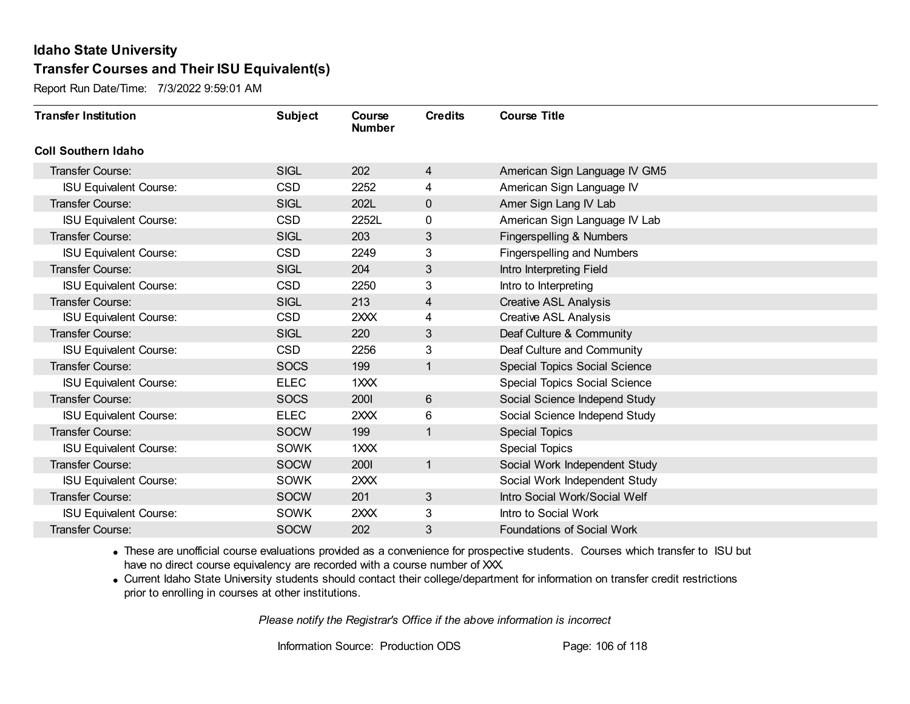Report Run Date/Time: 7/3/2022 9:59:01 AM

| <b>Transfer Institution</b>   | <b>Subject</b> | Course<br><b>Number</b> | <b>Credits</b> | <b>Course Title</b>                  |
|-------------------------------|----------------|-------------------------|----------------|--------------------------------------|
| <b>Coll Southern Idaho</b>    |                |                         |                |                                      |
| Transfer Course:              | <b>SIGL</b>    | 202                     | 4              | American Sign Language IV GM5        |
| <b>ISU Equivalent Course:</b> | <b>CSD</b>     | 2252                    | 4              | American Sign Language IV            |
| Transfer Course:              | <b>SIGL</b>    | 202L                    | 0              | Amer Sign Lang IV Lab                |
| <b>ISU Equivalent Course:</b> | <b>CSD</b>     | 2252L                   | 0              | American Sign Language IV Lab        |
| <b>Transfer Course:</b>       | <b>SIGL</b>    | 203                     | 3              | Fingerspelling & Numbers             |
| <b>ISU Equivalent Course:</b> | <b>CSD</b>     | 2249                    | 3              | <b>Fingerspelling and Numbers</b>    |
| Transfer Course:              | <b>SIGL</b>    | 204                     | 3              | Intro Interpreting Field             |
| <b>ISU Equivalent Course:</b> | <b>CSD</b>     | 2250                    | 3              | Intro to Interpreting                |
| Transfer Course:              | <b>SIGL</b>    | 213                     | 4              | <b>Creative ASL Analysis</b>         |
| <b>ISU Equivalent Course:</b> | <b>CSD</b>     | 2XXX                    | 4              | <b>Creative ASL Analysis</b>         |
| Transfer Course:              | <b>SIGL</b>    | 220                     | 3              | Deaf Culture & Community             |
| <b>ISU Equivalent Course:</b> | <b>CSD</b>     | 2256                    | 3              | Deaf Culture and Community           |
| <b>Transfer Course:</b>       | <b>SOCS</b>    | 199                     | 1              | <b>Special Topics Social Science</b> |
| <b>ISU Equivalent Course:</b> | <b>ELEC</b>    | 1XXX                    |                | <b>Special Topics Social Science</b> |
| Transfer Course:              | <b>SOCS</b>    | <b>2001</b>             | 6              | Social Science Independ Study        |
| <b>ISU Equivalent Course:</b> | <b>ELEC</b>    | 2XXX                    | 6              | Social Science Independ Study        |
| Transfer Course:              | <b>SOCW</b>    | 199                     | 1              | <b>Special Topics</b>                |
| <b>ISU Equivalent Course:</b> | <b>SOWK</b>    | 1XXX                    |                | <b>Special Topics</b>                |
| Transfer Course:              | <b>SOCW</b>    | 2001                    | $\mathbf{1}$   | Social Work Independent Study        |
| <b>ISU Equivalent Course:</b> | SOWK           | 2XXX                    |                | Social Work Independent Study        |
| Transfer Course:              | <b>SOCW</b>    | 201                     | 3              | Intro Social Work/Social Welf        |
| <b>ISU Equivalent Course:</b> | SOWK           | 2XXX                    | 3              | Intro to Social Work                 |
| Transfer Course:              | <b>SOCW</b>    | 202                     | 3              | Foundations of Social Work           |

· These are unofficial course evaluations provided as a convenience for prospective students. Courses which transfer to ISU but have no direct course equivalency are recorded with a course number of XXX.

· Current Idaho State University students should contact their college/department for information on transfer credit restrictions prior to enrolling in courses at other institutions.

*Please notify the Registrar's Office if the above information is incorrect*

Information Source: Production ODS Page: 106 of 118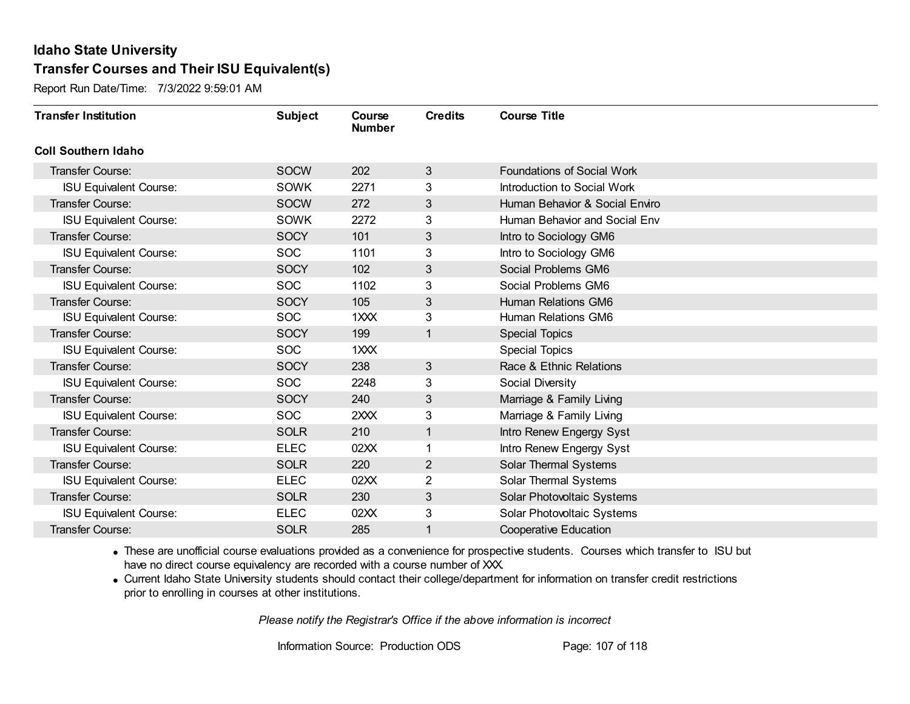Report Run Date/Time: 7/3/2022 9:59:01 AM

| <b>Transfer Institution</b>   | <b>Subject</b> | Course<br><b>Number</b> | <b>Credits</b> | <b>Course Title</b>            |
|-------------------------------|----------------|-------------------------|----------------|--------------------------------|
| <b>Coll Southern Idaho</b>    |                |                         |                |                                |
| Transfer Course:              | <b>SOCW</b>    | 202                     | 3              | Foundations of Social Work     |
| <b>ISU Equivalent Course:</b> | SOWK           | 2271                    | 3              | Introduction to Social Work    |
| <b>Transfer Course:</b>       | <b>SOCW</b>    | 272                     | 3              | Human Behavior & Social Enviro |
| <b>ISU Equivalent Course:</b> | <b>SOWK</b>    | 2272                    | 3              | Human Behavior and Social Env  |
| <b>Transfer Course:</b>       | <b>SOCY</b>    | 101                     | 3              | Intro to Sociology GM6         |
| <b>ISU Equivalent Course:</b> | <b>SOC</b>     | 1101                    | 3              | Intro to Sociology GM6         |
| <b>Transfer Course:</b>       | <b>SOCY</b>    | 102                     | 3              | Social Problems GM6            |
| <b>ISU Equivalent Course:</b> | <b>SOC</b>     | 1102                    | 3              | Social Problems GM6            |
| <b>Transfer Course:</b>       | <b>SOCY</b>    | 105                     | 3              | Human Relations GM6            |
| <b>ISU Equivalent Course:</b> | <b>SOC</b>     | 1XXX                    | 3              | Human Relations GM6            |
| <b>Transfer Course:</b>       | <b>SOCY</b>    | 199                     | 1              | <b>Special Topics</b>          |
| <b>ISU Equivalent Course:</b> | <b>SOC</b>     | 1XXX                    |                | <b>Special Topics</b>          |
| <b>Transfer Course:</b>       | <b>SOCY</b>    | 238                     | 3              | Race & Ethnic Relations        |
| <b>ISU Equivalent Course:</b> | <b>SOC</b>     | 2248                    | 3              | Social Diversity               |
| Transfer Course:              | <b>SOCY</b>    | 240                     | 3              | Marriage & Family Living       |
| <b>ISU Equivalent Course:</b> | <b>SOC</b>     | 2XXX                    | 3              | Marriage & Family Living       |
| <b>Transfer Course:</b>       | <b>SOLR</b>    | 210                     | 1              | Intro Renew Engergy Syst       |
| <b>ISU Equivalent Course:</b> | <b>ELEC</b>    | 02XX                    | 1              | Intro Renew Engergy Syst       |
| <b>Transfer Course:</b>       | <b>SOLR</b>    | 220                     | $\overline{2}$ | Solar Thermal Systems          |
| <b>ISU Equivalent Course:</b> | <b>ELEC</b>    | 02XX                    | $\overline{2}$ | Solar Thermal Systems          |
| <b>Transfer Course:</b>       | <b>SOLR</b>    | 230                     | 3              | Solar Photovoltaic Systems     |
| <b>ISU Equivalent Course:</b> | <b>ELEC</b>    | 02XX                    | 3              | Solar Photovoltaic Systems     |
| Transfer Course:              | <b>SOLR</b>    | 285                     | 1              | <b>Cooperative Education</b>   |

· These are unofficial course evaluations provided as a convenience for prospective students. Courses which transfer to ISU but have no direct course equivalency are recorded with a course number of XXX.

· Current Idaho State University students should contact their college/department for information on transfer credit restrictions prior to enrolling in courses at other institutions.

*Please notify the Registrar's Office if the above information is incorrect*

Information Source: Production ODS Page: 107 of 118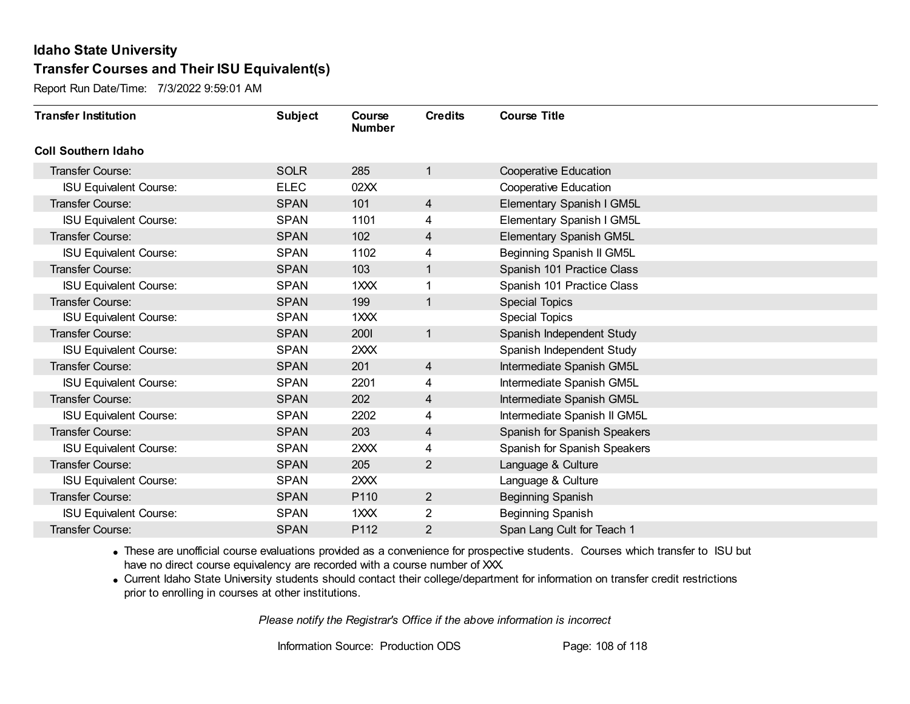Report Run Date/Time: 7/3/2022 9:59:01 AM

| <b>Transfer Institution</b>   | <b>Subject</b> | Course<br><b>Number</b> | <b>Credits</b> | <b>Course Title</b>          |
|-------------------------------|----------------|-------------------------|----------------|------------------------------|
| <b>Coll Southern Idaho</b>    |                |                         |                |                              |
| <b>Transfer Course:</b>       | <b>SOLR</b>    | 285                     | $\mathbf{1}$   | <b>Cooperative Education</b> |
| <b>ISU Equivalent Course:</b> | <b>ELEC</b>    | 02XX                    |                | <b>Cooperative Education</b> |
| <b>Transfer Course:</b>       | <b>SPAN</b>    | 101                     | $\overline{4}$ | Elementary Spanish I GM5L    |
| <b>ISU Equivalent Course:</b> | <b>SPAN</b>    | 1101                    | 4              | Elementary Spanish I GM5L    |
| <b>Transfer Course:</b>       | <b>SPAN</b>    | 102                     | 4              | Elementary Spanish GM5L      |
| <b>ISU Equivalent Course:</b> | <b>SPAN</b>    | 1102                    | 4              | Beginning Spanish II GM5L    |
| <b>Transfer Course:</b>       | <b>SPAN</b>    | 103                     | $\mathbf{1}$   | Spanish 101 Practice Class   |
| <b>ISU Equivalent Course:</b> | <b>SPAN</b>    | 1XXX                    |                | Spanish 101 Practice Class   |
| <b>Transfer Course:</b>       | <b>SPAN</b>    | 199                     | $\mathbf{1}$   | Special Topics               |
| <b>ISU Equivalent Course:</b> | <b>SPAN</b>    | 1 <sub>XX</sub>         |                | <b>Special Topics</b>        |
| <b>Transfer Course:</b>       | <b>SPAN</b>    | 2001                    | $\mathbf{1}$   | Spanish Independent Study    |
| <b>ISU Equivalent Course:</b> | <b>SPAN</b>    | 2XXX                    |                | Spanish Independent Study    |
| <b>Transfer Course:</b>       | <b>SPAN</b>    | 201                     | 4              | Intermediate Spanish GM5L    |
| <b>ISU Equivalent Course:</b> | <b>SPAN</b>    | 2201                    | 4              | Intermediate Spanish GM5L    |
| Transfer Course:              | <b>SPAN</b>    | 202                     | 4              | Intermediate Spanish GM5L    |
| <b>ISU Equivalent Course:</b> | <b>SPAN</b>    | 2202                    | 4              | Intermediate Spanish II GM5L |
| <b>Transfer Course:</b>       | <b>SPAN</b>    | 203                     | $\overline{4}$ | Spanish for Spanish Speakers |
| <b>ISU Equivalent Course:</b> | <b>SPAN</b>    | 2XXX                    | 4              | Spanish for Spanish Speakers |
| Transfer Course:              | <b>SPAN</b>    | 205                     | $\overline{2}$ | Language & Culture           |
| <b>ISU Equivalent Course:</b> | <b>SPAN</b>    | 2XXX                    |                | Language & Culture           |
| <b>Transfer Course:</b>       | <b>SPAN</b>    | P110                    | $\overline{2}$ | <b>Beginning Spanish</b>     |
| <b>ISU Equivalent Course:</b> | <b>SPAN</b>    | $1 \times X$            | $\overline{2}$ | Beginning Spanish            |
| Transfer Course:              | <b>SPAN</b>    | P112                    | 2              | Span Lang Cult for Teach 1   |

· These are unofficial course evaluations provided as a convenience for prospective students. Courses which transfer to ISU but have no direct course equivalency are recorded with a course number of XXX.

· Current Idaho State University students should contact their college/department for information on transfer credit restrictions prior to enrolling in courses at other institutions.

*Please notify the Registrar's Office if the above information is incorrect*

Information Source: Production ODS Page: 108 of 118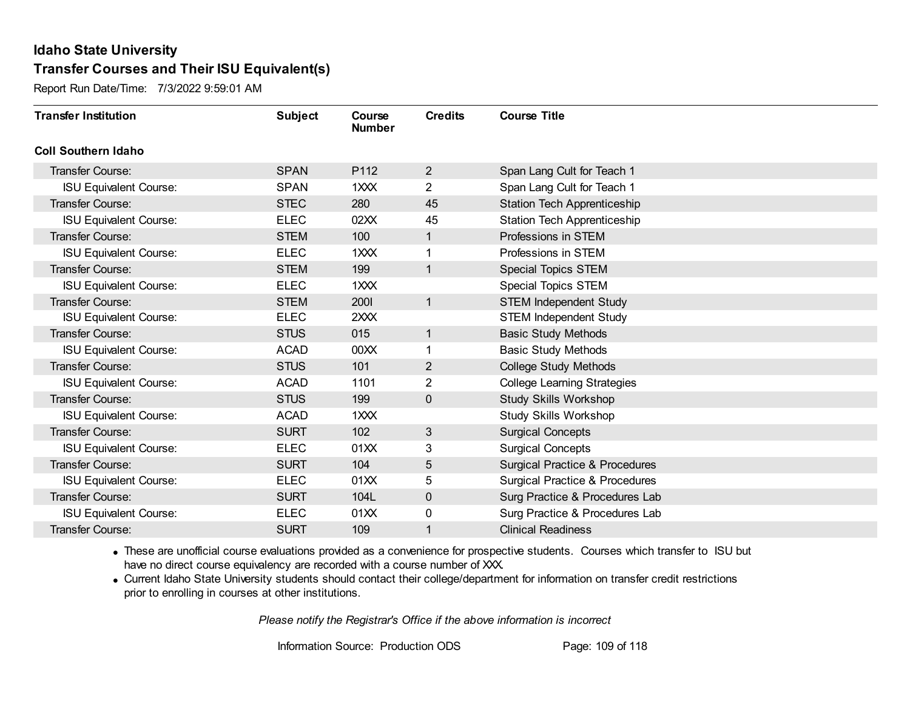Report Run Date/Time: 7/3/2022 9:59:01 AM

| <b>Transfer Institution</b>   | <b>Subject</b> | Course<br><b>Number</b> | <b>Credits</b> | <b>Course Title</b>                       |
|-------------------------------|----------------|-------------------------|----------------|-------------------------------------------|
| <b>Coll Southern Idaho</b>    |                |                         |                |                                           |
| Transfer Course:              | <b>SPAN</b>    | P112                    | 2 <sup>2</sup> | Span Lang Cult for Teach 1                |
| <b>ISU Equivalent Course:</b> | <b>SPAN</b>    | 1XXX                    | $\overline{2}$ | Span Lang Cult for Teach 1                |
| Transfer Course:              | <b>STEC</b>    | 280                     | 45             | <b>Station Tech Apprenticeship</b>        |
| <b>ISU Equivalent Course:</b> | <b>ELEC</b>    | 02XX                    | 45             | <b>Station Tech Apprenticeship</b>        |
| <b>Transfer Course:</b>       | <b>STEM</b>    | 100                     | $\mathbf{1}$   | Professions in STEM                       |
| <b>ISU Equivalent Course:</b> | <b>ELEC</b>    | 1XXX                    |                | Professions in STEM                       |
| Transfer Course:              | <b>STEM</b>    | 199                     | $\mathbf{1}$   | <b>Special Topics STEM</b>                |
| <b>ISU Equivalent Course:</b> | <b>ELEC</b>    | 1XXX                    |                | <b>Special Topics STEM</b>                |
| Transfer Course:              | <b>STEM</b>    | 2001                    | $\mathbf{1}$   | <b>STEM Independent Study</b>             |
| <b>ISU Equivalent Course:</b> | <b>ELEC</b>    | 2XXX                    |                | <b>STEM Independent Study</b>             |
| <b>Transfer Course:</b>       | <b>STUS</b>    | 015                     | $\mathbf{1}$   | <b>Basic Study Methods</b>                |
| <b>ISU Equivalent Course:</b> | <b>ACAD</b>    | 00XX                    |                | <b>Basic Study Methods</b>                |
| Transfer Course:              | <b>STUS</b>    | 101                     | $\mathbf{2}$   | <b>College Study Methods</b>              |
| <b>ISU Equivalent Course:</b> | <b>ACAD</b>    | 1101                    | $\overline{2}$ | <b>College Learning Strategies</b>        |
| Transfer Course:              | <b>STUS</b>    | 199                     | $\mathbf 0$    | <b>Study Skills Workshop</b>              |
| <b>ISU Equivalent Course:</b> | <b>ACAD</b>    | 1XXX                    |                | <b>Study Skills Workshop</b>              |
| Transfer Course:              | <b>SURT</b>    | 102                     | 3              | <b>Surgical Concepts</b>                  |
| <b>ISU Equivalent Course:</b> | <b>ELEC</b>    | 01XX                    | 3              | <b>Surgical Concepts</b>                  |
| Transfer Course:              | <b>SURT</b>    | 104                     | 5              | <b>Surgical Practice &amp; Procedures</b> |
| <b>ISU Equivalent Course:</b> | <b>ELEC</b>    | 01XX                    | 5              | <b>Surgical Practice &amp; Procedures</b> |
| Transfer Course:              | <b>SURT</b>    | 104L                    | $\mathbf 0$    | Surg Practice & Procedures Lab            |
| <b>ISU Equivalent Course:</b> | <b>ELEC</b>    | 01XX                    | 0              | Surg Practice & Procedures Lab            |
| Transfer Course:              | <b>SURT</b>    | 109                     | 1              | <b>Clinical Readiness</b>                 |

· These are unofficial course evaluations provided as a convenience for prospective students. Courses which transfer to ISU but have no direct course equivalency are recorded with a course number of XXX.

· Current Idaho State University students should contact their college/department for information on transfer credit restrictions prior to enrolling in courses at other institutions.

*Please notify the Registrar's Office if the above information is incorrect*

Information Source: Production ODS Page: 109 of 118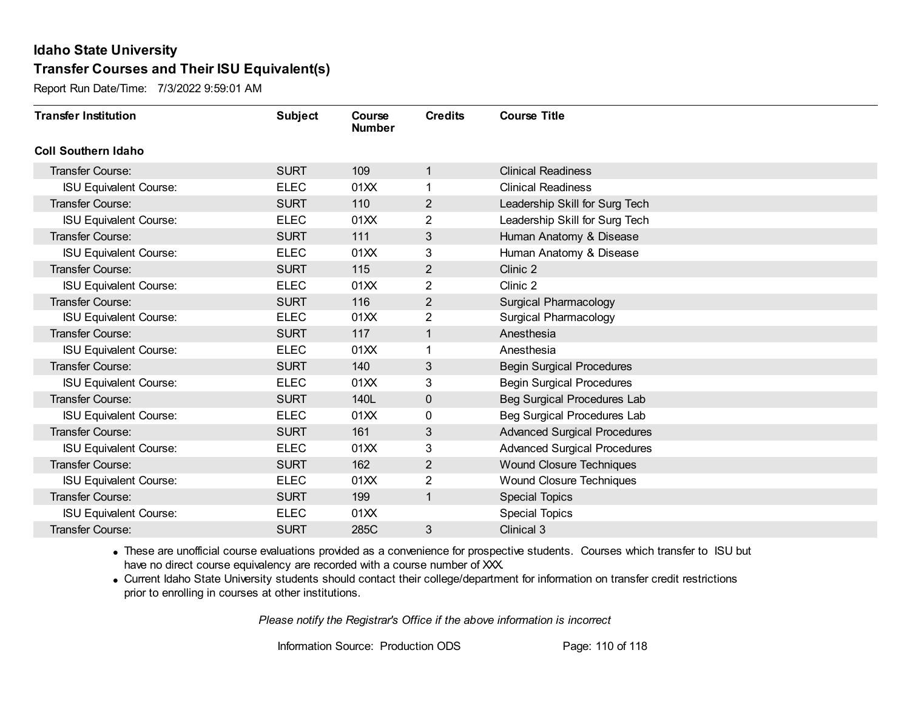Report Run Date/Time: 7/3/2022 9:59:01 AM

| <b>Transfer Institution</b>   | <b>Subject</b> | Course<br><b>Number</b> | <b>Credits</b> | <b>Course Title</b>                 |
|-------------------------------|----------------|-------------------------|----------------|-------------------------------------|
| <b>Coll Southern Idaho</b>    |                |                         |                |                                     |
| Transfer Course:              | <b>SURT</b>    | 109                     | 1              | <b>Clinical Readiness</b>           |
| <b>ISU Equivalent Course:</b> | <b>ELEC</b>    | 01XX                    | 1              | <b>Clinical Readiness</b>           |
| Transfer Course:              | <b>SURT</b>    | 110                     | $\overline{2}$ | Leadership Skill for Surg Tech      |
| <b>ISU Equivalent Course:</b> | <b>ELEC</b>    | 01XX                    | $\overline{2}$ | Leadership Skill for Surg Tech      |
| <b>Transfer Course:</b>       | <b>SURT</b>    | 111                     | 3              | Human Anatomy & Disease             |
| <b>ISU Equivalent Course:</b> | <b>ELEC</b>    | 01XX                    | 3              | Human Anatomy & Disease             |
| <b>Transfer Course:</b>       | <b>SURT</b>    | 115                     | 2              | Clinic 2                            |
| <b>ISU Equivalent Course:</b> | <b>ELEC</b>    | 01XX                    | $\overline{2}$ | Clinic 2                            |
| <b>Transfer Course:</b>       | <b>SURT</b>    | 116                     | $\overline{2}$ | <b>Surgical Pharmacology</b>        |
| <b>ISU Equivalent Course:</b> | <b>ELEC</b>    | 01XX                    | $\overline{2}$ | Surgical Pharmacology               |
| <b>Transfer Course:</b>       | <b>SURT</b>    | 117                     | 1              | Anesthesia                          |
| <b>ISU Equivalent Course:</b> | <b>ELEC</b>    | 01XX                    |                | Anesthesia                          |
| <b>Transfer Course:</b>       | <b>SURT</b>    | 140                     | 3              | <b>Begin Surgical Procedures</b>    |
| <b>ISU Equivalent Course:</b> | <b>ELEC</b>    | 01XX                    | 3              | <b>Begin Surgical Procedures</b>    |
| Transfer Course:              | <b>SURT</b>    | 140L                    | $\mathbf 0$    | Beg Surgical Procedures Lab         |
| <b>ISU Equivalent Course:</b> | <b>ELEC</b>    | 01XX                    | 0              | Beg Surgical Procedures Lab         |
| <b>Transfer Course:</b>       | <b>SURT</b>    | 161                     | 3              | <b>Advanced Surgical Procedures</b> |
| <b>ISU Equivalent Course:</b> | <b>ELEC</b>    | 01XX                    | 3              | <b>Advanced Surgical Procedures</b> |
| <b>Transfer Course:</b>       | <b>SURT</b>    | 162                     | $\overline{2}$ | Wound Closure Techniques            |
| <b>ISU Equivalent Course:</b> | <b>ELEC</b>    | 01XX                    | $\overline{2}$ | <b>Wound Closure Techniques</b>     |
| <b>Transfer Course:</b>       | <b>SURT</b>    | 199                     | $\mathbf{1}$   | <b>Special Topics</b>               |
| <b>ISU Equivalent Course:</b> | <b>ELEC</b>    | 01XX                    |                | <b>Special Topics</b>               |
| Transfer Course:              | <b>SURT</b>    | 285C                    | 3              | Clinical 3                          |

· These are unofficial course evaluations provided as a convenience for prospective students. Courses which transfer to ISU but have no direct course equivalency are recorded with a course number of XXX.

· Current Idaho State University students should contact their college/department for information on transfer credit restrictions prior to enrolling in courses at other institutions.

*Please notify the Registrar's Office if the above information is incorrect*

Information Source: Production ODS Page: 110 of 118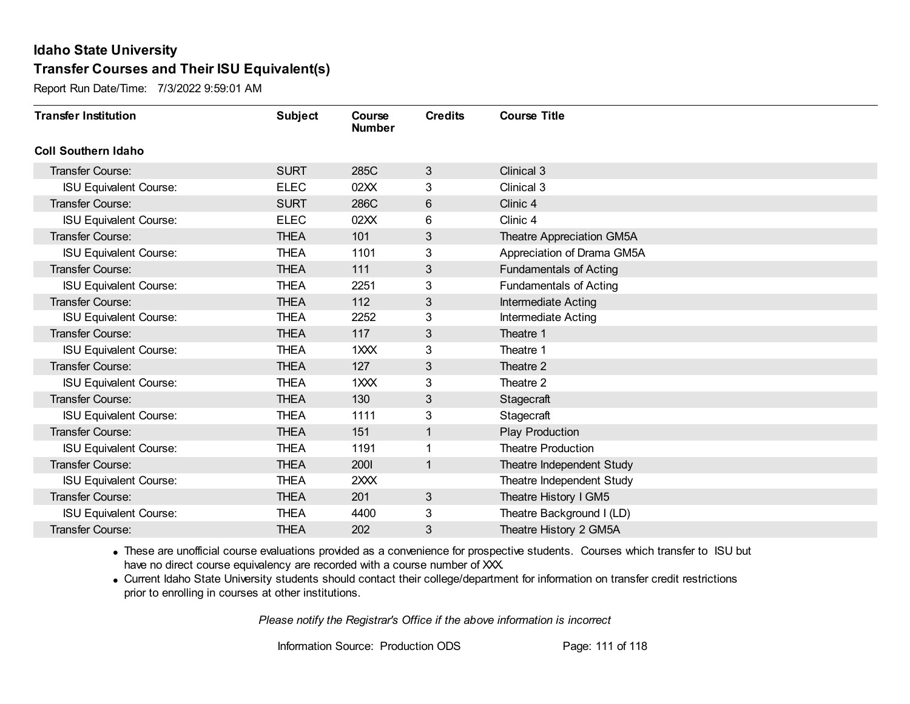Report Run Date/Time: 7/3/2022 9:59:01 AM

| <b>Transfer Institution</b>   | <b>Subject</b> | Course<br><b>Number</b> | <b>Credits</b> | <b>Course Title</b>           |
|-------------------------------|----------------|-------------------------|----------------|-------------------------------|
| <b>Coll Southern Idaho</b>    |                |                         |                |                               |
| Transfer Course:              | <b>SURT</b>    | 285C                    | $\mathbf{3}$   | Clinical 3                    |
| <b>ISU Equivalent Course:</b> | <b>ELEC</b>    | 02XX                    | 3              | Clinical 3                    |
| <b>Transfer Course:</b>       | <b>SURT</b>    | 286C                    | $\,6$          | Clinic 4                      |
| <b>ISU Equivalent Course:</b> | <b>ELEC</b>    | 02XX                    | 6              | Clinic 4                      |
| <b>Transfer Course:</b>       | <b>THEA</b>    | 101                     | 3              | Theatre Appreciation GM5A     |
| <b>ISU Equivalent Course:</b> | <b>THEA</b>    | 1101                    | 3              | Appreciation of Drama GM5A    |
| <b>Transfer Course:</b>       | <b>THEA</b>    | 111                     | 3              | <b>Fundamentals of Acting</b> |
| <b>ISU Equivalent Course:</b> | <b>THEA</b>    | 2251                    | 3              | <b>Fundamentals of Acting</b> |
| <b>Transfer Course:</b>       | <b>THEA</b>    | 112                     | 3              | Intermediate Acting           |
| <b>ISU Equivalent Course:</b> | <b>THEA</b>    | 2252                    | 3              | <b>Intermediate Acting</b>    |
| <b>Transfer Course:</b>       | <b>THEA</b>    | 117                     | 3              | Theatre 1                     |
| <b>ISU Equivalent Course:</b> | <b>THEA</b>    | 1XXX                    | 3              | Theatre 1                     |
| Transfer Course:              | <b>THEA</b>    | 127                     | 3              | Theatre 2                     |
| <b>ISU Equivalent Course:</b> | <b>THEA</b>    | 1XXX                    | 3              | Theatre 2                     |
| Transfer Course:              | <b>THEA</b>    | 130                     | 3              | Stagecraft                    |
| <b>ISU Equivalent Course:</b> | <b>THEA</b>    | 1111                    | 3              | Stagecraft                    |
| <b>Transfer Course:</b>       | <b>THEA</b>    | 151                     | 1              | <b>Play Production</b>        |
| <b>ISU Equivalent Course:</b> | <b>THEA</b>    | 1191                    | 1              | <b>Theatre Production</b>     |
| Transfer Course:              | <b>THEA</b>    | 2001                    | 1              | Theatre Independent Study     |
| <b>ISU Equivalent Course:</b> | <b>THEA</b>    | 2XXX                    |                | Theatre Independent Study     |
| <b>Transfer Course:</b>       | <b>THEA</b>    | 201                     | $\mathfrak{S}$ | Theatre History I GM5         |
| <b>ISU Equivalent Course:</b> | THEA           | 4400                    | 3              | Theatre Background I (LD)     |
| Transfer Course:              | <b>THEA</b>    | 202                     | 3              | Theatre History 2 GM5A        |

· These are unofficial course evaluations provided as a convenience for prospective students. Courses which transfer to ISU but have no direct course equivalency are recorded with a course number of XXX.

· Current Idaho State University students should contact their college/department for information on transfer credit restrictions prior to enrolling in courses at other institutions.

*Please notify the Registrar's Office if the above information is incorrect*

Information Source: Production ODS Page: 111 of 118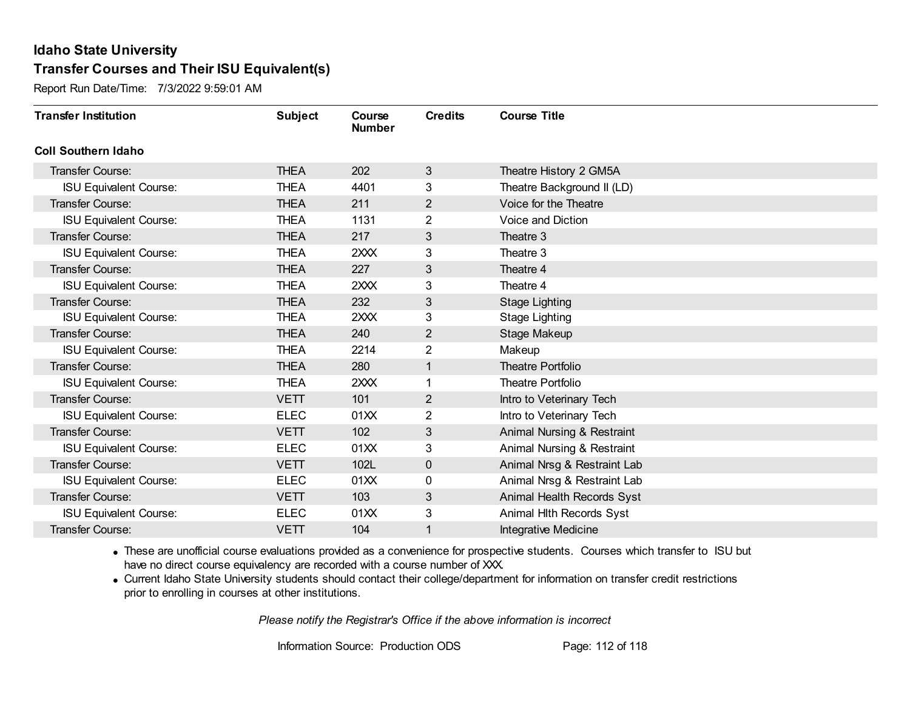Report Run Date/Time: 7/3/2022 9:59:01 AM

| <b>Transfer Institution</b>   | <b>Subject</b> | Course<br><b>Number</b> | <b>Credits</b> | <b>Course Title</b>         |
|-------------------------------|----------------|-------------------------|----------------|-----------------------------|
| <b>Coll Southern Idaho</b>    |                |                         |                |                             |
| Transfer Course:              | <b>THEA</b>    | 202                     | 3              | Theatre History 2 GM5A      |
| <b>ISU Equivalent Course:</b> | <b>THEA</b>    | 4401                    | 3              | Theatre Background II (LD)  |
| <b>Transfer Course:</b>       | <b>THEA</b>    | 211                     | 2              | Voice for the Theatre       |
| <b>ISU Equivalent Course:</b> | <b>THEA</b>    | 1131                    | $\overline{2}$ | Voice and Diction           |
| <b>Transfer Course:</b>       | <b>THEA</b>    | 217                     | 3              | Theatre 3                   |
| <b>ISU Equivalent Course:</b> | <b>THEA</b>    | 2XXX                    | 3              | Theatre 3                   |
| <b>Transfer Course:</b>       | <b>THEA</b>    | 227                     | 3              | Theatre 4                   |
| <b>ISU Equivalent Course:</b> | <b>THEA</b>    | 2XXX                    | 3              | Theatre 4                   |
| <b>Transfer Course:</b>       | <b>THEA</b>    | 232                     | $\mathfrak{B}$ | <b>Stage Lighting</b>       |
| <b>ISU Equivalent Course:</b> | <b>THEA</b>    | 2XXX                    | 3              | <b>Stage Lighting</b>       |
| <b>Transfer Course:</b>       | <b>THEA</b>    | 240                     | 2              | Stage Makeup                |
| <b>ISU Equivalent Course:</b> | <b>THEA</b>    | 2214                    | $\overline{2}$ | Makeup                      |
| <b>Transfer Course:</b>       | <b>THEA</b>    | 280                     | 1              | Theatre Portfolio           |
| <b>ISU Equivalent Course:</b> | <b>THEA</b>    | 2XXX                    | 1              | Theatre Portfolio           |
| Transfer Course:              | <b>VETT</b>    | 101                     | 2              | Intro to Veterinary Tech    |
| <b>ISU Equivalent Course:</b> | <b>ELEC</b>    | 01XX                    | $\overline{2}$ | Intro to Veterinary Tech    |
| <b>Transfer Course:</b>       | <b>VETT</b>    | 102                     | 3              | Animal Nursing & Restraint  |
| <b>ISU Equivalent Course:</b> | <b>ELEC</b>    | 01XX                    | 3              | Animal Nursing & Restraint  |
| Transfer Course:              | <b>VETT</b>    | 102L                    | $\mathbf 0$    | Animal Nrsg & Restraint Lab |
| <b>ISU Equivalent Course:</b> | <b>ELEC</b>    | 01XX                    | 0              | Animal Nrsg & Restraint Lab |
| <b>Transfer Course:</b>       | <b>VETT</b>    | 103                     | 3              | Animal Health Records Syst  |
| <b>ISU Equivalent Course:</b> | <b>ELEC</b>    | 01XX                    | 3              | Animal Hith Records Syst    |
| Transfer Course:              | <b>VETT</b>    | 104                     | 1              | Integrative Medicine        |

· These are unofficial course evaluations provided as a convenience for prospective students. Courses which transfer to ISU but have no direct course equivalency are recorded with a course number of XXX.

· Current Idaho State University students should contact their college/department for information on transfer credit restrictions prior to enrolling in courses at other institutions.

*Please notify the Registrar's Office if the above information is incorrect*

Information Source: Production ODS Page: 112 of 118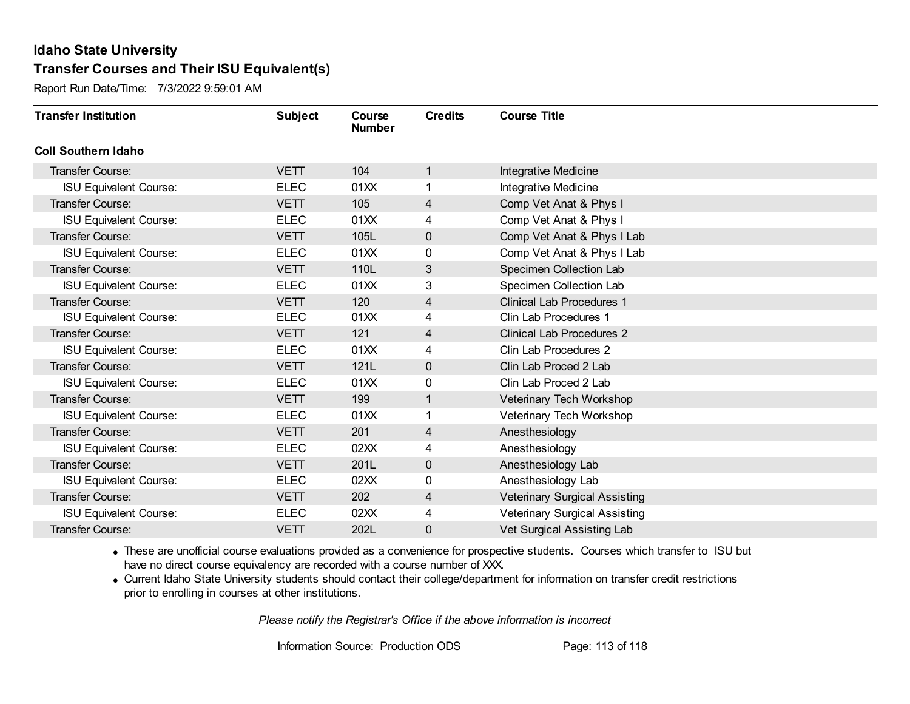Report Run Date/Time: 7/3/2022 9:59:01 AM

| <b>Transfer Institution</b>   | <b>Subject</b> | Course<br><b>Number</b> | <b>Credits</b> | <b>Course Title</b>                  |
|-------------------------------|----------------|-------------------------|----------------|--------------------------------------|
| <b>Coll Southern Idaho</b>    |                |                         |                |                                      |
| <b>Transfer Course:</b>       | <b>VETT</b>    | 104                     | 1              | Integrative Medicine                 |
| <b>ISU Equivalent Course:</b> | <b>ELEC</b>    | 01XX                    |                | <b>Integrative Medicine</b>          |
| Transfer Course:              | <b>VETT</b>    | 105                     | 4              | Comp Vet Anat & Phys I               |
| <b>ISU Equivalent Course:</b> | <b>ELEC</b>    | 01XX                    | 4              | Comp Vet Anat & Phys I               |
| <b>Transfer Course:</b>       | <b>VETT</b>    | 105L                    | $\mathbf 0$    | Comp Vet Anat & Phys I Lab           |
| <b>ISU Equivalent Course:</b> | <b>ELEC</b>    | 01XX                    | 0              | Comp Vet Anat & Phys I Lab           |
| <b>Transfer Course:</b>       | <b>VETT</b>    | 110L                    | 3              | Specimen Collection Lab              |
| <b>ISU Equivalent Course:</b> | <b>ELEC</b>    | 01XX                    | 3              | Specimen Collection Lab              |
| <b>Transfer Course:</b>       | <b>VETT</b>    | 120                     | 4              | <b>Clinical Lab Procedures 1</b>     |
| <b>ISU Equivalent Course:</b> | <b>ELEC</b>    | 01XX                    | 4              | Clin Lab Procedures 1                |
| <b>Transfer Course:</b>       | <b>VETT</b>    | 121                     | 4              | <b>Clinical Lab Procedures 2</b>     |
| <b>ISU Equivalent Course:</b> | <b>ELEC</b>    | 01XX                    | 4              | Clin Lab Procedures 2                |
| Transfer Course:              | <b>VETT</b>    | 121L                    | $\mathbf 0$    | Clin Lab Proced 2 Lab                |
| <b>ISU Equivalent Course:</b> | <b>ELEC</b>    | 01XX                    | 0              | Clin Lab Proced 2 Lab                |
| <b>Transfer Course:</b>       | <b>VETT</b>    | 199                     | 1              | Veterinary Tech Workshop             |
| <b>ISU Equivalent Course:</b> | <b>ELEC</b>    | 01XX                    | $\mathbf{1}$   | Veterinary Tech Workshop             |
| Transfer Course:              | VETT           | 201                     | 4              | Anesthesiology                       |
| <b>ISU Equivalent Course:</b> | <b>ELEC</b>    | 02XX                    | 4              | Anesthesiology                       |
| <b>Transfer Course:</b>       | <b>VETT</b>    | 201L                    | $\mathbf 0$    | Anesthesiology Lab                   |
| <b>ISU Equivalent Course:</b> | <b>ELEC</b>    | 02XX                    | 0              | Anesthesiology Lab                   |
| <b>Transfer Course:</b>       | <b>VETT</b>    | 202                     | 4              | <b>Veterinary Surgical Assisting</b> |
| <b>ISU Equivalent Course:</b> | <b>ELEC</b>    | 02XX                    | 4              | <b>Veterinary Surgical Assisting</b> |
| <b>Transfer Course:</b>       | <b>VETT</b>    | 202L                    | 0              | Vet Surgical Assisting Lab           |

· These are unofficial course evaluations provided as a convenience for prospective students. Courses which transfer to ISU but have no direct course equivalency are recorded with a course number of XXX.

· Current Idaho State University students should contact their college/department for information on transfer credit restrictions prior to enrolling in courses at other institutions.

*Please notify the Registrar's Office if the above information is incorrect*

Information Source: Production ODS Page: 113 of 118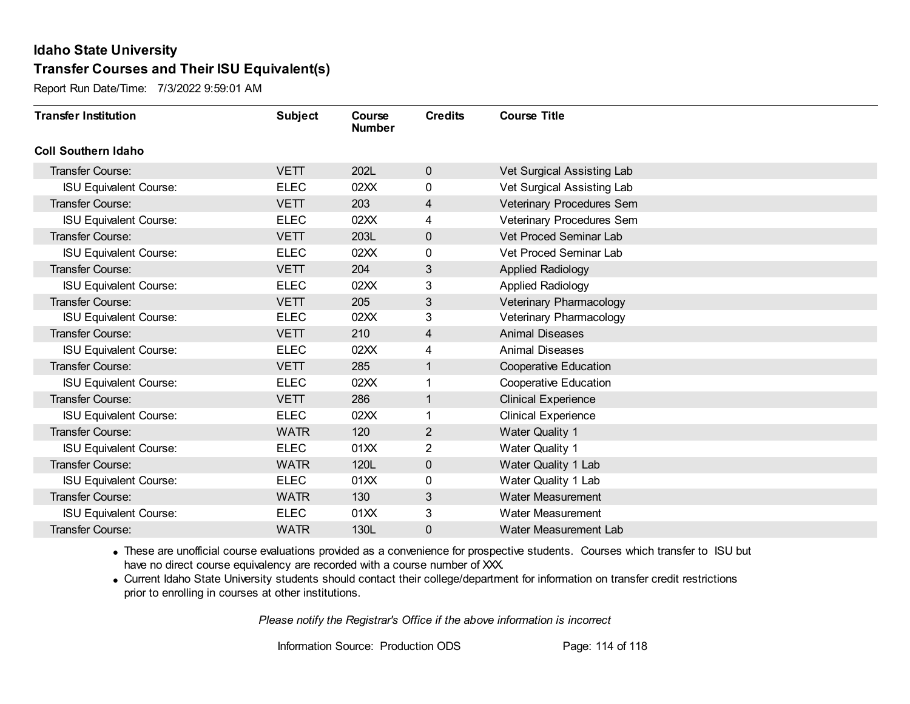Report Run Date/Time: 7/3/2022 9:59:01 AM

| <b>Transfer Institution</b>   | <b>Subject</b> | Course<br><b>Number</b> | <b>Credits</b> | <b>Course Title</b>          |
|-------------------------------|----------------|-------------------------|----------------|------------------------------|
| <b>Coll Southern Idaho</b>    |                |                         |                |                              |
| Transfer Course:              | <b>VETT</b>    | 202L                    | $\mathbf 0$    | Vet Surgical Assisting Lab   |
| <b>ISU Equivalent Course:</b> | <b>ELEC</b>    | 02XX                    | 0              | Vet Surgical Assisting Lab   |
| Transfer Course:              | <b>VETT</b>    | 203                     | 4              | Veterinary Procedures Sem    |
| <b>ISU Equivalent Course:</b> | <b>ELEC</b>    | 02XX                    | 4              | Veterinary Procedures Sem    |
| Transfer Course:              | <b>VETT</b>    | 203L                    | $\mathbf 0$    | Vet Proced Seminar Lab       |
| <b>ISU Equivalent Course:</b> | <b>ELEC</b>    | 02XX                    | 0              | Vet Proced Seminar Lab       |
| Transfer Course:              | <b>VETT</b>    | 204                     | 3              | <b>Applied Radiology</b>     |
| <b>ISU Equivalent Course:</b> | <b>ELEC</b>    | 02XX                    | 3              | <b>Applied Radiology</b>     |
| <b>Transfer Course:</b>       | <b>VETT</b>    | 205                     | 3              | Veterinary Pharmacology      |
| <b>ISU Equivalent Course:</b> | <b>ELEC</b>    | 02XX                    | 3              | Veterinary Pharmacology      |
| <b>Transfer Course:</b>       | <b>VETT</b>    | 210                     | 4              | <b>Animal Diseases</b>       |
| <b>ISU Equivalent Course:</b> | <b>ELEC</b>    | 02XX                    | 4              | <b>Animal Diseases</b>       |
| Transfer Course:              | <b>VETT</b>    | 285                     | 1              | Cooperative Education        |
| <b>ISU Equivalent Course:</b> | <b>ELEC</b>    | 02XX                    | 1              | <b>Cooperative Education</b> |
| Transfer Course:              | <b>VETT</b>    | 286                     | 1              | <b>Clinical Experience</b>   |
| <b>ISU Equivalent Course:</b> | <b>ELEC</b>    | 02XX                    | 1              | <b>Clinical Experience</b>   |
| Transfer Course:              | <b>WATR</b>    | 120                     | $\overline{2}$ | <b>Water Quality 1</b>       |
| <b>ISU Equivalent Course:</b> | <b>ELEC</b>    | 01XX                    | 2              | <b>Water Quality 1</b>       |
| Transfer Course:              | <b>WATR</b>    | 120L                    | $\mathbf 0$    | Water Quality 1 Lab          |
| <b>ISU Equivalent Course:</b> | <b>ELEC</b>    | 01XX                    | 0              | Water Quality 1 Lab          |
| Transfer Course:              | <b>WATR</b>    | 130                     | 3              | <b>Water Measurement</b>     |
| <b>ISU Equivalent Course:</b> | <b>ELEC</b>    | 01XX                    | 3              | <b>Water Measurement</b>     |
| Transfer Course:              | <b>WATR</b>    | 130L                    | 0              | Water Measurement Lab        |

· These are unofficial course evaluations provided as a convenience for prospective students. Courses which transfer to ISU but have no direct course equivalency are recorded with a course number of XXX.

· Current Idaho State University students should contact their college/department for information on transfer credit restrictions prior to enrolling in courses at other institutions.

*Please notify the Registrar's Office if the above information is incorrect*

Information Source: Production ODS Page: 114 of 118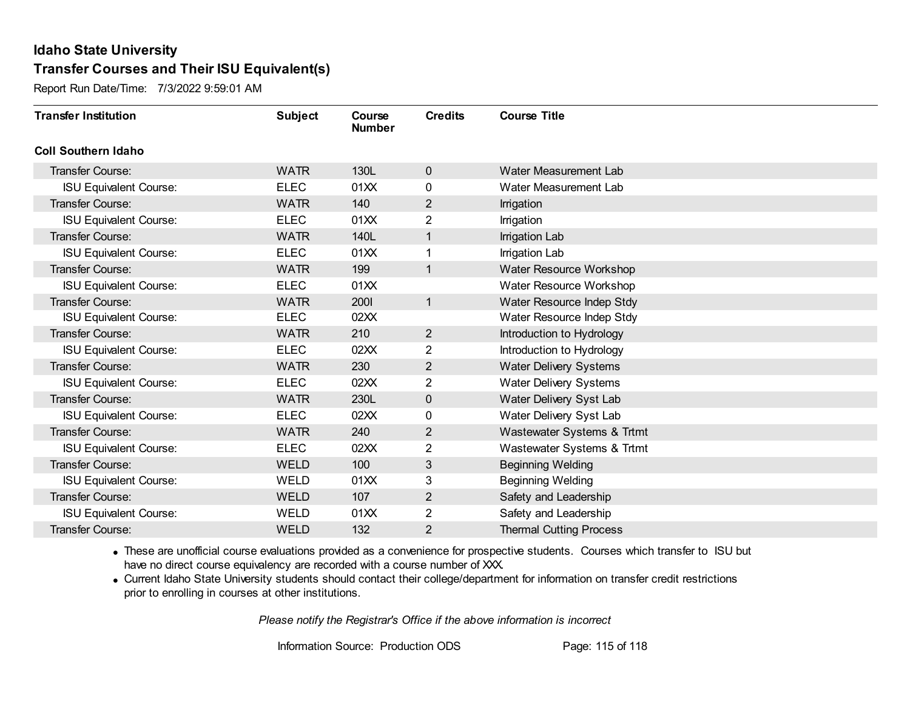Report Run Date/Time: 7/3/2022 9:59:01 AM

| <b>Transfer Institution</b>   | <b>Subject</b> | Course<br><b>Number</b> | <b>Credits</b> | <b>Course Title</b>            |
|-------------------------------|----------------|-------------------------|----------------|--------------------------------|
| <b>Coll Southern Idaho</b>    |                |                         |                |                                |
| Transfer Course:              | <b>WATR</b>    | 130L                    | $\mathbf 0$    | Water Measurement Lab          |
| <b>ISU Equivalent Course:</b> | <b>ELEC</b>    | 01XX                    | 0              | Water Measurement Lab          |
| Transfer Course:              | <b>WATR</b>    | 140                     | $\overline{2}$ | Irrigation                     |
| <b>ISU Equivalent Course:</b> | <b>ELEC</b>    | 01XX                    | $\overline{2}$ | Irrigation                     |
| <b>Transfer Course:</b>       | <b>WATR</b>    | 140L                    | 1              | <b>Irrigation Lab</b>          |
| <b>ISU Equivalent Course:</b> | <b>ELEC</b>    | 01XX                    | 1              | Irrigation Lab                 |
| <b>Transfer Course:</b>       | <b>WATR</b>    | 199                     | $\mathbf{1}$   | Water Resource Workshop        |
| <b>ISU Equivalent Course:</b> | <b>ELEC</b>    | 01XX                    |                | Water Resource Workshop        |
| <b>Transfer Course:</b>       | <b>WATR</b>    | 2001                    | $\mathbf{1}$   | Water Resource Indep Stdy      |
| <b>ISU Equivalent Course:</b> | <b>ELEC</b>    | 02XX                    |                | Water Resource Indep Stdy      |
| <b>Transfer Course:</b>       | <b>WATR</b>    | 210                     | $\overline{2}$ | Introduction to Hydrology      |
| <b>ISU Equivalent Course:</b> | <b>ELEC</b>    | 02XX                    | 2              | Introduction to Hydrology      |
| Transfer Course:              | <b>WATR</b>    | 230                     | 2              | <b>Water Delivery Systems</b>  |
| <b>ISU Equivalent Course:</b> | <b>ELEC</b>    | 02XX                    | $\overline{2}$ | <b>Water Delivery Systems</b>  |
| Transfer Course:              | <b>WATR</b>    | 230L                    | $\mathbf 0$    | Water Delivery Syst Lab        |
| <b>ISU Equivalent Course:</b> | <b>ELEC</b>    | 02XX                    | 0              | Water Delivery Syst Lab        |
| <b>Transfer Course:</b>       | <b>WATR</b>    | 240                     | 2              | Wastewater Systems & Trtmt     |
| <b>ISU Equivalent Course:</b> | <b>ELEC</b>    | 02XX                    | $\overline{2}$ | Wastewater Systems & Trtmt     |
| <b>Transfer Course:</b>       | <b>WELD</b>    | 100                     | 3              | <b>Beginning Welding</b>       |
| <b>ISU Equivalent Course:</b> | <b>WELD</b>    | 01XX                    | 3              | <b>Beginning Welding</b>       |
| <b>Transfer Course:</b>       | <b>WELD</b>    | 107                     | $\overline{2}$ | Safety and Leadership          |
| <b>ISU Equivalent Course:</b> | WELD           | 01XX                    | $\overline{2}$ | Safety and Leadership          |
| Transfer Course:              | <b>WELD</b>    | 132                     | 2              | <b>Thermal Cutting Process</b> |

· These are unofficial course evaluations provided as a convenience for prospective students. Courses which transfer to ISU but have no direct course equivalency are recorded with a course number of XXX.

· Current Idaho State University students should contact their college/department for information on transfer credit restrictions prior to enrolling in courses at other institutions.

*Please notify the Registrar's Office if the above information is incorrect*

Information Source: Production ODS Page: 115 of 118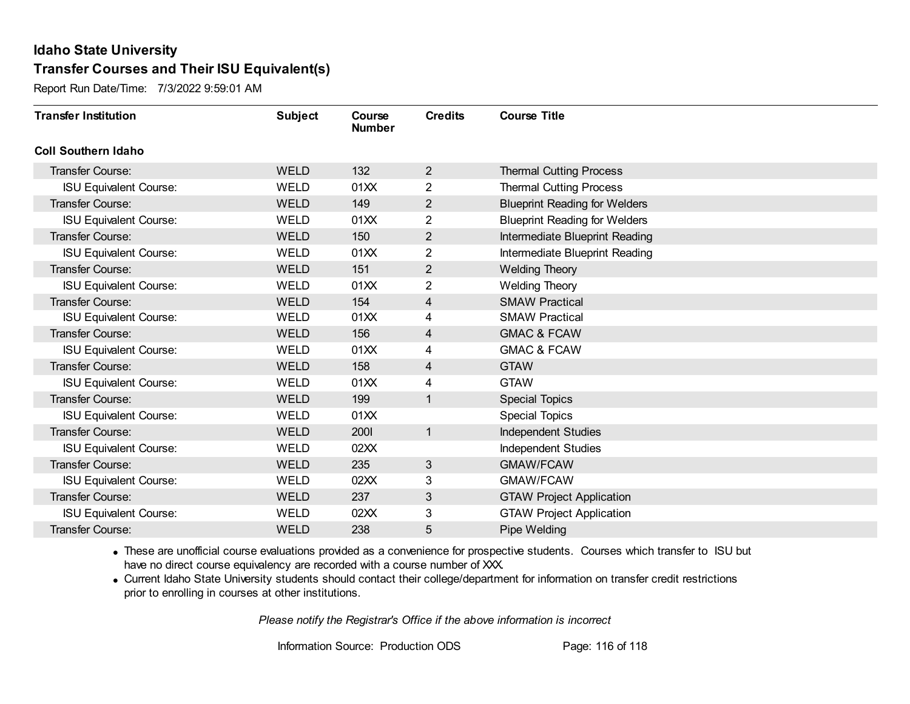Report Run Date/Time: 7/3/2022 9:59:01 AM

| <b>Transfer Institution</b>   | <b>Subject</b> | Course<br><b>Number</b> | <b>Credits</b> | <b>Course Title</b>                  |
|-------------------------------|----------------|-------------------------|----------------|--------------------------------------|
| <b>Coll Southern Idaho</b>    |                |                         |                |                                      |
| Transfer Course:              | <b>WELD</b>    | 132                     | $\overline{2}$ | <b>Thermal Cutting Process</b>       |
| <b>ISU Equivalent Course:</b> | <b>WELD</b>    | 01XX                    | $\overline{2}$ | <b>Thermal Cutting Process</b>       |
| Transfer Course:              | <b>WELD</b>    | 149                     | $\overline{2}$ | <b>Blueprint Reading for Welders</b> |
| <b>ISU Equivalent Course:</b> | <b>WELD</b>    | 01XX                    | $\overline{2}$ | <b>Blueprint Reading for Welders</b> |
| Transfer Course:              | <b>WELD</b>    | 150                     | $\overline{2}$ | Intermediate Blueprint Reading       |
| <b>ISU Equivalent Course:</b> | <b>WELD</b>    | 01XX                    | 2              | Intermediate Blueprint Reading       |
| <b>Transfer Course:</b>       | <b>WELD</b>    | 151                     | $\overline{2}$ | <b>Welding Theory</b>                |
| <b>ISU Equivalent Course:</b> | <b>WELD</b>    | 01XX                    | 2              | <b>Welding Theory</b>                |
| <b>Transfer Course:</b>       | <b>WELD</b>    | 154                     | 4              | <b>SMAW Practical</b>                |
| <b>ISU Equivalent Course:</b> | <b>WELD</b>    | 01XX                    | 4              | <b>SMAW Practical</b>                |
| <b>Transfer Course:</b>       | <b>WELD</b>    | 156                     | 4              | <b>GMAC &amp; FCAW</b>               |
| <b>ISU Equivalent Course:</b> | <b>WELD</b>    | 01XX                    | 4              | <b>GMAC &amp; FCAW</b>               |
| Transfer Course:              | <b>WELD</b>    | 158                     | 4              | <b>GTAW</b>                          |
| <b>ISU Equivalent Course:</b> | WELD           | 01XX                    | 4              | <b>GTAW</b>                          |
| <b>Transfer Course:</b>       | <b>WELD</b>    | 199                     | 1              | <b>Special Topics</b>                |
| <b>ISU Equivalent Course:</b> | <b>WELD</b>    | 01XX                    |                | Special Topics                       |
| <b>Transfer Course:</b>       | <b>WELD</b>    | <b>2001</b>             | $\mathbf{1}$   | <b>Independent Studies</b>           |
| <b>ISU Equivalent Course:</b> | <b>WELD</b>    | 02XX                    |                | Independent Studies                  |
| Transfer Course:              | <b>WELD</b>    | 235                     | $\mathfrak{S}$ | GMAW/FCAW                            |
| <b>ISU Equivalent Course:</b> | <b>WELD</b>    | 02XX                    | 3              | <b>GMAW/FCAW</b>                     |
| <b>Transfer Course:</b>       | <b>WELD</b>    | 237                     | 3              | <b>GTAW Project Application</b>      |
| <b>ISU Equivalent Course:</b> | <b>WELD</b>    | 02XX                    | 3              | <b>GTAW Project Application</b>      |
| <b>Transfer Course:</b>       | <b>WELD</b>    | 238                     | 5              | Pipe Welding                         |

· These are unofficial course evaluations provided as a convenience for prospective students. Courses which transfer to ISU but have no direct course equivalency are recorded with a course number of XXX.

· Current Idaho State University students should contact their college/department for information on transfer credit restrictions prior to enrolling in courses at other institutions.

*Please notify the Registrar's Office if the above information is incorrect*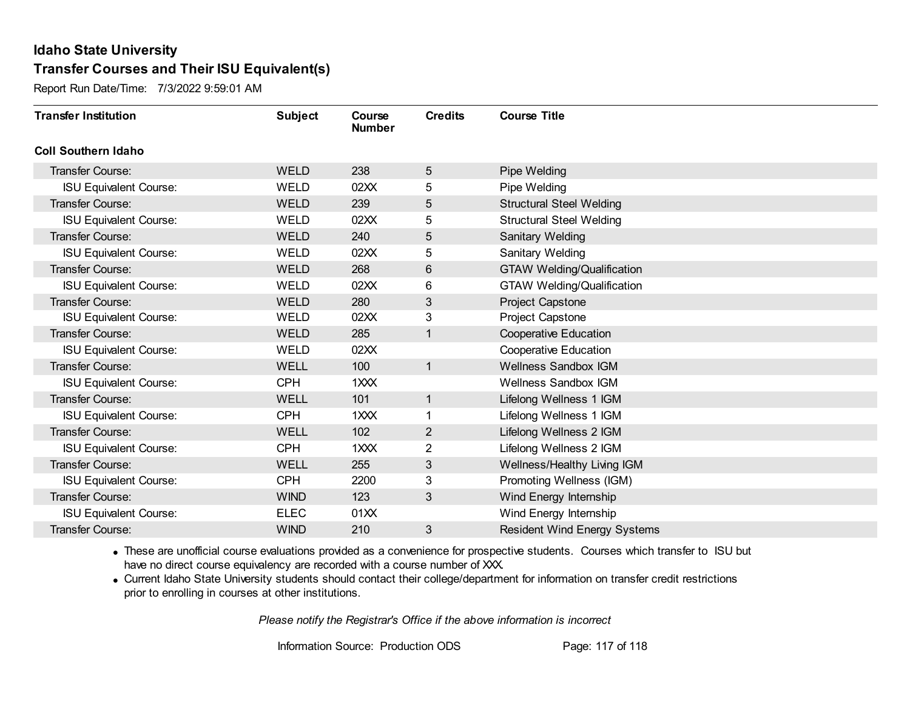Report Run Date/Time: 7/3/2022 9:59:01 AM

| <b>Transfer Institution</b>   | <b>Subject</b> | Course<br><b>Number</b> | <b>Credits</b> | <b>Course Title</b>                 |
|-------------------------------|----------------|-------------------------|----------------|-------------------------------------|
| <b>Coll Southern Idaho</b>    |                |                         |                |                                     |
| Transfer Course:              | <b>WELD</b>    | 238                     | 5              | Pipe Welding                        |
| <b>ISU Equivalent Course:</b> | WELD           | 02XX                    | 5              | Pipe Welding                        |
| <b>Transfer Course:</b>       | <b>WELD</b>    | 239                     | 5              | <b>Structural Steel Welding</b>     |
| <b>ISU Equivalent Course:</b> | <b>WELD</b>    | 02XX                    | 5              | <b>Structural Steel Welding</b>     |
| <b>Transfer Course:</b>       | <b>WELD</b>    | 240                     | 5              | Sanitary Welding                    |
| <b>ISU Equivalent Course:</b> | <b>WELD</b>    | 02XX                    | 5              | Sanitary Welding                    |
| <b>Transfer Course:</b>       | <b>WELD</b>    | 268                     | $6\,$          | <b>GTAW Welding/Qualification</b>   |
| <b>ISU Equivalent Course:</b> | WELD           | 02XX                    | 6              | <b>GTAW Welding/Qualification</b>   |
| <b>Transfer Course:</b>       | <b>WELD</b>    | 280                     | 3              | Project Capstone                    |
| <b>ISU Equivalent Course:</b> | <b>WELD</b>    | 02XX                    | 3              | Project Capstone                    |
| Transfer Course:              | <b>WELD</b>    | 285                     | $\mathbf 1$    | <b>Cooperative Education</b>        |
| <b>ISU Equivalent Course:</b> | <b>WELD</b>    | 02XX                    |                | <b>Cooperative Education</b>        |
| <b>Transfer Course:</b>       | <b>WELL</b>    | 100                     | 1              | <b>Wellness Sandbox IGM</b>         |
| <b>ISU Equivalent Course:</b> | <b>CPH</b>     | 1XXX                    |                | Wellness Sandbox IGM                |
| Transfer Course:              | WELL           | 101                     | 1              | Lifelong Wellness 1 IGM             |
| <b>ISU Equivalent Course:</b> | <b>CPH</b>     | 1XXX                    | 1              | Lifelong Wellness 1 IGM             |
| <b>Transfer Course:</b>       | <b>WELL</b>    | 102                     | $\overline{2}$ | Lifelong Wellness 2 IGM             |
| <b>ISU Equivalent Course:</b> | <b>CPH</b>     | 1XXX                    | 2              | Lifelong Wellness 2 IGM             |
| <b>Transfer Course:</b>       | <b>WELL</b>    | 255                     | 3              | Wellness/Healthy Living IGM         |
| <b>ISU Equivalent Course:</b> | <b>CPH</b>     | 2200                    | 3              | Promoting Wellness (IGM)            |
| <b>Transfer Course:</b>       | <b>WIND</b>    | 123                     | 3              | Wind Energy Internship              |
| <b>ISU Equivalent Course:</b> | <b>ELEC</b>    | 01XX                    |                | Wind Energy Internship              |
| Transfer Course:              | <b>WIND</b>    | 210                     | 3              | <b>Resident Wind Energy Systems</b> |

· These are unofficial course evaluations provided as a convenience for prospective students. Courses which transfer to ISU but have no direct course equivalency are recorded with a course number of XXX.

· Current Idaho State University students should contact their college/department for information on transfer credit restrictions prior to enrolling in courses at other institutions.

*Please notify the Registrar's Office if the above information is incorrect*

Information Source: Production ODS Page: 117 of 118